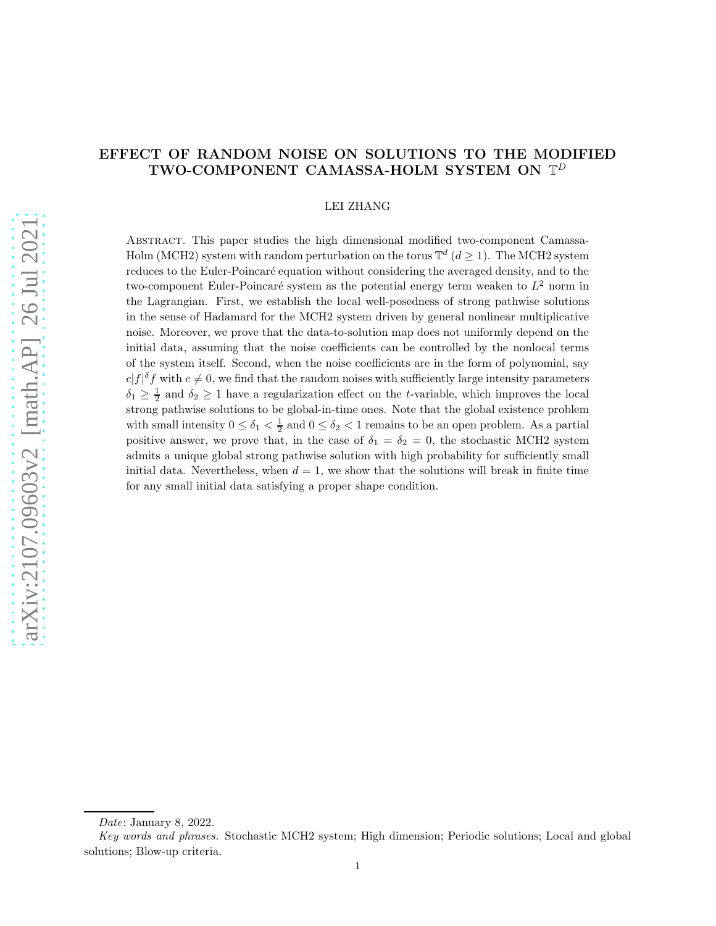# EFFECT OF RANDOM NOISE ON SOLUTIONS TO THE MODIFIED TWO-COMPONENT CAMASSA-HOLM SYSTEM ON  $\mathbb{T}^D$

#### LEI ZHANG

Abstract. This paper studies the high dimensional modified two-component Camassa-Holm (MCH2) system with random perturbation on the torus  $\mathbb{T}^d$  ( $d \geq 1$ ). The MCH2 system reduces to the Euler-Poincaré equation without considering the averaged density, and to the two-component Euler-Poincaré system as the potential energy term weaken to  $L^2$  norm in the Lagrangian. First, we establish the local well-posedness of strong pathwise solutions in the sense of Hadamard for the MCH2 system driven by general nonlinear multiplicative noise. Moreover, we prove that the data-to-solution map does not uniformly depend on the initial data, assuming that the noise coefficients can be controlled by the nonlocal terms of the system itself. Second, when the noise coefficients are in the form of polynomial, say  $c|f|^{\delta} f$  with  $c \neq 0$ , we find that the random noises with sufficiently large intensity parameters  $\delta_1 \geq \frac{1}{2}$  and  $\delta_2 \geq 1$  have a regularization effect on the *t*-variable, which improves the local strong pathwise solutions to be global-in-time ones. Note that the global existence problem with small intensity  $0 \le \delta_1 < \frac{1}{2}$  and  $0 \le \delta_2 < 1$  remains to be an open problem. As a partial positive answer, we prove that, in the case of  $\delta_1 = \delta_2 = 0$ , the stochastic MCH2 system admits a unique global strong pathwise solution with high probability for sufficiently small initial data. Nevertheless, when  $d = 1$ , we show that the solutions will break in finite time for any small initial data satisfying a proper shape condition.

Date: January 8, 2022.

Key words and phrases. Stochastic MCH2 system; High dimension; Periodic solutions; Local and global solutions; Blow-up criteria.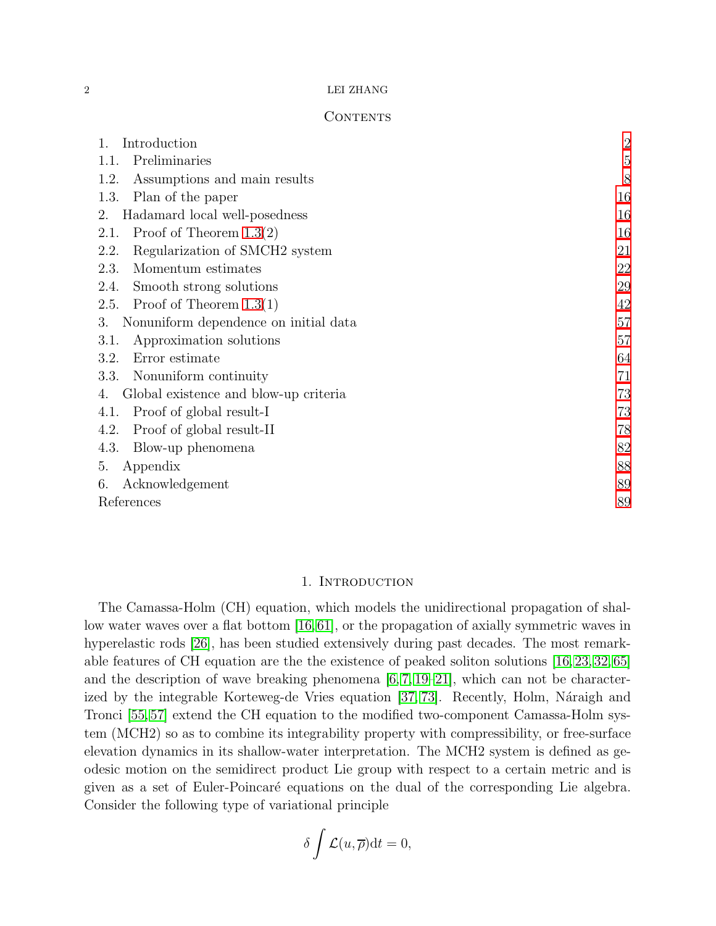#### $2\,$   $\,$  LEI ZHANG  $\,$

### CONTENTS

| Introduction<br>1.                                 | $\overline{2}$ |
|----------------------------------------------------|----------------|
| Preliminaries<br>1.1.                              | $\overline{5}$ |
| Assumptions and main results<br>1.2.               | 8              |
| Plan of the paper<br>1.3.                          | 16             |
| Hadamard local well-posedness<br>2.                | 16             |
| Proof of Theorem $1.3(2)$<br>2.1.                  | 16             |
| Regularization of SMCH <sub>2</sub> system<br>2.2. | 21             |
| Momentum estimates<br>2.3.                         | 22             |
| Smooth strong solutions<br>2.4.                    | 29             |
| Proof of Theorem $1.3(1)$<br>2.5.                  | 42             |
| Nonuniform dependence on initial data<br>3.        | 57             |
| Approximation solutions<br>3.1.                    | 57             |
| Error estimate<br>3.2.                             | 64             |
| Nonuniform continuity<br>3.3.                      | 71             |
| Global existence and blow-up criteria<br>4.        | 73             |
| Proof of global result-I<br>4.1.                   | 73             |
| Proof of global result-II<br>4.2.                  | 78             |
| 4.3.<br>Blow-up phenomena                          | 82             |
| Appendix<br>5.                                     | 88             |
| Acknowledgement<br>6.                              | 89             |
| References                                         | 89             |

### 1. INTRODUCTION

<span id="page-1-0"></span>The Camassa-Holm (CH) equation, which models the unidirectional propagation of shallow water waves over a flat bottom [\[16,](#page-89-0)[61\]](#page-91-0), or the propagation of axially symmetric waves in hyperelastic rods [\[26\]](#page-89-1), has been studied extensively during past decades. The most remarkable features of CH equation are the the existence of peaked soliton solutions [\[16,](#page-89-0) [23,](#page-89-2) [32,](#page-90-0) [65\]](#page-91-1) and the description of wave breaking phenomena  $[6, 7, 19-21]$  $[6, 7, 19-21]$  $[6, 7, 19-21]$  $[6, 7, 19-21]$ , which can not be character-ized by the integrable Korteweg-de Vries equation [\[37,](#page-90-1) [73\]](#page-91-2). Recently, Holm, Náraigh and Tronci [\[55,](#page-91-3) [57\]](#page-91-4) extend the CH equation to the modified two-component Camassa-Holm system (MCH2) so as to combine its integrability property with compressibility, or free-surface elevation dynamics in its shallow-water interpretation. The MCH2 system is defined as geodesic motion on the semidirect product Lie group with respect to a certain metric and is given as a set of Euler-Poincar´e equations on the dual of the corresponding Lie algebra. Consider the following type of variational principle

$$
\delta \int \mathcal{L}(u,\overline{\rho}) \mathrm{d}t = 0,
$$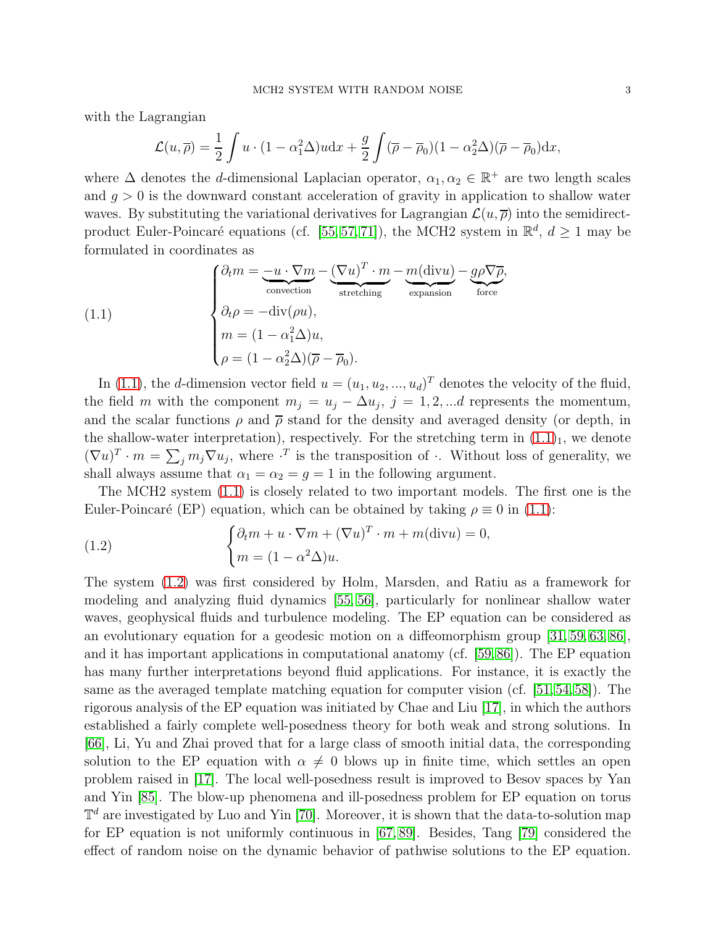with the Lagrangian

$$
\mathcal{L}(u,\overline{\rho}) = \frac{1}{2} \int u \cdot (1 - \alpha_1^2 \Delta) u \, dx + \frac{g}{2} \int (\overline{\rho} - \overline{\rho}_0)(1 - \alpha_2^2 \Delta) (\overline{\rho} - \overline{\rho}_0) \, dx,
$$

where  $\Delta$  denotes the *d*-dimensional Laplacian operator,  $\alpha_1, \alpha_2 \in \mathbb{R}^+$  are two length scales and  $g > 0$  is the downward constant acceleration of gravity in application to shallow water waves. By substituting the variational derivatives for Lagrangian  $\mathcal{L}(u, \overline{\rho})$  into the semidirect-product Euler-Poincaré equations (cf. [\[55,](#page-91-3) [57,](#page-91-4) [71\]](#page-91-5)), the MCH2 system in  $\mathbb{R}^d$ ,  $d \geq 1$  may be formulated in coordinates as

<span id="page-2-0"></span>(1.1)  
\n
$$
\begin{cases}\n\partial_t m = \underbrace{-u \cdot \nabla m}_{\text{convection}} - \underbrace{(\nabla u)^T \cdot m}_{\text{stretching}} - \underbrace{m(\text{div}u)}_{\text{expansion}} - \underbrace{g\rho\nabla\overline{\rho}}_{\text{force}}, \\
\partial_t \rho = -\text{div}(\rho u), \\
m = (1 - \alpha_1^2 \Delta)u, \\
\rho = (1 - \alpha_2^2 \Delta)(\overline{\rho} - \overline{\rho}_0).\n\end{cases}
$$

In [\(1.1\)](#page-2-0), the *d*-dimension vector field  $u = (u_1, u_2, ..., u_d)^T$  denotes the velocity of the fluid, the field m with the component  $m_j = u_j - \Delta u_j$ ,  $j = 1, 2, \dots d$  represents the momentum, and the scalar functions  $\rho$  and  $\bar{\rho}$  stand for the density and averaged density (or depth, in the shallow-water interpretation), respectively. For the stretching term in  $(1.1)<sub>1</sub>$ , we denote  $(\nabla u)^T \cdot m = \sum_j m_j \nabla u_j$ , where  $\cdot^T$  is the transposition of  $\cdot$ . Without loss of generality, we shall always assume that  $\alpha_1 = \alpha_2 = g = 1$  in the following argument.

The MCH2 system [\(1.1\)](#page-2-0) is closely related to two important models. The first one is the Euler-Poincaré (EP) equation, which can be obtained by taking  $\rho \equiv 0$  in [\(1.1\)](#page-2-0):

<span id="page-2-1"></span>(1.2) 
$$
\begin{cases} \partial_t m + u \cdot \nabla m + (\nabla u)^T \cdot m + m(\text{div} u) = 0, \\ m = (1 - \alpha^2 \Delta) u. \end{cases}
$$

The system [\(1.2\)](#page-2-1) was first considered by Holm, Marsden, and Ratiu as a framework for modeling and analyzing fluid dynamics [\[55,](#page-91-3) [56\]](#page-91-6), particularly for nonlinear shallow water waves, geophysical fluids and turbulence modeling. The EP equation can be considered as an evolutionary equation for a geodesic motion on a diffeomorphism group [\[31,](#page-90-2) [59,](#page-91-7) [63,](#page-91-8) [86\]](#page-92-0), and it has important applications in computational anatomy (cf. [\[59,](#page-91-7)[86\]](#page-92-0)). The EP equation has many further interpretations beyond fluid applications. For instance, it is exactly the same as the averaged template matching equation for computer vision (cf. [\[51,](#page-91-9)[54,](#page-91-10)[58\]](#page-91-11)). The rigorous analysis of the EP equation was initiated by Chae and Liu [\[17\]](#page-89-7), in which the authors established a fairly complete well-posedness theory for both weak and strong solutions. In [\[66\]](#page-91-12), Li, Yu and Zhai proved that for a large class of smooth initial data, the corresponding solution to the EP equation with  $\alpha \neq 0$  blows up in finite time, which settles an open problem raised in [\[17\]](#page-89-7). The local well-posedness result is improved to Besov spaces by Yan and Yin [\[85\]](#page-92-1). The blow-up phenomena and ill-posedness problem for EP equation on torus  $\mathbb{T}^d$  are investigated by Luo and Yin [\[70\]](#page-91-13). Moreover, it is shown that the data-to-solution map for EP equation is not uniformly continuous in [\[67,](#page-91-14) [89\]](#page-92-2). Besides, Tang [\[79\]](#page-92-3) considered the effect of random noise on the dynamic behavior of pathwise solutions to the EP equation.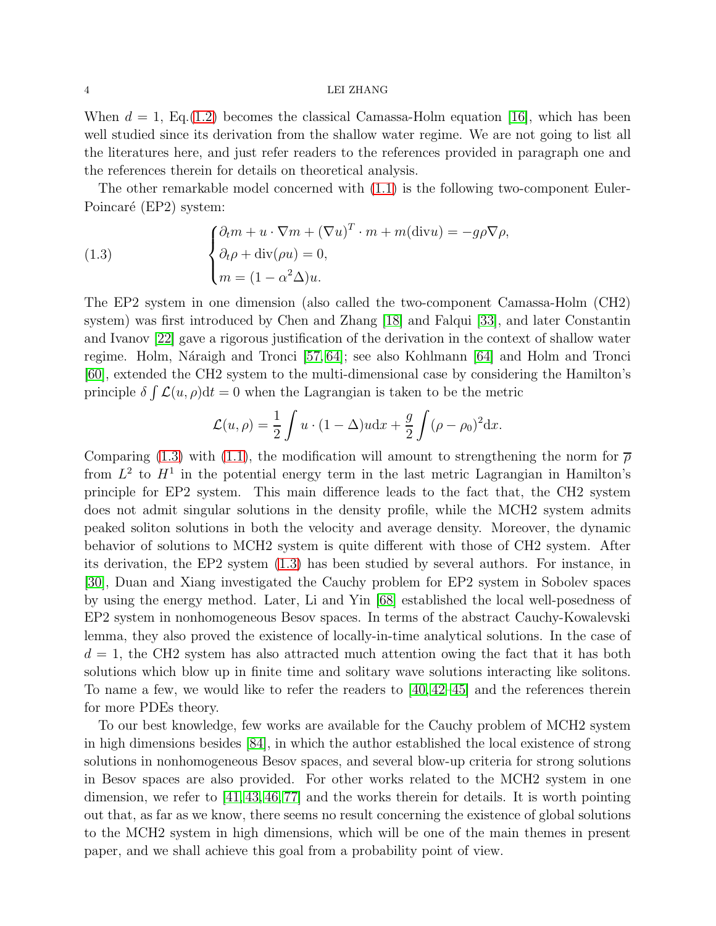#### 4 LEI ZHANG

When  $d = 1$ , Eq.[\(1.2\)](#page-2-1) becomes the classical Camassa-Holm equation [\[16\]](#page-89-0), which has been well studied since its derivation from the shallow water regime. We are not going to list all the literatures here, and just refer readers to the references provided in paragraph one and the references therein for details on theoretical analysis.

The other remarkable model concerned with [\(1.1\)](#page-2-0) is the following two-component Euler-Poincaré (EP2) system:

<span id="page-3-0"></span>(1.3) 
$$
\begin{cases} \partial_t m + u \cdot \nabla m + (\nabla u)^T \cdot m + m(\text{div}u) = -g\rho \nabla \rho, \\ \partial_t \rho + \text{div}(\rho u) = 0, \\ m = (1 - \alpha^2 \Delta)u. \end{cases}
$$

The EP2 system in one dimension (also called the two-component Camassa-Holm (CH2) system) was first introduced by Chen and Zhang [\[18\]](#page-89-8) and Falqui [\[33\]](#page-90-3), and later Constantin and Ivanov [\[22\]](#page-89-9) gave a rigorous justification of the derivation in the context of shallow water regime. Holm, Náraigh and Tronci [\[57,](#page-91-4) [64\]](#page-91-15); see also Kohlmann [\[64\]](#page-91-15) and Holm and Tronci [\[60\]](#page-91-16), extended the CH2 system to the multi-dimensional case by considering the Hamilton's principle  $\delta \int \mathcal{L}(u, \rho) dt = 0$  when the Lagrangian is taken to be the metric

$$
\mathcal{L}(u,\rho) = \frac{1}{2} \int u \cdot (1 - \Delta)u \, dx + \frac{g}{2} \int (\rho - \rho_0)^2 \, dx.
$$

Comparing [\(1.3\)](#page-3-0) with [\(1.1\)](#page-2-0), the modification will amount to strengthening the norm for  $\bar{\rho}$ from  $L^2$  to  $H^1$  in the potential energy term in the last metric Lagrangian in Hamilton's principle for EP2 system. This main difference leads to the fact that, the CH2 system does not admit singular solutions in the density profile, while the MCH2 system admits peaked soliton solutions in both the velocity and average density. Moreover, the dynamic behavior of solutions to MCH2 system is quite different with those of CH2 system. After its derivation, the EP2 system [\(1.3\)](#page-3-0) has been studied by several authors. For instance, in [\[30\]](#page-90-4), Duan and Xiang investigated the Cauchy problem for EP2 system in Sobolev spaces by using the energy method. Later, Li and Yin [\[68\]](#page-91-17) established the local well-posedness of EP2 system in nonhomogeneous Besov spaces. In terms of the abstract Cauchy-Kowalevski lemma, they also proved the existence of locally-in-time analytical solutions. In the case of  $d = 1$ , the CH2 system has also attracted much attention owing the fact that it has both solutions which blow up in finite time and solitary wave solutions interacting like solitons. To name a few, we would like to refer the readers to [\[40,](#page-90-5) [42–](#page-90-6)[45\]](#page-90-7) and the references therein for more PDEs theory.

To our best knowledge, few works are available for the Cauchy problem of MCH2 system in high dimensions besides [\[84\]](#page-92-4), in which the author established the local existence of strong solutions in nonhomogeneous Besov spaces, and several blow-up criteria for strong solutions in Besov spaces are also provided. For other works related to the MCH2 system in one dimension, we refer to  $[41, 43, 46, 77]$  $[41, 43, 46, 77]$  $[41, 43, 46, 77]$  $[41, 43, 46, 77]$  and the works therein for details. It is worth pointing out that, as far as we know, there seems no result concerning the existence of global solutions to the MCH2 system in high dimensions, which will be one of the main themes in present paper, and we shall achieve this goal from a probability point of view.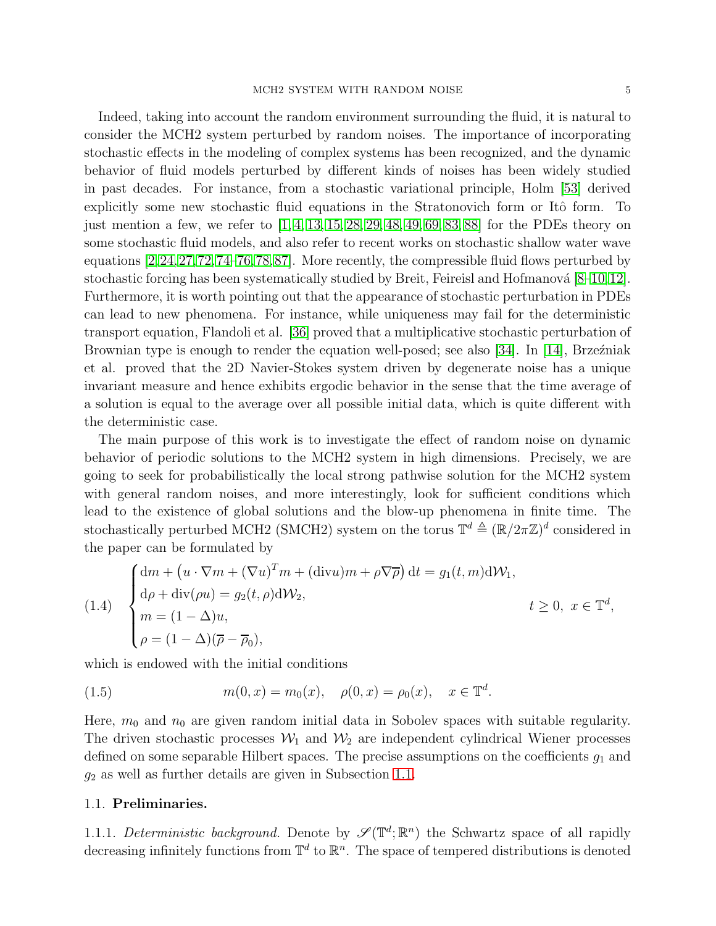Indeed, taking into account the random environment surrounding the fluid, it is natural to consider the MCH2 system perturbed by random noises. The importance of incorporating stochastic effects in the modeling of complex systems has been recognized, and the dynamic behavior of fluid models perturbed by different kinds of noises has been widely studied in past decades. For instance, from a stochastic variational principle, Holm [\[53\]](#page-91-18) derived explicitly some new stochastic fluid equations in the Stratonovich form or Itô form. To just mention a few, we refer to  $[1, 4, 13, 15, 28, 29, 48, 49, 69, 83, 88]$  $[1, 4, 13, 15, 28, 29, 48, 49, 69, 83, 88]$  $[1, 4, 13, 15, 28, 29, 48, 49, 69, 83, 88]$  $[1, 4, 13, 15, 28, 29, 48, 49, 69, 83, 88]$  $[1, 4, 13, 15, 28, 29, 48, 49, 69, 83, 88]$  $[1, 4, 13, 15, 28, 29, 48, 49, 69, 83, 88]$  $[1, 4, 13, 15, 28, 29, 48, 49, 69, 83, 88]$  $[1, 4, 13, 15, 28, 29, 48, 49, 69, 83, 88]$  $[1, 4, 13, 15, 28, 29, 48, 49, 69, 83, 88]$  $[1, 4, 13, 15, 28, 29, 48, 49, 69, 83, 88]$  $[1, 4, 13, 15, 28, 29, 48, 49, 69, 83, 88]$  for the PDEs theory on some stochastic fluid models, and also refer to recent works on stochastic shallow water wave equations [\[2,](#page-88-3)[24,](#page-89-13)[27,](#page-89-14)[72,](#page-91-20)[74–](#page-92-8)[76,](#page-92-9)[78,](#page-92-10)[87\]](#page-92-11). More recently, the compressible fluid flows perturbed by stochastic forcing has been systematically studied by Breit, Feireisl and Hofmanová  $[8-10,12]$  $[8-10,12]$  $[8-10,12]$ . Furthermore, it is worth pointing out that the appearance of stochastic perturbation in PDEs can lead to new phenomena. For instance, while uniqueness may fail for the deterministic transport equation, Flandoli et al. [\[36\]](#page-90-15) proved that a multiplicative stochastic perturbation of Brownian type is enough to render the equation well-posed; see also [\[34\]](#page-90-16). In [\[14\]](#page-89-18), Brzeźniak et al. proved that the 2D Navier-Stokes system driven by degenerate noise has a unique invariant measure and hence exhibits ergodic behavior in the sense that the time average of a solution is equal to the average over all possible initial data, which is quite different with the deterministic case.

The main purpose of this work is to investigate the effect of random noise on dynamic behavior of periodic solutions to the MCH2 system in high dimensions. Precisely, we are going to seek for probabilistically the local strong pathwise solution for the MCH2 system with general random noises, and more interestingly, look for sufficient conditions which lead to the existence of global solutions and the blow-up phenomena in finite time. The stochastically perturbed MCH2 (SMCH2) system on the torus  $\mathbb{T}^d \triangleq (\mathbb{R}/2\pi\mathbb{Z})^d$  considered in the paper can be formulated by

<span id="page-4-1"></span>(1.4) 
$$
\begin{cases} dm + (u \cdot \nabla m + (\nabla u)^T m + (\text{div} u)m + \rho \nabla \overline{\rho}) dt = g_1(t, m) dW_1, \\ d\rho + \text{div}(\rho u) = g_2(t, \rho) dW_2, \\ m = (1 - \Delta)u, \\ \rho = (1 - \Delta)(\overline{\rho} - \overline{\rho}_0), \end{cases} \quad t \ge 0, \ x \in \mathbb{T}^d,
$$

which is endowed with the initial conditions

<span id="page-4-2"></span>(1.5) 
$$
m(0, x) = m_0(x), \quad \rho(0, x) = \rho_0(x), \quad x \in \mathbb{T}^d.
$$

Here,  $m_0$  and  $n_0$  are given random initial data in Sobolev spaces with suitable regularity. The driven stochastic processes  $W_1$  and  $W_2$  are independent cylindrical Wiener processes defined on some separable Hilbert spaces. The precise assumptions on the coefficients  $g_1$  and  $g_2$  as well as further details are given in Subsection [1.1.](#page-4-0)

### <span id="page-4-0"></span>1.1. Preliminaries.

1.1.1. Deterministic background. Denote by  $\mathscr{S}(\mathbb{T}^d;\mathbb{R}^n)$  the Schwartz space of all rapidly decreasing infinitely functions from  $\mathbb{T}^d$  to  $\mathbb{R}^n$ . The space of tempered distributions is denoted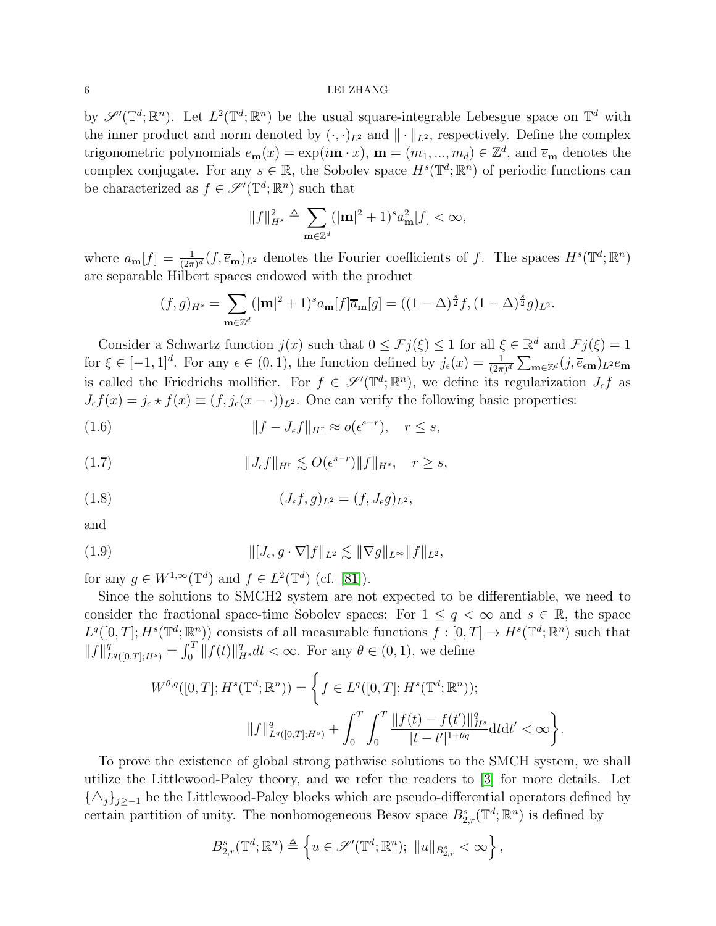#### $6$   $\,$  LEI ZHANG  $\,$

by  $\mathscr{S}'(\mathbb{T}^d;\mathbb{R}^n)$ . Let  $L^2(\mathbb{T}^d;\mathbb{R}^n)$  be the usual square-integrable Lebesgue space on  $\mathbb{T}^d$  with the inner product and norm denoted by  $(\cdot, \cdot)_{L^2}$  and  $\|\cdot\|_{L^2}$ , respectively. Define the complex trigonometric polynomials  $e_{\mathbf{m}}(x) = \exp(i\mathbf{m} \cdot x)$ ,  $\mathbf{m} = (m_1, ..., m_d) \in \mathbb{Z}^d$ , and  $\overline{e}_{\mathbf{m}}$  denotes the complex conjugate. For any  $s \in \mathbb{R}$ , the Sobolev space  $H^s(\mathbb{T}^d;\mathbb{R}^n)$  of periodic functions can be characterized as  $f \in \mathscr{S}'(\mathbb{T}^d; \mathbb{R}^n)$  such that

$$
||f||_{H^s}^2 \triangleq \sum_{\mathbf{m}\in\mathbb{Z}^d} (|\mathbf{m}|^2 + 1)^s a_{\mathbf{m}}^2[f] < \infty,
$$

where  $a_{\mathbf{m}}[f] = \frac{1}{(2\pi)^d} (f, \overline{e}_{\mathbf{m}})_{{L^2}}$  denotes the Fourier coefficients of f. The spaces  $H^s(\mathbb{T}^d; \mathbb{R}^n)$ are separable Hilbert spaces endowed with the product

$$
(f,g)_{H^s} = \sum_{\mathbf{m}\in\mathbb{Z}^d} (|\mathbf{m}|^2 + 1)^s a_{\mathbf{m}}[f]\overline{a}_{\mathbf{m}}[g] = ((1-\Delta)^{\frac{s}{2}}f, (1-\Delta)^{\frac{s}{2}}g)_{L^2}.
$$

Consider a Schwartz function  $j(x)$  such that  $0 \leq \mathcal{F}j(\xi) \leq 1$  for all  $\xi \in \mathbb{R}^d$  and  $\mathcal{F}j(\xi) = 1$ for  $\xi \in [-1,1]^d$ . For any  $\epsilon \in (0,1)$ , the function defined by  $j_{\epsilon}(x) = \frac{1}{(2\pi)^d} \sum_{\mathbf{m} \in \mathbb{Z}^d} (j, \overline{e}_{\epsilon \mathbf{m}})_{L^2} e_{\mathbf{m}}$ is called the Friedrichs mollifier. For  $f \in \mathscr{S}'(\mathbb{T}^d;\mathbb{R}^n)$ , we define its regularization  $J_{\epsilon}f$  as  $J_{\epsilon}f(x) = j_{\epsilon} * f(x) \equiv (f, j_{\epsilon}(x - \cdot))_{L^2}$ . One can verify the following basic properties:

(1.6) 
$$
||f - J_{\epsilon}f||_{H^r} \approx o(\epsilon^{s-r}), \quad r \leq s,
$$

<span id="page-5-0"></span>(1.7) 
$$
||J_{\epsilon}f||_{H^r} \lesssim O(\epsilon^{s-r})||f||_{H^s}, \quad r \geq s,
$$

<span id="page-5-1"></span>(1.8) 
$$
(J_{\epsilon}f, g)_{L^2} = (f, J_{\epsilon}g)_{L^2},
$$

and

(1.9) 
$$
\| [J_{\epsilon}, g \cdot \nabla] f \|_{L^2} \lesssim \| \nabla g \|_{L^{\infty}} \| f \|_{L^2},
$$

for any  $g \in W^{1,\infty}(\mathbb{T}^d)$  and  $f \in L^2(\mathbb{T}^d)$  (cf. [\[81\]](#page-92-12)).

Since the solutions to SMCH2 system are not expected to be differentiable, we need to consider the fractional space-time Sobolev spaces: For  $1 \leq q < \infty$  and  $s \in \mathbb{R}$ , the space  $L^q([0,T];H^s(\mathbb{T}^d;\mathbb{R}^n))$  consists of all measurable functions  $f:[0,T] \to H^s(\mathbb{T}^d;\mathbb{R}^n)$  such that  $||f||_{L^q([0,T];H^s)}^q = \int_0^T ||f(t)||_{H^s}^q dt < \infty$ . For any  $\theta \in (0,1)$ , we define

$$
W^{\theta,q}([0,T];H^s(\mathbb{T}^d;\mathbb{R}^n)) = \left\{ f \in L^q([0,T];H^s(\mathbb{T}^d;\mathbb{R}^n)); \|f\|_{L^q([0,T];H^s)}^q + \int_0^T \int_0^T \frac{\|f(t) - f(t')\|_{H^s}^q}{|t - t'|^{1 + \theta q}} dt dt' < \infty \right\}
$$

.

To prove the existence of global strong pathwise solutions to the SMCH system, we shall utilize the Littlewood-Paley theory, and we refer the readers to [\[3\]](#page-88-4) for more details. Let  $\{\Delta_i\}_{i\geq -1}$  be the Littlewood-Paley blocks which are pseudo-differential operators defined by certain partition of unity. The nonhomogeneous Besov space  $B_{2,r}^s(\mathbb{T}^d;\mathbb{R}^n)$  is defined by

$$
B_{2,r}^s(\mathbb{T}^d;\mathbb{R}^n) \triangleq \left\{ u \in \mathscr{S}'(\mathbb{T}^d;\mathbb{R}^n); \ \|u\|_{B_{2,r}^s} < \infty \right\},\
$$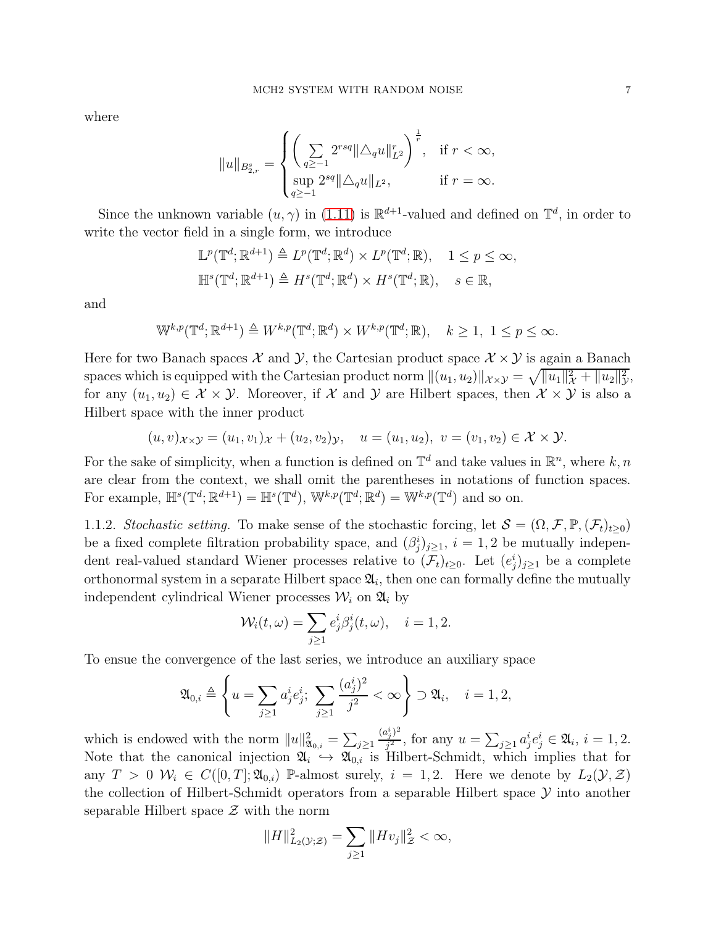where

$$
||u||_{B^{s}_{2,r}} = \begin{cases} \left( \sum_{q \geq -1} 2^{rsq} ||\triangle_q u||_{L^2}^r \right)^{\frac{1}{r}}, & \text{if } r < \infty, \\ \sup_{q \geq -1} 2^{sq} ||\triangle_q u||_{L^2}, & \text{if } r = \infty. \end{cases}
$$

Since the unknown variable  $(u, \gamma)$  in [\(1.11\)](#page-7-1) is  $\mathbb{R}^{d+1}$ -valued and defined on  $\mathbb{T}^d$ , in order to write the vector field in a single form, we introduce

$$
\mathbb{L}^p(\mathbb{T}^d; \mathbb{R}^{d+1}) \triangleq L^p(\mathbb{T}^d; \mathbb{R}^d) \times L^p(\mathbb{T}^d; \mathbb{R}), \quad 1 \le p \le \infty,
$$
  

$$
\mathbb{H}^s(\mathbb{T}^d; \mathbb{R}^{d+1}) \triangleq H^s(\mathbb{T}^d; \mathbb{R}^d) \times H^s(\mathbb{T}^d; \mathbb{R}), \quad s \in \mathbb{R},
$$

and

$$
\mathbb{W}^{k,p}(\mathbb{T}^d;\mathbb{R}^{d+1}) \triangleq W^{k,p}(\mathbb{T}^d;\mathbb{R}^d) \times W^{k,p}(\mathbb{T}^d;\mathbb{R}), \quad k \ge 1, \ 1 \le p \le \infty.
$$

Here for two Banach spaces  $\mathcal X$  and  $\mathcal Y$ , the Cartesian product space  $\mathcal X \times \mathcal Y$  is again a Banach spaces which is equipped with the Cartesian product norm  $\|(u_1, u_2)\|_{\mathcal{X}\times\mathcal{Y}} = \sqrt{\|u_1\|_{\mathcal{X}}^2 + \|u_2\|_{\mathcal{Y}}^2}$  $\frac{2}{y}$ for any  $(u_1, u_2) \in \mathcal{X} \times \mathcal{Y}$ . Moreover, if X and Y are Hilbert spaces, then  $\mathcal{X} \times \mathcal{Y}$  is also a Hilbert space with the inner product

$$
(u, v)_{\mathcal{X}\times\mathcal{Y}} = (u_1, v_1)_{\mathcal{X}} + (u_2, v_2)_{\mathcal{Y}}, \quad u = (u_1, u_2), \ v = (v_1, v_2) \in \mathcal{X} \times \mathcal{Y}.
$$

For the sake of simplicity, when a function is defined on  $\mathbb{T}^d$  and take values in  $\mathbb{R}^n$ , where  $k, n$ are clear from the context, we shall omit the parentheses in notations of function spaces. For example,  $\mathbb{H}^s(\mathbb{T}^d;\mathbb{R}^{d+1}) = \mathbb{H}^s(\mathbb{T}^d)$ ,  $\mathbb{W}^{k,p}(\mathbb{T}^d;\mathbb{R}^d) = \mathbb{W}^{k,p}(\mathbb{T}^d)$  and so on.

1.1.2. Stochastic setting. To make sense of the stochastic forcing, let  $\mathcal{S} = (\Omega, \mathcal{F}, \mathbb{P}, (\mathcal{F}_t)_{t>0})$ be a fixed complete filtration probability space, and  $(\beta_j^i)_{j\geq 1}$ ,  $i=1,2$  be mutually independent real-valued standard Wiener processes relative to  $(\mathcal{F}_t)_{t\geq0}$ . Let  $(e_j^i)_{j\geq1}$  be a complete orthonormal system in a separate Hilbert space  $\mathfrak{A}_i$ , then one can formally define the mutually independent cylindrical Wiener processes  $\mathcal{W}_i$  on  $\mathfrak{A}_i$  by

$$
\mathcal{W}_i(t,\omega) = \sum_{j\geq 1} e_j^i \beta_j^i(t,\omega), \quad i = 1, 2.
$$

To ensue the convergence of the last series, we introduce an auxiliary space

$$
\mathfrak{A}_{0,i} \triangleq \left\{ u = \sum_{j\geq 1} a_j^i e_j^i; \sum_{j\geq 1} \frac{(a_j^i)^2}{j^2} < \infty \right\} \supset \mathfrak{A}_i, \quad i = 1, 2,
$$

which is endowed with the norm  $||u||_{\mathfrak{A}_{0,i}}^2 = \sum_{j\geq 1}$  $(a_j^i)^2$  $j^2 = \sum_{j\geq 1} a_j^i e_j^i \in \mathfrak{A}_i, i = 1, 2.$ Note that the canonical injection  $\mathfrak{A}_i \to \mathfrak{A}_{0,i}$  is Hilbert-Schmidt, which implies that for any  $T > 0$   $W_i \in C([0, T]; \mathfrak{A}_{0,i})$  P-almost surely,  $i = 1, 2$ . Here we denote by  $L_2(\mathcal{Y}, \mathcal{Z})$ the collection of Hilbert-Schmidt operators from a separable Hilbert space  $\mathcal Y$  into another separable Hilbert space  $\mathcal Z$  with the norm

$$
||H||_{L_2(\mathcal{Y};\mathcal{Z})}^2 = \sum_{j\geq 1} ||Hv_j||_{\mathcal{Z}}^2 < \infty,
$$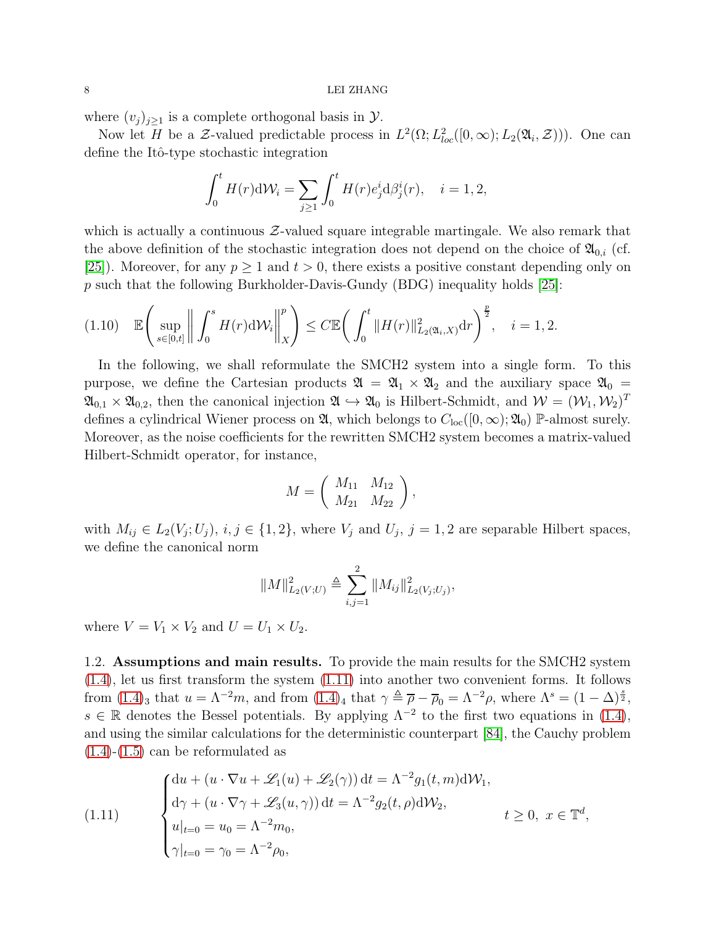where  $(v_i)_{i\geq 1}$  is a complete orthogonal basis in  $\mathcal{Y}$ .

Now let H be a Z-valued predictable process in  $L^2(\Omega; L^2_{loc}([0,\infty); L_2(\mathfrak{A}_i, \mathcal{Z})))$ . One can define the Itô-type stochastic integration

$$
\int_0^t H(r) \mathrm{d} \mathcal{W}_i = \sum_{j \ge 1} \int_0^t H(r) e_j^i \mathrm{d} \beta_j^i(r), \quad i = 1, 2,
$$

which is actually a continuous  $\mathcal{Z}\text{-}$ valued square integrable martingale. We also remark that the above definition of the stochastic integration does not depend on the choice of  $\mathfrak{A}_{0,i}$  (cf. [\[25\]](#page-89-19)). Moreover, for any  $p \ge 1$  and  $t > 0$ , there exists a positive constant depending only on p such that the following Burkholder-Davis-Gundy (BDG) inequality holds  $[25]$ :

$$
(1.10) \quad \mathbb{E}\left(\sup_{s\in[0,t]}\left\|\int_0^s H(r)\mathrm{d}\mathcal{W}_i\right\|_X^p\right) \leq C \mathbb{E}\left(\int_0^t \|H(r)\|_{L_2(\mathfrak{A}_i,X)}^2 \mathrm{d}r\right)^{\frac{p}{2}}, \quad i=1,2.
$$

In the following, we shall reformulate the SMCH2 system into a single form. To this purpose, we define the Cartesian products  $\mathfrak{A} = \mathfrak{A}_1 \times \mathfrak{A}_2$  and the auxiliary space  $\mathfrak{A}_0 =$  $\mathfrak{A}_{0,1} \times \mathfrak{A}_{0,2}$ , then the canonical injection  $\mathfrak{A} \hookrightarrow \mathfrak{A}_0$  is Hilbert-Schmidt, and  $\mathcal{W} = (\mathcal{W}_1, \mathcal{W}_2)^T$ defines a cylindrical Wiener process on  $\mathfrak{A}$ , which belongs to  $C_{\text{loc}}([0,\infty);\mathfrak{A}_0)$  P-almost surely. Moreover, as the noise coefficients for the rewritten SMCH2 system becomes a matrix-valued Hilbert-Schmidt operator, for instance,

$$
M = \left( \begin{array}{cc} M_{11} & M_{12} \\ M_{21} & M_{22} \end{array} \right),
$$

with  $M_{ij} \in L_2(V_j; U_j)$ ,  $i, j \in \{1, 2\}$ , where  $V_j$  and  $U_j$ ,  $j = 1, 2$  are separable Hilbert spaces, we define the canonical norm

$$
||M||_{L_2(V;U)}^2 \triangleq \sum_{i,j=1}^2 ||M_{ij}||_{L_2(V_j;U_j)}^2,
$$

<span id="page-7-0"></span>where  $V = V_1 \times V_2$  and  $U = U_1 \times U_2$ .

1.2. Assumptions and main results. To provide the main results for the SMCH2 system [\(1.4\)](#page-4-1), let us first transform the system [\(1.11\)](#page-7-1) into another two convenient forms. It follows from  $(1.4)_3$  that  $u = \Lambda^{-2}m$ , and from  $(1.4)_4$  that  $\gamma \triangleq \overline{\rho} - \overline{\rho}_0 = \Lambda^{-2}\rho$ , where  $\Lambda^s = (1 - \Delta)^{\frac{s}{2}}$ ,  $s \in \mathbb{R}$  denotes the Bessel potentials. By applying  $\Lambda^{-2}$  to the first two equations in [\(1.4\)](#page-4-1), and using the similar calculations for the deterministic counterpart [\[84\]](#page-92-4), the Cauchy problem  $(1.4)-(1.5)$  $(1.4)-(1.5)$  $(1.4)-(1.5)$  can be reformulated as

<span id="page-7-1"></span>(1.11) 
$$
\begin{cases} du + (u \cdot \nabla u + \mathcal{L}_1(u) + \mathcal{L}_2(\gamma)) dt = \Lambda^{-2} g_1(t, m) d\mathcal{W}_1, \\ d\gamma + (u \cdot \nabla \gamma + \mathcal{L}_3(u, \gamma)) dt = \Lambda^{-2} g_2(t, \rho) d\mathcal{W}_2, \\ u|_{t=0} = u_0 = \Lambda^{-2} m_0, \\ \gamma|_{t=0} = \gamma_0 = \Lambda^{-2} \rho_0, \end{cases} t \ge 0, \ x \in \mathbb{T}^d,
$$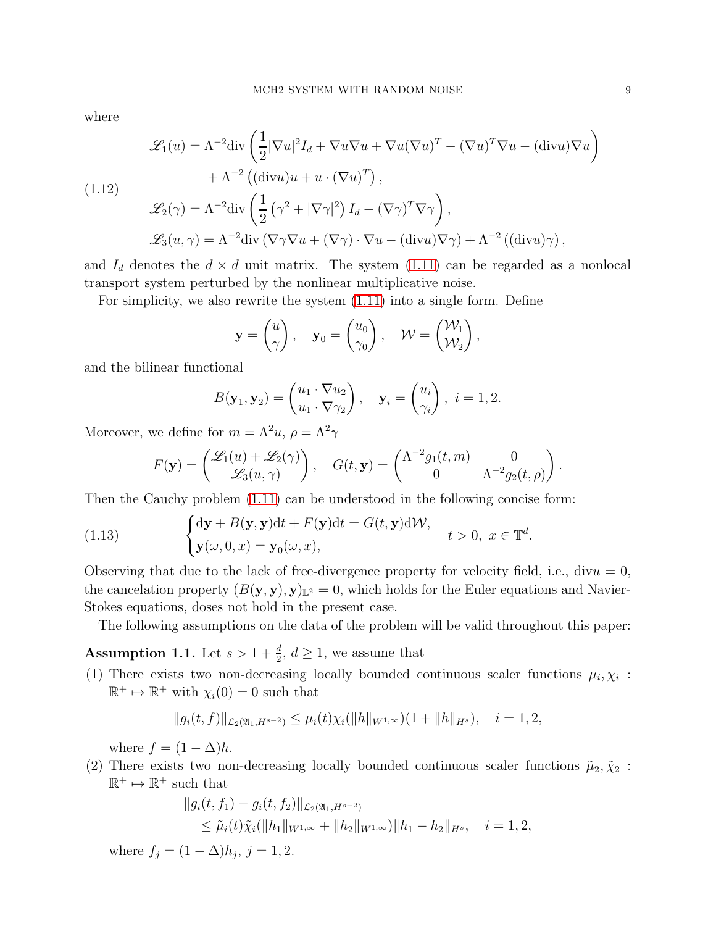where

<span id="page-8-2"></span>
$$
\mathcal{L}_1(u) = \Lambda^{-2} \text{div} \left( \frac{1}{2} |\nabla u|^2 I_d + \nabla u \nabla u + \nabla u (\nabla u)^T - (\nabla u)^T \nabla u - (\text{div} u) \nabla u \right)
$$
  
+  $\Lambda^{-2} \left( (\text{div} u) u + u \cdot (\nabla u)^T \right),$   

$$
\mathcal{L}_2(\gamma) = \Lambda^{-2} \text{div} \left( \frac{1}{2} \left( \gamma^2 + |\nabla \gamma|^2 \right) I_d - (\nabla \gamma)^T \nabla \gamma \right),
$$
  

$$
\mathcal{L}_3(u, \gamma) = \Lambda^{-2} \text{div} \left( \nabla \gamma \nabla u + (\nabla \gamma) \cdot \nabla u - (\text{div} u) \nabla \gamma \right) + \Lambda^{-2} \left( (\text{div} u) \gamma \right),
$$

and  $I_d$  denotes the  $d \times d$  unit matrix. The system [\(1.11\)](#page-7-1) can be regarded as a nonlocal transport system perturbed by the nonlinear multiplicative noise.

For simplicity, we also rewrite the system [\(1.11\)](#page-7-1) into a single form. Define

$$
\mathbf{y} = \begin{pmatrix} u \\ \gamma \end{pmatrix}, \quad \mathbf{y}_0 = \begin{pmatrix} u_0 \\ \gamma_0 \end{pmatrix}, \quad \mathcal{W} = \begin{pmatrix} \mathcal{W}_1 \\ \mathcal{W}_2 \end{pmatrix},
$$

and the bilinear functional

$$
B(\mathbf{y}_1, \mathbf{y}_2) = \begin{pmatrix} u_1 \cdot \nabla u_2 \\ u_1 \cdot \nabla \gamma_2 \end{pmatrix}, \quad \mathbf{y}_i = \begin{pmatrix} u_i \\ \gamma_i \end{pmatrix}, \ i = 1, 2.
$$

Moreover, we define for  $m = \Lambda^2 u$ ,  $\rho = \Lambda^2 \gamma$ 

<span id="page-8-1"></span>
$$
F(\mathbf{y}) = \begin{pmatrix} \mathcal{L}_1(u) + \mathcal{L}_2(\gamma) \\ \mathcal{L}_3(u, \gamma) \end{pmatrix}, \quad G(t, \mathbf{y}) = \begin{pmatrix} \Lambda^{-2} g_1(t, m) & 0 \\ 0 & \Lambda^{-2} g_2(t, \rho) \end{pmatrix}.
$$

Then the Cauchy problem [\(1.11\)](#page-7-1) can be understood in the following concise form:

(1.13) 
$$
\begin{cases} d\mathbf{y} + B(\mathbf{y}, \mathbf{y})dt + F(\mathbf{y})dt = G(t, \mathbf{y})d\mathcal{W}, \\ \mathbf{y}(\omega, 0, x) = \mathbf{y}_0(\omega, x), \end{cases} t > 0, x \in \mathbb{T}^d.
$$

Observing that due to the lack of free-divergence property for velocity field, i.e., div $u = 0$ , the cancelation property  $(B(\mathbf{y}, \mathbf{y}), \mathbf{y})_{\mathbb{L}^2} = 0$ , which holds for the Euler equations and Navier-Stokes equations, doses not hold in the present case.

The following assumptions on the data of the problem will be valid throughout this paper:

<span id="page-8-0"></span>**Assumption 1.1.** Let  $s > 1 + \frac{d}{2}$ ,  $d \ge 1$ , we assume that

(1) There exists two non-decreasing locally bounded continuous scaler functions  $\mu_i, \chi_i$ :  $\mathbb{R}^+ \mapsto \mathbb{R}^+$  with  $\chi_i(0) = 0$  such that

$$
||g_i(t,f)||_{\mathcal{L}_2(\mathfrak{A}_1,H^{s-2})} \leq \mu_i(t)\chi_i(||h||_{W^{1,\infty}})(1+||h||_{H^s}), \quad i=1,2,
$$

where  $f = (1 - \Delta)h$ .

(2) There exists two non-decreasing locally bounded continuous scaler functions  $\tilde{\mu}_2, \tilde{\chi}_2$ :  $\mathbb{R}^+ \mapsto \mathbb{R}^+$  such that

$$
||g_i(t, f_1) - g_i(t, f_2)||_{\mathcal{L}_2(\mathfrak{A}_1, H^{s-2})}
$$
  
\$\leq \tilde{\mu}\_i(t)\tilde{\chi}\_i(||h\_1||\_{W^{1,\infty}} + ||h\_2||\_{W^{1,\infty}})||h\_1 - h\_2||\_{H^s}\$,  $i = 1, 2,$ 

where  $f_j = (1 - \Delta)h_j, j = 1, 2$ .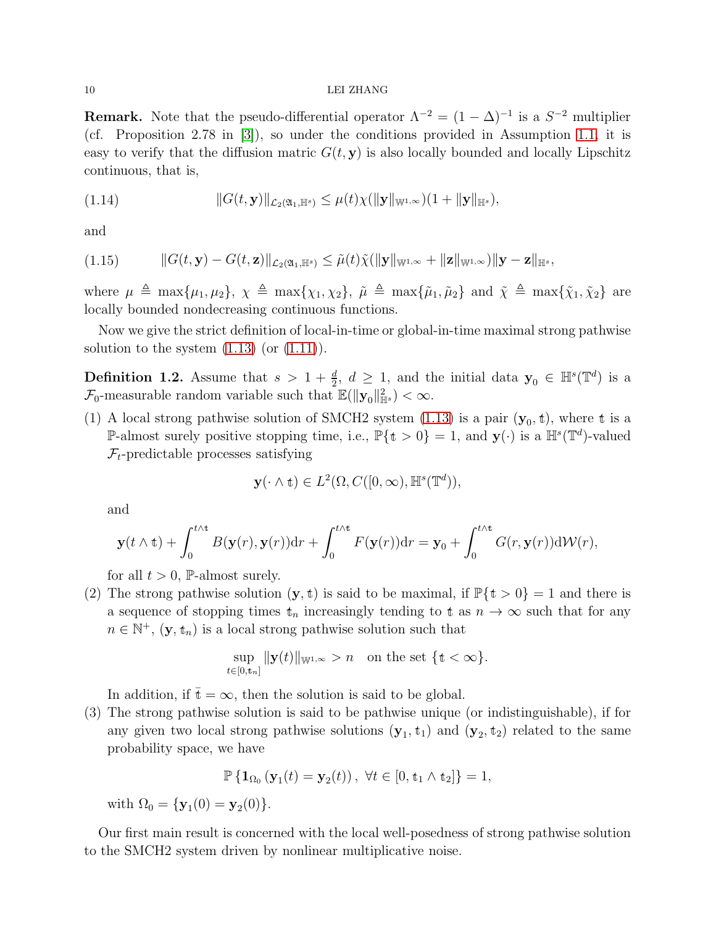#### 10 LEI ZHANG

**Remark.** Note that the pseudo-differential operator  $\Lambda^{-2} = (1 - \Delta)^{-1}$  is a  $S^{-2}$  multiplier (cf. Proposition 2.78 in [\[3\]](#page-88-4)), so under the conditions provided in Assumption [1.1,](#page-8-0) it is easy to verify that the diffusion matric  $G(t, y)$  is also locally bounded and locally Lipschitz continuous, that is,

<span id="page-9-1"></span>
$$
||G(t, \mathbf{y})||_{\mathcal{L}_2(\mathfrak{A}_1, \mathbb{H}^s)} \leq \mu(t)\chi(||\mathbf{y}||_{\mathbb{W}^{1,\infty}})(1 + ||\mathbf{y}||_{\mathbb{H}^s}),
$$

and

<span id="page-9-2"></span>
$$
(1.15) \t ||G(t, \mathbf{y}) - G(t, \mathbf{z})||_{\mathcal{L}_2(\mathfrak{A}_1, \mathbb{H}^s)} \leq \tilde{\mu}(t)\tilde{\chi}(||\mathbf{y}||_{\mathbb{W}^{1,\infty}} + ||\mathbf{z}||_{\mathbb{W}^{1,\infty}})||\mathbf{y} - \mathbf{z}||_{\mathbb{H}^s},
$$

where  $\mu \triangleq \max{\mu_1, \mu_2}, \chi \triangleq \max{\chi_1, \chi_2}, \tilde{\mu} \triangleq \max{\{\tilde{\mu}_1, \tilde{\mu}_2\}}$  and  $\tilde{\chi} \triangleq \max{\{\tilde{\chi}_1, \tilde{\chi}_2\}}$  are locally bounded nondecreasing continuous functions.

Now we give the strict definition of local-in-time or global-in-time maximal strong pathwise solution to the system  $(1.13)$  (or  $(1.11)$ ).

<span id="page-9-0"></span>**Definition 1.2.** Assume that  $s > 1 + \frac{d}{2}$ ,  $d \ge 1$ , and the initial data  $y_0 \in \mathbb{H}^s(\mathbb{T}^d)$  is a  $\mathcal{F}_0$ -measurable random variable such that  $\mathbb{E}(\|\mathbf{y}_0\|_{\mathbb{H}^s}^2) < \infty$ .

(1) A local strong pathwise solution of SMCH2 system [\(1.13\)](#page-8-1) is a pair  $(y_0, t)$ , where t is a P-almost surely positive stopping time, i.e.,  $\mathbb{P}\{\mathbf{t} > 0\} = 1$ , and  $\mathbf{y}(\cdot)$  is a  $\mathbb{H}^s(\mathbb{T}^d)$ -valued  $\mathcal{F}_t$ -predictable processes satisfying

$$
\mathbf{y}(\cdot \wedge \mathbf{t}) \in L^2(\Omega, C([0,\infty), \mathbb{H}^s(\mathbb{T}^d)),
$$

and

$$
\mathbf{y}(t \wedge \mathbf{t}) + \int_0^{t \wedge \mathbf{t}} B(\mathbf{y}(r), \mathbf{y}(r)) dr + \int_0^{t \wedge \mathbf{t}} F(\mathbf{y}(r)) dr = \mathbf{y}_0 + \int_0^{t \wedge \mathbf{t}} G(r, \mathbf{y}(r)) d\mathcal{W}(r),
$$

for all  $t > 0$ , P-almost surely.

(2) The strong pathwise solution  $(\mathbf{y}, t)$  is said to be maximal, if  $\mathbb{P}\{\mathbf{t} > 0\} = 1$  and there is a sequence of stopping times  $t_n$  increasingly tending to t as  $n \to \infty$  such that for any  $n \in \mathbb{N}^+$ ,  $(\mathbf{y}, \mathbf{t}_n)$  is a local strong pathwise solution such that

$$
\sup_{t\in[0,t_n]}\|\mathbf{y}(t)\|_{\mathbb{W}^{1,\infty}}>n\quad\text{on the set }\{t<\infty\}.
$$

In addition, if  $\bar{t} = \infty$ , then the solution is said to be global.

(3) The strong pathwise solution is said to be pathwise unique (or indistinguishable), if for any given two local strong pathwise solutions  $(\mathbf{y}_1, \mathbf{t}_1)$  and  $(\mathbf{y}_2, \mathbf{t}_2)$  related to the same probability space, we have

$$
\mathbb{P}\left\{ \mathbf{1}_{\Omega_0} \left( \mathbf{y}_1(t) = \mathbf{y}_2(t) \right), \ \forall t \in [0, \mathbf{t}_1 \wedge \mathbf{t}_2] \right\} = 1,
$$

with  $\Omega_0 = {\bf y}_1(0) = {\bf y}_2(0)$ .

Our first main result is concerned with the local well-posedness of strong pathwise solution to the SMCH2 system driven by nonlinear multiplicative noise.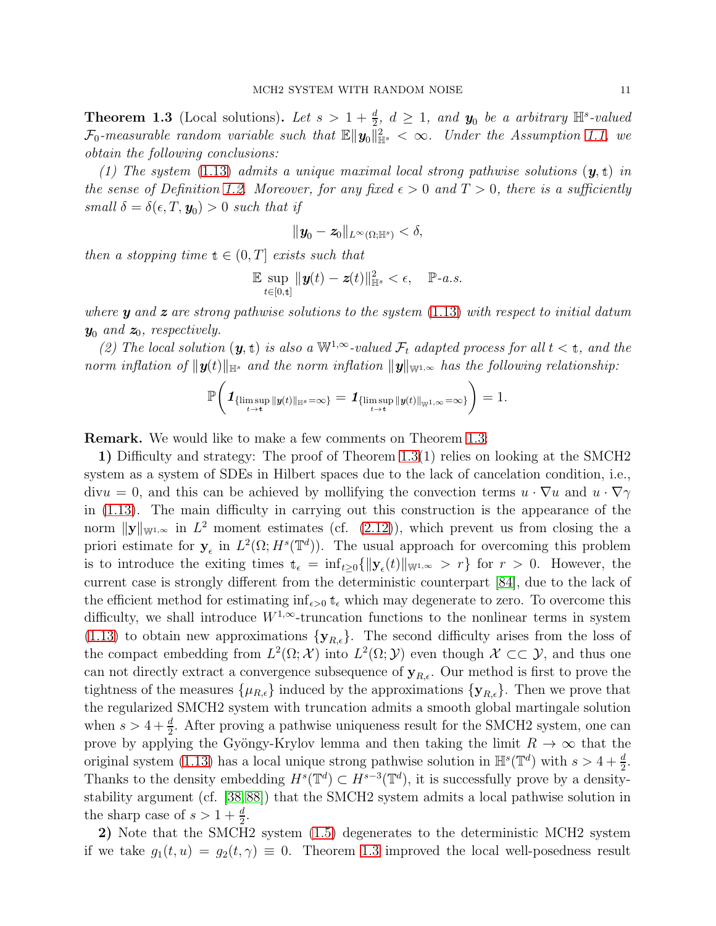<span id="page-10-0"></span>**Theorem 1.3** (Local solutions). Let  $s > 1 + \frac{d}{2}$ ,  $d \geq 1$ , and  $y_0$  be a arbitrary  $\mathbb{H}^s$ -valued  $\mathcal{F}_0$ -measurable random variable such that  $\mathbb{E} \|\boldsymbol{y}_0\|_{\mathbb{H}^s}^2 < \infty$ . Under the Assumption [1.1,](#page-8-0) we obtain the following conclusions:

(1) The system [\(1.13\)](#page-8-1) admits a unique maximal local strong pathwise solutions  $(y, t)$  in the sense of Definition [1.2.](#page-9-0) Moreover, for any fixed  $\epsilon > 0$  and  $T > 0$ , there is a sufficiently small  $\delta = \delta(\epsilon, T, \mathbf{y}_0) > 0$  such that if

$$
\|\textbf{\textit{y}}_0-\textbf{\textit{z}}_0\|_{L^{\infty}(\Omega;\mathbb{H}^s)}<\delta,
$$

then a stopping time  $t \in (0, T]$  exists such that

$$
\mathbb{E}\sup_{t\in[0,\mathfrak{t}]} \|\mathbf{y}(t)-\mathbf{z}(t)\|_{\mathbb{H}^s}^2 < \epsilon, \quad \mathbb{P}\text{-}a.s.
$$

where  $y$  and  $z$  are strong pathwise solutions to the system  $(1.13)$  with respect to initial datum  $y_0$  and  $z_0$ , respectively.

(2) The local solution  $(y, t)$  is also a  $\mathbb{W}^{1,\infty}$ -valued  $\mathcal{F}_t$  adapted process for all  $t < t$ , and the norm inflation of  $||\mathbf{y}(t)||_{\mathbb{H}^s}$  and the norm inflation  $||\mathbf{y}||_{\mathbb{W}^{1,\infty}}$  has the following relationship:

$$
\mathbb{P}\bigg(\mathbf{1}_{\{\limsup_{t\to t} \|y(t)\|_{\mathbb{H}^s}=\infty\}}=\mathbf{1}_{\{\limsup_{t\to t} \|y(t)\|_{\mathbb{W}^{1,\infty}}=\infty\}}\bigg)=1.
$$

Remark. We would like to make a few comments on Theorem [1.3:](#page-10-0)

1) Difficulty and strategy: The proof of Theorem [1.3\(](#page-10-0)1) relies on looking at the SMCH2 system as a system of SDEs in Hilbert spaces due to the lack of cancelation condition, i.e.,  $divu = 0$ , and this can be achieved by mollifying the convection terms  $u \cdot \nabla u$  and  $u \cdot \nabla \gamma$ in [\(1.13\)](#page-8-1). The main difficulty in carrying out this construction is the appearance of the norm  $||\mathbf{y}||_{\mathbb{W}^{1,\infty}}$  in  $L^2$  moment estimates (cf. [\(2.12\)](#page-18-0)), which prevent us from closing the a priori estimate for  $y_{\epsilon}$  in  $L^2(\Omega; H^s(\mathbb{T}^d))$ . The usual approach for overcoming this problem is to introduce the exiting times  $t_{\epsilon} = \inf_{t \geq 0} {\| \mathbf{y}_{\epsilon}(t) \|_{\mathbb{W}^{1,\infty}}} > r$  for  $r > 0$ . However, the current case is strongly different from the deterministic counterpart [\[84\]](#page-92-4), due to the lack of the efficient method for estimating  $\inf_{\epsilon>0} t_{\epsilon}$  which may degenerate to zero. To overcome this difficulty, we shall introduce  $W^{1,\infty}$ -truncation functions to the nonlinear terms in system [\(1.13\)](#page-8-1) to obtain new approximations  $\{y_{R,\epsilon}\}.$  The second difficulty arises from the loss of the compact embedding from  $L^2(\Omega; \mathcal{X})$  into  $L^2(\Omega; \mathcal{Y})$  even though  $\mathcal{X} \subset\subset \mathcal{Y}$ , and thus one can not directly extract a convergence subsequence of  $y_{R,\epsilon}$ . Our method is first to prove the tightness of the measures  $\{\mu_{R,\epsilon}\}\$  induced by the approximations  $\{\mathbf{y}_{R,\epsilon}\}\$ . Then we prove that the regularized SMCH2 system with truncation admits a smooth global martingale solution when  $s > 4 + \frac{d}{2}$ . After proving a pathwise uniqueness result for the SMCH2 system, one can prove by applying the Gyöngy-Krylov lemma and then taking the limit  $R \to \infty$  that the original system [\(1.13\)](#page-8-1) has a local unique strong pathwise solution in  $\mathbb{H}^{s}(\mathbb{T}^{d})$  with  $s > 4 + \frac{d}{2}$ . Thanks to the density embedding  $H^s(\mathbb{T}^d) \subset H^{s-3}(\mathbb{T}^d)$ , it is successfully prove by a densitystability argument (cf. [\[38,](#page-90-17)[88\]](#page-92-7)) that the SMCH2 system admits a local pathwise solution in the sharp case of  $s > 1 + \frac{d}{2}$ .

2) Note that the SMCH2 system [\(1.5\)](#page-4-2) degenerates to the deterministic MCH2 system if we take  $g_1(t, u) = g_2(t, \gamma) \equiv 0$ . Theorem [1.3](#page-10-0) improved the local well-posedness result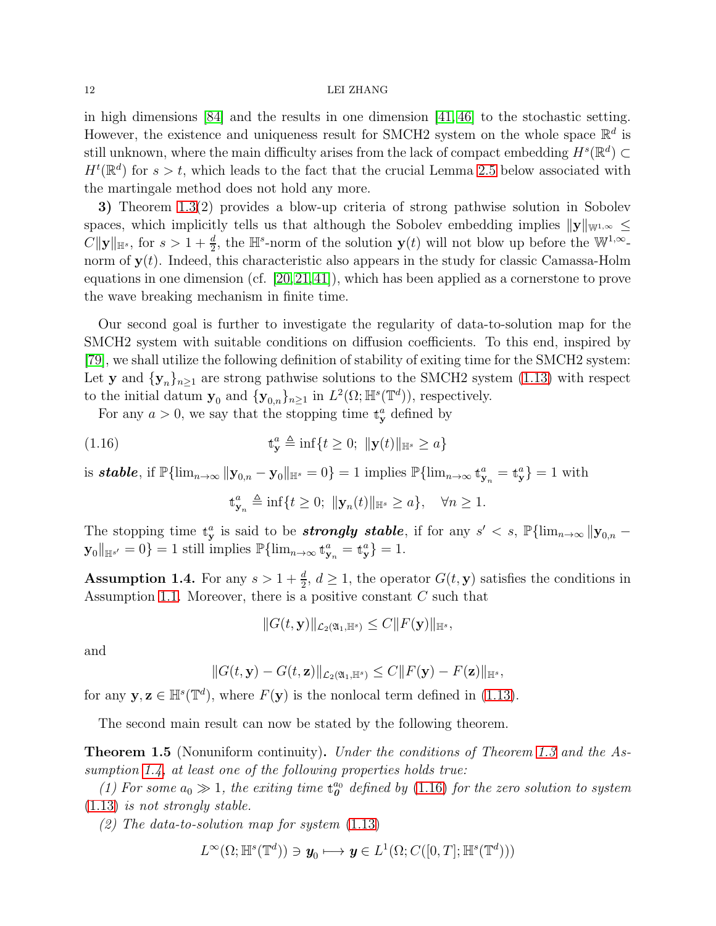#### 12 LEI ZHANG

in high dimensions [\[84\]](#page-92-4) and the results in one dimension [\[41,](#page-90-8) [46\]](#page-90-10) to the stochastic setting. However, the existence and uniqueness result for SMCH2 system on the whole space  $\mathbb{R}^d$  is still unknown, where the main difficulty arises from the lack of compact embedding  $H^s(\mathbb{R}^d) \subset$  $H^t(\mathbb{R}^d)$  for  $s > t$ , which leads to the fact that the crucial Lemma [2.5](#page-28-1) below associated with the martingale method does not hold any more.

3) Theorem [1.3\(](#page-10-0)2) provides a blow-up criteria of strong pathwise solution in Sobolev spaces, which implicitly tells us that although the Sobolev embedding implies  $||\mathbf{y}||_{\mathbb{W}^{1,\infty}} \leq$  $C\|\mathbf{y}\|_{\mathbb{H}^s}$ , for  $s > 1 + \frac{d}{2}$ , the  $\mathbb{H}^s$ -norm of the solution  $\mathbf{y}(t)$  will not blow up before the  $\mathbb{W}^{1,\infty}$ norm of  $y(t)$ . Indeed, this characteristic also appears in the study for classic Camassa-Holm equations in one dimension (cf. [\[20,](#page-89-20)[21,](#page-89-6)[41\]](#page-90-8)), which has been applied as a cornerstone to prove the wave breaking mechanism in finite time.

Our second goal is further to investigate the regularity of data-to-solution map for the SMCH2 system with suitable conditions on diffusion coefficients. To this end, inspired by [\[79\]](#page-92-3), we shall utilize the following definition of stability of exiting time for the SMCH2 system: Let y and  $\{y_n\}_{n\geq 1}$  are strong pathwise solutions to the SMCH2 system [\(1.13\)](#page-8-1) with respect to the initial datum  $\mathbf{y}_0$  and  $\{\mathbf{y}_{0,n}\}_{n\geq 1}$  in  $L^2(\Omega;\mathbb{H}^s(\mathbb{T}^d))$ , respectively.

For any  $a > 0$ , we say that the stopping time  $\mathbf{t}_{\mathbf{y}}^a$  defined by

<span id="page-11-1"></span>(1.16) 
$$
\mathbf{t}_{\mathbf{y}}^{a} \triangleq \inf \{ t \ge 0; \; \|\mathbf{y}(t)\|_{\mathbb{H}^{s}} \ge a \}
$$

is **stable**, if  $\mathbb{P}\{\lim_{n\to\infty} ||\mathbf{y}_{0,n} - \mathbf{y}_0||_{\mathbb{H}^s} = 0\} = 1$  implies  $\mathbb{P}\{\lim_{n\to\infty} \mathbf{t}_{\mathbf{y}_n}^a = \mathbf{t}_{\mathbf{y}}^a\} = 1$  with

$$
\mathbf{t}_{\mathbf{y}_n}^a \triangleq \inf\{t \ge 0; \ \|\mathbf{y}_n(t)\|_{\mathbb{H}^s} \ge a\}, \quad \forall n \ge 1.
$$

The stopping time  $\mathbf{t}_{\mathbf{y}}^a$  is said to be **strongly stable**, if for any  $s' < s$ ,  $\mathbb{P}\{\lim_{n\to\infty} ||\mathbf{y}_{0,n} \mathbf{y}_0\|_{\mathbb{H}^{s'}}=0$ } = 1 still implies  $\mathbb{P}\{\lim_{n\to\infty} t_{\mathbf{y}_n}^a = t_{\mathbf{y}}^a\} = 1.$ 

<span id="page-11-0"></span>**Assumption 1.4.** For any  $s > 1 + \frac{d}{2}$ ,  $d \ge 1$ , the operator  $G(t, y)$  satisfies the conditions in Assumption [1.1.](#page-8-0) Moreover, there is a positive constant  $C$  such that

$$
||G(t, \mathbf{y})||_{\mathcal{L}_2(\mathfrak{A}_1, \mathbb{H}^s)} \leq C||F(\mathbf{y})||_{\mathbb{H}^s},
$$

and

$$
||G(t, \mathbf{y}) - G(t, \mathbf{z})||_{\mathcal{L}_2(\mathfrak{A}_1, \mathbb{H}^s)} \leq C||F(\mathbf{y}) - F(\mathbf{z})||_{\mathbb{H}^s},
$$

for any  $y, z \in \mathbb{H}^s(\mathbb{T}^d)$ , where  $F(y)$  is the nonlocal term defined in [\(1.13\)](#page-8-1).

The second main result can now be stated by the following theorem.

<span id="page-11-2"></span>**Theorem 1.5** (Nonuniform continuity). Under the conditions of Theorem [1.3](#page-10-0) and the As-sumption [1.4,](#page-11-0) at least one of the following properties holds true:

(1) For some  $a_0 \gg 1$ , the exiting time  $\mathbf{t}_{0}^{a_0}$  $_{\bm{0}}^{a_0}$  defined by  $(1.16)$  for the zero solution to system [\(1.13\)](#page-8-1) is not strongly stable.

(2) The data-to-solution map for system  $(1.13)$ 

$$
L^{\infty}(\Omega; \mathbb{H}^{s}(\mathbb{T}^{d})) \ni \mathbf{y}_{0} \longmapsto \mathbf{y} \in L^{1}(\Omega; C([0, T]; \mathbb{H}^{s}(\mathbb{T}^{d})))
$$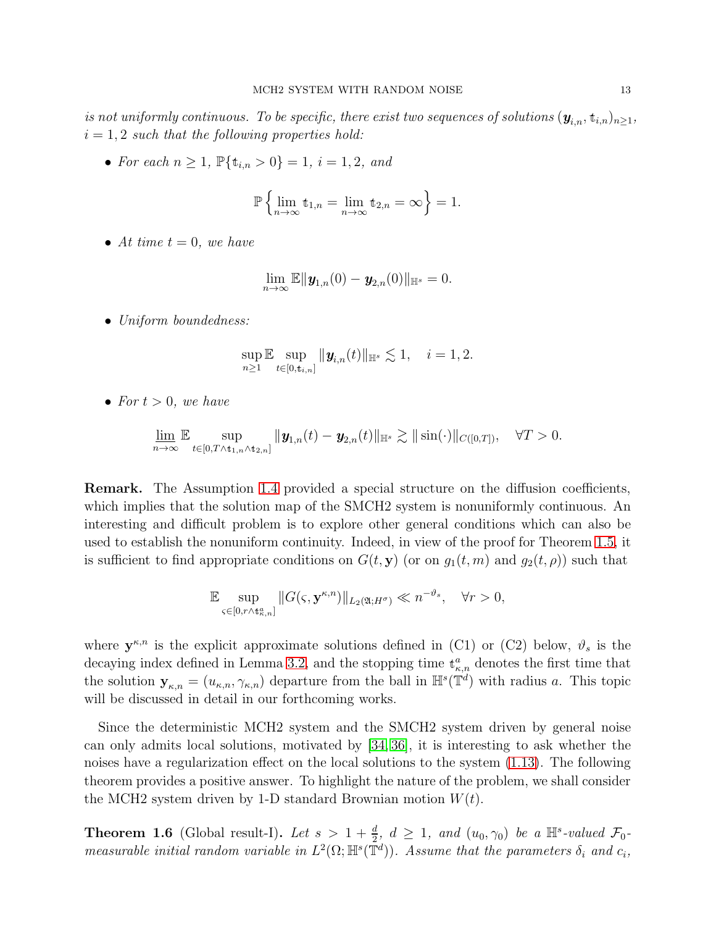is not uniformly continuous. To be specific, there exist two sequences of solutions  $(\mathbf{y}_{i,n}, \mathbf{t}_{i,n})_{n\geq 1}$ ,  $i = 1, 2$  such that the following properties hold:

• For each  $n \geq 1$ ,  $\mathbb{P}\{\mathbf{t}_{i,n} > 0\} = 1$ ,  $i = 1, 2$ , and

$$
\mathbb{P}\left\{\lim_{n\to\infty}\mathbf{t}_{1,n}=\lim_{n\to\infty}\mathbf{t}_{2,n}=\infty\right\}=1.
$$

• At time  $t = 0$ , we have

$$
\lim_{n\to\infty}\mathbb{E}\|\boldsymbol{y}_{1,n}(0)-\boldsymbol{y}_{2,n}(0)\|_{\mathbb{H}^s}=0.
$$

• Uniform boundedness:

$$
\sup_{n\geq 1}\mathbb{E}\sup_{t\in[0,t_{i,n}]}||\mathbf{y}_{i,n}(t)||_{\mathbb{H}^{s}}\lesssim 1, \quad i=1,2.
$$

• For  $t > 0$ , we have

$$
\underline{\lim}_{n\to\infty}\mathbb{E}\sup_{t\in[0,T\wedge\mathbf{t}_{1,n}\wedge\mathbf{t}_{2,n}]}||\mathbf{y}_{1,n}(t)-\mathbf{y}_{2,n}(t)||_{\mathbb{H}^{s}}\gtrsim||\sin(\cdot)||_{C([0,T])},\quad\forall T>0.
$$

Remark. The Assumption [1.4](#page-11-0) provided a special structure on the diffusion coefficients, which implies that the solution map of the SMCH2 system is nonuniformly continuous. An interesting and difficult problem is to explore other general conditions which can also be used to establish the nonuniform continuity. Indeed, in view of the proof for Theorem [1.5,](#page-11-2) it is sufficient to find appropriate conditions on  $G(t, y)$  (or on  $g_1(t, m)$  and  $g_2(t, \rho)$ ) such that

$$
\mathbb{E} \sup_{\varsigma \in [0,r \wedge t_{\kappa,n}^a]} \|G(\varsigma, \mathbf{y}^{\kappa,n})\|_{L_2(\mathfrak{A};H^\sigma)} \ll n^{-\vartheta_s}, \quad \forall r > 0,
$$

where  $y^{\kappa,n}$  is the explicit approximate solutions defined in (C1) or (C2) below,  $\vartheta_s$  is the decaying index defined in Lemma [3.2,](#page-57-0) and the stopping time  $\mathbf{t}_{\kappa,n}^a$  denotes the first time that the solution  $y_{\kappa,n} = (u_{\kappa,n}, \gamma_{\kappa,n})$  departure from the ball in  $\mathbb{H}^s(\mathbb{T}^d)$  with radius a. This topic will be discussed in detail in our forthcoming works.

Since the deterministic MCH2 system and the SMCH2 system driven by general noise can only admits local solutions, motivated by [\[34,](#page-90-16) [36\]](#page-90-15), it is interesting to ask whether the noises have a regularization effect on the local solutions to the system [\(1.13\)](#page-8-1). The following theorem provides a positive answer. To highlight the nature of the problem, we shall consider the MCH2 system driven by 1-D standard Brownian motion  $W(t)$ .

<span id="page-12-0"></span>**Theorem 1.6** (Global result-I). Let  $s > 1 + \frac{d}{2}$ ,  $d \ge 1$ , and  $(u_0, \gamma_0)$  be a  $\mathbb{H}^s$ -valued  $\mathcal{F}_0$ measurable initial random variable in  $L^2(\Omega; \mathbb{H}^s(\mathbb{T}^d))$ . Assume that the parameters  $\delta_i$  and  $c_i$ ,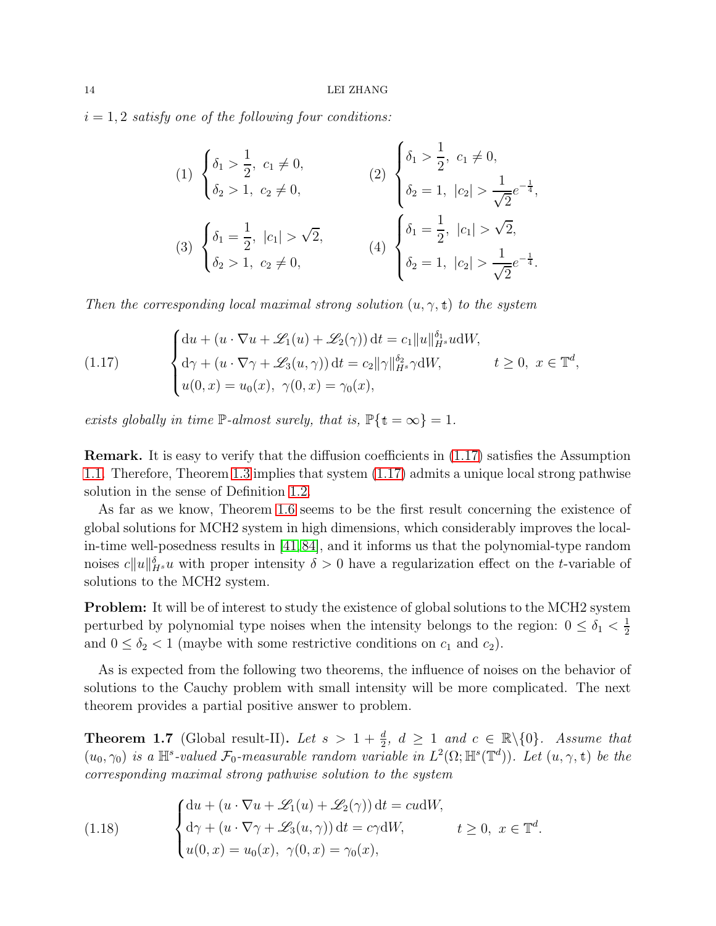$i = 1, 2$  satisfy one of the following four conditions:

(1) 
$$
\begin{cases} \delta_1 > \frac{1}{2}, c_1 \neq 0, \\ \delta_2 > 1, c_2 \neq 0, \end{cases}
$$
  
\n(2) 
$$
\begin{cases} \delta_1 > \frac{1}{2}, c_1 \neq 0, \\ \delta_2 = 1, |c_2| > \frac{1}{\sqrt{2}} e^{-\frac{1}{4}}, \\ \delta_2 > 1, c_2 \neq 0, \end{cases}
$$
  
\n(3) 
$$
\begin{cases} \delta_1 = \frac{1}{2}, |c_1| > \sqrt{2}, \\ \delta_2 > 1, c_2 \neq 0, \end{cases}
$$
  
\n(4) 
$$
\begin{cases} \delta_1 = \frac{1}{2}, |c_1| > \sqrt{2}, \\ \delta_2 = 1, |c_2| > \frac{1}{\sqrt{2}} e^{-\frac{1}{4}}. \end{cases}
$$

Then the corresponding local maximal strong solution  $(u, \gamma, t)$  to the system

<span id="page-13-0"></span>(1.17) 
$$
\begin{cases} \mathrm{d}u + (u \cdot \nabla u + \mathscr{L}_1(u) + \mathscr{L}_2(\gamma)) \, \mathrm{d}t = c_1 \|u\|_{H^s}^{\delta_1} u \, \mathrm{d}W, \\ \mathrm{d}\gamma + (u \cdot \nabla \gamma + \mathscr{L}_3(u, \gamma)) \, \mathrm{d}t = c_2 \|\gamma\|_{H^s}^{\delta_2} \gamma \, \mathrm{d}W, \end{cases} \quad t \ge 0, \ x \in \mathbb{T}^d,
$$

$$
u(0, x) = u_0(x), \ \gamma(0, x) = \gamma_0(x),
$$

exists globally in time  $\mathbb{P}\text{-almost surely, that is, } \mathbb{P}\{\text{t} = \infty\} = 1.$ 

Remark. It is easy to verify that the diffusion coefficients in [\(1.17\)](#page-13-0) satisfies the Assumption [1.1.](#page-8-0) Therefore, Theorem [1.3](#page-10-0) implies that system [\(1.17\)](#page-13-0) admits a unique local strong pathwise solution in the sense of Definition [1.2.](#page-9-0)

As far as we know, Theorem [1.6](#page-12-0) seems to be the first result concerning the existence of global solutions for MCH2 system in high dimensions, which considerably improves the localin-time well-posedness results in [\[41,](#page-90-8)[84\]](#page-92-4), and it informs us that the polynomial-type random noises  $c||u||_{H^s}^{\delta}u$  with proper intensity  $\delta > 0$  have a regularization effect on the t-variable of solutions to the MCH2 system.

**Problem:** It will be of interest to study the existence of global solutions to the MCH2 system perturbed by polynomial type noises when the intensity belongs to the region:  $0 \leq \delta_1 < \frac{1}{2}$ 2 and  $0 \leq \delta_2 < 1$  (maybe with some restrictive conditions on  $c_1$  and  $c_2$ ).

As is expected from the following two theorems, the influence of noises on the behavior of solutions to the Cauchy problem with small intensity will be more complicated. The next theorem provides a partial positive answer to problem.

<span id="page-13-2"></span>**Theorem 1.7** (Global result-II). Let  $s > 1 + \frac{d}{2}$ ,  $d \geq 1$  and  $c \in \mathbb{R} \setminus \{0\}$ . Assume that  $(u_0, \gamma_0)$  is a  $\mathbb{H}^s$ -valued  $\mathcal{F}_0$ -measurable random variable in  $L^2(\Omega; \mathbb{H}^s(\mathbb{T}^d))$ . Let  $(u, \gamma, t)$  be the corresponding maximal strong pathwise solution to the system

<span id="page-13-1"></span>(1.18) 
$$
\begin{cases} du + (u \cdot \nabla u + \mathscr{L}_1(u) + \mathscr{L}_2(\gamma)) dt = cudW, \\ d\gamma + (u \cdot \nabla \gamma + \mathscr{L}_3(u, \gamma)) dt = c\gamma dW, \qquad t \ge 0, \ x \in \mathbb{T}^d. \\ u(0, x) = u_0(x), \ \gamma(0, x) = \gamma_0(x), \end{cases}
$$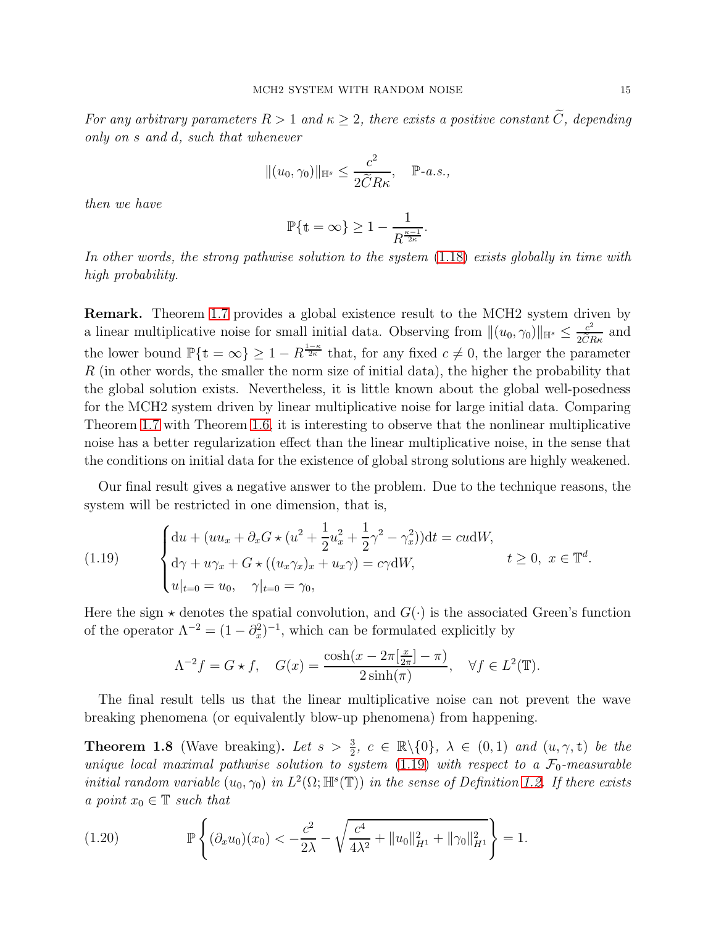For any arbitrary parameters  $R > 1$  and  $\kappa \geq 2$ , there exists a positive constant  $\widetilde{C}$ , depending only on s and d, such that whenever

$$
||(u_0, \gamma_0)||_{\mathbb{H}^s} \le \frac{c^2}{2\widetilde{C}R\kappa}, \quad \mathbb{P}\text{-}a.s.,
$$

then we have

$$
\mathbb{P}\{\mathbf{t}=\infty\}\geq 1-\frac{1}{R^{\frac{\kappa-1}{2\kappa}}}.
$$

In other words, the strong pathwise solution to the system  $(1.18)$  exists globally in time with high probability.

Remark. Theorem [1.7](#page-13-2) provides a global existence result to the MCH2 system driven by a linear multiplicative noise for small initial data. Observing from  $\|(u_0, \gamma_0)\|_{\mathbb{H}^s} \leq \frac{c^2}{2\tilde{C}I}$  $\frac{c^2}{2\tilde{C}R\kappa}$  and the lower bound  $\mathbb{P}\{\textbf{t}=\infty\}\geq 1-R^{\frac{1-\kappa}{2\kappa}}\$  that, for any fixed  $c\neq 0$ , the larger the parameter R (in other words, the smaller the norm size of initial data), the higher the probability that the global solution exists. Nevertheless, it is little known about the global well-posedness for the MCH2 system driven by linear multiplicative noise for large initial data. Comparing Theorem [1.7](#page-13-2) with Theorem [1.6,](#page-12-0) it is interesting to observe that the nonlinear multiplicative noise has a better regularization effect than the linear multiplicative noise, in the sense that the conditions on initial data for the existence of global strong solutions are highly weakened.

Our final result gives a negative answer to the problem. Due to the technique reasons, the system will be restricted in one dimension, that is,

<span id="page-14-0"></span>(1.19) 
$$
\begin{cases} du + (uu_x + \partial_x G \star (u^2 + \frac{1}{2}u_x^2 + \frac{1}{2}\gamma^2 - \gamma_x^2))dt = cu dW, \\ d\gamma + u\gamma_x + G \star ((u_x \gamma_x)_x + u_x \gamma) = c\gamma dW, \end{cases} \quad t \ge 0, \ x \in \mathbb{T}^d
$$

$$
u|_{t=0} = u_0, \quad \gamma|_{t=0} = \gamma_0,
$$

Here the sign  $\star$  denotes the spatial convolution, and  $G(\cdot)$  is the associated Green's function of the operator  $\Lambda^{-2} = (1 - \partial_x^2)^{-1}$ , which can be formulated explicitly by

$$
\Lambda^{-2}f = G \star f, \quad G(x) = \frac{\cosh(x - 2\pi[\frac{x}{2\pi}] - \pi)}{2\sinh(\pi)}, \quad \forall f \in L^{2}(\mathbb{T}).
$$

The final result tells us that the linear multiplicative noise can not prevent the wave breaking phenomena (or equivalently blow-up phenomena) from happening.

<span id="page-14-2"></span>**Theorem 1.8** (Wave breaking). Let  $s > \frac{3}{2}$ ,  $c \in \mathbb{R} \setminus \{0\}$ ,  $\lambda \in (0,1)$  and  $(u, \gamma, t)$  be the unique local maximal pathwise solution to system [\(1.19\)](#page-14-0) with respect to a  $\mathcal{F}_0$ -measurable initial random variable  $(u_0, \gamma_0)$  in  $L^2(\Omega; \mathbb{H}^s(\mathbb{T}))$  in the sense of Definition [1.2.](#page-9-0) If there exists a point  $x_0 \in \mathbb{T}$  such that

<span id="page-14-1"></span>(1.20) 
$$
\mathbb{P}\left\{ (\partial_x u_0)(x_0) < -\frac{c^2}{2\lambda} - \sqrt{\frac{c^4}{4\lambda^2} + \|u_0\|_{H^1}^2 + \|\gamma_0\|_{H^1}^2} \right\} = 1.
$$

.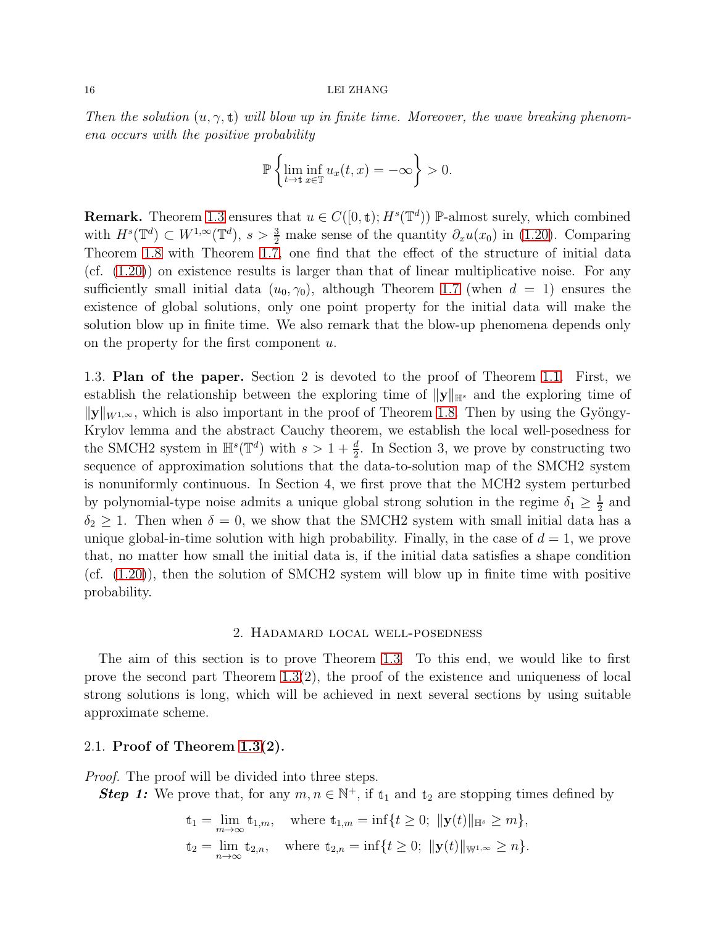#### 16 LEI ZHANG

Then the solution  $(u, \gamma, t)$  will blow up in finite time. Moreover, the wave breaking phenomena occurs with the positive probability

$$
\mathbb{P}\left\{\liminf_{t\to\infty}\frac{u_x(t,x)}{u_x(t,x)}=-\infty\right\}>0.
$$

**Remark.** Theorem [1.3](#page-10-0) ensures that  $u \in C([0, t); H^s(\mathbb{T}^d))$  P-almost surely, which combined with  $H^s(\mathbb{T}^d) \subset W^{1,\infty}(\mathbb{T}^d)$ ,  $s > \frac{3}{2}$  make sense of the quantity  $\partial_x u(x_0)$  in [\(1.20\)](#page-14-1). Comparing Theorem [1.8](#page-14-2) with Theorem [1.7,](#page-13-2) one find that the effect of the structure of initial data  $(cf. (1.20))$  $(cf. (1.20))$  $(cf. (1.20))$  on existence results is larger than that of linear multiplicative noise. For any sufficiently small initial data  $(u_0, \gamma_0)$ , although Theorem [1.7](#page-13-2) (when  $d = 1$ ) ensures the existence of global solutions, only one point property for the initial data will make the solution blow up in finite time. We also remark that the blow-up phenomena depends only on the property for the first component u.

<span id="page-15-0"></span>1.3. Plan of the paper. Section 2 is devoted to the proof of Theorem [1.1.](#page-2-0) First, we establish the relationship between the exploring time of  $||y||_{\mathbb{H}^s}$  and the exploring time of  $||\mathbf{y}||_{W^{1,\infty}}$ , which is also important in the proof of Theorem [1.8.](#page-14-2) Then by using the Gyöngy-Krylov lemma and the abstract Cauchy theorem, we establish the local well-posedness for the SMCH2 system in  $\mathbb{H}^s(\mathbb{T}^d)$  with  $s > 1 + \frac{d}{2}$ . In Section 3, we prove by constructing two sequence of approximation solutions that the data-to-solution map of the SMCH2 system is nonuniformly continuous. In Section 4, we first prove that the MCH2 system perturbed by polynomial-type noise admits a unique global strong solution in the regime  $\delta_1 \geq \frac{1}{2}$  $\frac{1}{2}$  and  $\delta_2 \geq 1$ . Then when  $\delta = 0$ , we show that the SMCH2 system with small initial data has a unique global-in-time solution with high probability. Finally, in the case of  $d = 1$ , we prove that, no matter how small the initial data is, if the initial data satisfies a shape condition (cf. [\(1.20\)](#page-14-1)), then the solution of SMCH2 system will blow up in finite time with positive probability.

### 2. Hadamard local well-posedness

<span id="page-15-1"></span>The aim of this section is to prove Theorem [1.3.](#page-10-0) To this end, we would like to first prove the second part Theorem [1.3\(](#page-10-0)2), the proof of the existence and uniqueness of local strong solutions is long, which will be achieved in next several sections by using suitable approximate scheme.

### <span id="page-15-2"></span>2.1. Proof of Theorem [1.3\(](#page-10-0)2).

*Proof.* The proof will be divided into three steps.

**Step 1:** We prove that, for any  $m, n \in \mathbb{N}^+$ , if  $t_1$  and  $t_2$  are stopping times defined by

$$
\begin{aligned} \n\text{t}_1 &= \lim_{m \to \infty} \text{t}_{1,m}, \quad \text{where } \text{t}_{1,m} = \inf \{ t \ge 0; \, \| \mathbf{y}(t) \|_{\mathbb{H}^s} \ge m \}, \\ \n\text{t}_2 &= \lim_{n \to \infty} \text{t}_{2,n}, \quad \text{where } \text{t}_{2,n} = \inf \{ t \ge 0; \, \| \mathbf{y}(t) \|_{\mathbb{W}^{1,\infty}} \ge n \}. \n\end{aligned}
$$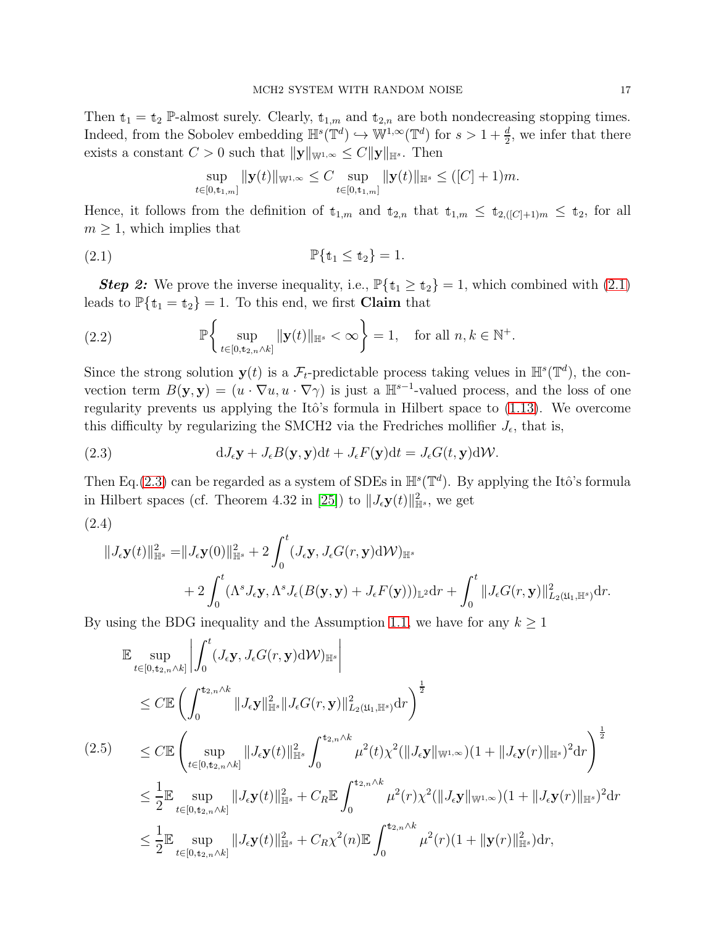Then  $t_1 = t_2$  P-almost surely. Clearly,  $t_{1,m}$  and  $t_{2,n}$  are both nondecreasing stopping times. Indeed, from the Sobolev embedding  $\mathbb{H}^s(\mathbb{T}^d) \hookrightarrow \mathbb{W}^{1,\infty}(\mathbb{T}^d)$  for  $s > 1 + \frac{d}{2}$ , we infer that there exists a constant  $C > 0$  such that  $||\mathbf{y}||_{\mathbb{W}^{1,\infty}} \leq C||\mathbf{y}||_{\mathbb{H}^{s}}$ . Then

$$
\sup_{t\in[0,t_{1,m}]} \|\mathbf{y}(t)\|_{\mathbb{W}^{1,\infty}} \leq C \sup_{t\in[0,t_{1,m}]} \|\mathbf{y}(t)\|_{\mathbb{H}^{s}} \leq ([C]+1)m.
$$

Hence, it follows from the definition of  $t_{1,m}$  and  $t_{2,n}$  that  $t_{1,m} \leq t_{2,([C]+1)m} \leq t_2$ , for all  $m \geq 1$ , which implies that

<span id="page-16-0"></span>
$$
\mathbb{P}\{\mathbf{t}_1 \le \mathbf{t}_2\} = 1.
$$

**Step 2:** We prove the inverse inequality, i.e.,  $\mathbb{P}\{\mathbf{t}_1 \geq \mathbf{t}_2\} = 1$ , which combined with [\(2.1\)](#page-16-0) leads to  $\mathbb{P}\{\mathrm{t}_1 = \mathrm{t}_2\} = 1$ . To this end, we first **Claim** that

<span id="page-16-3"></span>(2.2) 
$$
\mathbb{P}\left\{\sup_{t\in[0,t_{2,n}\wedge k]}||\mathbf{y}(t)||_{\mathbb{H}^{s}}<\infty\right\}=1, \text{ for all } n,k\in\mathbb{N}^{+}.
$$

Since the strong solution  $y(t)$  is a  $\mathcal{F}_t$ -predictable process taking velues in  $\mathbb{H}^s(\mathbb{T}^d)$ , the convection term  $B(\mathbf{y}, \mathbf{y}) = (u \cdot \nabla u, u \cdot \nabla \gamma)$  is just a  $\mathbb{H}^{s-1}$ -valued process, and the loss of one regularity prevents us applying the Itô's formula in Hilbert space to  $(1.13)$ . We overcome this difficulty by regularizing the SMCH2 via the Fredriches mollifier  $J_{\epsilon}$ , that is,

<span id="page-16-1"></span>(2.3) 
$$
dJ_{\epsilon}y + J_{\epsilon}B(y, y)dt + J_{\epsilon}F(y)dt = J_{\epsilon}G(t, y)dW.
$$

Then Eq.[\(2.3\)](#page-16-1) can be regarded as a system of SDEs in  $\mathbb{H}^{s}(\mathbb{T}^{d})$ . By applying the Itô's formula in Hilbert spaces (cf. Theorem 4.32 in [\[25\]](#page-89-19)) to  $||J_{\epsilon}y(t)||_{\mathbb{H}^s}^2$ , we get

$$
(2.4)
$$

<span id="page-16-2"></span>
$$
\begin{aligned}\n\|J_{\epsilon}\mathbf{y}(t)\|_{\mathbb{H}^{s}}^{2} &= \|J_{\epsilon}\mathbf{y}(0)\|_{\mathbb{H}^{s}}^{2} + 2\int_{0}^{t} (J_{\epsilon}\mathbf{y}, J_{\epsilon}G(r, \mathbf{y}) \mathrm{d} \mathcal{W})_{\mathbb{H}^{s}} \\
&\quad + 2\int_{0}^{t} (\Lambda^{s} J_{\epsilon}\mathbf{y}, \Lambda^{s} J_{\epsilon}(B(\mathbf{y}, \mathbf{y}) + J_{\epsilon}F(\mathbf{y})))_{\mathbb{L}^{2}} \mathrm{d}r + \int_{0}^{t} \|J_{\epsilon}G(r, \mathbf{y})\|_{L_{2}(\mathfrak{U}_{1}, \mathbb{H}^{s})}^{2} \mathrm{d}r.\n\end{aligned}
$$

By using the BDG inequality and the Assumption [1.1,](#page-8-0) we have for any  $k \geq 1$ 

$$
\mathbb{E} \sup_{t \in [0, t_{2,n} \wedge k]} \left| \int_{0}^{t} (J_{\epsilon} \mathbf{y}, J_{\epsilon} G(r, \mathbf{y}) \mathrm{d} \mathcal{W})_{\mathbb{H}^{s}} \right|
$$
\n
$$
\leq C \mathbb{E} \left( \int_{0}^{t_{2,n} \wedge k} \|J_{\epsilon} \mathbf{y}\|_{\mathbb{H}^{s}}^{2} \|J_{\epsilon} G(r, \mathbf{y})\|_{L_{2}(\mathfrak{U}_{1}, \mathbb{H}^{s})}^{2} dr \right)^{\frac{1}{2}}
$$
\n(2.5)\n
$$
\leq C \mathbb{E} \left( \sup_{t \in [0, t_{2,n} \wedge k]} \|J_{\epsilon} \mathbf{y}(t)\|_{\mathbb{H}^{s}}^{2} \int_{0}^{t_{2,n} \wedge k} \mu^{2}(t) \chi^{2} (\|J_{\epsilon} \mathbf{y}\|_{\mathbb{W}^{1,\infty}}) (1 + \|J_{\epsilon} \mathbf{y}(r)\|_{\mathbb{H}^{s}})^{2} dr \right)^{\frac{1}{2}}
$$
\n
$$
\leq \frac{1}{2} \mathbb{E} \sup_{t \in [0, t_{2,n} \wedge k]} \|J_{\epsilon} \mathbf{y}(t)\|_{\mathbb{H}^{s}}^{2} + C_{R} \mathbb{E} \int_{0}^{t_{2,n} \wedge k} \mu^{2}(r) \chi^{2} (\|J_{\epsilon} \mathbf{y}\|_{\mathbb{W}^{1,\infty}}) (1 + \|J_{\epsilon} \mathbf{y}(r)\|_{\mathbb{H}^{s}})^{2} dr
$$
\n
$$
\leq \frac{1}{2} \mathbb{E} \sup_{t \in [0, t_{2,n} \wedge k]} \|J_{\epsilon} \mathbf{y}(t)\|_{\mathbb{H}^{s}}^{2} + C_{R} \chi^{2}(n) \mathbb{E} \int_{0}^{t_{2,n} \wedge k} \mu^{2}(r) (1 + \| \mathbf{y}(r) \|_{\mathbb{H}^{s}}^{2}) dr,
$$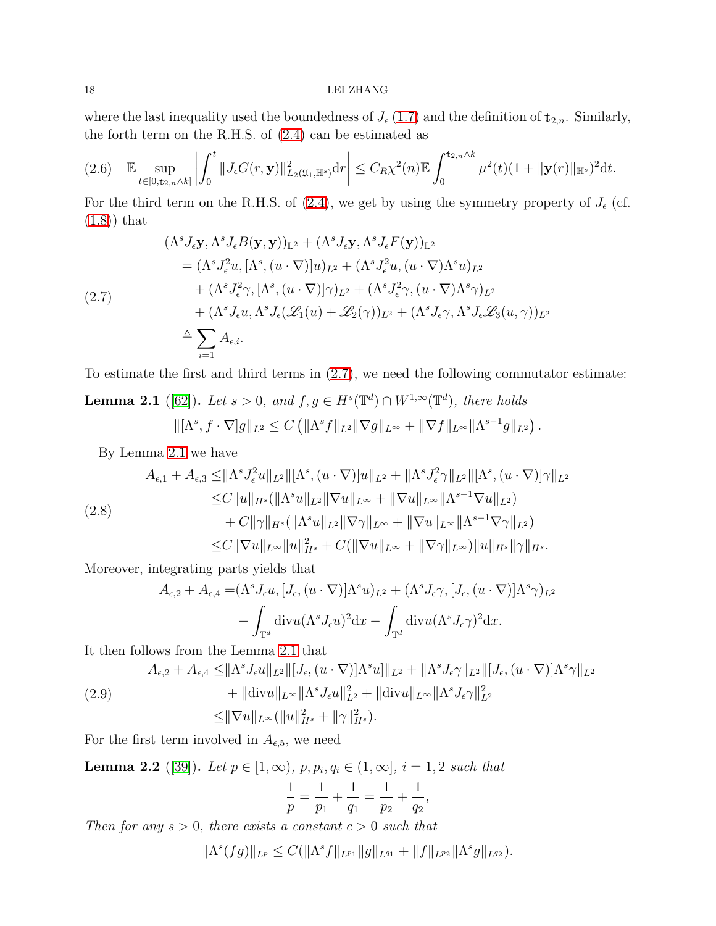### 18 LEI ZHANG

where the last inequality used the boundedness of  $J_{\epsilon}(1.7)$  $J_{\epsilon}(1.7)$  and the definition of  $t_{2,n}$ . Similarly, the forth term on the R.H.S. of [\(2.4\)](#page-16-2) can be estimated as

<span id="page-17-4"></span>
$$
(2.6) \quad \mathbb{E} \sup_{t \in [0, t_{2,n} \wedge k]} \left| \int_0^t \| J_{\epsilon} G(r, \mathbf{y}) \|_{L_2(\mathfrak{U}_1, \mathbb{H}^s)}^2 dr \right| \leq C_R \chi^2(n) \mathbb{E} \int_0^{t_{2,n} \wedge k} \mu^2(t) (1 + \| \mathbf{y}(r) \|_{\mathbb{H}^s})^2 dt.
$$

For the third term on the R.H.S. of [\(2.4\)](#page-16-2), we get by using the symmetry property of  $J_{\epsilon}$  (cf.  $(1.8)$  that

<span id="page-17-0"></span>
$$
(\Lambda^{s} J_{\epsilon} \mathbf{y}, \Lambda^{s} J_{\epsilon} B(\mathbf{y}, \mathbf{y}))_{\mathbb{L}^{2}} + (\Lambda^{s} J_{\epsilon} \mathbf{y}, \Lambda^{s} J_{\epsilon} F(\mathbf{y}))_{\mathbb{L}^{2}}
$$
  
\n
$$
= (\Lambda^{s} J_{\epsilon}^{2} u, [\Lambda^{s}, (u \cdot \nabla)] u)_{L^{2}} + (\Lambda^{s} J_{\epsilon}^{2} u, (u \cdot \nabla) \Lambda^{s} u)_{L^{2}}
$$
  
\n
$$
+ (\Lambda^{s} J_{\epsilon}^{2} \gamma, [\Lambda^{s}, (u \cdot \nabla)] \gamma)_{L^{2}} + (\Lambda^{s} J_{\epsilon}^{2} \gamma, (u \cdot \nabla) \Lambda^{s} \gamma)_{L^{2}}
$$
  
\n
$$
+ (\Lambda^{s} J_{\epsilon} u, \Lambda^{s} J_{\epsilon} (\mathscr{L}_{1}(u) + \mathscr{L}_{2}(\gamma))_{L^{2}} + (\Lambda^{s} J_{\epsilon} \gamma, \Lambda^{s} J_{\epsilon} \mathscr{L}_{3}(u, \gamma))_{L^{2}}
$$
  
\n
$$
\stackrel{\triangle}{=} \sum_{i=1}^{\infty} A_{\epsilon, i}.
$$

To estimate the first and third terms in [\(2.7\)](#page-17-0), we need the following commutator estimate:

<span id="page-17-1"></span>**Lemma 2.1** ([\[62\]](#page-91-21)). Let  $s > 0$ , and  $f, g \in H^s(\mathbb{T}^d) \cap W^{1,\infty}(\mathbb{T}^d)$ , there holds  $\|[\Lambda^s, f \cdot \nabla]g\|_{L^2} \leq C \left( \|\Lambda^s f\|_{L^2} \|\nabla g\|_{L^\infty} + \|\nabla f\|_{L^\infty} \|\Lambda^{s-1} g\|_{L^2} \right).$ 

By Lemma [2.1](#page-17-1) we have

<span id="page-17-3"></span>
$$
(2.8)
$$
\n
$$
A_{\epsilon,1} + A_{\epsilon,3} \leq \|\Lambda^s J_{\epsilon}^2 u\|_{L^2} \|\Lambda^s, (u \cdot \nabla)\|u\|_{L^2} + \|\Lambda^s J_{\epsilon}^2 \gamma\|_{L^2} \|\Lambda^s, (u \cdot \nabla)\| \gamma\|_{L^2}
$$
\n
$$
\leq C \|u\|_{H^s} (\|\Lambda^s u\|_{L^2} \|\nabla u\|_{L^\infty} + \|\nabla u\|_{L^\infty} \|\Lambda^{s-1} \nabla u\|_{L^2})
$$
\n
$$
+ C \|\gamma\|_{H^s} (\|\Lambda^s u\|_{L^2} \|\nabla \gamma\|_{L^\infty} + \|\nabla u\|_{L^\infty} \|\Lambda^{s-1} \nabla \gamma\|_{L^2})
$$
\n
$$
\leq C \|\nabla u\|_{L^\infty} \|u\|_{H^s}^2 + C (\|\nabla u\|_{L^\infty} + \|\nabla \gamma\|_{L^\infty}) \|u\|_{H^s} \|\gamma\|_{H^s}.
$$

Moreover, integrating parts yields that

$$
A_{\epsilon,2} + A_{\epsilon,4} = (\Lambda^s J_{\epsilon} u, [J_{\epsilon}, (u \cdot \nabla)] \Lambda^s u)_{L^2} + (\Lambda^s J_{\epsilon} \gamma, [J_{\epsilon}, (u \cdot \nabla)] \Lambda^s \gamma)_{L^2}
$$

$$
- \int_{\mathbb{T}^d} \text{div} u (\Lambda^s J_{\epsilon} u)^2 \, dx - \int_{\mathbb{T}^d} \text{div} u (\Lambda^s J_{\epsilon} \gamma)^2 \, dx.
$$

It then follows from the Lemma [2.1](#page-17-1) that

$$
(2.9) \quad A_{\epsilon,2} + A_{\epsilon,4} \leq ||\Lambda^s J_{\epsilon} u||_{L^2} ||[J_{\epsilon}, (u \cdot \nabla)] \Lambda^s u]||_{L^2} + ||\Lambda^s J_{\epsilon} \gamma||_{L^2} ||[J_{\epsilon}, (u \cdot \nabla)] \Lambda^s \gamma||_{L^2} + ||{\rm div}u||_{L^{\infty}} ||\Lambda^s J_{\epsilon} u||_{L^2}^2 + ||{\rm div}u||_{L^{\infty}} ||\Lambda^s J_{\epsilon} \gamma||_{L^2}^2 \leq ||\nabla u||_{L^{\infty}} (||u||_{H^s}^2 + ||\gamma||_{H^s}^2).
$$

For the first term involved in  $A_{\epsilon,5}$ , we need

<span id="page-17-2"></span>**Lemma 2.2** ([\[39\]](#page-90-18)). Let  $p \in [1, \infty)$ ,  $p, p_i, q_i \in (1, \infty]$ ,  $i = 1, 2$  such that 1 p = 1  $p_1$  $+$ 1  $q_1$ = 1  $\overline{p}_2$  $+$ 1  $q_2$ ,

Then for any  $s > 0$ , there exists a constant  $c > 0$  such that

$$
\|\Lambda^s(fg)\|_{L^p}\leq C(\|\Lambda^s f\|_{L^{p_1}}\|g\|_{L^{q_1}}+\|f\|_{L^{p_2}}\|\Lambda^s g\|_{L^{q_2}}).
$$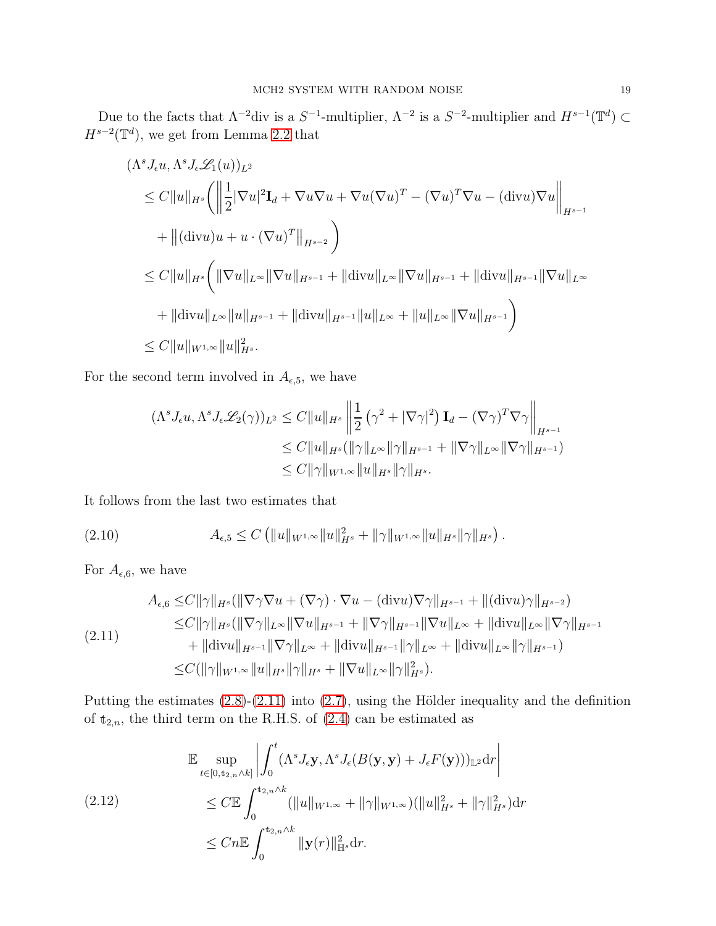Due to the facts that  $\Lambda^{-2}$ div is a  $S^{-1}$ -multiplier,  $\Lambda^{-2}$  is a  $S^{-2}$ -multiplier and  $H^{s-1}(\mathbb{T}^d) \subset$  $H^{s-2}(\mathbb{T}^d)$ , we get from Lemma [2.2](#page-17-2) that

$$
(\Lambda^{s} J_{\epsilon} u, \Lambda^{s} J_{\epsilon} \mathcal{L}_{1}(u))_{L^{2}}
$$
  
\n
$$
\leq C \|u\|_{H^{s}} \left( \left\| \frac{1}{2} |\nabla u|^{2} \mathbf{I}_{d} + \nabla u \nabla u + \nabla u (\nabla u)^{T} - (\nabla u)^{T} \nabla u - (\text{div} u) \nabla u \right\|_{H^{s-1}}
$$
  
\n
$$
+ \|(\text{div} u)u + u \cdot (\nabla u)^{T}\|_{H^{s-2}} \right)
$$
  
\n
$$
\leq C \|u\|_{H^{s}} \left( \|\nabla u\|_{L^{\infty}} \|\nabla u\|_{H^{s-1}} + \|\text{div} u\|_{L^{\infty}} \|\nabla u\|_{H^{s-1}} + \|\text{div} u\|_{H^{s-1}} \|\nabla u\|_{L^{\infty}}
$$
  
\n
$$
+ \| \text{div} u\|_{L^{\infty}} \|u\|_{H^{s-1}} + \| \text{div} u\|_{H^{s-1}} \|u\|_{L^{\infty}} + \|u\|_{L^{\infty}} \|\nabla u\|_{H^{s-1}} \right)
$$
  
\n
$$
\leq C \|u\|_{W^{1,\infty}} \|u\|_{H^{s}}^{2}.
$$

For the second term involved in  $A_{\epsilon,5}$ , we have

$$
(\Lambda^s J_{\epsilon} u, \Lambda^s J_{\epsilon} \mathscr{L}_2(\gamma))_{L^2} \leq C \|u\|_{H^s} \left\| \frac{1}{2} \left( \gamma^2 + |\nabla \gamma|^2 \right) \mathbf{I}_d - (\nabla \gamma)^T \nabla \gamma \right\|_{H^{s-1}}
$$
  
\n
$$
\leq C \|u\|_{H^s} (\|\gamma\|_{L^\infty} \|\gamma\|_{H^{s-1}} + \|\nabla \gamma\|_{L^\infty} \|\nabla \gamma\|_{H^{s-1}})
$$
  
\n
$$
\leq C \|\gamma\|_{W^{1,\infty}} \|u\|_{H^s} \|\gamma\|_{H^s}.
$$

It follows from the last two estimates that

$$
(2.10) \t A_{\epsilon,5} \leq C \left( \|u\|_{W^{1,\infty}} \|u\|_{H^s}^2 + \|\gamma\|_{W^{1,\infty}} \|u\|_{H^s} \|\gamma\|_{H^s} \right).
$$

For  $A_{\epsilon,6}$ , we have

<span id="page-18-1"></span>
$$
A_{\epsilon,6} \leq C \|\gamma\|_{H^s} (\|\nabla \gamma \nabla u + (\nabla \gamma) \cdot \nabla u - (\text{div} u) \nabla \gamma\|_{H^{s-1}} + \|(\text{div} u) \gamma\|_{H^{s-2}})
$$
  
\n
$$
\leq C \|\gamma\|_{H^s} (\|\nabla \gamma\|_{L^\infty} \|\nabla u\|_{H^{s-1}} + \|\nabla \gamma\|_{H^{s-1}} \|\nabla u\|_{L^\infty} + \|\text{div} u\|_{L^\infty} \|\nabla \gamma\|_{H^{s-1}}
$$
  
\n
$$
+ \|\text{div} u\|_{H^{s-1}} \|\nabla \gamma\|_{L^\infty} + \|\text{div} u\|_{H^{s-1}} \|\gamma\|_{L^\infty} + \|\text{div} u\|_{L^\infty} \|\gamma\|_{H^{s-1}})
$$
  
\n
$$
\leq C (\|\gamma\|_{W^{1,\infty}} \|u\|_{H^s} \|\gamma\|_{H^s} + \|\nabla u\|_{L^\infty} \|\gamma\|_{H^s}^2).
$$

Putting the estimates  $(2.8)-(2.11)$  $(2.8)-(2.11)$  into  $(2.7)$ , using the Hölder inequality and the definition of  $t_{2,n}$ , the third term on the R.H.S. of  $(2.4)$  can be estimated as

<span id="page-18-0"></span>
$$
\mathbb{E} \sup_{t \in [0, t_{2,n} \wedge k]} \left| \int_0^t (\Lambda^s J_\epsilon \mathbf{y}, \Lambda^s J_\epsilon(B(\mathbf{y}, \mathbf{y}) + J_\epsilon F(\mathbf{y})))_{\mathbb{L}^2} d\mathbf{r} \right|
$$
  
\n
$$
\leq C \mathbb{E} \int_0^{t_{2,n} \wedge k} (\|u\|_{W^{1,\infty}} + \|\gamma\|_{W^{1,\infty}}) (\|u\|_{H^s}^2 + \|\gamma\|_{H^s}^2) d\mathbf{r}
$$
  
\n
$$
\leq C n \mathbb{E} \int_0^{t_{2,n} \wedge k} \| \mathbf{y}(r) \|_{\mathbb{H}^s}^2 d\mathbf{r}.
$$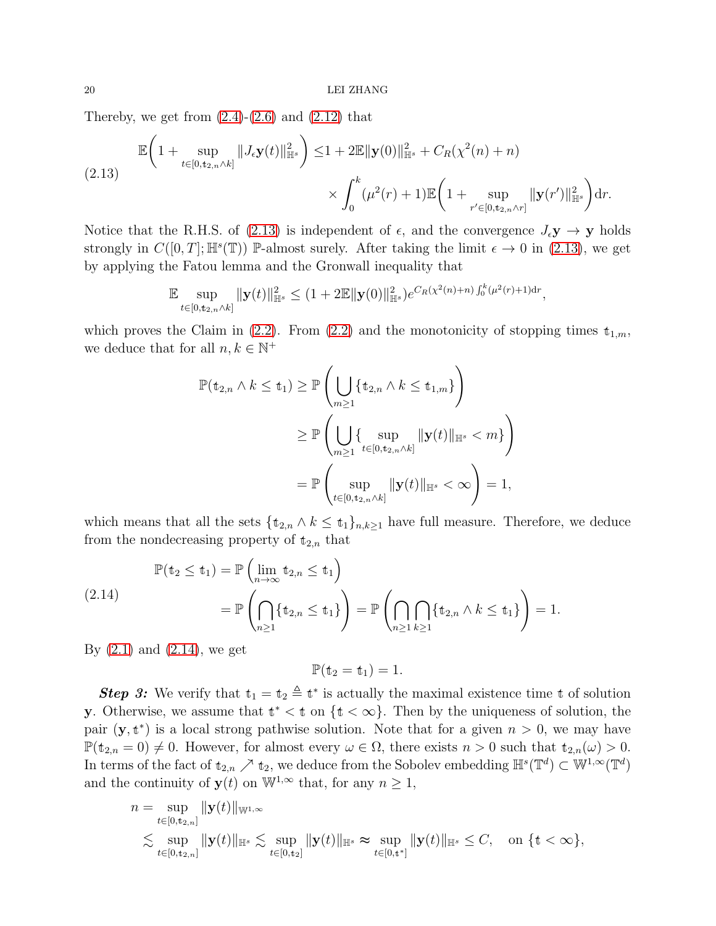Thereby, we get from  $(2.4)-(2.6)$  $(2.4)-(2.6)$  and  $(2.12)$  that

<span id="page-19-0"></span>
$$
\mathbb{E}\bigg(1+\sup_{t\in[0,t_{2,n}\wedge k]}||J_{\epsilon}\mathbf{y}(t)||_{\mathbb{H}^{s}}^{2}\bigg)\leq1+2\mathbb{E}||\mathbf{y}(0)||_{\mathbb{H}^{s}}^{2}+C_{R}(\chi^{2}(n)+n)
$$
\n
$$
\times\int_{0}^{k}(\mu^{2}(r)+1)\mathbb{E}\bigg(1+\sup_{r'\in[0,t_{2,n}\wedge r]}||\mathbf{y}(r')||_{\mathbb{H}^{s}}^{2}\bigg)dr.
$$

Notice that the R.H.S. of [\(2.13\)](#page-19-0) is independent of  $\epsilon$ , and the convergence  $J_{\epsilon}y \to y$  holds strongly in  $C([0,T]; \mathbb{H}^s(\mathbb{T}))$  P-almost surely. After taking the limit  $\epsilon \to 0$  in [\(2.13\)](#page-19-0), we get by applying the Fatou lemma and the Gronwall inequality that

$$
\mathbb{E}\sup_{t\in[0,t_{2,n}\wedge k]}\|\mathbf{y}(t)\|_{\mathbb{H}^{s}}^{2}\leq(1+2\mathbb{E}\|\mathbf{y}(0)\|_{\mathbb{H}^{s}}^{2})e^{C_{R}(\chi^{2}(n)+n)\int_{0}^{k}(\mu^{2}(r)+1)d r},
$$

which proves the Claim in [\(2.2\)](#page-16-3). From (2.2) and the monotonicity of stopping times  $t_{1,m}$ , we deduce that for all  $n,k\in\mathbb{N}^+$ 

$$
\mathbb{P}(\mathbf{t}_{2,n} \wedge k \leq \mathbf{t}_1) \geq \mathbb{P}\left(\bigcup_{m \geq 1} \{\mathbf{t}_{2,n} \wedge k \leq \mathbf{t}_{1,m}\}\right)
$$
  

$$
\geq \mathbb{P}\left(\bigcup_{m \geq 1} \{\sup_{t \in [0,\mathbf{t}_{2,n} \wedge k]} \|\mathbf{y}(t)\|_{\mathbb{H}^s} < m\}\right)
$$
  

$$
= \mathbb{P}\left(\sup_{t \in [0,\mathbf{t}_{2,n} \wedge k]} \|\mathbf{y}(t)\|_{\mathbb{H}^s} < \infty\right) = 1,
$$

which means that all the sets  $\{\mathbf{t}_{2,n} \wedge k \leq \mathbf{t}_1\}_{n,k\geq 1}$  have full measure. Therefore, we deduce from the nondecreasing property of  $t_{2,n}$  that

<span id="page-19-1"></span>
$$
\mathbb{P}(\mathbf{t}_2 \le \mathbf{t}_1) = \mathbb{P}\left(\lim_{n \to \infty} \mathbf{t}_{2,n} \le \mathbf{t}_1\right) \n= \mathbb{P}\left(\bigcap_{n \ge 1} {\{\mathbf{t}_{2,n} \le \mathbf{t}_1\}}\right) = \mathbb{P}\left(\bigcap_{n \ge 1} {\{\mathbf{t}_{2,n} \wedge k \le \mathbf{t}_1\}}\right) = 1.
$$

By  $(2.1)$  and  $(2.14)$ , we get

 $\mathbb{P}(\mathbf{t}_2 = \mathbf{t}_1) = 1.$ 

**Step 3:** We verify that  $t_1 = t_2 \triangleq t^*$  is actually the maximal existence time t of solution **y**. Otherwise, we assume that  $t^* < t$  on  $\{t < \infty\}$ . Then by the uniqueness of solution, the pair  $(y, t^*)$  is a local strong pathwise solution. Note that for a given  $n > 0$ , we may have  $\mathbb{P}(\mathbf{t}_{2,n} = 0) \neq 0$ . However, for almost every  $\omega \in \Omega$ , there exists  $n > 0$  such that  $\mathbf{t}_{2,n}(\omega) > 0$ . In terms of the fact of  $t_{2,n} \nearrow t_2$ , we deduce from the Sobolev embedding  $\mathbb{H}^s(\mathbb{T}^d) \subset \mathbb{W}^{1,\infty}(\mathbb{T}^d)$ and the continuity of  $y(t)$  on  $\mathbb{W}^{1,\infty}$  that, for any  $n \geq 1$ ,

$$
n = \sup_{t \in [0, t_{2,n}]} ||\mathbf{y}(t)||_{\mathbb{W}^{1,\infty}}
$$
  
\$\lesssim\$ 
$$
\sup_{t \in [0, t_{2,n}]} ||\mathbf{y}(t)||_{\mathbb{H}^{s}} \lesssim \sup_{t \in [0, t_{2}]} ||\mathbf{y}(t)||_{\mathbb{H}^{s}} \approx \sup_{t \in [0, t^{*}]} ||\mathbf{y}(t)||_{\mathbb{H}^{s}} \leq C, \text{ on } \{t < \infty\},
$$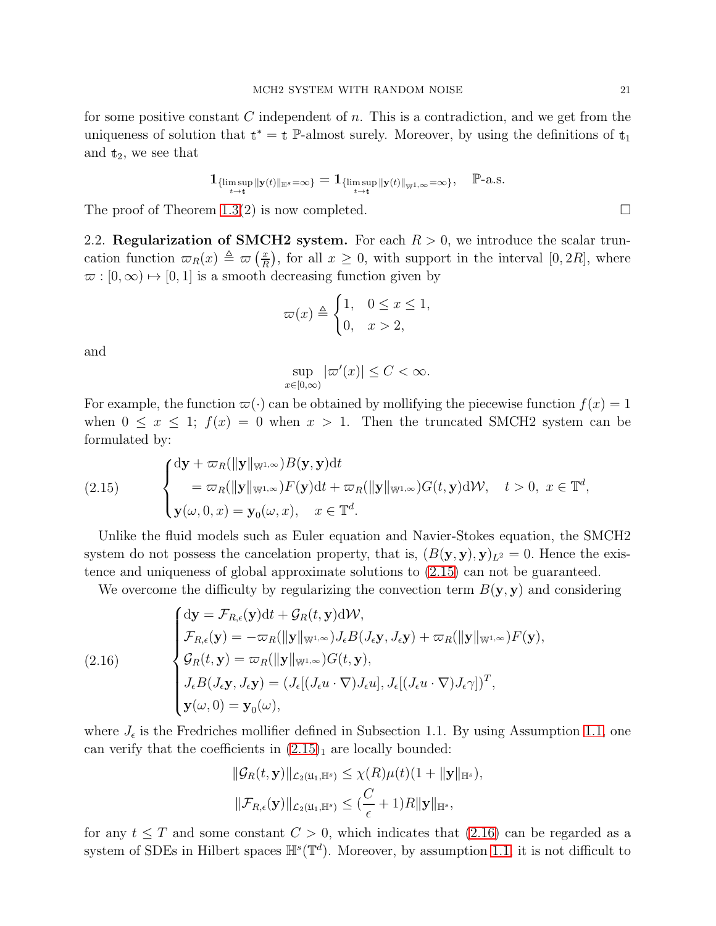for some positive constant C independent of  $n$ . This is a contradiction, and we get from the uniqueness of solution that  $t^* = t$  P-almost surely. Moreover, by using the definitions of  $t_1$ and  $t_2$ , we see that

$$
\mathbf{1}_{\{\limsup_{t\to t} \| \mathbf{y}(t)\|_{\mathbb{H}^s}=\infty\}}=\mathbf{1}_{\{\limsup_{t\to t} \| \mathbf{y}(t)\|_{\mathbb{W}^{1,\infty}}=\infty\}},\quad \mathbb{P}\text{-a.s.}
$$

<span id="page-20-0"></span>The proof of Theorem [1.3\(](#page-10-0)2) is now completed.  $\square$ 

2.2. Regularization of SMCH2 system. For each  $R > 0$ , we introduce the scalar truncation function  $\varpi_R(x) \triangleq \varpi \left(\frac{x}{R}\right)$  $(\frac{x}{R})$ , for all  $x \geq 0$ , with support in the interval  $[0, 2R]$ , where  $\varpi : [0, \infty) \mapsto [0, 1]$  is a smooth decreasing function given by

$$
\varpi(x) \triangleq \begin{cases} 1, & 0 \le x \le 1, \\ 0, & x > 2, \end{cases}
$$

and

$$
\sup_{x \in [0,\infty)} |\varpi'(x)| \le C < \infty.
$$

For example, the function  $\varpi(\cdot)$  can be obtained by mollifying the piecewise function  $f(x) = 1$ when  $0 \leq x \leq 1$ ;  $f(x) = 0$  when  $x > 1$ . Then the truncated SMCH2 system can be formulated by:

<span id="page-20-1"></span>(2.15) 
$$
\begin{cases} d\mathbf{y} + \varpi_R(||\mathbf{y}||_{\mathbb{W}^{1,\infty}})B(\mathbf{y},\mathbf{y})dt \\ = \varpi_R(||\mathbf{y}||_{\mathbb{W}^{1,\infty}})F(\mathbf{y})dt + \varpi_R(||\mathbf{y}||_{\mathbb{W}^{1,\infty}})G(t,\mathbf{y})d\mathcal{W}, \quad t > 0, \ x \in \mathbb{T}^d, \\ \mathbf{y}(\omega,0,x) = \mathbf{y}_0(\omega,x), \quad x \in \mathbb{T}^d. \end{cases}
$$

Unlike the fluid models such as Euler equation and Navier-Stokes equation, the SMCH2 system do not possess the cancelation property, that is,  $(B(\mathbf{y}, \mathbf{y}), \mathbf{y})_{L^2} = 0$ . Hence the existence and uniqueness of global approximate solutions to [\(2.15\)](#page-20-1) can not be guaranteed.

We overcome the difficulty by regularizing the convection term  $B(\mathbf{y}, \mathbf{y})$  and considering

<span id="page-20-2"></span>(2.16)  
\n
$$
\begin{cases}\nd\mathbf{y} = \mathcal{F}_{R,\epsilon}(\mathbf{y})dt + \mathcal{G}_R(t,\mathbf{y})d\mathcal{W}, \\
\mathcal{F}_{R,\epsilon}(\mathbf{y}) = -\varpi_R(\|\mathbf{y}\|_{\mathbb{W}^{1,\infty}})J_{\epsilon}B(J_{\epsilon}\mathbf{y}, J_{\epsilon}\mathbf{y}) + \varpi_R(\|\mathbf{y}\|_{\mathbb{W}^{1,\infty}})F(\mathbf{y}), \\
\mathcal{G}_R(t,\mathbf{y}) = \varpi_R(\|\mathbf{y}\|_{\mathbb{W}^{1,\infty}})G(t,\mathbf{y}), \\
J_{\epsilon}B(J_{\epsilon}\mathbf{y}, J_{\epsilon}\mathbf{y}) = (J_{\epsilon}[(J_{\epsilon}u \cdot \nabla)J_{\epsilon}u], J_{\epsilon}[(J_{\epsilon}u \cdot \nabla)J_{\epsilon}\gamma])^T, \\
\mathbf{y}(\omega, 0) = \mathbf{y}_0(\omega),\n\end{cases}
$$

where  $J_{\epsilon}$  is the Fredriches mollifier defined in Subsection 1.1. By using Assumption [1.1,](#page-8-0) one can verify that the coefficients in  $(2.15)<sub>1</sub>$  are locally bounded:

$$
\|\mathcal{G}_R(t,\mathbf{y})\|_{\mathcal{L}_2(\mathfrak{U}_1,\mathbb{H}^s)} \leq \chi(R)\mu(t)(1+\|\mathbf{y}\|_{\mathbb{H}^s}),
$$
  

$$
\|\mathcal{F}_{R,\epsilon}(\mathbf{y})\|_{\mathcal{L}_2(\mathfrak{U}_1,\mathbb{H}^s)} \leq (\frac{C}{\epsilon}+1)R\|\mathbf{y}\|_{\mathbb{H}^s},
$$

for any  $t \leq T$  and some constant  $C > 0$ , which indicates that [\(2.16\)](#page-20-2) can be regarded as a system of SDEs in Hilbert spaces  $\mathbb{H}^{s}(\mathbb{T}^{d})$ . Moreover, by assumption [1.1,](#page-8-0) it is not difficult to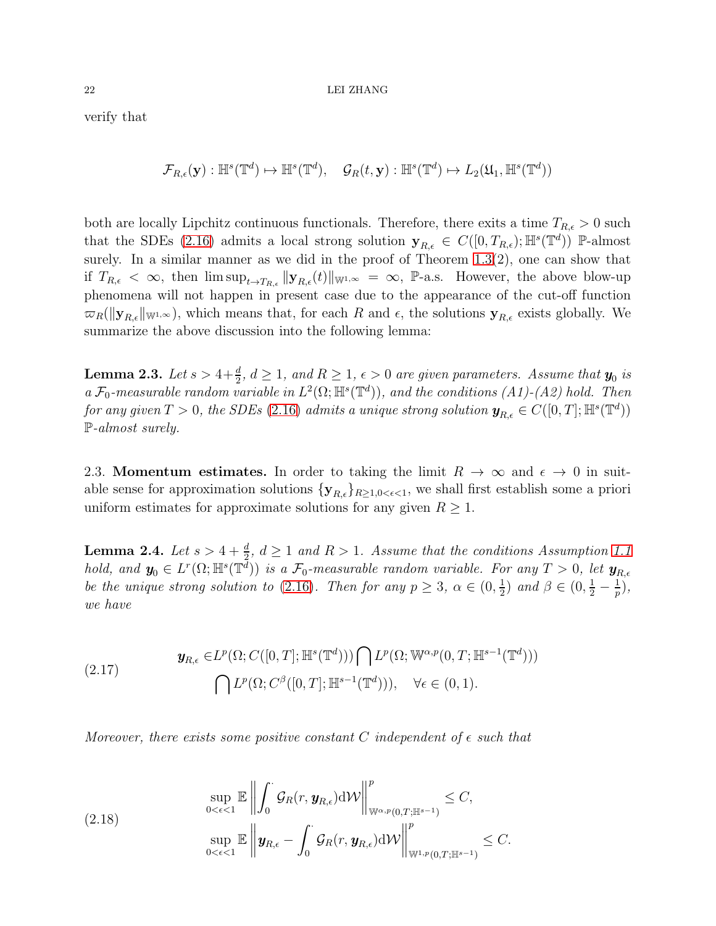#### $22$   $\,$  LEI ZHANG  $\,$

verify that

$$
\mathcal{F}_{R,\epsilon}(\mathbf{y}): \mathbb{H}^s(\mathbb{T}^d) \mapsto \mathbb{H}^s(\mathbb{T}^d), \quad \mathcal{G}_R(t,\mathbf{y}): \mathbb{H}^s(\mathbb{T}^d) \mapsto L_2(\mathfrak{U}_1, \mathbb{H}^s(\mathbb{T}^d))
$$

both are locally Lipchitz continuous functionals. Therefore, there exits a time  $T_{R,\epsilon} > 0$  such that the SDEs [\(2.16\)](#page-20-2) admits a local strong solution  $\mathbf{y}_{R,\epsilon} \in C([0,T_{R,\epsilon});\mathbb{H}^s(\mathbb{T}^d))$  P-almost surely. In a similar manner as we did in the proof of Theorem [1.3\(](#page-10-0)2), one can show that if  $T_{R,\epsilon} < \infty$ , then  $\limsup_{t\to T_{R,\epsilon}} ||\mathbf{y}_{R,\epsilon}(t)||_{\mathbb{W}^{1,\infty}} = \infty$ , P-a.s. However, the above blow-up phenomena will not happen in present case due to the appearance of the cut-off function  $\varpi_R(\|\mathbf{y}_{R,\epsilon}\|_{\mathbb{W}^{1,\infty}})$ , which means that, for each R and  $\epsilon$ , the solutions  $\mathbf{y}_{R,\epsilon}$  exists globally. We summarize the above discussion into the following lemma:

**Lemma 2.3.** Let  $s > 4 + \frac{d}{2}$ ,  $d \ge 1$ , and  $R \ge 1$ ,  $\epsilon > 0$  are given parameters. Assume that  $y_0$  is a  $\mathcal{F}_0$ -measurable random variable in  $L^2(\Omega; \mathbb{H}^s(\mathbb{T}^d))$ , and the conditions  $(A1)-(A2)$  hold. Then for any given  $T > 0$ , the SDEs [\(2.16\)](#page-20-2) admits a unique strong solution  $\mathbf{y}_{R,\epsilon} \in C([0,T]; \mathbb{H}^s(\mathbb{T}^d))$ P-almost surely.

<span id="page-21-0"></span>2.3. Momentum estimates. In order to taking the limit  $R \to \infty$  and  $\epsilon \to 0$  in suitable sense for approximation solutions  $\{y_{R,\epsilon}\}_{R\geq 1,0<\epsilon<1}$ , we shall first establish some a priori uniform estimates for approximate solutions for any given  $R \geq 1$ .

<span id="page-21-1"></span>**Lemma 2.4.** Let  $s > 4 + \frac{d}{2}$ ,  $d \ge 1$  and  $R > 1$ . Assume that the conditions Assumption [1.1](#page-8-0) hold, and  $y_0 \in L^r(\Omega; \mathbb{H}^s(\mathbb{T}^{\overline{d}}))$  is a  $\mathcal{F}_0$ -measurable random variable. For any  $T > 0$ , let  $y_{R,\epsilon}$ be the unique strong solution to [\(2.16\)](#page-20-2). Then for any  $p \geq 3$ ,  $\alpha \in (0, \frac{1}{2})$  $(\frac{1}{2})$  and  $\beta \in (0, \frac{1}{2} - \frac{1}{p})$  $(\frac{1}{p}),$ we have

(2.17) 
$$
\mathbf{y}_{R,\epsilon} \in L^p(\Omega; C([0,T]; \mathbb{H}^s(\mathbb{T}^d))) \bigcap L^p(\Omega; \mathbb{W}^{\alpha,p}(0,T; \mathbb{H}^{s-1}(\mathbb{T}^d)))
$$

$$
\bigcap L^p(\Omega; C^\beta([0,T]; \mathbb{H}^{s-1}(\mathbb{T}^d))), \quad \forall \epsilon \in (0,1).
$$

Moreover, there exists some positive constant C independent of  $\epsilon$  such that

<span id="page-21-2"></span>
$$
\sup_{0 < \epsilon < 1} \mathbb{E} \left\| \int_0^{\cdot} \mathcal{G}_R(r, \mathbf{y}_{R,\epsilon}) \mathrm{d} \mathcal{W} \right\|_{\mathbb{W}^{\alpha, p}(0,T; \mathbb{H}^{s-1})}^p \leq C,
$$
\n
$$
\sup_{0 < \epsilon < 1} \mathbb{E} \left\| \mathbf{y}_{R,\epsilon} - \int_0^{\cdot} \mathcal{G}_R(r, \mathbf{y}_{R,\epsilon}) \mathrm{d} \mathcal{W} \right\|_{\mathbb{W}^{1, p}(0,T; \mathbb{H}^{s-1})}^p \leq C.
$$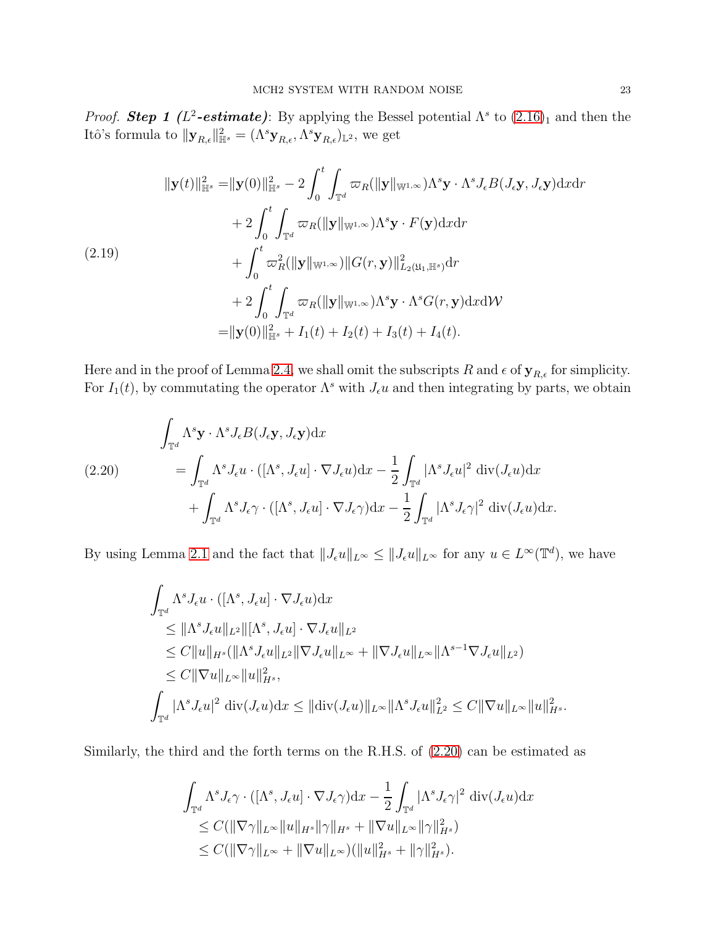*Proof.* Step 1 ( $L^2$ -estimate): By applying the Bessel potential  $\Lambda^s$  to  $(2.16)_1$  and then the Itô's formula to  $\|\mathbf{y}_{R,\epsilon}\|_{\mathbb{H}^s}^2 = (\Lambda^s \mathbf{y}_{R,\epsilon}, \Lambda^s \mathbf{y}_{R,\epsilon})_{\mathbb{L}^2}$ , we get

<span id="page-22-1"></span>
$$
\|\mathbf{y}(t)\|_{\mathbb{H}^{s}}^{2} = \|\mathbf{y}(0)\|_{\mathbb{H}^{s}}^{2} - 2 \int_{0}^{t} \int_{\mathbb{T}^{d}} \varpi_{R}(\|\mathbf{y}\|_{\mathbb{W}^{1,\infty}}) \Lambda^{s} \mathbf{y} \cdot \Lambda^{s} J_{\epsilon} B(J_{\epsilon} \mathbf{y}, J_{\epsilon} \mathbf{y}) \mathrm{d}x \mathrm{d}r + 2 \int_{0}^{t} \int_{\mathbb{T}^{d}} \varpi_{R}(\|\mathbf{y}\|_{\mathbb{W}^{1,\infty}}) \Lambda^{s} \mathbf{y} \cdot F(\mathbf{y}) \mathrm{d}x \mathrm{d}r + \int_{0}^{t} \varpi_{R}^{2}(\|\mathbf{y}\|_{\mathbb{W}^{1,\infty}}) \|G(r, \mathbf{y})\|_{L_{2}(\mathfrak{U}_{1}, \mathbb{H}^{s})}^{2} \mathrm{d}r + 2 \int_{0}^{t} \int_{\mathbb{T}^{d}} \varpi_{R}(\|\mathbf{y}\|_{\mathbb{W}^{1,\infty}}) \Lambda^{s} \mathbf{y} \cdot \Lambda^{s} G(r, \mathbf{y}) \mathrm{d}x \mathrm{d}W = \|\mathbf{y}(0)\|_{\mathbb{H}^{s}}^{2} + I_{1}(t) + I_{2}(t) + I_{3}(t) + I_{4}(t).
$$

Here and in the proof of Lemma [2.4,](#page-21-1) we shall omit the subscripts  $R$  and  $\epsilon$  of  $\mathbf{y}_{R,\epsilon}$  for simplicity. For  $I_1(t)$ , by commutating the operator  $\Lambda^s$  with  $J_{\epsilon}u$  and then integrating by parts, we obtain

<span id="page-22-0"></span>(2.20) 
$$
\int_{\mathbb{T}^d} \Lambda^s \mathbf{y} \cdot \Lambda^s J_{\epsilon} B(J_{\epsilon} \mathbf{y}, J_{\epsilon} \mathbf{y}) dx \n= \int_{\mathbb{T}^d} \Lambda^s J_{\epsilon} u \cdot ([\Lambda^s, J_{\epsilon} u] \cdot \nabla J_{\epsilon} u) dx - \frac{1}{2} \int_{\mathbb{T}^d} |\Lambda^s J_{\epsilon} u|^2 \operatorname{div}(J_{\epsilon} u) dx \n+ \int_{\mathbb{T}^d} \Lambda^s J_{\epsilon} \gamma \cdot ([\Lambda^s, J_{\epsilon} u] \cdot \nabla J_{\epsilon} \gamma) dx - \frac{1}{2} \int_{\mathbb{T}^d} |\Lambda^s J_{\epsilon} \gamma|^2 \operatorname{div}(J_{\epsilon} u) dx.
$$

By using Lemma [2.1](#page-17-1) and the fact that  $||J_{\epsilon}u||_{L^{\infty}} \le ||J_{\epsilon}u||_{L^{\infty}}$  for any  $u \in L^{\infty}(\mathbb{T}^d)$ , we have

$$
\int_{\mathbb{T}^d} \Lambda^s J_{\epsilon} u \cdot ([\Lambda^s, J_{\epsilon} u] \cdot \nabla J_{\epsilon} u) dx \n\leq ||\Lambda^s J_{\epsilon} u||_{L^2} ||[\Lambda^s, J_{\epsilon} u] \cdot \nabla J_{\epsilon} u||_{L^2} \n\leq C ||u||_{H^s} (||\Lambda^s J_{\epsilon} u||_{L^2} ||\nabla J_{\epsilon} u||_{L^\infty} + ||\nabla J_{\epsilon} u||_{L^\infty} ||\Lambda^{s-1} \nabla J_{\epsilon} u||_{L^2}) \n\leq C ||\nabla u||_{L^\infty} ||u||_{H^s}^2, \n\int_{\mathbb{T}^d} |\Lambda^s J_{\epsilon} u|^2 \operatorname{div}(J_{\epsilon} u) dx \leq ||\operatorname{div}(J_{\epsilon} u)||_{L^\infty} ||\Lambda^s J_{\epsilon} u||_{L^2}^2 \leq C ||\nabla u||_{L^\infty} ||u||_{H^s}^2.
$$

Similarly, the third and the forth terms on the R.H.S. of [\(2.20\)](#page-22-0) can be estimated as

$$
\int_{\mathbb{T}^d} \Lambda^s J_{\epsilon} \gamma \cdot ([\Lambda^s, J_{\epsilon} u] \cdot \nabla J_{\epsilon} \gamma) dx - \frac{1}{2} \int_{\mathbb{T}^d} |\Lambda^s J_{\epsilon} \gamma|^2 \operatorname{div}(J_{\epsilon} u) dx \n\leq C(\|\nabla \gamma\|_{L^{\infty}} \|u\|_{H^s} \|\gamma\|_{H^s} + \|\nabla u\|_{L^{\infty}} \|\gamma\|_{H^s}^2) \n\leq C(\|\nabla \gamma\|_{L^{\infty}} + \|\nabla u\|_{L^{\infty}}) (\|u\|_{H^s}^2 + \|\gamma\|_{H^s}^2).
$$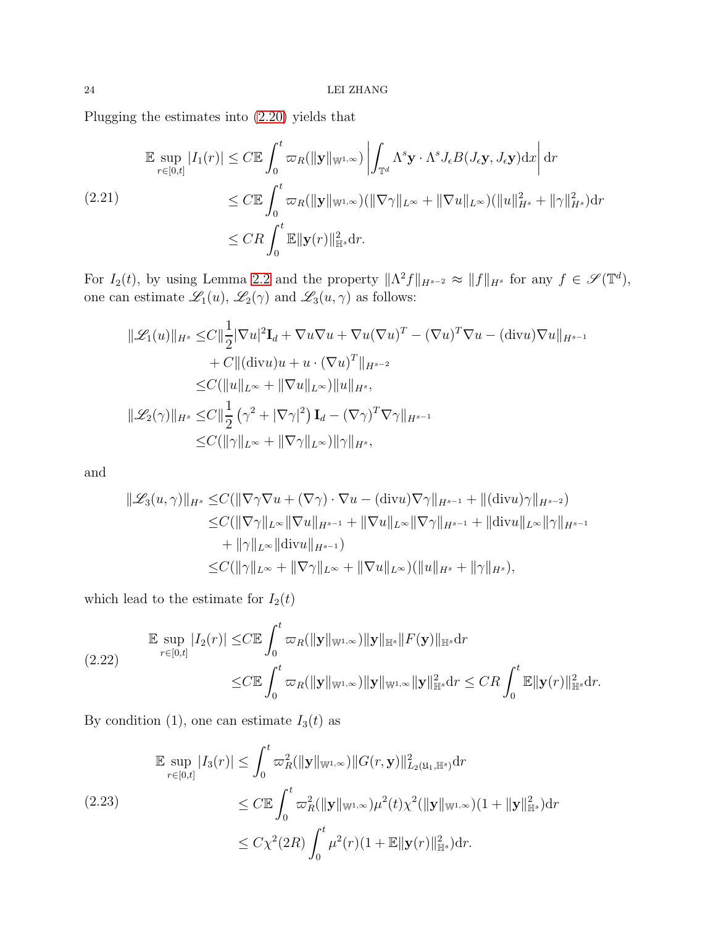Plugging the estimates into [\(2.20\)](#page-22-0) yields that

<span id="page-23-1"></span>
$$
\mathbb{E} \sup_{r \in [0,t]} |I_1(r)| \le C \mathbb{E} \int_0^t \varpi_R(\|\mathbf{y}\|_{\mathbb{W}^{1,\infty}}) \left| \int_{\mathbb{T}^d} \Lambda^s \mathbf{y} \cdot \Lambda^s J_\epsilon B(J_\epsilon \mathbf{y}, J_\epsilon \mathbf{y}) \mathrm{d}x \right| \mathrm{d}r
$$
\n(2.21)\n
$$
\le C \mathbb{E} \int_0^t \varpi_R(\|\mathbf{y}\|_{\mathbb{W}^{1,\infty}}) (\|\nabla \gamma\|_{L^\infty} + \|\nabla u\|_{L^\infty}) (\|u\|_{H^s}^2 + \|\gamma\|_{H^s}^2) \mathrm{d}r
$$
\n
$$
\le CR \int_0^t \mathbb{E} \|\mathbf{y}(r)\|_{\mathbb{H}^s}^2 \mathrm{d}r.
$$

For  $I_2(t)$ , by using Lemma [2.2](#page-17-2) and the property  $\|\Lambda^2 f\|_{H^{s-2}} \approx \|f\|_{H^s}$  for any  $f \in \mathscr{S}(\mathbb{T}^d)$ , one can estimate  $\mathscr{L}_1(u)$ ,  $\mathscr{L}_2(\gamma)$  and  $\mathscr{L}_3(u,\gamma)$  as follows:

$$
\|\mathcal{L}_1(u)\|_{H^s} \leq C \|\frac{1}{2}|\nabla u|^2 \mathbf{I}_d + \nabla u \nabla u + \nabla u (\nabla u)^T - (\nabla u)^T \nabla u - (\text{div} u) \nabla u\|_{H^{s-1}} + C \|( \text{div} u) u + u \cdot (\nabla u)^T \|_{H^{s-2}} \leq C (\|u\|_{L^\infty} + \|\nabla u\|_{L^\infty}) \|u\|_{H^s}, \|\mathcal{L}_2(\gamma)\|_{H^s} \leq C \|\frac{1}{2} (\gamma^2 + |\nabla \gamma|^2) \mathbf{I}_d - (\nabla \gamma)^T \nabla \gamma \|_{H^{s-1}} \leq C (\|\gamma\|_{L^\infty} + \|\nabla \gamma\|_{L^\infty}) \|\gamma\|_{H^s},
$$

and

$$
\|\mathcal{L}_{3}(u,\gamma)\|_{H^{s}} \leq C(\|\nabla\gamma\nabla u + (\nabla\gamma)\cdot\nabla u - (\text{div}u)\nabla\gamma\|_{H^{s-1}} + \|(\text{div}u)\gamma\|_{H^{s-2}})\leq C(\|\nabla\gamma\|_{L^{\infty}}\|\nabla u\|_{H^{s-1}} + \|\nabla u\|_{L^{\infty}}\|\nabla\gamma\|_{H^{s-1}} + \|\text{div}u\|_{L^{\infty}}\|\gamma\|_{H^{s-1}}+ \|\gamma\|_{L^{\infty}}\|\text{div}u\|_{H^{s-1}})\leq C(\|\gamma\|_{L^{\infty}} + \|\nabla\gamma\|_{L^{\infty}} + \|\nabla u\|_{L^{\infty}})(\|u\|_{H^{s}} + \|\gamma\|_{H^{s}}),
$$

which lead to the estimate for  ${\cal I}_2(t)$ 

$$
\mathbb{E} \sup_{r \in [0,t]} |I_2(r)| \leq C \mathbb{E} \int_0^t \varpi_R(\|\mathbf{y}\|_{\mathbb{W}^{1,\infty}}) \|\mathbf{y}\|_{\mathbb{H}^s} \|F(\mathbf{y})\|_{\mathbb{H}^s} dr
$$
\n
$$
\leq C \mathbb{E} \int_0^t \varpi_R(\|\mathbf{y}\|_{\mathbb{W}^{1,\infty}}) \|\mathbf{y}\|_{\mathbb{W}^{1,\infty}} \|\mathbf{y}\|_{\mathbb{H}^s}^2 dr \leq CR \int_0^t \mathbb{E} \|\mathbf{y}(r)\|_{\mathbb{H}^s}^2 dr.
$$

By condition (1), one can estimate  $I_3(t)$  as

<span id="page-23-0"></span>
$$
\mathbb{E} \sup_{r \in [0,t]} |I_3(r)| \leq \int_0^t \varpi_R^2 (\|\mathbf{y}\|_{\mathbb{W}^{1,\infty}}) \|G(r,\mathbf{y})\|_{L_2(\mathfrak{U}_1,\mathbb{H}^s)}^2 dr
$$
\n
$$
\leq C \mathbb{E} \int_0^t \varpi_R^2 (\|\mathbf{y}\|_{\mathbb{W}^{1,\infty}}) \mu^2(t) \chi^2(\|\mathbf{y}\|_{\mathbb{W}^{1,\infty}}) (1 + \|\mathbf{y}\|_{\mathbb{H}^s}^2) dr
$$
\n
$$
\leq C \chi^2(2R) \int_0^t \mu^2(r) (1 + \mathbb{E} \|\mathbf{y}(r)\|_{\mathbb{H}^s}^2) dr.
$$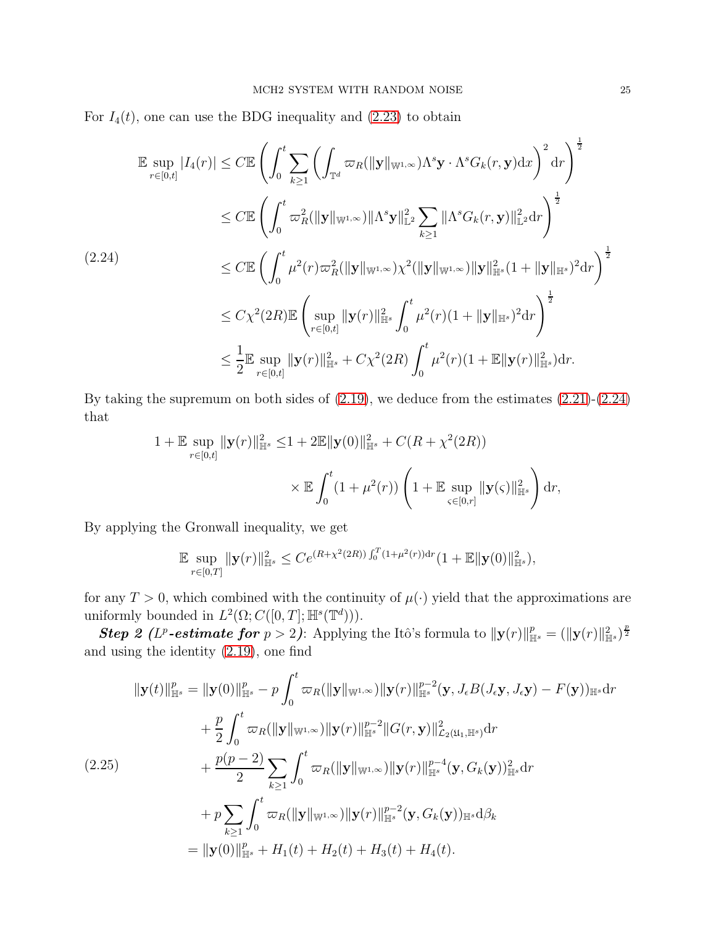For  $I_4(t)$ , one can use the BDG inequality and  $(2.23)$  to obtain

<span id="page-24-0"></span>
$$
\mathbb{E} \sup_{r \in [0,t]} |I_4(r)| \leq C \mathbb{E} \left( \int_0^t \sum_{k \geq 1} \left( \int_{\mathbb{T}^d} \varpi_R(\|\mathbf{y}\|_{\mathbb{W}^{1,\infty}}) \Lambda^s \mathbf{y} \cdot \Lambda^s G_k(r, \mathbf{y}) dx \right)^2 dr \right)^{\frac{1}{2}}
$$
\n
$$
\leq C \mathbb{E} \left( \int_0^t \varpi_R^2(\|\mathbf{y}\|_{\mathbb{W}^{1,\infty}}) \|\Lambda^s \mathbf{y}\|_{\mathbb{L}^2}^2 \sum_{k \geq 1} \|\Lambda^s G_k(r, \mathbf{y})\|_{\mathbb{L}^2}^2 dr \right)^{\frac{1}{2}}
$$
\n
$$
\leq C \mathbb{E} \left( \int_0^t \mu^2(r) \varpi_R^2(\|\mathbf{y}\|_{\mathbb{W}^{1,\infty}}) \chi^2(\|\mathbf{y}\|_{\mathbb{W}^{1,\infty}}) \|\mathbf{y}\|_{\mathbb{H}^s}^2 (1 + \|\mathbf{y}\|_{\mathbb{H}^s})^2 dr \right)^{\frac{1}{2}}
$$
\n
$$
\leq C \chi^2(2R) \mathbb{E} \left( \sup_{r \in [0,t]} \|\mathbf{y}(r)\|_{\mathbb{H}^s}^2 \int_0^t \mu^2(r) (1 + \|\mathbf{y}\|_{\mathbb{H}^s})^2 dr \right)^{\frac{1}{2}}
$$
\n
$$
\leq \frac{1}{2} \mathbb{E} \sup_{r \in [0,t]} \|\mathbf{y}(r)\|_{\mathbb{H}^s}^2 + C \chi^2(2R) \int_0^t \mu^2(r) (1 + \mathbb{E} \|\mathbf{y}(r)\|_{\mathbb{H}^s}^2) dr.
$$

By taking the supremum on both sides of [\(2.19\)](#page-22-1), we deduce from the estimates [\(2.21\)](#page-23-1)-[\(2.24\)](#page-24-0) that

$$
1 + \mathbb{E} \sup_{r \in [0,t]} \|\mathbf{y}(r)\|_{\mathbb{H}^s}^2 \leq 1 + 2\mathbb{E} \|\mathbf{y}(0)\|_{\mathbb{H}^s}^2 + C(R + \chi^2(2R))
$$
  
\$\times \mathbb{E} \int\_0^t (1 + \mu^2(r)) \left(1 + \mathbb{E} \sup\_{\varsigma \in [0,r]} \|\mathbf{y}(\varsigma)\|\_{\mathbb{H}^s}^2 \right) dr,

By applying the Gronwall inequality, we get

$$
\mathbb{E} \sup_{r \in [0,T]} \|\mathbf{y}(r)\|_{\mathbb{H}^{s}}^2 \leq Ce^{(R+\chi^2(2R))\int_0^T (1+\mu^2(r))\mathrm{d}r} (1+\mathbb{E} \|\mathbf{y}(0)\|_{\mathbb{H}^{s}}^2),
$$

for any  $T > 0$ , which combined with the continuity of  $\mu(\cdot)$  yield that the approximations are uniformly bounded in  $L^2(\Omega; C([0, T]; \mathbb{H}^s(\mathbb{T}^d)))$ .

**Step 2** (L<sup>p</sup>-estimate for  $p > 2$ ): Applying the Itô's formula to  $\|\mathbf{y}(r)\|_{\mathbb{H}^s}^p = (\|\mathbf{y}(r)\|_{\mathbb{H}^s}^2)^{\frac{p}{2}}$ and using the identity [\(2.19\)](#page-22-1), one find

<span id="page-24-1"></span>
$$
\| \mathbf{y}(t) \|_{\mathbb{H}^{s}}^{p} = \| \mathbf{y}(0) \|_{\mathbb{H}^{s}}^{p} - p \int_{0}^{t} \varpi_{R}(\| \mathbf{y} \|_{\mathbb{W}^{1,\infty}}) \| \mathbf{y}(r) \|_{\mathbb{H}^{s}}^{p-2} (\mathbf{y}, J_{\epsilon}B(J_{\epsilon}\mathbf{y}, J_{\epsilon}\mathbf{y}) - F(\mathbf{y}))_{\mathbb{H}^{s}} dr + \frac{p}{2} \int_{0}^{t} \varpi_{R}(\| \mathbf{y} \|_{\mathbb{W}^{1,\infty}}) \| \mathbf{y}(r) \|_{\mathbb{H}^{s}}^{p-2} \| G(r, \mathbf{y}) \|_{\mathcal{L}_{2}(\mathfrak{U}_{1}, \mathbb{H}^{s})}^{2} dr + \frac{p(p-2)}{2} \sum_{k \geq 1} \int_{0}^{t} \varpi_{R}(\| \mathbf{y} \|_{\mathbb{W}^{1,\infty}}) \| \mathbf{y}(r) \|_{\mathbb{H}^{s}}^{p-4} (\mathbf{y}, G_{k}(\mathbf{y}))_{\mathbb{H}^{s}}^{2} dr + p \sum_{k \geq 1} \int_{0}^{t} \varpi_{R}(\| \mathbf{y} \|_{\mathbb{W}^{1,\infty}}) \| \mathbf{y}(r) \|_{\mathbb{H}^{s}}^{p-2} (\mathbf{y}, G_{k}(\mathbf{y}))_{\mathbb{H}^{s}} d\beta_{k} = \| \mathbf{y}(0) \|_{\mathbb{H}^{s}}^{p} + H_{1}(t) + H_{2}(t) + H_{3}(t) + H_{4}(t).
$$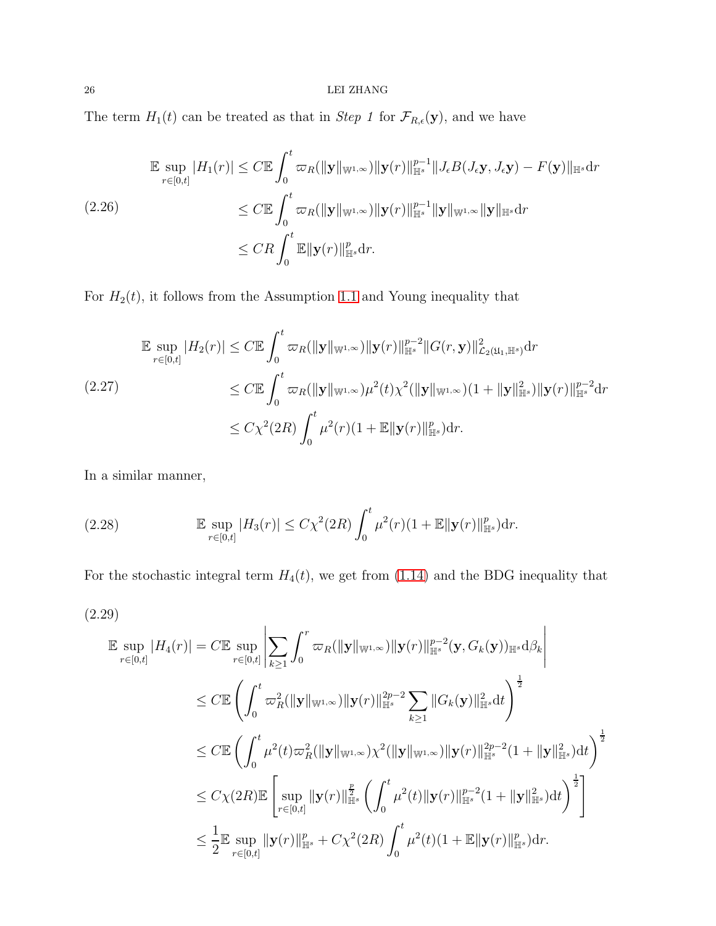## $26$   $\,$  LEI ZHANG  $\,$

The term  $H_1(t)$  can be treated as that in *Step 1* for  $\mathcal{F}_{R,\epsilon}(\mathbf{y})$ , and we have

<span id="page-25-0"></span>
$$
\mathbb{E} \sup_{r \in [0,t]} |H_1(r)| \le C \mathbb{E} \int_0^t \varpi_R(\|\mathbf{y}\|_{\mathbb{W}^{1,\infty}}) \|\mathbf{y}(r)\|_{\mathbb{H}^s}^{p-1} \|J_{\epsilon}B(J_{\epsilon}\mathbf{y}, J_{\epsilon}\mathbf{y}) - F(\mathbf{y})\|_{\mathbb{H}^s} dr
$$
\n
$$
(2.26) \le C \mathbb{E} \int_0^t \varpi_R(\|\mathbf{y}\|_{\mathbb{W}^{1,\infty}}) \|\mathbf{y}(r)\|_{\mathbb{H}^s}^{p-1} \|\mathbf{y}\|_{\mathbb{W}^{1,\infty}} \|\mathbf{y}\|_{\mathbb{H}^s} dr
$$
\n
$$
\le CR \int_0^t \mathbb{E} \|\mathbf{y}(r)\|_{\mathbb{H}^s}^p dr.
$$

For  $H_2(t)$ , it follows from the Assumption [1.1](#page-8-0) and Young inequality that

$$
\mathbb{E} \sup_{r \in [0,t]} |H_2(r)| \le C \mathbb{E} \int_0^t \varpi_R(\|\mathbf{y}\|_{\mathbb{W}^{1,\infty}}) \|\mathbf{y}(r)\|_{\mathbb{H}^s}^{p-2} \|G(r,\mathbf{y})\|_{\mathcal{L}_2(\mathfrak{U}_1,\mathbb{H}^s)}^2 dr
$$
\n
$$
(2.27)
$$
\n
$$
\le C \mathbb{E} \int_0^t \varpi_R(\|\mathbf{y}\|_{\mathbb{W}^{1,\infty}}) \mu^2(t) \chi^2(\|\mathbf{y}\|_{\mathbb{W}^{1,\infty}}) (1 + \|\mathbf{y}\|_{\mathbb{H}^s}^2) \|\mathbf{y}(r)\|_{\mathbb{H}^s}^{p-2} dr
$$
\n
$$
\le C \chi^2(2R) \int_0^t \mu^2(r) (1 + \mathbb{E} \|\mathbf{y}(r)\|_{\mathbb{H}^s}^p) dr.
$$

In a similar manner,

(2.28) 
$$
\mathbb{E} \sup_{r \in [0,t]} |H_3(r)| \leq C \chi^2(2R) \int_0^t \mu^2(r) (1 + \mathbb{E} \|\mathbf{y}(r)\|_{\mathbb{H}^s}^p) dr.
$$

For the stochastic integral term  $H_4(t)$ , we get from [\(1.14\)](#page-9-1) and the BDG inequality that

$$
(2.29)
$$

<span id="page-25-1"></span>
$$
\mathbb{E} \sup_{r \in [0,t]} |H_4(r)| = C \mathbb{E} \sup_{r \in [0,t]} \left| \sum_{k \ge 1} \int_0^r \varpi_R(\|\mathbf{y}\|_{\mathbb{W}^{1,\infty}}) \|\mathbf{y}(r)\|_{\mathbb{H}^s}^{p-2} (\mathbf{y}, G_k(\mathbf{y}))_{\mathbb{H}^s} d\beta_k \right|
$$
\n
$$
\le C \mathbb{E} \left( \int_0^t \varpi_R^2(\|\mathbf{y}\|_{\mathbb{W}^{1,\infty}}) \|\mathbf{y}(r)\|_{\mathbb{H}^s}^{2p-2} \sum_{k \ge 1} \|G_k(\mathbf{y})\|_{\mathbb{H}^s}^2 dt \right)^{\frac{1}{2}}
$$
\n
$$
\le C \mathbb{E} \left( \int_0^t \mu^2(t) \varpi_R^2(\|\mathbf{y}\|_{\mathbb{W}^{1,\infty}}) \chi^2(\|\mathbf{y}\|_{\mathbb{W}^{1,\infty}}) \|\mathbf{y}(r)\|_{\mathbb{H}^s}^{2p-2} (1 + \|\mathbf{y}\|_{\mathbb{H}^s}^2) dt \right)^{\frac{1}{2}}
$$
\n
$$
\le C \chi(2R) \mathbb{E} \left[ \sup_{r \in [0,t]} \|\mathbf{y}(r)\|_{\mathbb{H}^s}^{\frac{p}{2}} \left( \int_0^t \mu^2(t) \|\mathbf{y}(r)\|_{\mathbb{H}^s}^{p-2} (1 + \|\mathbf{y}\|_{\mathbb{H}^s}^2) dt \right)^{\frac{1}{2}} \right]
$$
\n
$$
\le \frac{1}{2} \mathbb{E} \sup_{r \in [0,t]} \|\mathbf{y}(r)\|_{\mathbb{H}^s}^p + C \chi^2(2R) \int_0^t \mu^2(t) (1 + \mathbb{E} \|\mathbf{y}(r)\|_{\mathbb{H}^s}^p) dr.
$$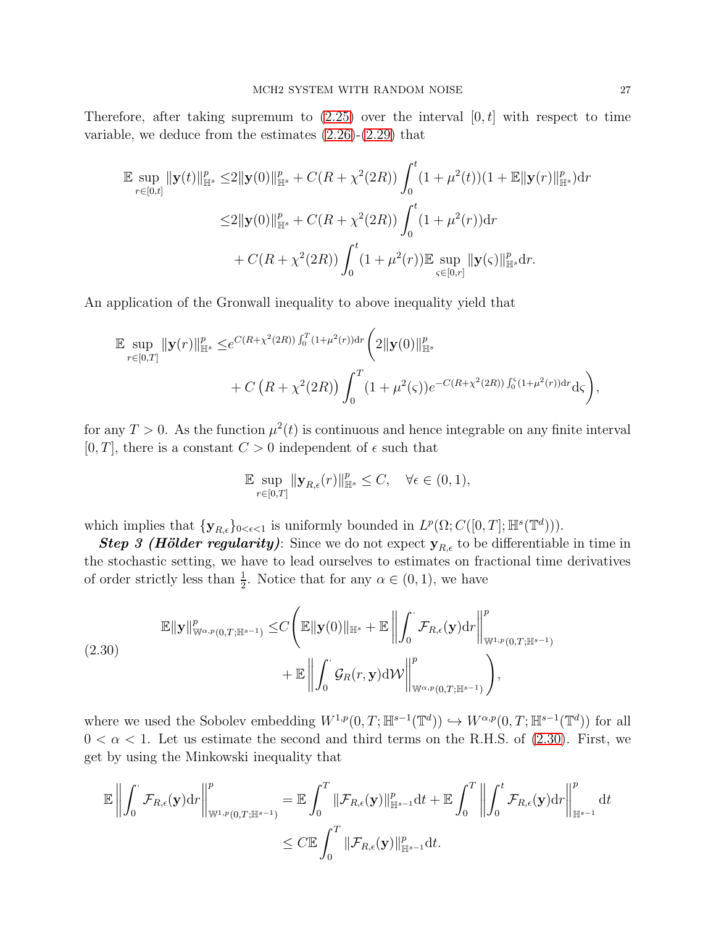Therefore, after taking supremum to  $(2.25)$  over the interval  $[0, t]$  with respect to time variable, we deduce from the estimates [\(2.26\)](#page-25-0)-[\(2.29\)](#page-25-1) that

$$
\mathbb{E} \sup_{r \in [0,t]} \|\mathbf{y}(t)\|_{\mathbb{H}^s}^p \le 2 \|\mathbf{y}(0)\|_{\mathbb{H}^s}^p + C(R + \chi^2(2R)) \int_0^t (1 + \mu^2(t))(1 + \mathbb{E} \|\mathbf{y}(r)\|_{\mathbb{H}^s}^p) dr
$$
  

$$
\le 2 \|\mathbf{y}(0)\|_{\mathbb{H}^s}^p + C(R + \chi^2(2R)) \int_0^t (1 + \mu^2(r)) dr
$$
  

$$
+ C(R + \chi^2(2R)) \int_0^t (1 + \mu^2(r)) \mathbb{E} \sup_{s \in [0,r]} \|\mathbf{y}(s)\|_{\mathbb{H}^s}^p dr.
$$

An application of the Gronwall inequality to above inequality yield that

$$
\mathbb{E} \sup_{r \in [0,T]} \|\mathbf{y}(r)\|_{\mathbb{H}^s}^p \leq e^{C(R+\chi^2(2R))\int_0^T (1+\mu^2(r))dr} \left(2\|\mathbf{y}(0)\|_{\mathbb{H}^s}^p + C\left(R+\chi^2(2R)\right)\int_0^T (1+\mu^2(\varsigma))e^{-C(R+\chi^2(2R))\int_0^{\varsigma} (1+\mu^2(r))dr} \mathrm{d}\varsigma\right),
$$

for any  $T > 0$ . As the function  $\mu^2(t)$  is continuous and hence integrable on any finite interval [0, T], there is a constant  $C > 0$  independent of  $\epsilon$  such that

$$
\mathbb{E} \sup_{r \in [0,T]} \|\mathbf{y}_{R,\epsilon}(r)\|_{\mathbb{H}^s}^p \le C, \quad \forall \epsilon \in (0,1),
$$

which implies that  $\{ \mathbf{y}_{R,\epsilon} \}_{0<\epsilon<1}$  is uniformly bounded in  $L^p(\Omega; C([0,T]; \mathbb{H}^s(\mathbb{T}^d)))$ .

**Step 3 (Hölder regularity)**: Since we do not expect  $y_{R,\epsilon}$  to be differentiable in time in the stochastic setting, we have to lead ourselves to estimates on fractional time derivatives of order strictly less than  $\frac{1}{2}$ . Notice that for any  $\alpha \in (0, 1)$ , we have

<span id="page-26-0"></span>
$$
\mathbb{E}\|\mathbf{y}\|_{\mathbb{W}^{\alpha,p}(0,T;\mathbb{H}^{s-1})}^p \leq C \Bigg(\mathbb{E}\|\mathbf{y}(0)\|_{\mathbb{H}^s} + \mathbb{E}\left\|\int_0^{\cdot} \mathcal{F}_{R,\epsilon}(\mathbf{y}) dr \right\|_{\mathbb{W}^{1,p}(0,T;\mathbb{H}^{s-1})}^p + \mathbb{E}\left\|\int_0^{\cdot} \mathcal{G}_R(r,\mathbf{y}) d\mathcal{W}\right\|_{\mathbb{W}^{\alpha,p}(0,T;\mathbb{H}^{s-1})}^p \Bigg),
$$

where we used the Sobolev embedding  $W^{1,p}(0,T;\mathbb{H}^{s-1}(\mathbb{T}^d)) \hookrightarrow W^{\alpha,p}(0,T;\mathbb{H}^{s-1}(\mathbb{T}^d))$  for all  $0 < \alpha < 1$ . Let us estimate the second and third terms on the R.H.S. of [\(2.30\)](#page-26-0). First, we get by using the Minkowski inequality that

$$
\mathbb{E}\left\|\int_0^{\cdot}\mathcal{F}_{R,\epsilon}(\mathbf{y})\mathrm{d} r\right\|_{\mathbb{W}^{1,p}(0,T;\mathbb{H}^{s-1})}^p=\mathbb{E}\int_0^T\|\mathcal{F}_{R,\epsilon}(\mathbf{y})\|_{\mathbb{H}^{s-1}}^p\mathrm{d} t+\mathbb{E}\int_0^T\left\|\int_0^t\mathcal{F}_{R,\epsilon}(\mathbf{y})\mathrm{d} r\right\|_{\mathbb{H}^{s-1}}^p\mathrm{d} t\\quadquad \leq C\mathbb{E}\int_0^T\|\mathcal{F}_{R,\epsilon}(\mathbf{y})\|_{\mathbb{H}^{s-1}}^p\mathrm{d} t.
$$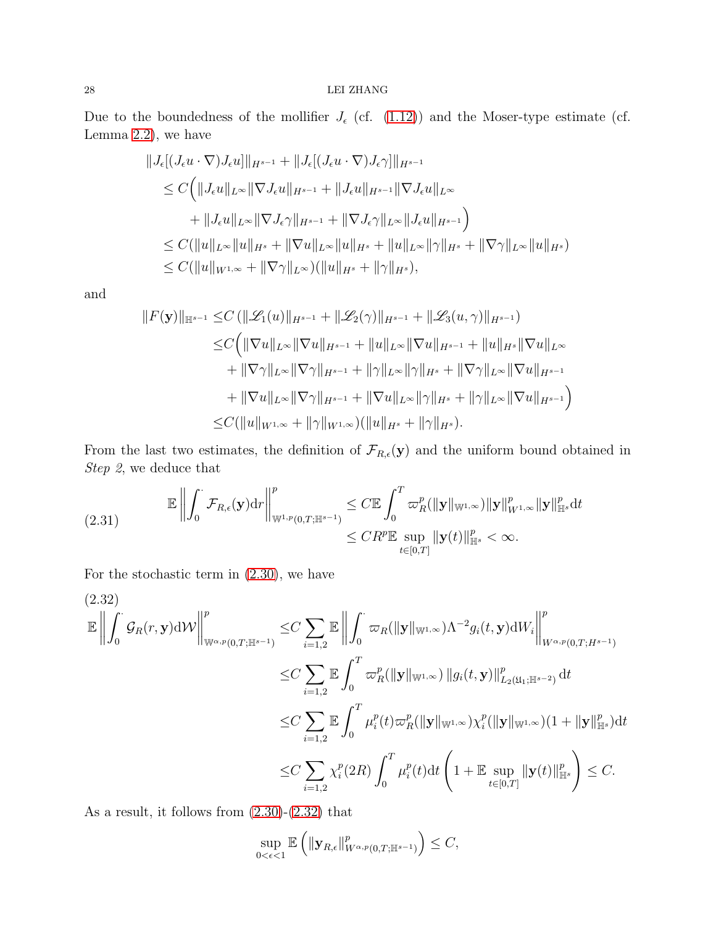### $28$   $\,$  LEI ZHANG  $\,$

Due to the boundedness of the mollifier  $J_{\epsilon}$  (cf. [\(1.12\)](#page-8-2)) and the Moser-type estimate (cf. Lemma [2.2\)](#page-17-2), we have

$$
||J_{\epsilon}[(J_{\epsilon}u \cdot \nabla)J_{\epsilon}u]||_{H^{s-1}} + ||J_{\epsilon}[(J_{\epsilon}u \cdot \nabla)J_{\epsilon}\gamma]||_{H^{s-1}}\n\leq C\Big(||J_{\epsilon}u||_{L^{\infty}}||\nabla J_{\epsilon}u||_{H^{s-1}} + ||J_{\epsilon}u||_{H^{s-1}}||\nabla J_{\epsilon}u||_{L^{\infty}}\n+ ||J_{\epsilon}u||_{L^{\infty}}||\nabla J_{\epsilon}\gamma||_{H^{s-1}} + ||\nabla J_{\epsilon}\gamma||_{L^{\infty}}||J_{\epsilon}u||_{H^{s-1}}\Big)\n\leq C(||u||_{L^{\infty}}||u||_{H^{s}} + ||\nabla u||_{L^{\infty}}||u||_{H^{s}} + ||u||_{L^{\infty}}||\gamma||_{H^{s}} + ||\nabla \gamma||_{L^{\infty}}||u||_{H^{s}})\n\leq C(||u||_{W^{1,\infty}} + ||\nabla \gamma||_{L^{\infty}})(||u||_{H^{s}} + ||\gamma||_{H^{s}}),
$$

and

$$
||F(\mathbf{y})||_{\mathbb{H}^{s-1}} \leq C (||\mathcal{L}_1(u)||_{H^{s-1}} + ||\mathcal{L}_2(\gamma)||_{H^{s-1}} + ||\mathcal{L}_3(u,\gamma)||_{H^{s-1}})
$$
  
\n
$$
\leq C (||\nabla u||_{L^{\infty}} ||\nabla u||_{H^{s-1}} + ||u||_{L^{\infty}} ||\nabla u||_{H^{s-1}} + ||u||_{H^s} ||\nabla u||_{L^{\infty}}
$$
  
\n
$$
+ ||\nabla \gamma||_{L^{\infty}} ||\nabla \gamma||_{H^{s-1}} + ||\gamma||_{L^{\infty}} ||\gamma||_{H^s} + ||\nabla \gamma||_{L^{\infty}} ||\nabla u||_{H^{s-1}}
$$
  
\n
$$
+ ||\nabla u||_{L^{\infty}} ||\nabla \gamma||_{H^{s-1}} + ||\nabla u||_{L^{\infty}} ||\gamma||_{H^s} + ||\gamma||_{L^{\infty}} ||\nabla u||_{H^{s-1}})
$$
  
\n
$$
\leq C (||u||_{W^{1,\infty}} + ||\gamma||_{W^{1,\infty}}) (||u||_{H^s} + ||\gamma||_{H^s}).
$$

From the last two estimates, the definition of  $\mathcal{F}_{R,\epsilon}(\mathbf{y})$  and the uniform bound obtained in  $Step \ 2,$  we deduce that

$$
\mathbb{E}\left\|\int_{0}^{\cdot}\mathcal{F}_{R,\epsilon}(\mathbf{y})\mathrm{d}r\right\|_{\mathbb{W}^{1,p}(0,T;\mathbb{H}^{s-1})}^{p} \leq C\mathbb{E}\int_{0}^{T}\varpi_{R}^{p}(\|\mathbf{y}\|_{\mathbb{W}^{1,\infty}})\|\mathbf{y}\|_{W^{1,\infty}}^{p}\|\mathbf{y}\|_{\mathbb{H}^{s}}^{p}\mathrm{d}t
$$
\n
$$
\leq CR^{p}\mathbb{E}\sup_{t\in[0,T]}\|\mathbf{y}(t)\|_{\mathbb{H}^{s}}^{p} < \infty.
$$

For the stochastic term in [\(2.30\)](#page-26-0), we have

<span id="page-27-0"></span>
$$
(2.32)
$$
\n
$$
\mathbb{E} \left\| \int_{0}^{R} \mathcal{G}_{R}(r, \mathbf{y}) d\mathcal{W} \right\|_{\mathbb{W}^{\alpha, p}(0,T; \mathbb{H}^{s-1})}^{p} \leq C \sum_{i=1,2} \mathbb{E} \left\| \int_{0}^{\cdot} \varpi_{R}(\|\mathbf{y}\|_{\mathbb{W}^{1,\infty}}) \Lambda^{-2} g_{i}(t, \mathbf{y}) dW_{i} \right\|_{W^{\alpha, p}(0,T; H^{s-1})}^{p}
$$
\n
$$
\leq C \sum_{i=1,2} \mathbb{E} \int_{0}^{T} \varpi_{R}^{p}(\|\mathbf{y}\|_{\mathbb{W}^{1,\infty}}) \|g_{i}(t, \mathbf{y})\|_{L_{2}(\mathfrak{U}_{1}; \mathbb{H}^{s-2})}^{p} dt
$$
\n
$$
\leq C \sum_{i=1,2} \mathbb{E} \int_{0}^{T} \mu_{i}^{p}(t) \varpi_{R}^{p}(\|\mathbf{y}\|_{\mathbb{W}^{1,\infty}}) \chi_{i}^{p}(\|\mathbf{y}\|_{\mathbb{W}^{1,\infty}}) (1 + \|\mathbf{y}\|_{\mathbb{H}^{s}}^{p}) dt
$$
\n
$$
\leq C \sum_{i=1,2} \chi_{i}^{p}(2R) \int_{0}^{T} \mu_{i}^{p}(t) dt \left(1 + \mathbb{E} \sup_{t \in [0,T]} \|\mathbf{y}(t)\|_{\mathbb{H}^{s}}^{p} \right) \leq C.
$$

As a result, it follows from [\(2.30\)](#page-26-0)-[\(2.32\)](#page-27-0) that

$$
\sup_{0<\epsilon<1}\mathbb{E}\left(\|\mathbf{y}_{R,\epsilon}\|_{W^{\alpha,p}(0,T;\mathbb{H}^{s-1})}^p\right)\leq C,
$$

 $\overline{ }$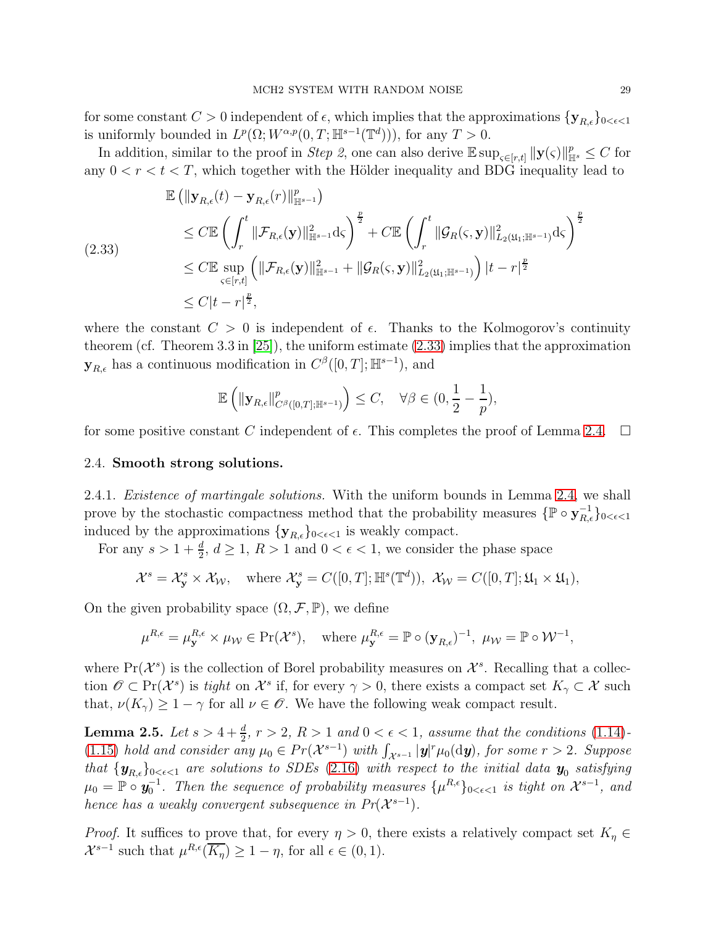for some constant  $C > 0$  independent of  $\epsilon$ , which implies that the approximations  $\{y_{R,\epsilon}\}_{0 \leq \epsilon \leq 1}$ is uniformly bounded in  $L^p(\Omega; W^{\alpha,p}(0,T; \mathbb{H}^{s-1}(\mathbb{T}^d))),$  for any  $T > 0$ .

In addition, similar to the proof in *Step 2*, one can also derive  $\mathbb{E} \sup_{s \in [r,t]} \|y(s)\|_{\mathbb{H}^s}^p \leq C$  for any  $0 < r < t < T$ , which together with the Hölder inequality and BDG inequality lead to

<span id="page-28-2"></span>
$$
\mathbb{E} \left( \|\mathbf{y}_{R,\epsilon}(t) - \mathbf{y}_{R,\epsilon}(r)\|_{\mathbb{H}^{s-1}}^p \right)
$$
\n
$$
\leq C \mathbb{E} \left( \int_r^t \|\mathcal{F}_{R,\epsilon}(\mathbf{y})\|_{\mathbb{H}^{s-1}}^2 d\zeta \right)^{\frac{p}{2}} + C \mathbb{E} \left( \int_r^t \|\mathcal{G}_R(\zeta, \mathbf{y})\|_{L_2(\mathfrak{U}_1; \mathbb{H}^{s-1})}^2 d\zeta \right)^{\frac{p}{2}}
$$
\n
$$
\leq C \mathbb{E} \sup_{\zeta \in [r,t]} \left( \|\mathcal{F}_{R,\epsilon}(\mathbf{y})\|_{\mathbb{H}^{s-1}}^2 + \|\mathcal{G}_R(\zeta, \mathbf{y})\|_{L_2(\mathfrak{U}_1; \mathbb{H}^{s-1})}^2 \right) |t-r|^{\frac{p}{2}}
$$
\n
$$
\leq C |t-r|^{\frac{p}{2}},
$$

where the constant  $C > 0$  is independent of  $\epsilon$ . Thanks to the Kolmogorov's continuity theorem (cf. Theorem 3.3 in [\[25\]](#page-89-19)), the uniform estimate [\(2.33\)](#page-28-2) implies that the approximation  $\mathbf{y}_{R,\epsilon}$  has a continuous modification in  $C^{\beta}([0,T];\mathbb{H}^{s-1})$ , and

$$
\mathbb{E}\left(\|\mathbf{y}_{R,\epsilon}\|_{C^{\beta}([0,T];\mathbb{H}^{s-1})}^p\right) \leq C, \quad \forall \beta \in (0, \frac{1}{2} - \frac{1}{p}),
$$

<span id="page-28-0"></span>for some positive constant C independent of  $\epsilon$ . This completes the proof of Lemma [2.4.](#page-21-1)  $\Box$ 

### 2.4. Smooth strong solutions.

2.4.1. *Existence of martingale solutions*. With the uniform bounds in Lemma [2.4,](#page-21-1) we shall prove by the stochastic compactness method that the probability measures  $\{ \mathbb{P} \circ \mathbf{y}_{R,\epsilon}^{-1} \}_{0 \leq \epsilon \leq 1}$ induced by the approximations  $\{y_{R,\epsilon}\}_{0<\epsilon<1}$  is weakly compact.

For any  $s > 1 + \frac{d}{2}$ ,  $d \ge 1$ ,  $R > 1$  and  $0 < \epsilon < 1$ , we consider the phase space

$$
\mathcal{X}^s = \mathcal{X}^s_{\mathbf{y}} \times \mathcal{X}_{\mathcal{W}}, \quad \text{where } \mathcal{X}^s_{\mathbf{y}} = C([0, T]; \mathbb{H}^s(\mathbb{T}^d)), \ \mathcal{X}_{\mathcal{W}} = C([0, T]; \mathfrak{U}_1 \times \mathfrak{U}_1),
$$

On the given probability space  $(\Omega, \mathcal{F}, \mathbb{P})$ , we define

$$
\mu^{R,\epsilon} = \mu_{\mathbf{y}}^{R,\epsilon} \times \mu_{\mathcal{W}} \in \Pr(\mathcal{X}^s), \quad \text{where } \mu_{\mathbf{y}}^{R,\epsilon} = \mathbb{P} \circ (\mathbf{y}_{R,\epsilon})^{-1}, \ \mu_{\mathcal{W}} = \mathbb{P} \circ \mathcal{W}^{-1},
$$

where  $Pr(X^s)$  is the collection of Borel probability measures on  $\mathcal{X}^s$ . Recalling that a collection  $\mathscr{O} \subset \Pr(\mathcal{X}^s)$  is tight on  $\mathcal{X}^s$  if, for every  $\gamma > 0$ , there exists a compact set  $K_\gamma \subset \mathcal{X}$  such that,  $\nu(K_{\gamma}) \geq 1 - \gamma$  for all  $\nu \in \mathscr{O}$ . We have the following weak compact result.

<span id="page-28-1"></span>**Lemma 2.5.** Let  $s > 4 + \frac{d}{2}$ ,  $r > 2$ ,  $R > 1$  and  $0 < \epsilon < 1$ , assume that the conditions [\(1.14\)](#page-9-1)-[\(1.15\)](#page-9-2) hold and consider any  $\mu_0 \in Pr(X^{s-1})$  with  $\int_{X^{s-1}} |\mathbf{y}|^r \mu_0(\mathrm{d}\mathbf{y})$ , for some  $r > 2$ . Suppose that  $\{y_{R,\epsilon}\}_{0<\epsilon<1}$  are solutions to SDEs [\(2.16\)](#page-20-2) with respect to the initial data  $y_0$  satisfying  $\mu_0 = \mathbb{P} \circ \mathbf{y}_0^{-1}$ . Then the sequence of probability measures  $\{\mu^{R,\epsilon}\}_{0<\epsilon<1}$  is tight on  $\mathcal{X}^{s-1}$ , and hence has a weakly convergent subsequence in  $Pr(X^{s-1})$ .

*Proof.* It suffices to prove that, for every  $\eta > 0$ , there exists a relatively compact set  $K_{\eta} \in$  $\mathcal{X}^{s-1}$  such that  $\mu^{R,\epsilon}(\overline{K_{\eta}}) \geq 1 - \eta$ , for all  $\epsilon \in (0,1)$ .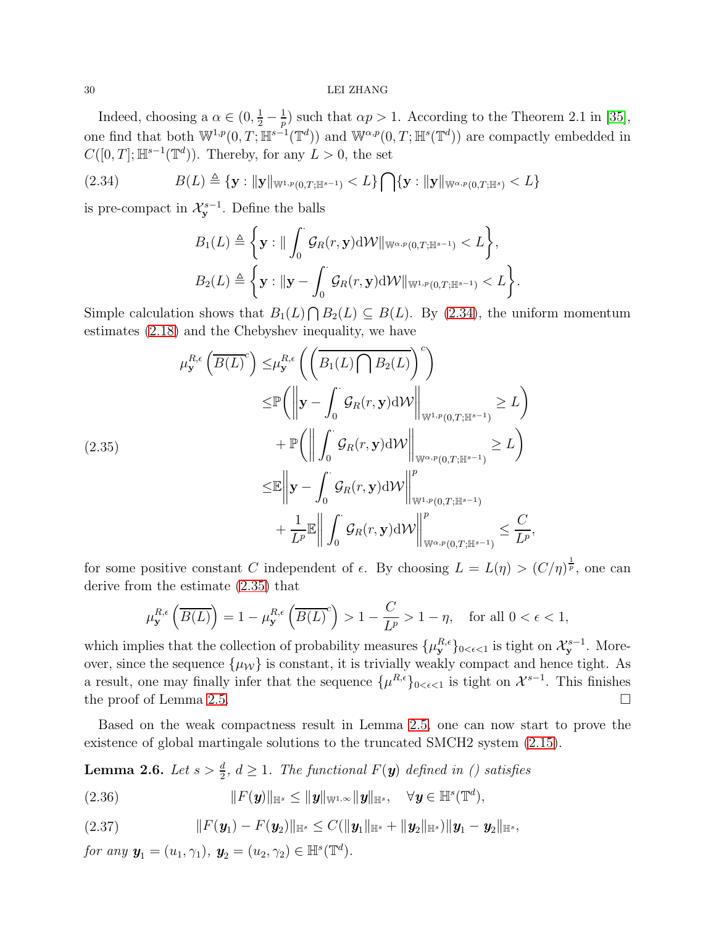### 30 LEI ZHANG

Indeed, choosing a  $\alpha \in (0, \frac{1}{2} - \frac{1}{p})$  $\frac{1}{p}$ ) such that  $\alpha p > 1$ . According to the Theorem 2.1 in [\[35\]](#page-90-19), one find that both  $\mathbb{W}^{1,p}(0,T;\mathbb{H}^{s-1}(\mathbb{T}^d))$  and  $\mathbb{W}^{\alpha,p}(0,T;\mathbb{H}^{s}(\mathbb{T}^d))$  are compactly embedded in  $C([0,T];\mathbb{H}^{s-1}(\mathbb{T}^d))$ . Thereby, for any  $L>0$ , the set

<span id="page-29-0"></span>
$$
(2.34) \t\t B(L) \triangleq {\mathbf{y}: \| \mathbf{y} \|_{\mathbb{W}^{1,p}(0,T;\mathbb{H}^{s-1})}} < L {\mathbf{y} \cap {\mathbf{y}: \| \mathbf{y} \|_{\mathbb{W}^{\alpha,p}(0,T;\mathbb{H}^s)}} < L }
$$

is pre-compact in  $\mathcal{X}_{\mathbf{y}}^{s-1}$ . Define the balls

$$
B_1(L) \triangleq \left\{ \mathbf{y} : \|\int_0^{\cdot} \mathcal{G}_R(r, \mathbf{y}) \mathrm{d} \mathcal{W}\|_{\mathbb{W}^{\alpha, p}(0,T; \mathbb{H}^{s-1})} < L \right\},
$$
  

$$
B_2(L) \triangleq \left\{ \mathbf{y} : \|\mathbf{y} - \int_0^{\cdot} \mathcal{G}_R(r, \mathbf{y}) \mathrm{d} \mathcal{W}\|_{\mathbb{W}^{1, p}(0,T; \mathbb{H}^{s-1})} < L \right\}.
$$

Simple calculation shows that  $B_1(L) \cap B_2(L) \subseteq B(L)$ . By [\(2.34\)](#page-29-0), the uniform momentum estimates [\(2.18\)](#page-21-2) and the Chebyshev inequality, we have

<span id="page-29-1"></span>
$$
\mu_{\mathbf{y}}^{R,\epsilon} \left( \overline{B(L)}^c \right) \leq \mu_{\mathbf{y}}^{R,\epsilon} \left( \left( \overline{B_1(L) \cap B_2(L)} \right)^c \right)
$$
\n
$$
\leq \mathbb{P} \left( \left\| \mathbf{y} - \int_0^{\cdot} \mathcal{G}_R(r, \mathbf{y}) \mathrm{d} \mathcal{W} \right\|_{\mathbb{W}^{1,p}(0,T; \mathbb{H}^{s-1})} \geq L \right)
$$
\n
$$
+ \mathbb{P} \left( \left\| \int_0^{\cdot} \mathcal{G}_R(r, \mathbf{y}) \mathrm{d} \mathcal{W} \right\|_{\mathbb{W}^{\alpha, p}(0,T; \mathbb{H}^{s-1})} \geq L \right)
$$
\n
$$
\leq \mathbb{E} \left\| \mathbf{y} - \int_0^{\cdot} \mathcal{G}_R(r, \mathbf{y}) \mathrm{d} \mathcal{W} \right\|_{\mathbb{W}^{1,p}(0,T; \mathbb{H}^{s-1})}^p
$$
\n
$$
+ \frac{1}{L^p} \mathbb{E} \left\| \int_0^{\cdot} \mathcal{G}_R(r, \mathbf{y}) \mathrm{d} \mathcal{W} \right\|_{\mathbb{W}^{\alpha, p}(0,T; \mathbb{H}^{s-1})}^p \leq \frac{C}{L^p},
$$

for some positive constant C independent of  $\epsilon$ . By choosing  $L = L(\eta) > (C/\eta)^{\frac{1}{p}}$ , one can derive from the estimate [\(2.35\)](#page-29-1) that

$$
\mu_{\mathbf{y}}^{R,\epsilon}\left(\overline{B(L)}\right) = 1 - \mu_{\mathbf{y}}^{R,\epsilon}\left(\overline{B(L)}^c\right) > 1 - \frac{C}{L^p} > 1 - \eta, \quad \text{for all } 0 < \epsilon < 1,
$$

which implies that the collection of probability measures  $\{\mu^{R,\epsilon}_{\mathbf{y}}\}_{0<\epsilon<1}$  is tight on  $\mathcal{X}^{s-1}_{\mathbf{y}}$ . Moreover, since the sequence  $\{\mu_{\mathcal{W}}\}$  is constant, it is trivially weakly compact and hence tight. As a result, one may finally infer that the sequence  $\{\mu^{R,\epsilon}\}_{0<\epsilon<1}$  is tight on  $\mathcal{X}^{s-1}$ . This finishes the proof of Lemma [2.5.](#page-28-1)

Based on the weak compactness result in Lemma [2.5,](#page-28-1) one can now start to prove the existence of global martingale solutions to the truncated SMCH2 system [\(2.15\)](#page-20-1).

<span id="page-29-2"></span>**Lemma 2.6.** Let  $s > \frac{d}{2}$ ,  $d \ge 1$ . The functional  $F(y)$  defined in () satisfies

(2.36) 
$$
||F(\mathbf{y})||_{\mathbb{H}^{s}} \leq ||\mathbf{y}||_{\mathbb{W}^{1,\infty}} ||\mathbf{y}||_{\mathbb{H}^{s}}, \quad \forall \mathbf{y} \in \mathbb{H}^{s}(\mathbb{T}^{d}),
$$

$$
(2.37) \t\t\t ||F(y_1)-F(y_2)||_{\mathbb{H}^{s}} \leq C(||y_1||_{\mathbb{H}^{s}}+||y_2||_{\mathbb{H}^{s}})||y_1-y_2||_{\mathbb{H}^{s}},
$$

for any  $y_1 = (u_1, \gamma_1), y_2 = (u_2, \gamma_2) \in \mathbb{H}^s(\mathbb{T}^d)$ .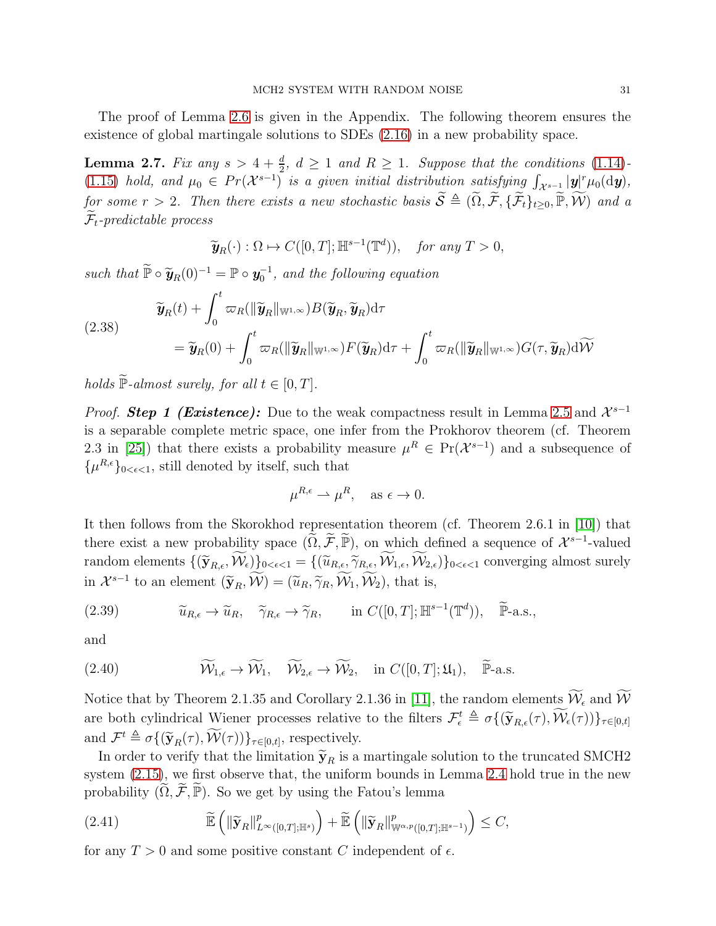The proof of Lemma [2.6](#page-29-2) is given in the Appendix. The following theorem ensures the existence of global martingale solutions to SDEs [\(2.16\)](#page-20-2) in a new probability space.

<span id="page-30-3"></span>**Lemma 2.7.** Fix any  $s > 4 + \frac{d}{2}$ ,  $d \ge 1$  and  $R \ge 1$ . Suppose that the conditions [\(1.14\)](#page-9-1)-[\(1.15\)](#page-9-2) hold, and  $\mu_0 \in Pr(X^{s-1})$  is a given initial distribution satisfying  $\int_{X^{s-1}} |\mathbf{y}|^r \mu_0(\mathrm{d}\mathbf{y}),$ for some  $r > 2$ . Then there exists a new stochastic basis  $\widetilde{S} \triangleq (\widetilde{\Omega}, \widetilde{\mathcal{F}}, \{\widetilde{\mathcal{F}}_t\}_{t\geq0}, \widetilde{\mathbb{P}}, \widetilde{\mathcal{W}})$  and a  $\mathcal{F}_t$ -predictable process

$$
\widetilde{\mathbf{y}}_R(\cdot) : \Omega \mapsto C([0,T]; \mathbb{H}^{s-1}(\mathbb{T}^d)), \text{ for any } T > 0,
$$

such that  $\widetilde{\mathbb{P}} \circ \widetilde{\mathbf{y}}_R(0)^{-1} = \mathbb{P} \circ \mathbf{y}_0^{-1}$ , and the following equation

<span id="page-30-2"></span>(2.38) 
$$
\widetilde{\mathbf{y}}_R(t) + \int_0^t \varpi_R(\|\widetilde{\mathbf{y}}_R\|_{\mathbb{W}^{1,\infty}}) B(\widetilde{\mathbf{y}}_R, \widetilde{\mathbf{y}}_R) d\tau \n= \widetilde{\mathbf{y}}_R(0) + \int_0^t \varpi_R(\|\widetilde{\mathbf{y}}_R\|_{\mathbb{W}^{1,\infty}}) F(\widetilde{\mathbf{y}}_R) d\tau + \int_0^t \varpi_R(\|\widetilde{\mathbf{y}}_R\|_{\mathbb{W}^{1,\infty}}) G(\tau, \widetilde{\mathbf{y}}_R) d\widetilde{\mathcal{W}}
$$

holds  $\widetilde{P}$ -almost surely, for all  $t \in [0, T]$ .

*Proof.* **Step 1 (Existence):** Due to the weak compactness result in Lemma [2.5](#page-28-1) and  $\mathcal{X}^{s-1}$ is a separable complete metric space, one infer from the Prokhorov theorem (cf. Theorem 2.3 in [\[25\]](#page-89-19)) that there exists a probability measure  $\mu^R \in Pr(X^{s-1})$  and a subsequence of  $\{\mu^{R,\epsilon}\}_{0<\epsilon<1}$ , still denoted by itself, such that

$$
\mu^{R,\epsilon} \rightharpoonup \mu^R, \quad \text{as } \epsilon \to 0.
$$

It then follows from the Skorokhod representation theorem (cf. Theorem 2.6.1 in [\[10\]](#page-89-16)) that there exist a new probability space  $(\widetilde{\Omega}, \widetilde{\mathcal{F}}, \widetilde{\mathbb{P}})$ , on which defined a sequence of  $\mathcal{X}^{s-1}$ -valued random elements  $\{(\widetilde{\mathbf{y}}_{R,\epsilon}, \widetilde{\mathcal{W}}_{\epsilon})\}_{0 \leq \epsilon \leq 1} = \{(\widetilde{u}_{R,\epsilon}, \widetilde{\gamma}_{R,\epsilon}, \widetilde{\mathcal{W}}_{1,\epsilon}, \widetilde{\mathcal{W}}_{2,\epsilon})\}_{0 \leq \epsilon \leq 1}$  converging almost surely in  $\mathcal{X}^{s-1}$  to an element  $(\widetilde{\mathbf{y}}_R, \mathcal{W}) = (\widetilde{u}_R, \widetilde{\gamma}_R, \mathcal{W}_1, \mathcal{W}_2)$ , that is,

<span id="page-30-1"></span>(2.39) 
$$
\widetilde{u}_{R,\epsilon} \to \widetilde{u}_R, \quad \widetilde{\gamma}_{R,\epsilon} \to \widetilde{\gamma}_R, \quad \text{in } C([0,T]; \mathbb{H}^{s-1}(\mathbb{T}^d)), \quad \widetilde{\mathbb{P}}\text{-a.s.,}
$$

and

(2.40) 
$$
\widetilde{\mathcal{W}}_{1,\epsilon} \to \widetilde{\mathcal{W}}_1, \quad \widetilde{\mathcal{W}}_{2,\epsilon} \to \widetilde{\mathcal{W}}_2, \quad \text{in } C([0,T];\mathfrak{U}_1), \quad \widetilde{\mathbb{P}}\text{-a.s.}
$$

Notice that by Theorem 2.1.35 and Corollary 2.1.36 in [\[11\]](#page-89-21), the random elements  $\widetilde{\mathcal{W}}_{\epsilon}$  and  $\widetilde{\mathcal{W}}$ are both cylindrical Wiener processes relative to the filters  $\mathcal{F}_{\epsilon}^{t} \triangleq \sigma\{(\widetilde{\mathbf{y}}_{R,\epsilon}(\tau), \mathcal{W}_{\epsilon}(\tau))\}_{\tau \in [0,t]}$ and  $\mathcal{F}^t \triangleq \sigma\{(\widetilde{\mathbf{y}}_R(\tau), \mathcal{W}(\tau))\}_{\tau \in [0,t]},$  respectively.

In order to verify that the limitation  $\tilde{\mathbf{y}}_R$  is a martingale solution to the truncated SMCH2 system [\(2.15\)](#page-20-1), we first observe that, the uniform bounds in Lemma [2.4](#page-21-1) hold true in the new probability  $(\widetilde{\Omega}, \widetilde{\mathcal{F}}, \widetilde{\mathbb{P}})$ . So we get by using the Fatou's lemma

<span id="page-30-0"></span>
$$
(2.41) \t\t \widetilde{\mathbb{E}}\left(\|\widetilde{\mathbf{y}}_R\|_{L^{\infty}([0,T];\mathbb{H}^s)}^p\right)+\widetilde{\mathbb{E}}\left(\|\widetilde{\mathbf{y}}_R\|_{\mathbb{W}^{\alpha,p}([0,T];\mathbb{H}^{s-1})}^p\right)\leq C,
$$

for any  $T > 0$  and some positive constant C independent of  $\epsilon$ .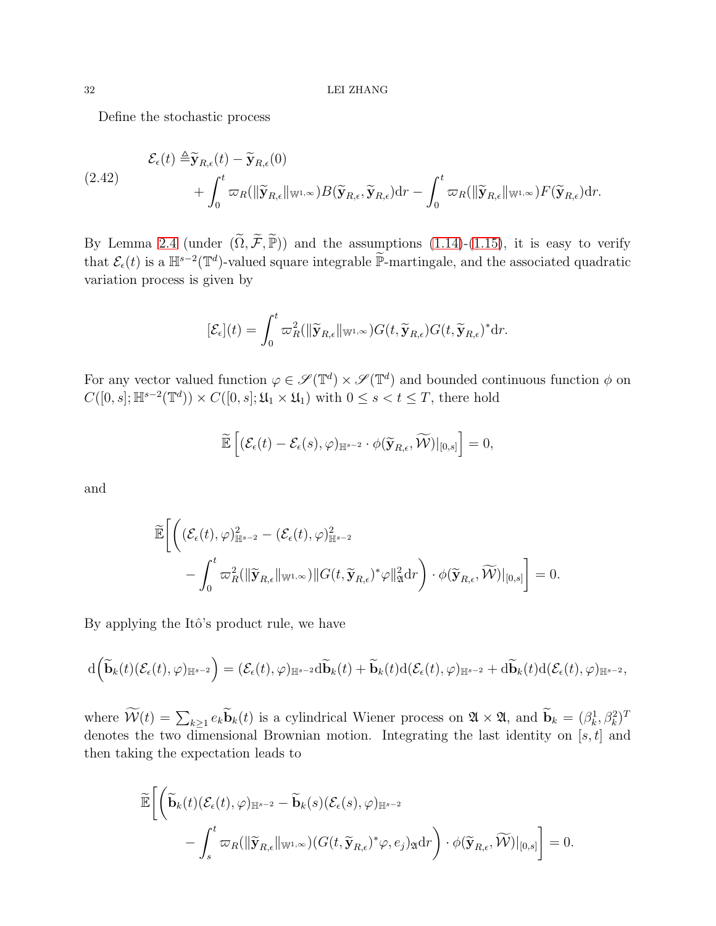Define the stochastic process

$$
\mathcal{E}_{\epsilon}(t) \triangleq \widetilde{\mathbf{y}}_{R,\epsilon}(t) - \widetilde{\mathbf{y}}_{R,\epsilon}(0) + \int_0^t \varpi_R(\|\widetilde{\mathbf{y}}_{R,\epsilon}\|_{\mathbb{W}^{1,\infty}}) B(\widetilde{\mathbf{y}}_{R,\epsilon}, \widetilde{\mathbf{y}}_{R,\epsilon}) dr - \int_0^t \varpi_R(\|\widetilde{\mathbf{y}}_{R,\epsilon}\|_{\mathbb{W}^{1,\infty}}) F(\widetilde{\mathbf{y}}_{R,\epsilon}) dr.
$$

By Lemma [2.4](#page-21-1) (under  $(\widetilde{\Omega}, \widetilde{\mathcal{F}}, \widetilde{\mathbb{P}})$ ) and the assumptions [\(1.14\)](#page-9-1)-[\(1.15\)](#page-9-2), it is easy to verify that  $\mathcal{E}_{\epsilon}(t)$  is a  $\mathbb{H}^{s-2}(\mathbb{T}^d)$ -valued square integrable  $\widetilde{\mathbb{P}}$ -martingale, and the associated quadratic variation process is given by

$$
[\mathcal{E}_{\epsilon}](t) = \int_0^t \varpi_R^2(||\widetilde{\mathbf{y}}_{R,\epsilon}||_{\mathbb{W}^{1,\infty}})G(t,\widetilde{\mathbf{y}}_{R,\epsilon})G(t,\widetilde{\mathbf{y}}_{R,\epsilon})^* \mathrm{d}r.
$$

For any vector valued function  $\varphi \in \mathscr{S}(\mathbb{T}^d) \times \mathscr{S}(\mathbb{T}^d)$  and bounded continuous function  $\phi$  on  $C([0, s]; \mathbb{H}^{s-2}(\mathbb{T}^d)) \times C([0, s]; \mathfrak{U}_1 \times \mathfrak{U}_1)$  with  $0 \leq s < t \leq T$ , there hold

$$
\widetilde{\mathbb{E}}\left[ (\mathcal{E}_{\epsilon}(t) - \mathcal{E}_{\epsilon}(s), \varphi)_{\mathbb{H}^{s-2}} \cdot \phi(\widetilde{\mathbf{y}}_{R,\epsilon}, \widetilde{\mathcal{W}})|_{[0,s]} \right] = 0,
$$

and

$$
\widetilde{\mathbb{E}}\bigg[\bigg((\mathcal{E}_{\epsilon}(t),\varphi)_{\mathbb{H}^{s-2}}^2-(\mathcal{E}_{\epsilon}(t),\varphi)_{\mathbb{H}^{s-2}}^2\\-\int_0^t\varpi_R^2(\|\widetilde{\mathbf{y}}_{R,\epsilon}\|_{\mathbb{W}^{1,\infty}})\|G(t,\widetilde{\mathbf{y}}_{R,\epsilon})^*\varphi\|_{\mathfrak{A}}^2\mathrm{d} r\bigg)\cdot\phi(\widetilde{\mathbf{y}}_{R,\epsilon},\widetilde{\mathcal{W}})|_{[0,s]}\bigg]=0.
$$

By applying the Itô's product rule, we have

$$
\mathrm{d}\Big(\widetilde{\mathbf{b}}_k(t)(\mathcal{E}_\epsilon(t),\varphi)_{\mathbb{H}^{s-2}}\Big)=(\mathcal{E}_\epsilon(t),\varphi)_{\mathbb{H}^{s-2}}\mathrm{d}\widetilde{\mathbf{b}}_k(t)+\widetilde{\mathbf{b}}_k(t)\mathrm{d}(\mathcal{E}_\epsilon(t),\varphi)_{\mathbb{H}^{s-2}}+\mathrm{d}\widetilde{\mathbf{b}}_k(t)\mathrm{d}(\mathcal{E}_\epsilon(t),\varphi)_{\mathbb{H}^{s-2}},
$$

where  $\widetilde{\mathcal{W}}(t) = \sum_{k \geq 1} e_k \widetilde{\mathbf{b}}_k(t)$  is a cylindrical Wiener process on  $\mathfrak{A} \times \mathfrak{A}$ , and  $\widetilde{\mathbf{b}}_k = (\beta_k^1, \beta_k^2)^T$ denotes the two dimensional Brownian motion. Integrating the last identity on  $[s, t]$  and then taking the expectation leads to

$$
\widetilde{\mathbb{E}}\bigg[\bigg(\widetilde{\mathbf{b}}_k(t)(\mathcal{E}_{\epsilon}(t),\varphi)_{\mathbb{H}^{s-2}}-\widetilde{\mathbf{b}}_k(s)(\mathcal{E}_{\epsilon}(s),\varphi)_{\mathbb{H}^{s-2}}\\-\int_s^t\varpi_R(\|\widetilde{\mathbf{y}}_{R,\epsilon}\|_{\mathbb{W}^{1,\infty}})(G(t,\widetilde{\mathbf{y}}_{R,\epsilon})^*\varphi,e_j)_{\mathfrak{A}}\mathrm{d}r\bigg)\cdot\phi(\widetilde{\mathbf{y}}_{R,\epsilon},\widetilde{\mathcal{W}})|_{[0,s]}\bigg]=0.
$$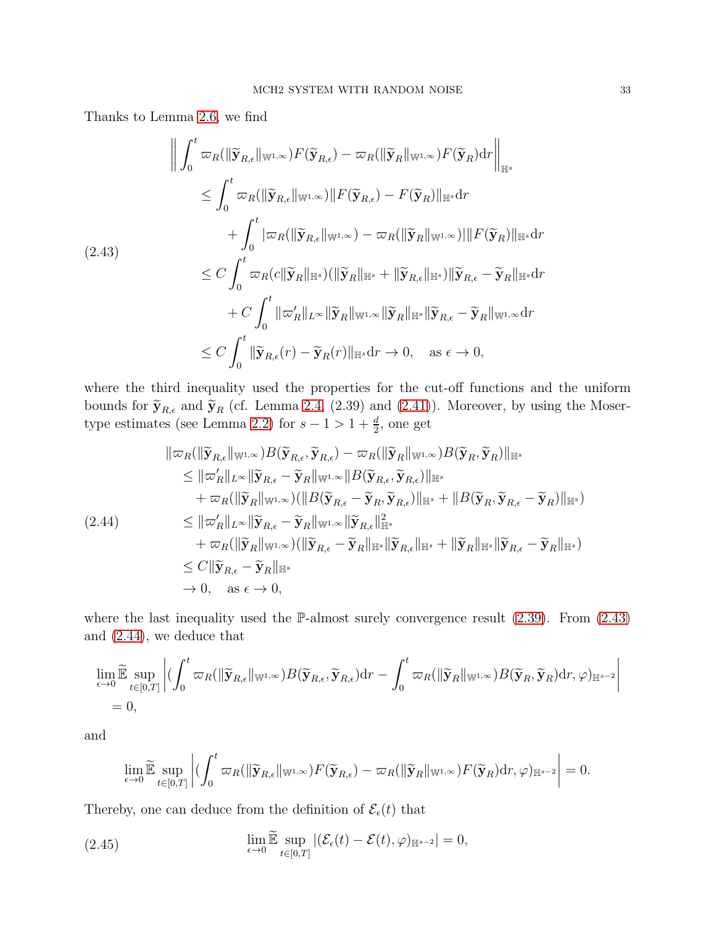Thanks to Lemma [2.6,](#page-29-2) we find

<span id="page-32-0"></span>
$$
\left\| \int_{0}^{t} \varpi_{R}(\|\widetilde{\mathbf{y}}_{R,\epsilon}\|_{\mathbb{W}^{1,\infty}}) F(\widetilde{\mathbf{y}}_{R,\epsilon}) - \varpi_{R}(\|\widetilde{\mathbf{y}}_{R}\|_{\mathbb{W}^{1,\infty}}) F(\widetilde{\mathbf{y}}_{R}) dr \right\|_{\mathbb{H}^{s}}
$$
  
\n
$$
\leq \int_{0}^{t} \varpi_{R}(\|\widetilde{\mathbf{y}}_{R,\epsilon}\|_{\mathbb{W}^{1,\infty}}) \|F(\widetilde{\mathbf{y}}_{R,\epsilon}) - F(\widetilde{\mathbf{y}}_{R})\|_{\mathbb{H}^{s}} dr
$$
  
\n
$$
+ \int_{0}^{t} |\varpi_{R}(\|\widetilde{\mathbf{y}}_{R,\epsilon}\|_{\mathbb{W}^{1,\infty}}) - \varpi_{R}(\|\widetilde{\mathbf{y}}_{R}\|_{\mathbb{W}^{1,\infty}}) \|F(\widetilde{\mathbf{y}}_{R})\|_{\mathbb{H}^{s}} dr
$$
  
\n(2.43)  
\n
$$
\leq C \int_{0}^{t} \varpi_{R}(c\|\widetilde{\mathbf{y}}_{R}\|_{\mathbb{H}^{s}}) (\|\widetilde{\mathbf{y}}_{R}\|_{\mathbb{H}^{s}} + \|\widetilde{\mathbf{y}}_{R,\epsilon}\|_{\mathbb{H}^{s}}) \|\widetilde{\mathbf{y}}_{R,\epsilon} - \widetilde{\mathbf{y}}_{R}\|_{\mathbb{H}^{s}} dr
$$
  
\n
$$
+ C \int_{0}^{t} \|\varpi_{R}'\|_{L^{\infty}} \|\widetilde{\mathbf{y}}_{R}\|_{\mathbb{W}^{1,\infty}} \|\widetilde{\mathbf{y}}_{R}\|_{\mathbb{H}^{s}} \|\widetilde{\mathbf{y}}_{R,\epsilon} - \widetilde{\mathbf{y}}_{R}\|_{\mathbb{W}^{1,\infty}} dr
$$
  
\n
$$
\leq C \int_{0}^{t} \|\widetilde{\mathbf{y}}_{R,\epsilon}(r) - \widetilde{\mathbf{y}}_{R}(r) \|_{\mathbb{H}^{s}} dr \to 0, \quad \text{as } \epsilon \to 0,
$$

where the third inequality used the properties for the cut-off functions and the uniform bounds for  $\tilde{\mathbf{y}}_{R,\epsilon}$  and  $\tilde{\mathbf{y}}_R$  (cf. Lemma [2.4,](#page-21-1) (2.39) and [\(2.41\)](#page-30-0)). Moreover, by using the Moser-type estimates (see Lemma [2.2\)](#page-17-2) for  $s - 1 > 1 + \frac{d}{2}$ , one get

<span id="page-32-1"></span>
$$
\|\varpi_{R}(\|\widetilde{\mathbf{y}}_{R,\epsilon}\|_{\mathbb{W}^{1,\infty}})B(\widetilde{\mathbf{y}}_{R,\epsilon},\widetilde{\mathbf{y}}_{R,\epsilon})-\varpi_{R}(\|\widetilde{\mathbf{y}}_{R}\|_{\mathbb{W}^{1,\infty}})B(\widetilde{\mathbf{y}}_{R},\widetilde{\mathbf{y}}_{R})\|_{\mathbb{H}^{s}}\leq \|\varpi_{R}'\|_{L^{\infty}}\|\widetilde{\mathbf{y}}_{R,\epsilon}-\widetilde{\mathbf{y}}_{R}\|_{\mathbb{W}^{1,\infty}}\|B(\widetilde{\mathbf{y}}_{R,\epsilon},\widetilde{\mathbf{y}}_{R,\epsilon})\|_{\mathbb{H}^{s}}+\varpi_{R}(\|\widetilde{\mathbf{y}}_{R}\|_{\mathbb{W}^{1,\infty}})(\|B(\widetilde{\mathbf{y}}_{R,\epsilon}-\widetilde{\mathbf{y}}_{R},\widetilde{\mathbf{y}}_{R,\epsilon})\|_{\mathbb{H}^{s}}+\|B(\widetilde{\mathbf{y}}_{R},\widetilde{\mathbf{y}}_{R,\epsilon}-\widetilde{\mathbf{y}}_{R})\|_{\mathbb{H}^{s}})(2.44) 
$$
\leq \|\varpi_{R}'\|_{L^{\infty}}\|\widetilde{\mathbf{y}}_{R,\epsilon}-\widetilde{\mathbf{y}}_{R}\|_{\mathbb{W}^{1,\infty}}\|\widetilde{\mathbf{y}}_{R,\epsilon}\|_{\mathbb{H}^{s}}^{2}
$$

$$
+\varpi_{R}(\|\widetilde{\mathbf{y}}_{R}\|_{\mathbb{W}^{1,\infty}})(\|\widetilde{\mathbf{y}}_{R,\epsilon}-\widetilde{\mathbf{y}}_{R}\|_{\mathbb{H}^{s}}\|\widetilde{\mathbf{y}}_{R,\epsilon}\|_{\mathbb{H}^{s}}+\|\widetilde{\mathbf{y}}_{R}\|_{\mathbb{H}^{s}}\|\widetilde{\mathbf{y}}_{R,\epsilon}-\widetilde{\mathbf{y}}_{R}\|_{\mathbb{H}^{s}})\leq C\|\widetilde{\mathbf{y}}_{R,\epsilon}-\widetilde{\mathbf{y}}_{R}\|_{\mathbb{H}^{s}}
$$

$$
\to 0, \text{ as } \epsilon \to 0,
$$
$$

where the last inequality used the  $\mathbb{P}\text{-almost surely converge}$  convergence result [\(2.39\)](#page-30-1). From [\(2.43\)](#page-32-0) and [\(2.44\)](#page-32-1), we deduce that

$$
\lim_{\epsilon \to 0} \widetilde{\mathbb{E}} \sup_{t \in [0,T]} \left| (\int_0^t \varpi_R(\|\widetilde{\mathbf{y}}_{R,\epsilon}\|_{\mathbb{W}^{1,\infty}}) B(\widetilde{\mathbf{y}}_{R,\epsilon},\widetilde{\mathbf{y}}_{R,\epsilon}) \mathrm{d}r - \int_0^t \varpi_R(\|\widetilde{\mathbf{y}}_R\|_{\mathbb{W}^{1,\infty}}) B(\widetilde{\mathbf{y}}_R,\widetilde{\mathbf{y}}_R) \mathrm{d}r, \varphi)_{\mathbb{H}^{s-2}} \right|
$$
  
= 0,

and

$$
\lim_{\epsilon\to 0}\widetilde{\mathbb{E}}\sup_{t\in[0,T]}\left|\bigl(\int_0^t\varpi_R(\|\widetilde{\mathbf{y}}_{R,\epsilon}\|_{\mathbb{W}^{1,\infty}})F(\widetilde{\mathbf{y}}_{R,\epsilon})-\varpi_R(\|\widetilde{\mathbf{y}}_R\|_{\mathbb{W}^{1,\infty}})F(\widetilde{\mathbf{y}}_R)\mathrm{d} r,\varphi\rangle_{\mathbb{H}^{s-2}}\right|=0.
$$

Thereby, one can deduce from the definition of  $\mathcal{E}_{\epsilon}(t)$  that

<span id="page-32-2"></span>(2.45) 
$$
\lim_{\epsilon \to 0} \widetilde{\mathbb{E}} \sup_{t \in [0,T]} |(\mathcal{E}_{\epsilon}(t) - \mathcal{E}(t), \varphi)_{\mathbb{H}^{s-2}}| = 0,
$$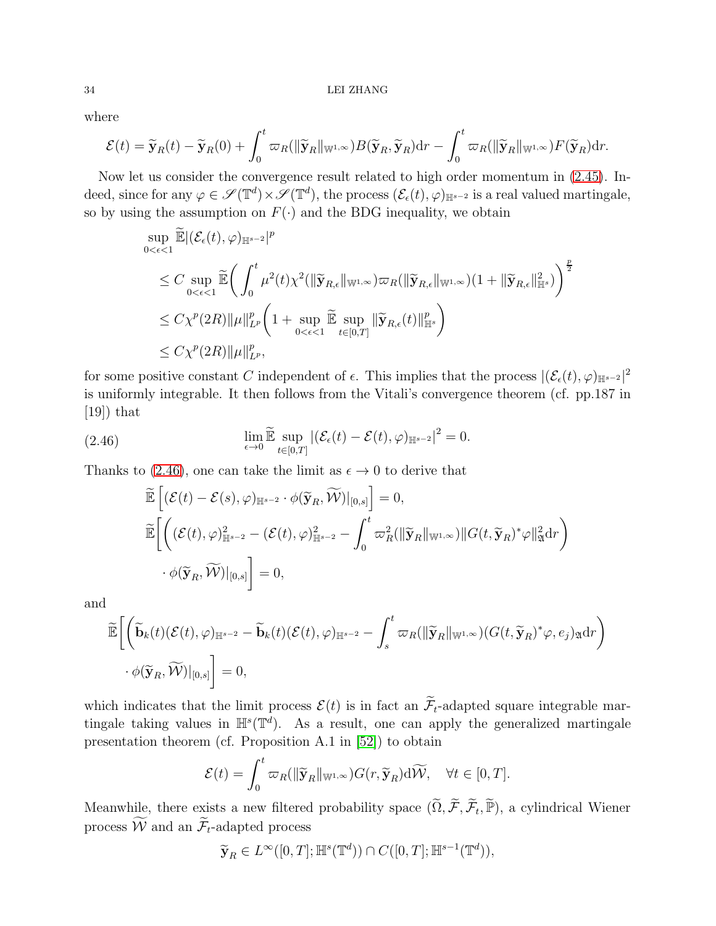where

$$
\mathcal{E}(t) = \widetilde{\mathbf{y}}_R(t) - \widetilde{\mathbf{y}}_R(0) + \int_0^t \varpi_R(\|\widetilde{\mathbf{y}}_R\|_{\mathbb{W}^{1,\infty}}) B(\widetilde{\mathbf{y}}_R, \widetilde{\mathbf{y}}_R) dr - \int_0^t \varpi_R(\|\widetilde{\mathbf{y}}_R\|_{\mathbb{W}^{1,\infty}}) F(\widetilde{\mathbf{y}}_R) dr.
$$

Now let us consider the convergence result related to high order momentum in [\(2.45\)](#page-32-2). Indeed, since for any  $\varphi \in \mathscr{S}(\mathbb{T}^d) \times \mathscr{S}(\mathbb{T}^d)$ , the process  $(\mathcal{E}_{\epsilon}(t), \varphi)_{\mathbb{H}^{s-2}}$  is a real valued martingale, so by using the assumption on  $F(\cdot)$  and the BDG inequality, we obtain

$$
\sup_{0<\epsilon<1} \widetilde{\mathbb{E}} |(\mathcal{E}_{\epsilon}(t),\varphi)_{\mathbb{H}^{s-2}}|^p
$$
\n
$$
\leq C \sup_{0<\epsilon<1} \widetilde{\mathbb{E}} \bigg( \int_0^t \mu^2(t)\chi^2(\|\widetilde{\mathbf{y}}_{R,\epsilon}\|_{\mathbb{W}^{1,\infty}}) \varpi_R(\|\widetilde{\mathbf{y}}_{R,\epsilon}\|_{\mathbb{W}^{1,\infty}}) (1 + \|\widetilde{\mathbf{y}}_{R,\epsilon}\|_{\mathbb{H}^s}^2) \bigg)^{\frac{p}{2}}
$$
\n
$$
\leq C \chi^p(2R) \|\mu\|_{L^p}^p \bigg( 1 + \sup_{0<\epsilon<1} \widetilde{\mathbb{E}} \sup_{t\in[0,T]} \|\widetilde{\mathbf{y}}_{R,\epsilon}(t)\|_{\mathbb{H}^s}^p \bigg)
$$
\n
$$
\leq C \chi^p(2R) \|\mu\|_{L^p}^p,
$$

for some positive constant C independent of  $\epsilon$ . This implies that the process  $|(\mathcal{E}_{\epsilon}(t), \varphi)_{\mathbb{H}^{s-2}}|^2$ is uniformly integrable. It then follows from the Vitali's convergence theorem (cf. pp.187 in  $[19]$ ) that

<span id="page-33-0"></span>(2.46) 
$$
\lim_{\epsilon \to 0} \widetilde{\mathbb{E}} \sup_{t \in [0,T]} |(\mathcal{E}_{\epsilon}(t) - \mathcal{E}(t), \varphi)_{\mathbb{H}^{s-2}}|^2 = 0.
$$

Thanks to [\(2.46\)](#page-33-0), one can take the limit as  $\epsilon \to 0$  to derive that

$$
\begin{aligned} &\widetilde{\mathbb{E}}\left[ \left( \mathcal{E}(t) - \mathcal{E}(s), \varphi \right)_{\mathbb{H}^{s-2}} \cdot \phi(\widetilde{\mathbf{y}}_R, \widetilde{\mathcal{W}})|_{[0,s]} \right] = 0, \\ &\widetilde{\mathbb{E}}\bigg[ \bigg( \left( \mathcal{E}(t), \varphi \right)_{\mathbb{H}^{s-2}}^2 - \left( \mathcal{E}(t), \varphi \right)_{\mathbb{H}^{s-2}}^2 - \int_0^t \varpi_R^2 (\|\widetilde{\mathbf{y}}_R\|_{\mathbb{W}^{1,\infty}}) \|G(t, \widetilde{\mathbf{y}}_R)^* \varphi\|_{\mathfrak{A}}^2 \mathrm{d}r \bigg) \\ &\cdot \phi(\widetilde{\mathbf{y}}_R, \widetilde{\mathcal{W}})|_{[0,s]} \bigg] = 0, \end{aligned}
$$

and

$$
\widetilde{\mathbb{E}}\bigg[\bigg(\widetilde{\mathbf{b}}_k(t)(\mathcal{E}(t),\varphi)_{\mathbb{H}^{s-2}} - \widetilde{\mathbf{b}}_k(t)(\mathcal{E}(t),\varphi)_{\mathbb{H}^{s-2}} - \int_s^t \varpi_R(\|\widetilde{\mathbf{y}}_R\|_{\mathbb{W}^{1,\infty}})(G(t,\widetilde{\mathbf{y}}_R)^*\varphi,e_j)_{\mathfrak{A}} dr\bigg) \cdot \phi(\widetilde{\mathbf{y}}_R,\widetilde{\mathcal{W}})\big|_{[0,s]}\bigg] = 0,
$$

which indicates that the limit process  $\mathcal{E}(t)$  is in fact an  $\widetilde{\mathcal{F}}_t$ -adapted square integrable martingale taking values in  $\mathbb{H}^s(\mathbb{T}^d)$ . As a result, one can apply the generalized martingale presentation theorem (cf. Proposition A.1 in [\[52\]](#page-91-22)) to obtain

$$
\mathcal{E}(t) = \int_0^t \varpi_R(\|\widetilde{\mathbf{y}}_R\|_{\mathbb{W}^{1,\infty}}) G(r, \widetilde{\mathbf{y}}_R) d\widetilde{\mathcal{W}}, \quad \forall t \in [0, T].
$$

Meanwhile, there exists a new filtered probability space  $(\widetilde{\Omega}, \widetilde{\mathcal{F}}, \widetilde{\mathcal{F}}_t, \widetilde{\mathbb{P}})$ , a cylindrical Wiener process  $\widetilde{\mathcal{W}}$  and an  $\widetilde{\mathcal{F}}_t$ -adapted process

$$
\widetilde{\mathbf{y}}_R \in L^{\infty}([0,T]; \mathbb{H}^s(\mathbb{T}^d)) \cap C([0,T]; \mathbb{H}^{s-1}(\mathbb{T}^d)),
$$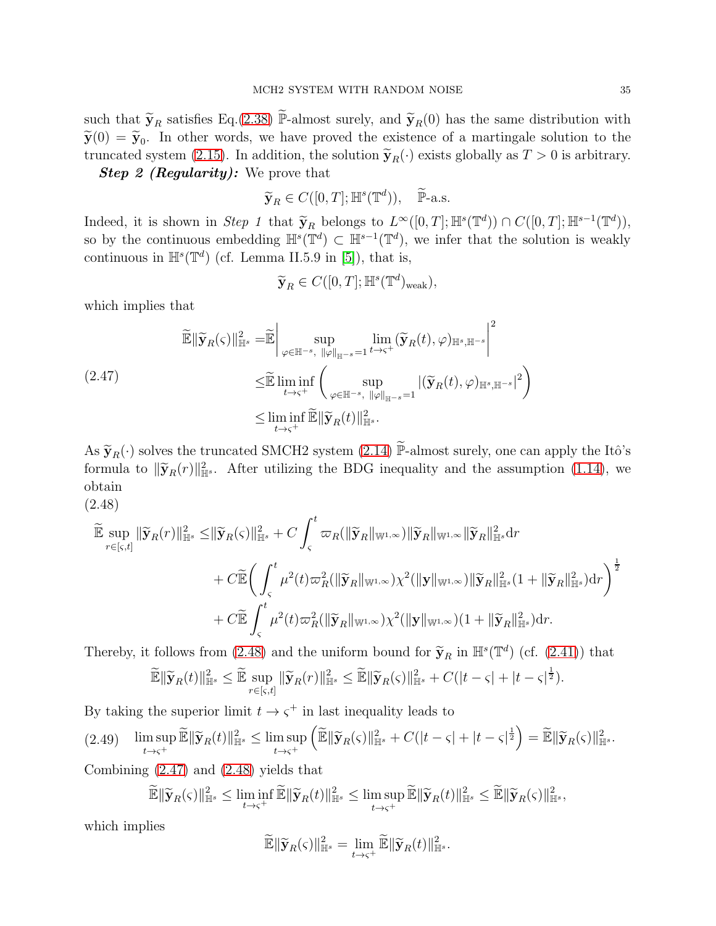such that  $\tilde{\mathbf{y}}_R$  satisfies Eq.[\(2.38\)](#page-30-2)  $\tilde{\mathbb{P}}$ -almost surely, and  $\tilde{\mathbf{y}}_R(0)$  has the same distribution with  $\widetilde{\mathbf{y}}(0) = \widetilde{\mathbf{y}}_0$ . In other words, we have proved the existence of a martingale solution to the truncated system [\(2.15\)](#page-20-1). In addition, the solution  $\tilde{\mathbf{y}}_R(\cdot)$  exists globally as  $T > 0$  is arbitrary.

**Step 2 (Regularity):** We prove that

$$
\widetilde{\mathbf{y}}_R \in C([0,T]; \mathbb{H}^s(\mathbb{T}^d)), \quad \widetilde{\mathbb{P}}\text{-a.s.}
$$

Indeed, it is shown in Step 1 that  $\widetilde{\mathbf{y}}_R$  belongs to  $L^{\infty}([0,T]; \mathbb{H}^s(\mathbb{T}^d)) \cap C([0,T]; \mathbb{H}^{s-1}(\mathbb{T}^d)),$ so by the continuous embedding  $\mathbb{H}^s(\mathbb{T}^d) \subset \mathbb{H}^{s-1}(\mathbb{T}^d)$ , we infer that the solution is weakly continuous in  $\mathbb{H}^{s}(\mathbb{T}^{d})$  (cf. Lemma II.5.9 in [\[5\]](#page-89-22)), that is,

$$
\widetilde{\mathbf{y}}_R \in C([0,T]; \mathbb{H}^s(\mathbb{T}^d)_{\text{weak}}),
$$

which implies that

<span id="page-34-1"></span>
$$
\widetilde{\mathbb{E}} \|\widetilde{\mathbf{y}}_{R}(\varsigma)\|_{\mathbb{H}^{s}}^{2} = \widetilde{\mathbb{E}} \left| \sup_{\varphi \in \mathbb{H}^{-s}, \|\varphi\|_{\mathbb{H}^{-s}} = 1} \lim_{t \to \varsigma^{+}} (\widetilde{\mathbf{y}}_{R}(t), \varphi)_{\mathbb{H}^{s}, \mathbb{H}^{-s}} \right|^{2}
$$
\n
$$
\leq \widetilde{\mathbb{E}} \liminf_{t \to \varsigma^{+}} \left( \sup_{\varphi \in \mathbb{H}^{-s}, \|\varphi\|_{\mathbb{H}^{-s}} = 1} |(\widetilde{\mathbf{y}}_{R}(t), \varphi)_{\mathbb{H}^{s}, \mathbb{H}^{-s}}|^{2} \right)
$$
\n
$$
\leq \liminf_{t \to \varsigma^{+}} \widetilde{\mathbb{E}} \|\widetilde{\mathbf{y}}_{R}(t)\|_{\mathbb{H}^{s}}^{2}.
$$

As  $\widetilde{\mathbf{y}}_R(\cdot)$  solves the truncated SMCH2 system [\(2.14\)](#page-19-1)  $\widetilde{\mathbb{P}}$ -almost surely, one can apply the Itô's formula to  $\|\tilde{\mathbf{y}}_R(r)\|_{\mathbb{H}^s}^2$ . After utilizing the BDG inequality and the assumption [\(1.14\)](#page-9-1), we obtain (2.48)

<span id="page-34-0"></span>
$$
\widetilde{\mathbb{E}} \sup_{r \in [s,t]} \|\widetilde{\mathbf{y}}_R(r)\|_{\mathbb{H}^s}^2 \leq \|\widetilde{\mathbf{y}}_R(s)\|_{\mathbb{H}^s}^2 + C \int_{\varsigma}^t \varpi_R(\|\widetilde{\mathbf{y}}_R\|_{\mathbb{W}^{1,\infty}}) \|\widetilde{\mathbf{y}}_R\|_{\mathbb{W}^{1,\infty}} \|\widetilde{\mathbf{y}}_R\|_{\mathbb{H}^s}^2 dr \n+ C \widetilde{\mathbb{E}} \bigg(\int_{\varsigma}^t \mu^2(t) \varpi_R^2(\|\widetilde{\mathbf{y}}_R\|_{\mathbb{W}^{1,\infty}}) \chi^2(\|\mathbf{y}\|_{\mathbb{W}^{1,\infty}}) \|\widetilde{\mathbf{y}}_R\|_{\mathbb{H}^s}^2 (1 + \|\widetilde{\mathbf{y}}_R\|_{\mathbb{H}^s}^2) dr \bigg)^{\frac{1}{2}} \n+ C \widetilde{\mathbb{E}} \int_{\varsigma}^t \mu^2(t) \varpi_R^2(\|\widetilde{\mathbf{y}}_R\|_{\mathbb{W}^{1,\infty}}) \chi^2(\|\mathbf{y}\|_{\mathbb{W}^{1,\infty}}) (1 + \|\widetilde{\mathbf{y}}_R\|_{\mathbb{H}^s}^2) dr.
$$

Thereby, it follows from [\(2.48\)](#page-34-0) and the uniform bound for  $\tilde{\mathbf{y}}_R$  in  $\mathbb{H}^s(\mathbb{T}^d)$  (cf. [\(2.41\)](#page-30-0)) that

$$
\widetilde{\mathbb{E}} \|\widetilde{\mathbf{y}}_R(t)\|_{\mathbb{H}^s}^2 \leq \widetilde{\mathbb{E}} \sup_{r \in [\varsigma,t]} \|\widetilde{\mathbf{y}}_R(r)\|_{\mathbb{H}^s}^2 \leq \widetilde{\mathbb{E}} \|\widetilde{\mathbf{y}}_R(\varsigma)\|_{\mathbb{H}^s}^2 + C(|t-\varsigma|+|t-\varsigma|^{\frac{1}{2}}).
$$

By taking the superior limit  $t \to \varsigma^+$  in last inequality leads to

$$
(2.49)\quad \limsup_{t\to\varsigma^+}\widetilde{\mathbb{E}}\|\widetilde{\mathbf{y}}_R(t)\|_{\mathbb{H}^s}^2\leq \limsup_{t\to\varsigma^+}\left(\widetilde{\mathbb{E}}\|\widetilde{\mathbf{y}}_R(\varsigma)\|_{\mathbb{H}^s}^2+C(|t-\varsigma|+|t-\varsigma|^{\frac{1}{2}}\right)=\widetilde{\mathbb{E}}\|\widetilde{\mathbf{y}}_R(\varsigma)\|_{\mathbb{H}^s}^2.
$$

Combining [\(2.47\)](#page-34-1) and [\(2.48\)](#page-34-0) yields that

$$
\widetilde{\mathbb{E}} \|\widetilde{\mathbf{y}}_R(\varsigma)\|_{\mathbb{H}^s}^2 \leq \liminf_{t \to \varsigma^+} \widetilde{\mathbb{E}} \|\widetilde{\mathbf{y}}_R(t)\|_{\mathbb{H}^s}^2 \leq \limsup_{t \to \varsigma^+} \widetilde{\mathbb{E}} \|\widetilde{\mathbf{y}}_R(t)\|_{\mathbb{H}^s}^2 \leq \widetilde{\mathbb{E}} \|\widetilde{\mathbf{y}}_R(\varsigma)\|_{\mathbb{H}^s}^2,
$$

which implies

$$
\widetilde{\mathbb{E}} \|\widetilde{\mathbf{y}}_R(\varsigma)\|^2_{\mathbb{H}^s} = \lim_{t \to \varsigma^+} \widetilde{\mathbb{E}} \|\widetilde{\mathbf{y}}_R(t)\|^2_{\mathbb{H}^s}.
$$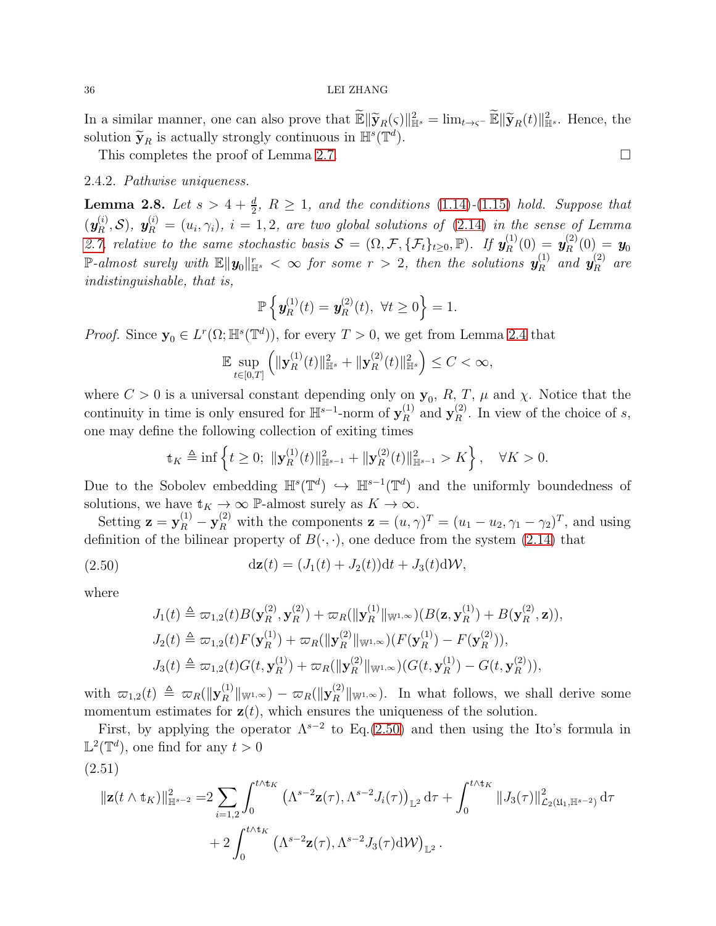### 36 LEI ZHANG

In a similar manner, one can also prove that  $\widetilde{\mathbb{E}} \|\widetilde{\mathbf{y}}_R(\varsigma)\|_{\mathbb{H}^s}^2 = \lim_{t \to \varsigma^-} \widetilde{\mathbb{E}} \|\widetilde{\mathbf{y}}_R(t)\|_{\mathbb{H}^s}^2$ . Hence, the solution  $\widetilde{\mathbf{y}}_R$  is actually strongly continuous in  $\mathbb{H}^s(\mathbb{T}^d)$ .

This completes the proof of Lemma [2.7.](#page-30-3)

### 2.4.2. Pathwise uniqueness.

**Lemma 2.8.** Let  $s > 4 + \frac{d}{2}$ ,  $R \ge 1$ , and the conditions [\(1.14\)](#page-9-1)-[\(1.15\)](#page-9-2) hold. Suppose that  $(\boldsymbol{y}_R^{(i)}$  $\mathbf{y}_{R}^{(i)},\mathcal{S}$ ),  $\mathbf{y}_{R}^{(i)}=(u_i,\gamma_i), i=1,2$ , are two global solutions of [\(2.14\)](#page-19-1) in the sense of Lemma [2.7,](#page-30-3) relative to the same stochastic basis  $S = (\Omega, \mathcal{F}, \{\mathcal{F}_t\}_{t\geq0}, \mathbb{P})$ . If  $y_R^{(1)}$  $\boldsymbol{y}_R^{(1)}(0) = \boldsymbol{y}_R^{(2)}$  $\mathbf{y}_R^{(2)}(0) = \boldsymbol{y}_0$  $\mathbb{P}\text{-almost surely with } \mathbb{E}\|\textbf{\textit{y}}_0\|_{\mathbb{H}^s}^r<\infty \textit{ for some } r>2, \textit{ then the solutions } \textbf{\textit{y}}_R^{(1)}$  $\stackrel{(1)}{R}$  and  $\stackrel{(2)}{y_R^{\left( 2 \right)}}$  $\int_R^{(2)}$  are indistinguishable, that is,

$$
\mathbb{P}\left\{\mathbf{y}_{R}^{(1)}(t)=\mathbf{y}_{R}^{(2)}(t),\ \forall t\geq 0\right\}=1.
$$

*Proof.* Since  $y_0 \in L^r(\Omega; \mathbb{H}^s(\mathbb{T}^d))$ , for every  $T > 0$ , we get from Lemma [2.4](#page-21-1) that

$$
\mathbb{E}\sup_{t\in[0,T]}\left(\|\mathbf{y}_R^{(1)}(t)\|_{\mathbb{H}^s}^2+\|\mathbf{y}_R^{(2)}(t)\|_{\mathbb{H}^s}^2\right)\leq C<\infty,
$$

where  $C > 0$  is a universal constant depending only on  $y_0$ ,  $R, T, \mu$  and  $\chi$ . Notice that the continuity in time is only ensured for  $\mathbb{H}^{s-1}$ -norm of  $\mathbf{y}_{R}^{(1)}$  $\mathbf{F}_R^{(1)}$  and  $\mathbf{y}_R^{(2)}$  $R^{(2)}$ . In view of the choice of s, one may define the following collection of exiting times

$$
\mathbb{t}_K \triangleq \inf \left\{ t \ge 0; \ \|\mathbf{y}_R^{(1)}(t)\|_{\mathbb{H}^{s-1}}^2 + \|\mathbf{y}_R^{(2)}(t)\|_{\mathbb{H}^{s-1}}^2 > K \right\}, \quad \forall K > 0.
$$

Due to the Sobolev embedding  $\mathbb{H}^s(\mathbb{T}^d) \hookrightarrow \mathbb{H}^{s-1}(\mathbb{T}^d)$  and the uniformly boundedness of solutions, we have  $\mathbf{t}_K \to \infty$  P-almost surely as  $K \to \infty$ .

Setting  $\mathbf{z} = \mathbf{y}_R^{(1)} - \mathbf{y}_R^{(2)}$  with the components  $\mathbf{z} = (u, \gamma)^T = (u_1 - u_2, \gamma_1 - \gamma_2)^T$ , and using definition of the bilinear property of  $B(\cdot, \cdot)$ , one deduce from the system [\(2.14\)](#page-19-1) that

<span id="page-35-0"></span>(2.50) 
$$
dz(t) = (J_1(t) + J_2(t))dt + J_3(t)dW,
$$

where

$$
J_1(t) \triangleq \varpi_{1,2}(t)B(\mathbf{y}_R^{(2)}, \mathbf{y}_R^{(2)}) + \varpi_R(||\mathbf{y}_R^{(1)}||_{\mathbb{W}^{1,\infty}})(B(\mathbf{z}, \mathbf{y}_R^{(1)}) + B(\mathbf{y}_R^{(2)}, \mathbf{z})),
$$
  
\n
$$
J_2(t) \triangleq \varpi_{1,2}(t)F(\mathbf{y}_R^{(1)}) + \varpi_R(||\mathbf{y}_R^{(2)}||_{\mathbb{W}^{1,\infty}})(F(\mathbf{y}_R^{(1)}) - F(\mathbf{y}_R^{(2)})),
$$
  
\n
$$
J_3(t) \triangleq \varpi_{1,2}(t)G(t, \mathbf{y}_R^{(1)}) + \varpi_R(||\mathbf{y}_R^{(2)}||_{\mathbb{W}^{1,\infty}})(G(t, \mathbf{y}_R^{(1)}) - G(t, \mathbf{y}_R^{(2)})),
$$

with  $\varpi_{1,2}(t) \triangleq \varpi_R(\|\mathbf{y}_R^{(1)}\|)$  $\frac{f^{(1)}}{R} \|_{\mathbb{W}^{1,\infty}}) - \varpi_R (\|\mathbf{y}^{(2)}_R\|)$  $\|R^{(2)}\|_{\mathbb{W}^{1,\infty}}$ ). In what follows, we shall derive some momentum estimates for  $z(t)$ , which ensures the uniqueness of the solution.

First, by applying the operator  $\Lambda^{s-2}$  to Eq.[\(2.50\)](#page-35-0) and then using the Ito's formula in  $\mathbb{L}^2(\mathbb{T}^d)$ , one find for any  $t > 0$ 

$$
(2.51)
$$

$$
\|\mathbf{z}(t\wedge \mathbf{t}_{K})\|_{\mathbb{H}^{s-2}}^{2} = 2 \sum_{i=1,2} \int_{0}^{t\wedge \mathbf{t}_{K}} \left(\Lambda^{s-2} \mathbf{z}(\tau), \Lambda^{s-2} J_{i}(\tau)\right)_{\mathbb{L}^{2}} d\tau + \int_{0}^{t\wedge \mathbf{t}_{K}} \|J_{3}(\tau)\|_{\mathcal{L}_{2}(\mathfrak{U}_{1}, \mathbb{H}^{s-2})}^{2} d\tau
$$

$$
+ 2 \int_{0}^{t\wedge \mathbf{t}_{K}} \left(\Lambda^{s-2} \mathbf{z}(\tau), \Lambda^{s-2} J_{3}(\tau) d\mathcal{W}\right)_{\mathbb{L}^{2}}.
$$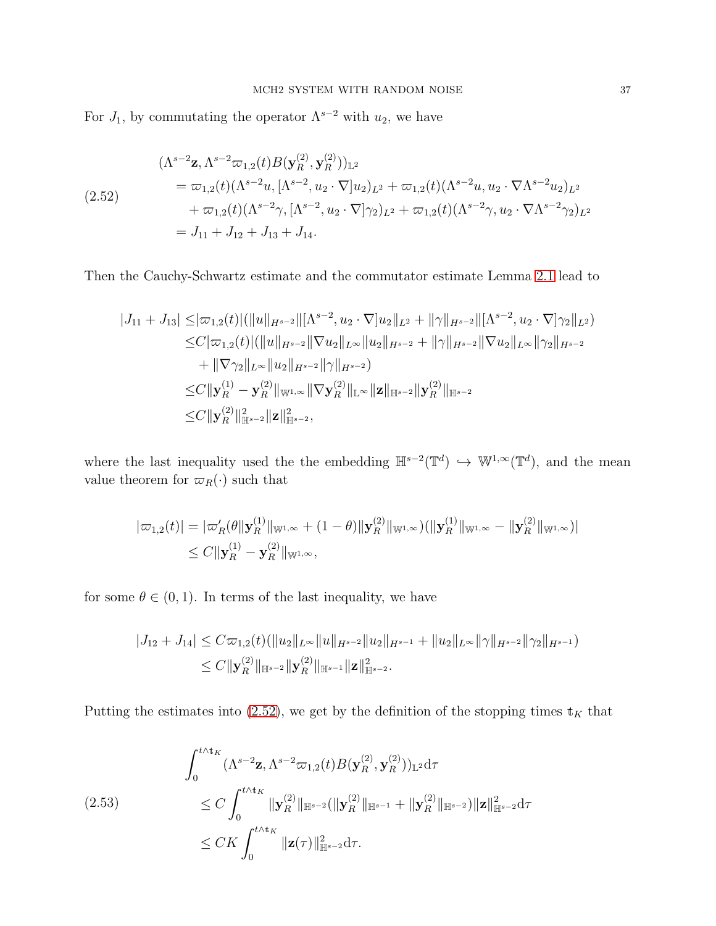For  $J_1$ , by commutating the operator  $\Lambda^{s-2}$  with  $u_2$ , we have

<span id="page-36-0"></span>
$$
\begin{aligned}\n(\Lambda^{s-2} \mathbf{z}, \Lambda^{s-2} \varpi_{1,2}(t) B(\mathbf{y}_R^{(2)}, \mathbf{y}_R^{(2)}))_{\mathbb{L}^2} \\
&= \varpi_{1,2}(t) (\Lambda^{s-2} u, [\Lambda^{s-2}, u_2 \cdot \nabla] u_2)_{L^2} + \varpi_{1,2}(t) (\Lambda^{s-2} u, u_2 \cdot \nabla \Lambda^{s-2} u_2)_{L^2} \\
&\quad + \varpi_{1,2}(t) (\Lambda^{s-2} \gamma, [\Lambda^{s-2}, u_2 \cdot \nabla] \gamma_2)_{L^2} + \varpi_{1,2}(t) (\Lambda^{s-2} \gamma, u_2 \cdot \nabla \Lambda^{s-2} \gamma_2)_{L^2} \\
&= J_{11} + J_{12} + J_{13} + J_{14}.\n\end{aligned}
$$

Then the Cauchy-Schwartz estimate and the commutator estimate Lemma [2.1](#page-17-0) lead to

$$
|J_{11} + J_{13}| \leq |\varpi_{1,2}(t)| (||u||_{H^{s-2}} ||\Lambda^{s-2}, u_2 \cdot \nabla]u_2||_{L^2} + ||\gamma||_{H^{s-2}} ||\Lambda^{s-2}, u_2 \cdot \nabla]\gamma_2||_{L^2})
$$
  
\n
$$
\leq C |\varpi_{1,2}(t)| (||u||_{H^{s-2}} ||\nabla u_2||_{L^\infty} ||u_2||_{H^{s-2}} + ||\gamma||_{H^{s-2}} ||\nabla u_2||_{L^\infty} ||\gamma_2||_{H^{s-2}}
$$
  
\n
$$
+ ||\nabla \gamma_2||_{L^\infty} ||u_2||_{H^{s-2}} ||\gamma||_{H^{s-2}})
$$
  
\n
$$
\leq C ||\mathbf{y}_R^{(1)} - \mathbf{y}_R^{(2)} ||\nabla u_2||_{L^\infty} ||\nabla \mathbf{y}_R^{(2)} ||_{L^\infty} ||\mathbf{z}||_{H^{s-2}} ||\mathbf{y}_R^{(2)} ||_{H^{s-2}}
$$
  
\n
$$
\leq C ||\mathbf{y}_R^{(2)} ||_{H^{s-2}}^2 ||\mathbf{z}||_{H^{s-2}}^2,
$$

where the last inequality used the the embedding  $\mathbb{H}^{s-2}(\mathbb{T}^d) \hookrightarrow \mathbb{W}^{1,\infty}(\mathbb{T}^d)$ , and the mean value theorem for  $\varpi_R(\cdot)$  such that

$$
|\varpi_{1,2}(t)| = |\varpi'_R(\theta||\mathbf{y}_R^{(1)}||_{\mathbb{W}^{1,\infty}} + (1-\theta)||\mathbf{y}_R^{(2)}||_{\mathbb{W}^{1,\infty}})(||\mathbf{y}_R^{(1)}||_{\mathbb{W}^{1,\infty}} - ||\mathbf{y}_R^{(2)}||_{\mathbb{W}^{1,\infty}})|
$$
  
\$\leq C ||\mathbf{y}\_R^{(1)} - \mathbf{y}\_R^{(2)}||\_{\mathbb{W}^{1,\infty}},

for some  $\theta \in (0, 1)$ . In terms of the last inequality, we have

$$
|J_{12} + J_{14}| \leq C \varpi_{1,2}(t) (\|u_2\|_{L^{\infty}} \|u\|_{H^{s-2}} \|u_2\|_{H^{s-1}} + \|u_2\|_{L^{\infty}} \|\gamma\|_{H^{s-2}} \|\gamma_2\|_{H^{s-1}})
$$
  

$$
\leq C \|y_R^{(2)}\|_{\mathbb{H}^{s-2}} \|y_R^{(2)}\|_{\mathbb{H}^{s-1}} \|z\|_{\mathbb{H}^{s-2}}^2.
$$

Putting the estimates into [\(2.52\)](#page-36-0), we get by the definition of the stopping times  $\mathbf{t}_K$  that

<span id="page-36-1"></span>
$$
\int_0^{t \wedge t_K} (\Lambda^{s-2} \mathbf{z}, \Lambda^{s-2} \varpi_{1,2}(t) B(\mathbf{y}_R^{(2)}, \mathbf{y}_R^{(2)}))_{\mathbb{L}^2} d\tau
$$
\n
$$
\leq C \int_0^{t \wedge t_K} \| \mathbf{y}_R^{(2)} \|_{\mathbb{H}^{s-2}} (\|\mathbf{y}_R^{(2)}\|_{\mathbb{H}^{s-1}} + \|\mathbf{y}_R^{(2)}\|_{\mathbb{H}^{s-2}}) \|\mathbf{z}\|_{\mathbb{H}^{s-2}}^2 d\tau
$$
\n
$$
\leq CK \int_0^{t \wedge t_K} \|\mathbf{z}(\tau)\|_{\mathbb{H}^{s-2}}^2 d\tau.
$$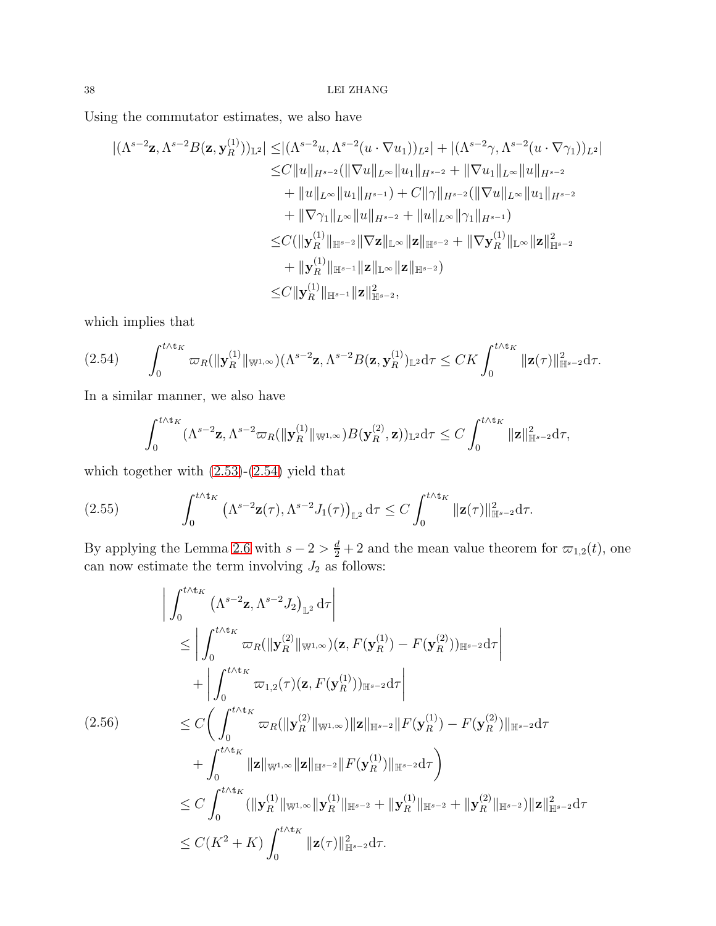Using the commutator estimates, we also have

 $(1)$ 

$$
|(\Lambda^{s-2} \mathbf{z}, \Lambda^{s-2} B(\mathbf{z}, \mathbf{y}_R^{(1)}))_{\mathbb{L}^2}| \le |(\Lambda^{s-2} u, \Lambda^{s-2}(u \cdot \nabla u_1))_{L^2}| + |(\Lambda^{s-2} \gamma, \Lambda^{s-2}(u \cdot \nabla \gamma_1))_{L^2}|
$$
  
\n
$$
\le C||u||_{H^{s-2}}(||\nabla u||_{L^{\infty}}||u_1||_{H^{s-2}} + ||\nabla u_1||_{L^{\infty}}||u||_{H^{s-2}}
$$
  
\n
$$
+ ||u||_{L^{\infty}}||u_1||_{H^{s-1}}) + C||\gamma||_{H^{s-2}}(||\nabla u||_{L^{\infty}}||u_1||_{H^{s-2}}
$$
  
\n
$$
+ ||\nabla \gamma_1||_{L^{\infty}}||u||_{H^{s-2}} + ||u||_{L^{\infty}}||\gamma_1||_{H^{s-1}})
$$
  
\n
$$
\le C(||\mathbf{y}_R^{(1)}||_{\mathbb{H}^{s-2}}||\nabla \mathbf{z}||_{\mathbb{L}^{\infty}}||\mathbf{z}||_{\mathbb{H}^{s-2}} + ||\nabla \mathbf{y}_R^{(1)}||_{\mathbb{L}^{\infty}}||\mathbf{z}||_{\mathbb{H}^{s-2}}
$$
  
\n
$$
+ ||\mathbf{y}_R^{(1)}||_{\mathbb{H}^{s-1}}||\mathbf{z}||_{\mathbb{L}^{\infty}}||\mathbf{z}||_{\mathbb{H}^{s-2}})
$$
  
\n
$$
\le C||\mathbf{y}_R^{(1)}||_{\mathbb{H}^{s-1}}||\mathbf{z}||_{\mathbb{H}^{s-2}},
$$

which implies that

<span id="page-37-0"></span>
$$
(2.54) \qquad \int_0^{t\wedge t_K} \varpi_R(\|\mathbf{y}_R^{(1)}\|_{\mathbb{W}^{1,\infty}}) (\Lambda^{s-2}\mathbf{z}, \Lambda^{s-2}B(\mathbf{z}, \mathbf{y}_R^{(1)})_{\mathbb{L}^2} d\tau \leq CK \int_0^{t\wedge t_K} \|\mathbf{z}(\tau)\|_{\mathbb{H}^{s-2}}^2 d\tau.
$$

In a similar manner, we also have

$$
\int_0^{t\wedge t_K} (\Lambda^{s-2} \mathbf{z}, \Lambda^{s-2} \varpi_R(\|\mathbf{y}_R^{(1)}\|_{\mathbb{W}^{1,\infty}})B(\mathbf{y}_R^{(2)}, \mathbf{z}))_{\mathbb{L}^2} d\tau \leq C \int_0^{t\wedge t_K} \|\mathbf{z}\|_{\mathbb{H}^{s-2}}^2 d\tau,
$$

which together with [\(2.53\)](#page-36-1)-[\(2.54\)](#page-37-0) yield that

(2.55) 
$$
\int_0^{t \wedge t_K} \left( \Lambda^{s-2} \mathbf{z}(\tau), \Lambda^{s-2} J_1(\tau) \right)_{\mathbb{L}^2} d\tau \leq C \int_0^{t \wedge t_K} ||\mathbf{z}(\tau)||_{\mathbb{H}^{s-2}}^2 d\tau.
$$

By applying the Lemma [2.6](#page-29-0) with  $s - 2 > \frac{d}{2} + 2$  and the mean value theorem for  $\varpi_{1,2}(t)$ , one can now estimate the term involving  $J_2$  as follows:

$$
\left| \int_{0}^{t \wedge t_{K}} \left( \Lambda^{s-2} \mathbf{z}, \Lambda^{s-2} J_{2} \right)_{\mathbb{L}^{2}} d\tau \right|
$$
\n
$$
\leq \left| \int_{0}^{t \wedge t_{K}} \varpi_{R}(\|\mathbf{y}_{R}^{(2)}\|_{\mathbb{W}^{1,\infty}}) (\mathbf{z}, F(\mathbf{y}_{R}^{(1)}) - F(\mathbf{y}_{R}^{(2)}))_{\mathbb{H}^{s-2}} d\tau \right|
$$
\n
$$
+ \left| \int_{0}^{t \wedge t_{K}} \varpi_{1,2}(\tau) (\mathbf{z}, F(\mathbf{y}_{R}^{(1)}))_{\mathbb{H}^{s-2}} d\tau \right|
$$
\n
$$
\leq C \left( \int_{0}^{t \wedge t_{K}} \varpi_{R}(\|\mathbf{y}_{R}^{(2)}\|_{\mathbb{W}^{1,\infty}}) \|\mathbf{z}\|_{\mathbb{H}^{s-2}} \|\mathbf{F}(\mathbf{y}_{R}^{(1)}) - F(\mathbf{y}_{R}^{(2)})\|_{\mathbb{H}^{s-2}} d\tau \right|
$$
\n
$$
+ \int_{0}^{t \wedge t_{K}} \|\mathbf{z}\|_{\mathbb{W}^{1,\infty}} \|\mathbf{z}\|_{\mathbb{H}^{s-2}} \|\mathbf{F}(\mathbf{y}_{R}^{(1)})\|_{\mathbb{H}^{s-2}} d\tau \right)
$$
\n
$$
\leq C \int_{0}^{t \wedge t_{K}} (\|\mathbf{y}_{R}^{(1)}\|_{\mathbb{W}^{1,\infty}} \|\mathbf{y}_{R}^{(1)}\|_{\mathbb{H}^{s-2}} + \|\mathbf{y}_{R}^{(1)}\|_{\mathbb{H}^{s-2}} + \|\mathbf{y}_{R}^{(2)}\|_{\mathbb{H}^{s-2}}) \|\mathbf{z}\|_{\mathbb{H}^{s-2}}^{2} d\tau
$$
\n
$$
\leq C(K^{2} + K) \int_{0}^{t \wedge t_{K}} \|\mathbf{z}(\tau)\|_{\mathbb{H}^{s-2}}^{2} d\tau.
$$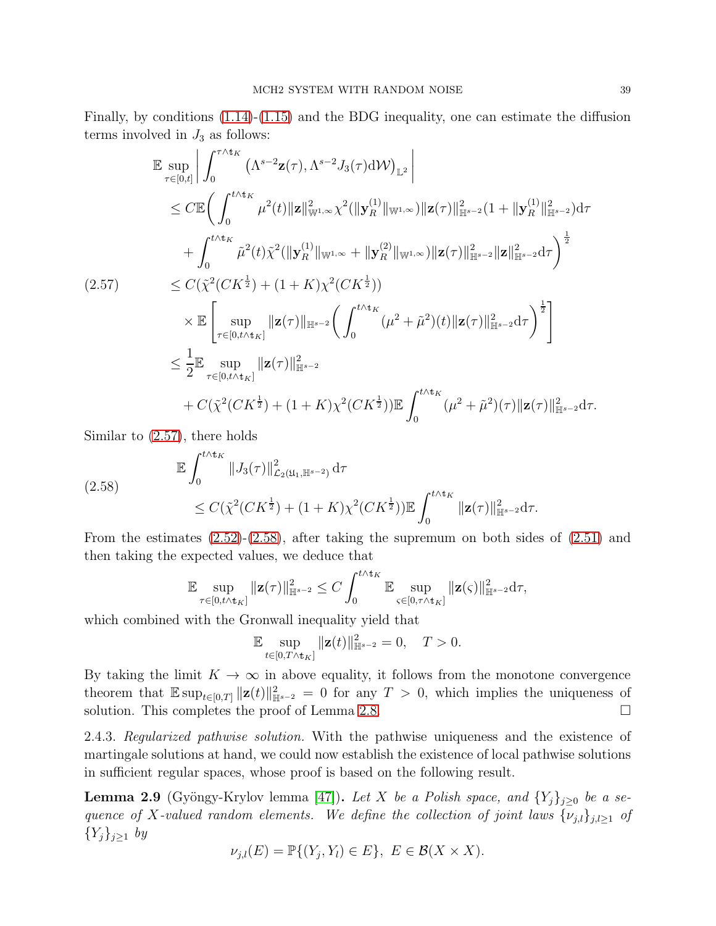Finally, by conditions [\(1.14\)](#page-9-0)-[\(1.15\)](#page-9-1) and the BDG inequality, one can estimate the diffusion terms involved in  $J_3$  as follows:

<span id="page-38-0"></span>
$$
\mathbb{E} \sup_{\tau \in [0,t]} \left| \int_0^{\tau \wedge t_K} (\Lambda^{s-2} \mathbf{z}(\tau), \Lambda^{s-2} J_3(\tau) dW)_{\mathbb{L}^2} \right|
$$
\n
$$
\leq C \mathbb{E} \bigg( \int_0^{t \wedge t_K} \mu^2(t) \| \mathbf{z} \|_{\mathbb{W}^{1,\infty}}^2 \chi^2(\|\mathbf{y}_R^{(1)}\|_{\mathbb{W}^{1,\infty}}) \|\mathbf{z}(\tau)\|_{\mathbb{H}^{s-2}}^2 (1 + \|\mathbf{y}_R^{(1)}\|_{\mathbb{H}^{s-2}}^2) d\tau
$$
\n
$$
+ \int_0^{t \wedge t_K} \tilde{\mu}^2(t) \tilde{\chi}^2(\|\mathbf{y}_R^{(1)}\|_{\mathbb{W}^{1,\infty}} + \|\mathbf{y}_R^{(2)}\|_{\mathbb{W}^{1,\infty}}) \|\mathbf{z}(\tau)\|_{\mathbb{H}^{s-2}}^2 \|\mathbf{z}\|_{\mathbb{H}^{s-2}}^2 d\tau \bigg)^{\frac{1}{2}}
$$
\n
$$
\leq C(\tilde{\chi}^2(CK^{\frac{1}{2}}) + (1 + K)\chi^2(CK^{\frac{1}{2}}))
$$
\n
$$
\times \mathbb{E} \bigg[ \sup_{\tau \in [0, t \wedge t_K]} \|\mathbf{z}(\tau)\|_{\mathbb{H}^{s-2}}^2 \bigg( \int_0^{t \wedge t_K} (\mu^2 + \tilde{\mu}^2)(t) \|\mathbf{z}(\tau)\|_{\mathbb{H}^{s-2}}^2 d\tau \bigg)^{\frac{1}{2}} \bigg] \leq \frac{1}{2} \mathbb{E} \sup_{\tau \in [0, t \wedge t_K]} \|\mathbf{z}(\tau)\|_{\mathbb{H}^{s-2}}^2
$$
\n
$$
+ C(\tilde{\chi}^2(CK^{\frac{1}{2}}) + (1 + K)\chi^2(CK^{\frac{1}{2}})) \mathbb{E} \int_0^{t \wedge t_K} (\mu^2 + \tilde{\mu}^2)(\tau) \|\mathbf{z}(\tau)\|_{\mathbb{H}^{s-2}}^2 d\tau.
$$

Similar to [\(2.57\)](#page-38-0), there holds

<span id="page-38-1"></span>
$$
\mathbb{E} \int_0^{t \wedge t_K} \|J_3(\tau)\|_{\mathcal{L}_2(\mathfrak{U}_1, \mathbb{H}^{s-2})}^2 d\tau
$$
\n
$$
\leq C(\tilde{\chi}^2(CK^{\frac{1}{2}}) + (1+K)\chi^2(CK^{\frac{1}{2}})) \mathbb{E} \int_0^{t \wedge t_K} \|z(\tau)\|_{\mathbb{H}^{s-2}}^2 d\tau.
$$

From the estimates  $(2.52)-(2.58)$  $(2.52)-(2.58)$ , after taking the supremum on both sides of  $(2.51)$  and then taking the expected values, we deduce that

$$
\mathbb{E}\sup_{\tau\in[0,t\wedge\mathrm{t}_K]}\|\mathbf{z}(\tau)\|_{\mathbb{H}^{s-2}}^2\leq C\int_0^{t\wedge\mathrm{t}_K}\mathbb{E}\sup_{\varsigma\in[0,\tau\wedge\mathrm{t}_K]}\|\mathbf{z}(\varsigma)\|_{\mathbb{H}^{s-2}}^2\mathrm{d}\tau,
$$

which combined with the Gronwall inequality yield that

$$
\mathbb{E} \sup_{t \in [0,T \wedge t_K]} \| \mathbf{z}(t) \|_{\mathbb{H}^{s-2}}^2 = 0, \quad T > 0.
$$

By taking the limit  $K \to \infty$  in above equality, it follows from the monotone convergence theorem that  $\mathbb{E}\sup_{t\in[0,T]}\|\mathbf{z}(t)\|_{\mathbb{H}^{s-2}}^2=0$  for any  $T>0$ , which implies the uniqueness of solution. This completes the proof of Lemma [2.8.](#page-35-1)

2.4.3. Regularized pathwise solution. With the pathwise uniqueness and the existence of martingale solutions at hand, we could now establish the existence of local pathwise solutions in sufficient regular spaces, whose proof is based on the following result.

**Lemma 2.9** (Gyöngy-Krylov lemma [\[47\]](#page-90-0)). Let X be a Polish space, and  $\{Y_j\}_{j\geq 0}$  be a sequence of X-valued random elements. We define the collection of joint laws  $\{\nu_{j,l}\}_{j,l\geq 1}$  of  $\{Y_j\}_{j\geq 1}$  by

$$
\nu_{j,l}(E) = \mathbb{P}\{(Y_j, Y_l) \in E\}, \ E \in \mathcal{B}(X \times X).
$$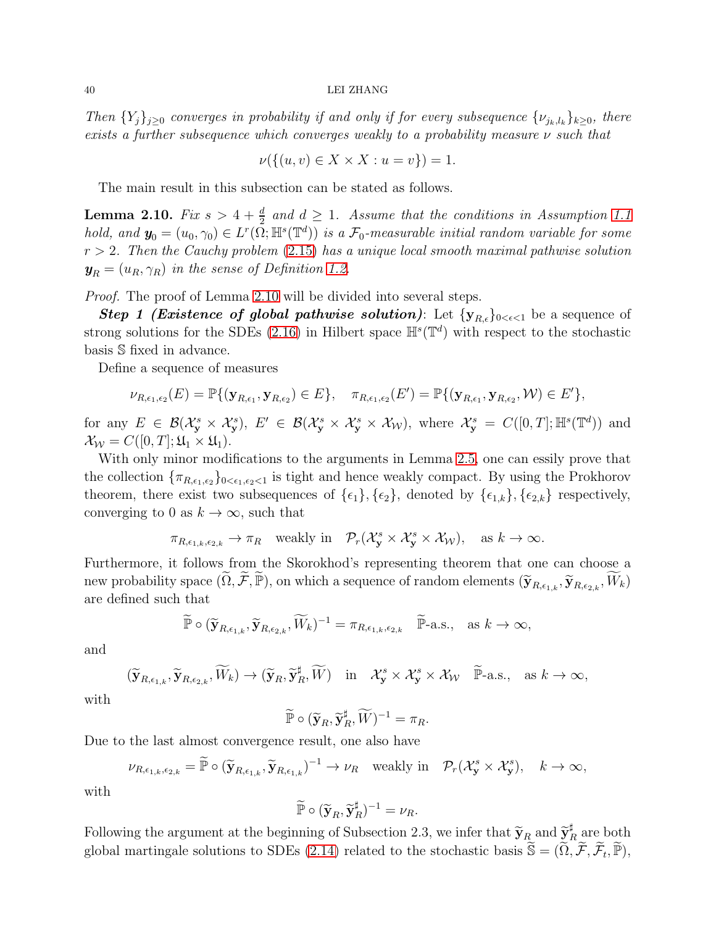#### 40 LEI ZHANG

Then  $\{Y_j\}_{j\geq 0}$  converges in probability if and only if for every subsequence  $\{\nu_{j_k, l_k}\}_{k\geq 0}$ , there exists a further subsequence which converges weakly to a probability measure ν such that

$$
\nu(\{(u,v)\in X\times X:u=v\})=1.
$$

The main result in this subsection can be stated as follows.

<span id="page-39-0"></span>**Lemma 2.10.** Fix  $s > 4 + \frac{d}{2}$  and  $d \geq 1$ . Assume that the conditions in Assumption [1.1](#page-8-0) hold, and  $y_0 = (u_0, \gamma_0) \in L^r(\bar{\Omega}; \mathbb{H}^s(\mathbb{T}^d))$  is a  $\mathcal{F}_0$ -measurable initial random variable for some  $r > 2$ . Then the Cauchy problem [\(2.15\)](#page-20-0) has a unique local smooth maximal pathwise solution  $y_R = (u_R, \gamma_R)$  in the sense of Definition [1.2.](#page-9-2)

Proof. The proof of Lemma [2.10](#page-39-0) will be divided into several steps.

**Step 1 (Existence of global pathwise solution)**: Let  $\{y_{R,\epsilon}\}_{0<\epsilon<1}$  be a sequence of strong solutions for the SDEs [\(2.16\)](#page-20-1) in Hilbert space  $\mathbb{H}^{s}(\mathbb{T}^{d})$  with respect to the stochastic basis S fixed in advance.

Define a sequence of measures

$$
\nu_{R,\epsilon_1,\epsilon_2}(E) = \mathbb{P}\{(\mathbf{y}_{R,\epsilon_1}, \mathbf{y}_{R,\epsilon_2}) \in E\}, \quad \pi_{R,\epsilon_1,\epsilon_2}(E') = \mathbb{P}\{(\mathbf{y}_{R,\epsilon_1}, \mathbf{y}_{R,\epsilon_2}, \mathcal{W}) \in E'\},
$$

for any  $E \in \mathcal{B}(\mathcal{X}_{\mathbf{y}}^s \times \mathcal{X}_{\mathbf{y}}^s), E' \in \mathcal{B}(\mathcal{X}_{\mathbf{y}}^s \times \mathcal{X}_{\mathbf{y}}^s \times \mathcal{X}_{\mathcal{W}}^s), \text{ where } \mathcal{X}_{\mathbf{y}}^s = C([0,T]; \mathbb{H}^s(\mathbb{T}^d)) \text{ and }$  $\mathcal{X}_{\mathcal{W}} = C([0,T]; \mathfrak{U}_1 \times \mathfrak{U}_1).$ 

With only minor modifications to the arguments in Lemma [2.5,](#page-28-0) one can essily prove that the collection  $\{\pi_{R,\epsilon_1,\epsilon_2}\}_{0\leq\epsilon_1,\epsilon_2\leq 1}$  is tight and hence weakly compact. By using the Prokhorov theorem, there exist two subsequences of  $\{\epsilon_1\}$ ,  $\{\epsilon_2\}$ , denoted by  $\{\epsilon_{1,k}\}$ ,  $\{\epsilon_{2,k}\}$  respectively, converging to 0 as  $k \to \infty$ , such that

 $\pi_{R,\epsilon_{1,k},\epsilon_{2,k}} \to \pi_R$  weakly in  $\mathcal{P}_r(\mathcal{X}_{\mathbf{y}}^s \times \mathcal{X}_{\mathbf{y}}^s \times \mathcal{X}_{\mathcal{W}})$ , as  $k \to \infty$ .

Furthermore, it follows from the Skorokhod's representing theorem that one can choose a new probability space  $(\widetilde{\Omega}, \widetilde{\mathcal{F}}, \widetilde{\mathbb{P}})$ , on which a sequence of random elements  $(\widetilde{\mathbf{y}}_{R,\epsilon_{1,k}}, \widetilde{\mathbf{y}}_{R,\epsilon_{2,k}}, \widetilde{W}_k)$ are defined such that

$$
\widetilde{\mathbb{P}} \circ (\widetilde{\mathbf{y}}_{R,\epsilon_{1,k}}, \widetilde{\mathbf{y}}_{R,\epsilon_{2,k}}, \widetilde{W}_k)^{-1} = \pi_{R,\epsilon_{1,k},\epsilon_{2,k}} \quad \widetilde{\mathbb{P}}\text{-a.s.,} \quad \text{as } k \to \infty,
$$

and

$$
(\widetilde{\mathbf{y}}_{R,\epsilon_{1,k}}, \widetilde{\mathbf{y}}_{R,\epsilon_{2,k}}, \widetilde{W}_k) \to (\widetilde{\mathbf{y}}_R, \widetilde{\mathbf{y}}_R^{\sharp}, \widetilde{W}) \quad \text{in} \quad \mathcal{X}_{\mathbf{y}}^s \times \mathcal{X}_{\mathbf{y}}^s \times \mathcal{X}_{\mathcal{W}} \quad \widetilde{\mathbb{P}}\text{-a.s.,} \quad \text{as } k \to \infty,
$$

with

$$
\widetilde{\mathbb{P}} \circ (\widetilde{\mathbf{y}}_R, \widetilde{\mathbf{y}}_R^{\sharp}, \widetilde{W})^{-1} = \pi_R.
$$

Due to the last almost convergence result, one also have

$$
\nu_{R,\epsilon_{1,k},\epsilon_{2,k}} = \widetilde{\mathbb{P}} \circ (\widetilde{\mathbf{y}}_{R,\epsilon_{1,k}}, \widetilde{\mathbf{y}}_{R,\epsilon_{1,k}})^{-1} \to \nu_R \quad \text{weakly in} \quad \mathcal{P}_r(\mathcal{X}_{\mathbf{y}}^s \times \mathcal{X}_{\mathbf{y}}^s), \quad k \to \infty,
$$

with

$$
\widetilde{\mathbb{P}} \circ (\widetilde{\mathbf{y}}_R, \widetilde{\mathbf{y}}_R^{\sharp})^{-1} = \nu_R.
$$

Following the argument at the beginning of Subsection 2.3, we infer that  $\widetilde{y}_R$  and  $\widetilde{y}_R^{\sharp}$  $R \nvert_R$  are both global martingale solutions to SDEs [\(2.14\)](#page-19-0) related to the stochastic basis  $\widetilde{\mathbb{S}} = (\widetilde{\Omega}, \widetilde{\mathcal{F}}, \widetilde{\mathcal{F}}_t, \widetilde{\mathbb{P}})$ ,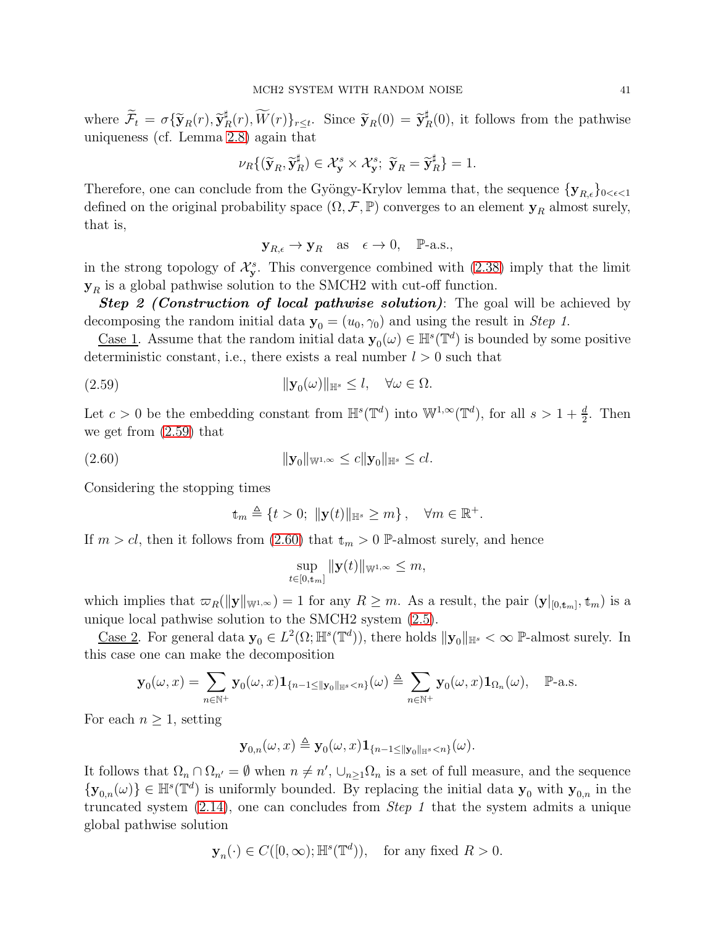where  $\widetilde{\mathcal{F}}_t = \sigma \{ \widetilde{\mathbf{y}}_R(r), \widetilde{\mathbf{y}}_I^{\sharp}$  $\widetilde{K}_R(r), \widetilde{W}(r)\}_{r \leq t}$ . Since  $\widetilde{\mathbf{y}}_R(0) = \widetilde{\mathbf{y}}_R^{\sharp}$  $R(R(0))$ , it follows from the pathwise uniqueness (cf. Lemma [2.8\)](#page-35-1) again that

$$
\nu_R\{(\widetilde{\mathbf{y}}_R, \widetilde{\mathbf{y}}_R^{\sharp}) \in \mathcal{X}_{\mathbf{y}}^s \times \mathcal{X}_{\mathbf{y}}^s; \ \widetilde{\mathbf{y}}_R = \widetilde{\mathbf{y}}_R^{\sharp}\} = 1.
$$

Therefore, one can conclude from the Gyöngy-Krylov lemma that, the sequence  $\{y_{R,\epsilon}\}_{0<\epsilon<1}$ defined on the original probability space  $(\Omega, \mathcal{F}, \mathbb{P})$  converges to an element  $\mathbf{y}_R$  almost surely, that is,

$$
\mathbf{y}_{R,\epsilon} \to \mathbf{y}_R
$$
 as  $\epsilon \to 0$ ,  $\mathbb{P}\text{-a.s.}$ ,

in the strong topology of  $\mathcal{X}_{\mathbf{y}}^s$ . This convergence combined with [\(2.38\)](#page-30-0) imply that the limit  $y_R$  is a global pathwise solution to the SMCH2 with cut-off function.

**Step 2 (Construction of local pathwise solution)**: The goal will be achieved by decomposing the random initial data  $y_0 = (u_0, \gamma_0)$  and using the result in Step 1.

Case 1. Assume that the random initial data  $y_0(\omega) \in \mathbb{H}^s(\mathbb{T}^d)$  is bounded by some positive deterministic constant, i.e., there exists a real number  $l > 0$  such that

<span id="page-40-0"></span>
$$
||\mathbf{y}_0(\omega)||_{\mathbb{H}^s} \le l, \quad \forall \omega \in \Omega.
$$

Let  $c > 0$  be the embedding constant from  $\mathbb{H}^s(\mathbb{T}^d)$  into  $\mathbb{W}^{1,\infty}(\mathbb{T}^d)$ , for all  $s > 1 + \frac{d}{2}$ . Then we get from [\(2.59\)](#page-40-0) that

<span id="page-40-1"></span>
$$
||\mathbf{y}_0||_{\mathbb{W}^{1,\infty}} \le c||\mathbf{y}_0||_{\mathbb{H}^s} \le c l.
$$

Considering the stopping times

$$
\mathbf{t}_m \triangleq \{t > 0; \; \|\mathbf{y}(t)\|_{\mathbb{H}^s} \ge m\}, \quad \forall m \in \mathbb{R}^+.
$$

If  $m > cl$ , then it follows from [\(2.60\)](#page-40-1) that  $t_m > 0$  P-almost surely, and hence

$$
\sup_{t\in[0,\mathbf{t}_m]}\|\mathbf{y}(t)\|_{\mathbb{W}^{1,\infty}}\leq m,
$$

which implies that  $\varpi_R(\|\mathbf{y}\|_{\mathbb{W}^{1,\infty}})=1$  for any  $R\geq m$ . As a result, the pair  $(\mathbf{y}|_{[0,\mathrm{t}_m]},\mathrm{t}_m)$  is a unique local pathwise solution to the SMCH2 system [\(2.5\)](#page-16-0).

Case 2. For general data  $\mathbf{y}_0 \in L^2(\Omega; \mathbb{H}^s(\mathbb{T}^d))$ , there holds  $\|\mathbf{y}_0\|_{\mathbb{H}^s} < \infty$  P-almost surely. In this case one can make the decomposition

$$
\mathbf{y}_0(\omega, x) = \sum_{n \in \mathbb{N}^+} \mathbf{y}_0(\omega, x) \mathbf{1}_{\{n-1 \le ||\mathbf{y}_0||_{\mathbb{H}^s} < n\}}(\omega) \triangleq \sum_{n \in \mathbb{N}^+} \mathbf{y}_0(\omega, x) \mathbf{1}_{\Omega_n}(\omega), \quad \mathbb{P}\text{-a.s.}
$$

For each  $n \geq 1$ , setting

$$
\mathbf{y}_{0,n}(\omega,x) \triangleq \mathbf{y}_0(\omega,x) \mathbf{1}_{\{n-1 \le ||\mathbf{y}_0||_{\mathbb{H}^s} < n\}}(\omega).
$$

It follows that  $\Omega_n \cap \Omega_{n'} = \emptyset$  when  $n \neq n'$ ,  $\cup_{n \geq 1} \Omega_n$  is a set of full measure, and the sequence  ${\bf y}_{0,n}(\omega) \in \mathbb{H}^s(\mathbb{T}^d)$  is uniformly bounded. By replacing the initial data  ${\bf y}_0$  with  ${\bf y}_{0,n}$  in the truncated system [\(2.14\)](#page-19-0), one can concludes from Step 1 that the system admits a unique global pathwise solution

$$
\mathbf{y}_n(\cdot) \in C([0,\infty);\mathbb{H}^s(\mathbb{T}^d)), \quad \text{for any fixed } R > 0.
$$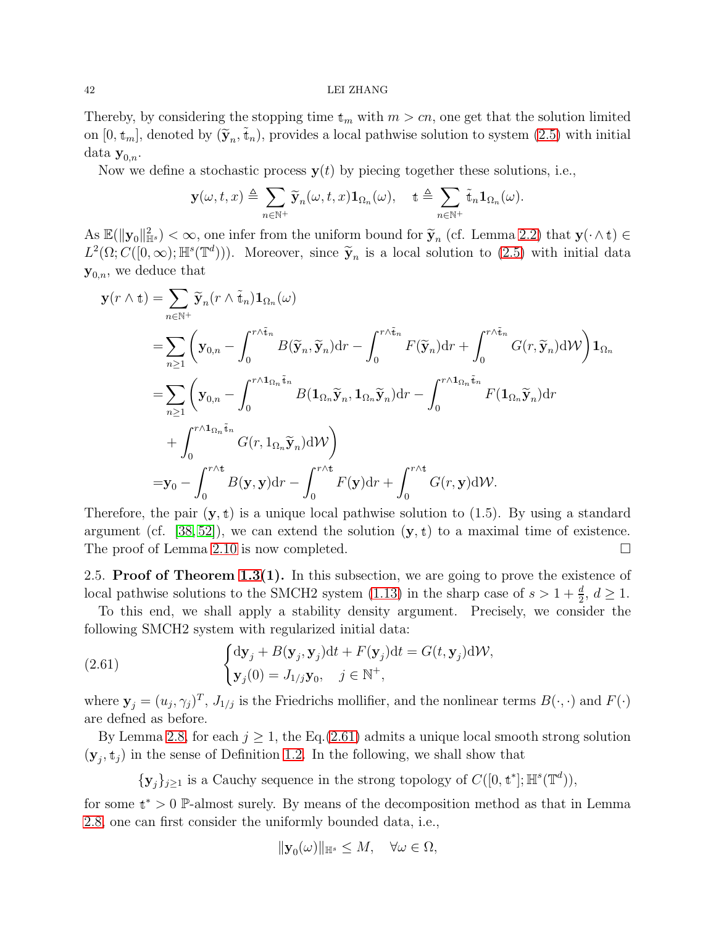#### 42 LEI ZHANG

Thereby, by considering the stopping time  $t_m$  with  $m > cn$ , one get that the solution limited on  $[0, \mathbf{t}_m]$ , denoted by  $(\widetilde{\mathbf{y}}_n, \widetilde{\mathbf{t}}_n)$ , provides a local pathwise solution to system  $(2.5)$  with initial data  $y_{0,n}$ .

Now we define a stochastic process  $y(t)$  by piecing together these solutions, i.e.,

$$
\mathbf{y}(\omega, t, x) \triangleq \sum_{n \in \mathbb{N}^+} \widetilde{\mathbf{y}}_n(\omega, t, x) \mathbf{1}_{\Omega_n}(\omega), \quad \mathbf{t} \triangleq \sum_{n \in \mathbb{N}^+} \widetilde{\mathbf{t}}_n \mathbf{1}_{\Omega_n}(\omega).
$$

As  $\mathbb{E}(\|\mathbf{y}_0\|_{\mathbb{H}^s}) < \infty$ , one infer from the uniform bound for  $\widetilde{\mathbf{y}}_n$  (cf. Lemma [2.2\)](#page-16-1) that  $\mathbf{y}(\cdot \wedge \mathbf{t}) \in$  $L^2(\Omega; C([0,\infty);\mathbb{H}^s(\mathbb{T}^d)))$ . Moreover, since  $\widetilde{\mathbf{y}}_n$  is a local solution to [\(2.5\)](#page-16-0) with initial data  $y_{0,n}$ , we deduce that

$$
\mathbf{y}(r \wedge \mathbf{t}) = \sum_{n \in \mathbb{N}^{+}} \widetilde{\mathbf{y}}_{n}(r \wedge \widetilde{\mathbf{t}}_{n}) \mathbf{1}_{\Omega_{n}}(\omega)
$$
  
\n
$$
= \sum_{n \geq 1} \left( \mathbf{y}_{0,n} - \int_{0}^{r \wedge \widetilde{\mathbf{t}}_{n}} B(\widetilde{\mathbf{y}}_{n}, \widetilde{\mathbf{y}}_{n}) dr - \int_{0}^{r \wedge \widetilde{\mathbf{t}}_{n}} F(\widetilde{\mathbf{y}}_{n}) dr + \int_{0}^{r \wedge \widetilde{\mathbf{t}}_{n}} G(r, \widetilde{\mathbf{y}}_{n}) dW \right) \mathbf{1}_{\Omega_{n}}
$$
  
\n
$$
= \sum_{n \geq 1} \left( \mathbf{y}_{0,n} - \int_{0}^{r \wedge \mathbf{1}_{\Omega_{n}} \widetilde{\mathbf{t}}_{n}} B(\mathbf{1}_{\Omega_{n}} \widetilde{\mathbf{y}}_{n}, \mathbf{1}_{\Omega_{n}} \widetilde{\mathbf{y}}_{n}) dr - \int_{0}^{r \wedge \mathbf{1}_{\Omega_{n}} \widetilde{\mathbf{t}}_{n}} F(\mathbf{1}_{\Omega_{n}} \widetilde{\mathbf{y}}_{n}) dr
$$
  
\n
$$
+ \int_{0}^{r \wedge \mathbf{1}_{\Omega_{n}} \widetilde{\mathbf{t}}_{n}} G(r, \mathbf{1}_{\Omega_{n}} \widetilde{\mathbf{y}}_{n}) dW \right)
$$
  
\n
$$
= \mathbf{y}_{0} - \int_{0}^{r \wedge \mathbf{t}} B(\mathbf{y}, \mathbf{y}) dr - \int_{0}^{r \wedge \mathbf{t}} F(\mathbf{y}) dr + \int_{0}^{r \wedge \mathbf{t}} G(r, \mathbf{y}) dW.
$$

Therefore, the pair  $(y, t)$  is a unique local pathwise solution to (1.5). By using a standard argument (cf. [\[38,](#page-90-1) [52\]](#page-91-0)), we can extend the solution  $(y, t)$  to a maximal time of existence. The proof of Lemma [2.10](#page-39-0) is now completed.

2.5. Proof of Theorem  $1.3(1)$ . In this subsection, we are going to prove the existence of local pathwise solutions to the SMCH2 system [\(1.13\)](#page-8-1) in the sharp case of  $s > 1 + \frac{d}{2}$ ,  $d \ge 1$ .

To this end, we shall apply a stability density argument. Precisely, we consider the following SMCH2 system with regularized initial data:

<span id="page-41-0"></span>(2.61) 
$$
\begin{cases} d\mathbf{y}_j + B(\mathbf{y}_j, \mathbf{y}_j)dt + F(\mathbf{y}_j)dt = G(t, \mathbf{y}_j)d\mathcal{W}, \\ \mathbf{y}_j(0) = J_{1/j}\mathbf{y}_0, \quad j \in \mathbb{N}^+, \end{cases}
$$

where  $\mathbf{y}_j = (u_j, \gamma_j)^T$ ,  $J_{1/j}$  is the Friedrichs mollifier, and the nonlinear terms  $B(\cdot, \cdot)$  and  $F(\cdot)$ are defned as before.

By Lemma [2.8,](#page-17-1) for each  $j \geq 1$ , the Eq.[\(2.61\)](#page-41-0) admits a unique local smooth strong solution  $(\mathbf{y}_j, t_j)$  in the sense of Definition [1.2.](#page-9-2) In the following, we shall show that

 $\{y_j\}_{j\geq 1}$  is a Cauchy sequence in the strong topology of  $C([0, \mathbf{t}^*]; \mathbb{H}^s(\mathbb{T}^d)),$ 

for some  $t^* > 0$  P-almost surely. By means of the decomposition method as that in Lemma [2.8,](#page-17-1) one can first consider the uniformly bounded data, i.e.,

$$
\|\mathbf{y}_0(\omega)\|_{\mathbb{H}^s} \le M, \quad \forall \omega \in \Omega,
$$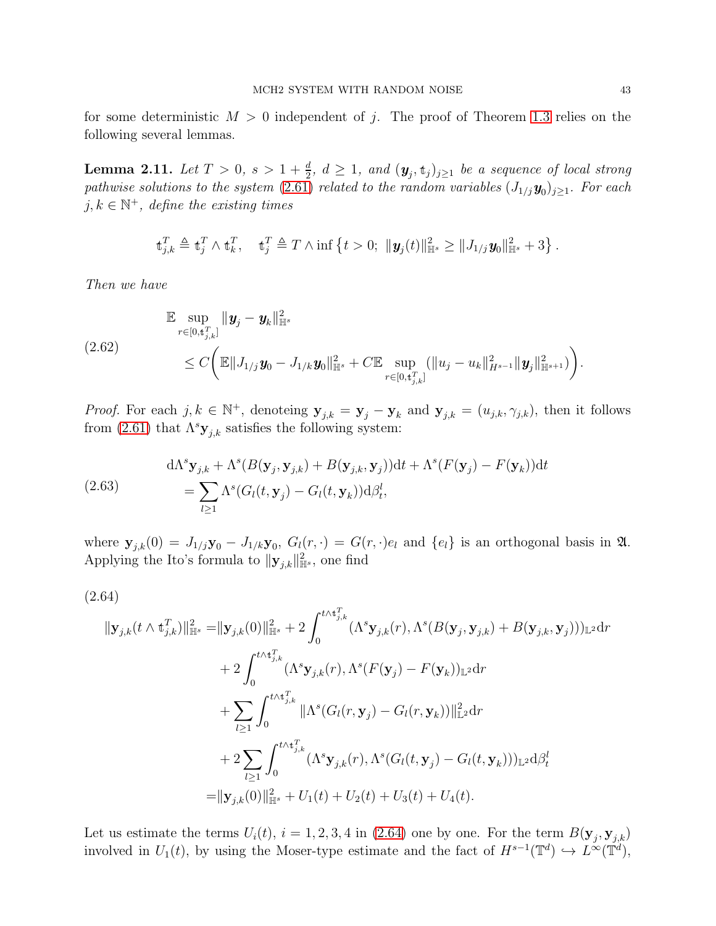for some deterministic  $M > 0$  independent of j. The proof of Theorem [1.3](#page-10-0) relies on the following several lemmas.

<span id="page-42-1"></span>**Lemma 2.11.** Let  $T > 0$ ,  $s > 1 + \frac{d}{2}$ ,  $d \ge 1$ , and  $(\mathbf{y}_j, \mathbf{t}_j)_{j \ge 1}$  be a sequence of local strong pathwise solutions to the system  $(2.61)$  related to the random variables  $(J_{1/j}y_0)_{j\geq 1}$ . For each  $j, k \in \mathbb{N}^+$ , define the existing times

$$
\mathbf{t}_{j,k}^T \triangleq \mathbf{t}_j^T \wedge \mathbf{t}_k^T, \quad \mathbf{t}_j^T \triangleq T \wedge \inf \left\{ t > 0; \ \|\mathbf{y}_j(t)\|_{\mathbb{H}^s}^2 \ge \|J_{1/j}\mathbf{y}_0\|_{\mathbb{H}^s}^2 + 3 \right\}.
$$

Then we have

<span id="page-42-3"></span>
$$
\mathbb{E} \sup_{r \in [0, t_{j,k}^T]} \| \mathbf{y}_j - \mathbf{y}_k \|_{\mathbb{H}^s}^2
$$
\n
$$
\leq C \bigg( \mathbb{E} \| J_{1/j} \mathbf{y}_0 - J_{1/k} \mathbf{y}_0 \|_{\mathbb{H}^s}^2 + C \mathbb{E} \sup_{r \in [0, t_{j,k}^T]} (\| u_j - u_k \|_{H^{s-1}}^2 \| \mathbf{y}_j \|_{\mathbb{H}^{s+1}}^2) \bigg).
$$

*Proof.* For each  $j, k \in \mathbb{N}^+$ , denoteing  $\mathbf{y}_{j,k} = \mathbf{y}_j - \mathbf{y}_k$  and  $\mathbf{y}_{j,k} = (u_{j,k}, \gamma_{j,k})$ , then it follows from [\(2.61\)](#page-41-0) that  $\Lambda^s \mathbf{y}_{j,k}$  satisfies the following system:

<span id="page-42-2"></span>(2.63) 
$$
d\Lambda^s \mathbf{y}_{j,k} + \Lambda^s (B(\mathbf{y}_j, \mathbf{y}_{j,k}) + B(\mathbf{y}_{j,k}, \mathbf{y}_j))dt + \Lambda^s (F(\mathbf{y}_j) - F(\mathbf{y}_k))dt
$$

$$
= \sum_{l \ge 1} \Lambda^s (G_l(t, \mathbf{y}_j) - G_l(t, \mathbf{y}_k))d\beta_t^l,
$$

where  $\mathbf{y}_{j,k}(0) = J_{1/j}\mathbf{y}_0 - J_{1/k}\mathbf{y}_0$ ,  $G_l(r, \cdot) = G(r, \cdot)e_l$  and  $\{e_l\}$  is an orthogonal basis in  $\mathfrak{A}$ . Applying the Ito's formula to  $\|\mathbf{y}_{j,k}\|_{\mathbb{H}^s}^2$ , one find

$$
(2.64)
$$

<span id="page-42-0"></span>
$$
\begin{aligned}\n\|\mathbf{y}_{j,k}(t\wedge \mathbf{t}_{j,k}^T)\|_{\mathbb{H}^s}^2 &= \|\mathbf{y}_{j,k}(0)\|_{\mathbb{H}^s}^2 + 2\int_0^{t\wedge \mathbf{t}_{j,k}^T} (\Lambda^s \mathbf{y}_{j,k}(r),\Lambda^s(B(\mathbf{y}_j,\mathbf{y}_{j,k}) + B(\mathbf{y}_{j,k},\mathbf{y}_j)))_{\mathbb{L}^2} \mathrm{d}r \\
&+ 2\int_0^{t\wedge \mathbf{t}_{j,k}^T} (\Lambda^s \mathbf{y}_{j,k}(r),\Lambda^s(F(\mathbf{y}_j) - F(\mathbf{y}_k))_{\mathbb{L}^2} \mathrm{d}r \\
&+ \sum_{l\geq 1} \int_0^{t\wedge \mathbf{t}_{j,k}^T} \|\Lambda^s(G_l(r,\mathbf{y}_j) - G_l(r,\mathbf{y}_k))\|_{\mathbb{L}^2}^2 \mathrm{d}r \\
&+ 2\sum_{l\geq 1} \int_0^{t\wedge \mathbf{t}_{j,k}^T} (\Lambda^s \mathbf{y}_{j,k}(r),\Lambda^s(G_l(t,\mathbf{y}_j) - G_l(t,\mathbf{y}_k)))_{\mathbb{L}^2} \mathrm{d}\beta_t^l \\
&= \|\mathbf{y}_{j,k}(0)\|_{\mathbb{H}^s}^2 + U_1(t) + U_2(t) + U_3(t) + U_4(t).\n\end{aligned}
$$

Let us estimate the terms  $U_i(t)$ ,  $i = 1, 2, 3, 4$  in [\(2.64\)](#page-42-0) one by one. For the term  $B(\mathbf{y}_j, \mathbf{y}_{j,k})$ involved in  $U_1(t)$ , by using the Moser-type estimate and the fact of  $H^{s-1}(\mathbb{T}^d) \hookrightarrow L^{\infty}(\mathbb{T}^d)$ ,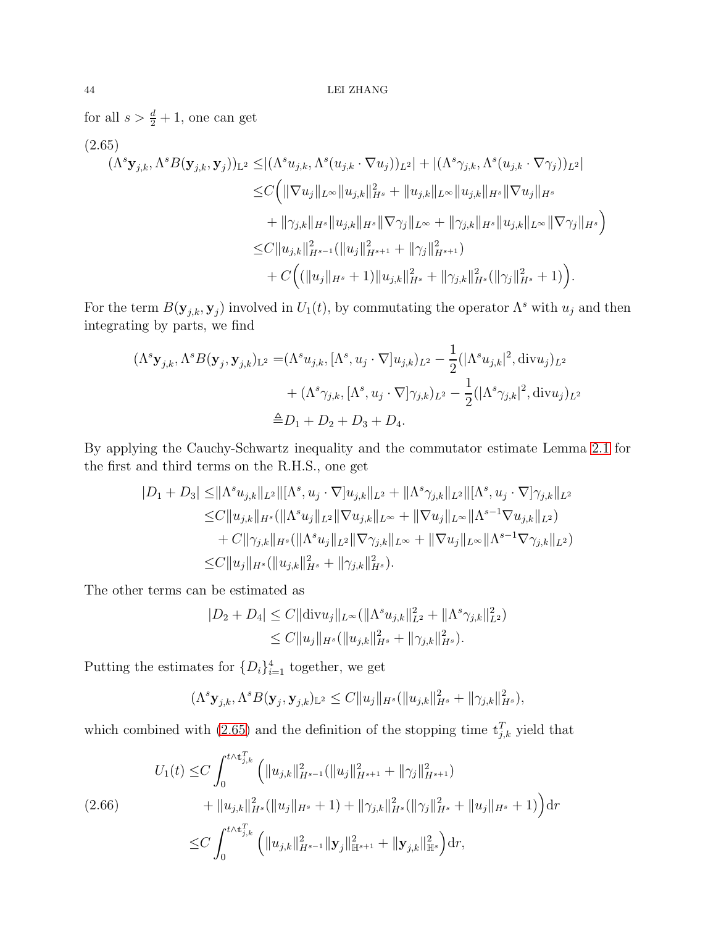for all  $s > \frac{d}{2} + 1$ , one can get

<span id="page-43-0"></span>
$$
(2.65)
$$
\n
$$
(\Lambda^{s} \mathbf{y}_{j,k}, \Lambda^{s} B(\mathbf{y}_{j,k}, \mathbf{y}_{j}))_{\mathbb{L}^{2}} \leq |(\Lambda^{s} u_{j,k}, \Lambda^{s}(u_{j,k} \cdot \nabla u_{j}))_{L^{2}}| + |(\Lambda^{s} \gamma_{j,k}, \Lambda^{s}(u_{j,k} \cdot \nabla \gamma_{j}))_{L^{2}}|
$$
\n
$$
\leq C \Big( \|\nabla u_{j}\|_{L^{\infty}} \|u_{j,k}\|_{H^{s}}^{2} + \|u_{j,k}\|_{L^{\infty}} \|u_{j,k}\|_{H^{s}} \|\nabla u_{j}\|_{H^{s}}
$$
\n
$$
+ \|\gamma_{j,k}\|_{H^{s}} \|u_{j,k}\|_{H^{s}} \|\nabla \gamma_{j}\|_{L^{\infty}} + \|\gamma_{j,k}\|_{H^{s}} \|u_{j,k}\|_{L^{\infty}} \|\nabla \gamma_{j}\|_{H^{s}} \Big)
$$
\n
$$
\leq C \|u_{j,k}\|_{H^{s-1}}^{2} (\|u_{j}\|_{H^{s+1}}^{2} + \|\gamma_{j}\|_{H^{s+1}}^{2})
$$
\n
$$
+ C \Big( (\|u_{j}\|_{H^{s}} + 1) \|u_{j,k}\|_{H^{s}}^{2} + \|\gamma_{j,k}\|_{H^{s}}^{2} (\|\gamma_{j}\|_{H^{s}}^{2} + 1) \Big).
$$

For the term  $B(\mathbf{y}_{j,k}, \mathbf{y}_j)$  involved in  $U_1(t)$ , by commutating the operator  $\Lambda^s$  with  $u_j$  and then integrating by parts, we find

$$
(\Lambda^{s} \mathbf{y}_{j,k}, \Lambda^{s} B(\mathbf{y}_{j}, \mathbf{y}_{j,k})_{\mathbb{L}^{2}} = (\Lambda^{s} u_{j,k}, [\Lambda^{s}, u_{j} \cdot \nabla] u_{j,k})_{L^{2}} - \frac{1}{2} (|\Lambda^{s} u_{j,k}|^{2}, \text{div} u_{j})_{L^{2}} + (\Lambda^{s} \gamma_{j,k}, [\Lambda^{s}, u_{j} \cdot \nabla] \gamma_{j,k})_{L^{2}} - \frac{1}{2} (|\Lambda^{s} \gamma_{j,k}|^{2}, \text{div} u_{j})_{L^{2}} \triangleq D_{1} + D_{2} + D_{3} + D_{4}.
$$

By applying the Cauchy-Schwartz inequality and the commutator estimate Lemma [2.1](#page-17-0) for the first and third terms on the R.H.S., one get

$$
|D_1 + D_3| \leq ||\Lambda^s u_{j,k}||_{L^2} ||[\Lambda^s, u_j \cdot \nabla]u_{j,k}||_{L^2} + ||\Lambda^s \gamma_{j,k}||_{L^2} ||[\Lambda^s, u_j \cdot \nabla] \gamma_{j,k}||_{L^2}
$$
  
\n
$$
\leq C ||u_{j,k}||_{H^s} (||\Lambda^s u_j||_{L^2} ||\nabla u_{j,k}||_{L^\infty} + ||\nabla u_j||_{L^\infty} ||\Lambda^{s-1} \nabla u_{j,k}||_{L^2})
$$
  
\n
$$
+ C ||\gamma_{j,k}||_{H^s} (||\Lambda^s u_j||_{L^2} ||\nabla \gamma_{j,k}||_{L^\infty} + ||\nabla u_j||_{L^\infty} ||\Lambda^{s-1} \nabla \gamma_{j,k}||_{L^2})
$$
  
\n
$$
\leq C ||u_j||_{H^s} (||u_{j,k}||_{H^s}^2 + ||\gamma_{j,k}||_{H^s}^2).
$$

The other terms can be estimated as

$$
|D_2 + D_4| \le C \|\text{div} u_j\|_{L^\infty} (\|\Lambda^s u_{j,k}\|_{L^2}^2 + \|\Lambda^s \gamma_{j,k}\|_{L^2}^2)
$$
  

$$
\le C \|u_j\|_{H^s} (\|u_{j,k}\|_{H^s}^2 + \|\gamma_{j,k}\|_{H^s}^2).
$$

Putting the estimates for  $\{D_i\}_{i=1}^4$  together, we get

$$
(\Lambda^s \mathbf{y}_{j,k}, \Lambda^s B(\mathbf{y}_j, \mathbf{y}_{j,k})_{\mathbb{L}^2} \leq C \|u_j\|_{H^s} (\|u_{j,k}\|_{H^s}^2 + \|\gamma_{j,k}\|_{H^s}^2),
$$

which combined with [\(2.65\)](#page-43-0) and the definition of the stopping time  $t_{j,k}^T$  yield that

$$
(2.66) \tU_1(t) \leq C \int_0^{t \wedge t_{j,k}^T} \left( \|u_{j,k}\|_{H^{s-1}}^2 (\|u_j\|_{H^{s+1}}^2 + \|\gamma_j\|_{H^{s+1}}^2) + \|u_{j,k}\|_{H^s}^2 (\|u_j\|_{H^s} + 1) + \|\gamma_{j,k}\|_{H^s}^2 (\|\gamma_j\|_{H^s}^2 + \|u_j\|_{H^s} + 1) \right) dr
$$
  

$$
\leq C \int_0^{t \wedge t_{j,k}^T} \left( \|u_{j,k}\|_{H^{s-1}}^2 \|y_j\|_{\mathbb{H}^{s+1}}^2 + \|y_{j,k}\|_{\mathbb{H}^s}^2 \right) dr,
$$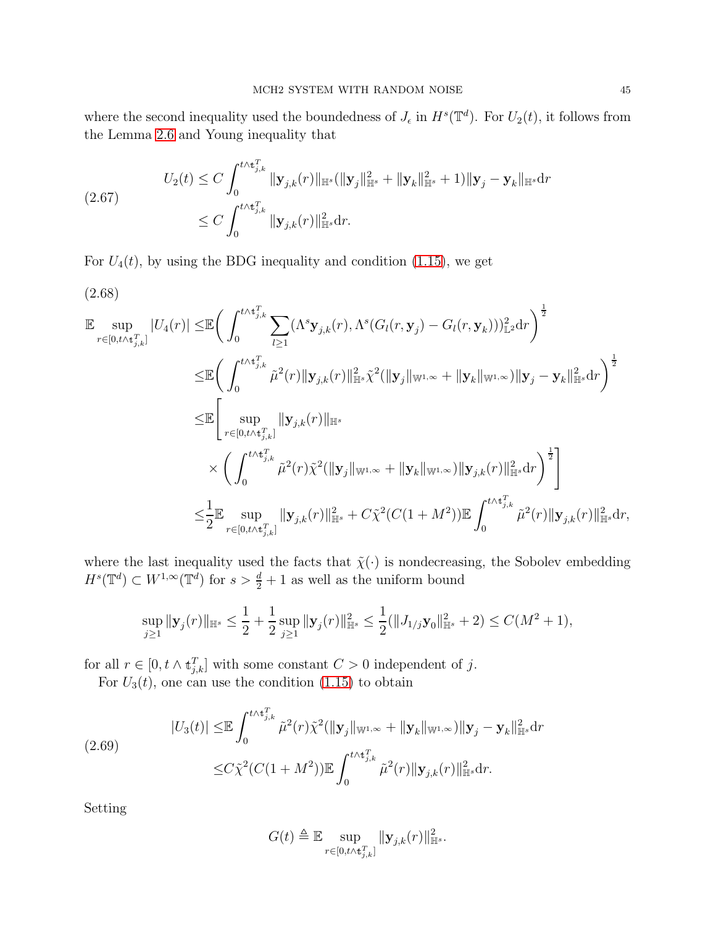where the second inequality used the boundedness of  $J_{\epsilon}$  in  $H^s(\mathbb{T}^d)$ . For  $U_2(t)$ , it follows from the Lemma [2.6](#page-17-2) and Young inequality that

$$
(2.67) \tU_2(t) \le C \int_0^{t \wedge t_{j,k}^T} \| \mathbf{y}_{j,k}(r) \|_{\mathbb{H}^s} (\|\mathbf{y}_j\|_{\mathbb{H}^s}^2 + \|\mathbf{y}_k\|_{\mathbb{H}^s}^2 + 1) \| \mathbf{y}_j - \mathbf{y}_k \|_{\mathbb{H}^s} \mathrm{d}r \le C \int_0^{t \wedge t_{j,k}^T} \|\mathbf{y}_{j,k}(r)\|_{\mathbb{H}^s}^2 \mathrm{d}r.
$$

For  $U_4(t)$ , by using the BDG inequality and condition [\(1.15\)](#page-9-1), we get

$$
(2.68)
$$

$$
\mathbb{E} \sup_{r \in [0, t \wedge t_{j,k}^T]} |U_4(r)| \leq \mathbb{E} \bigg( \int_0^{t \wedge t_{j,k}^T} \sum_{l \geq 1} (\Lambda^s \mathbf{y}_{j,k}(r), \Lambda^s(G_l(r, \mathbf{y}_j) - G_l(r, \mathbf{y}_k)))_{\mathbb{L}^2}^2 dr \bigg)^{\frac{1}{2}} \n\leq \mathbb{E} \bigg( \int_0^{t \wedge t_{j,k}^T} \tilde{\mu}^2(r) \|\mathbf{y}_{j,k}(r)\|_{\mathbb{H}^s}^2 \tilde{\chi}^2(\|\mathbf{y}_j\|_{\mathbb{W}^{1,\infty}} + \|\mathbf{y}_k\|_{\mathbb{W}^{1,\infty}}) \|\mathbf{y}_j - \mathbf{y}_k\|_{\mathbb{H}^s}^2 dr \bigg)^{\frac{1}{2}} \n\leq \mathbb{E} \bigg[ \sup_{r \in [0, t \wedge t_{j,k}^T]} \|\mathbf{y}_{j,k}(r)\|_{\mathbb{H}^s} \n\times \bigg( \int_0^{t \wedge t_{j,k}^T} \tilde{\mu}^2(r) \tilde{\chi}^2(\|\mathbf{y}_j\|_{\mathbb{W}^{1,\infty}} + \|\mathbf{y}_k\|_{\mathbb{W}^{1,\infty}}) \|\mathbf{y}_{j,k}(r)\|_{\mathbb{H}^s}^2 dr \bigg)^{\frac{1}{2}} \bigg] \n\leq \frac{1}{2} \mathbb{E} \sup_{r \in [0, t \wedge t_{j,k}^T]} \|\mathbf{y}_{j,k}(r)\|_{\mathbb{H}^s}^2 + C \tilde{\chi}^2(C(1+M^2)) \mathbb{E} \int_0^{t \wedge t_{j,k}^T} \tilde{\mu}^2(r) \|\mathbf{y}_{j,k}(r)\|_{\mathbb{H}^s}^2 dr,
$$

where the last inequality used the facts that  $\tilde{\chi}(\cdot)$  is nondecreasing, the Sobolev embedding  $H^s(\mathbb{T}^d) \subset W^{1,\infty}(\mathbb{T}^d)$  for  $s > \frac{d}{2} + 1$  as well as the uniform bound

$$
\sup_{j\geq 1} \|\mathbf{y}_j(r)\|_{\mathbb{H}^s} \leq \frac{1}{2} + \frac{1}{2} \sup_{j\geq 1} \|\mathbf{y}_j(r)\|_{\mathbb{H}^s}^2 \leq \frac{1}{2} (\|J_{1/j}\mathbf{y}_0\|_{\mathbb{H}^s}^2 + 2) \leq C(M^2 + 1),
$$

for all  $r \in [0, t \wedge t_{j,k}^T]$  with some constant  $C > 0$  independent of j.

For  $U_3(t)$ , one can use the condition [\(1.15\)](#page-9-1) to obtain

$$
|U_3(t)| \leq \mathbb{E} \int_0^{t \wedge t_{j,k}^T} \tilde{\mu}^2(r) \tilde{\chi}^2(||\mathbf{y}_j||_{\mathbb{W}^{1,\infty}} + \|\mathbf{y}_k\|_{\mathbb{W}^{1,\infty}}) \|\mathbf{y}_j - \mathbf{y}_k\|_{\mathbb{H}^s}^2 dr
$$
  
(2.69)  

$$
\leq C \tilde{\chi}^2 (C(1+M^2)) \mathbb{E} \int_0^{t \wedge t_{j,k}^T} \tilde{\mu}^2(r) ||\mathbf{y}_{j,k}(r)||_{\mathbb{H}^s}^2 dr.
$$

Setting

$$
G(t) \triangleq \mathbb{E} \sup_{r \in [0, t \wedge \mathbf{t}_{j,k}^T]} \|\mathbf{y}_{j,k}(r)\|_{\mathbb{H}^s}^2.
$$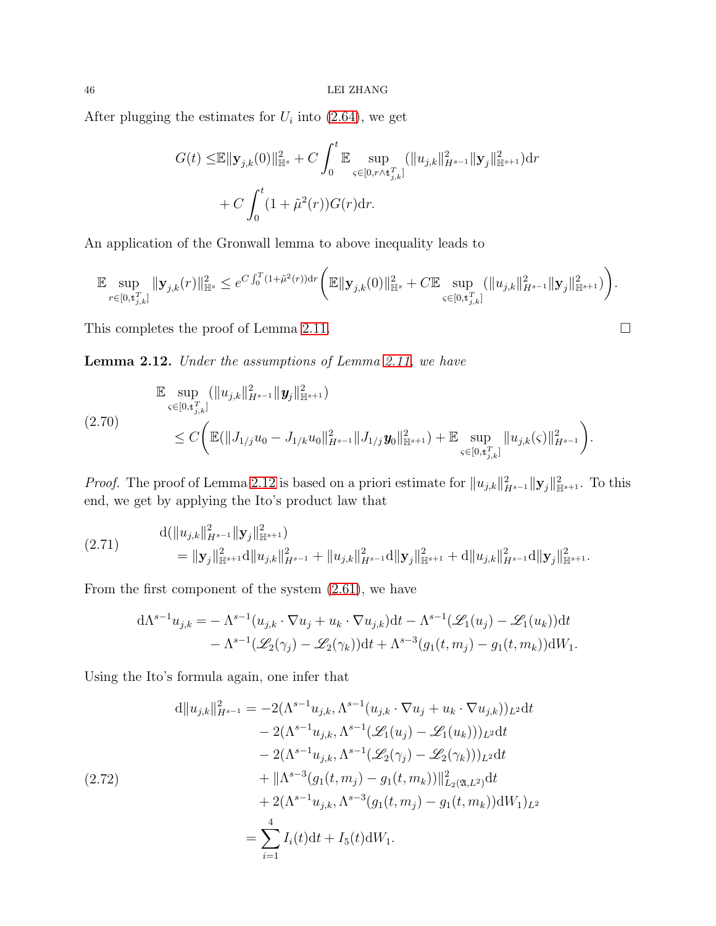After plugging the estimates for  $U_i$  into [\(2.64\)](#page-42-0), we get

$$
G(t) \leq \mathbb{E} \|\mathbf{y}_{j,k}(0)\|_{\mathbb{H}^s}^2 + C \int_0^t \mathbb{E} \sup_{\varsigma \in [0, r \wedge t_{j,k}^T]} (\|u_{j,k}\|_{H^{s-1}}^2 \|\mathbf{y}_j\|_{\mathbb{H}^{s+1}}^2) dr + C \int_0^t (1 + \tilde{\mu}^2(r)) G(r) dr.
$$

An application of the Gronwall lemma to above inequality leads to

$$
\mathbb{E}\sup_{r\in[0,t_{j,k}^T]}\|\mathbf{y}_{j,k}(r)\|_{\mathbb{H}^s}^2\leq e^{C\int_0^T(1+\tilde{\mu}^2(r))\mathrm{d} r}\bigg(\mathbb{E}\|\mathbf{y}_{j,k}(0)\|_{\mathbb{H}^s}^2+C\mathbb{E}\sup_{\varsigma\in[0,t_{j,k}^T]}\big(\|u_{j,k}\|_{H^{s-1}}^2\|\mathbf{y}_j\|_{\mathbb{H}^{s+1}}^2\big)\bigg).
$$

This completes the proof of Lemma [2.11.](#page-42-1)

<span id="page-45-0"></span>Lemma 2.12. Under the assumptions of Lemma [2.11,](#page-42-1) we have

<span id="page-45-3"></span>
$$
\mathbb{E} \sup_{\varsigma \in [0,t_{j,k}^T]} (\|u_{j,k}\|_{H^{s-1}}^2 \|y_j\|_{\mathbb{H}^{s+1}}^2)
$$
\n
$$
\leq C \bigg( \mathbb{E}(\|J_{1/j}u_0 - J_{1/k}u_0\|_{H^{s-1}}^2 \|J_{1/j}\mathbf{y}_0\|_{\mathbb{H}^{s+1}}^2) + \mathbb{E} \sup_{\varsigma \in [0,t_{j,k}^T]} \|u_{j,k}(\varsigma)\|_{H^{s-1}}^2 \bigg).
$$

*Proof.* The proof of Lemma [2.12](#page-45-0) is based on a priori estimate for  $||u_{j,k}||_{H^{s-1}}^2||\mathbf{y}_j||_{\mathbb{H}^{s+1}}^2$ . To this end, we get by applying the Ito's product law that

<span id="page-45-2"></span>
$$
(2.71) \t d(\|u_{j,k}\|_{H^{s-1}}^2 \| \mathbf{y}_j\|_{\mathbb{H}^{s+1}}^2) = \| \mathbf{y}_j \|_{\mathbb{H}^{s+1}}^2 d \|u_{j,k}\|_{H^{s-1}}^2 + \|u_{j,k}\|_{H^{s-1}}^2 d \| \mathbf{y}_j \|_{\mathbb{H}^{s+1}}^2 + d \|u_{j,k}\|_{H^{s-1}}^2 d \| \mathbf{y}_j \|_{\mathbb{H}^{s+1}}^2.
$$

From the first component of the system [\(2.61\)](#page-41-0), we have

$$
d\Lambda^{s-1}u_{j,k} = -\Lambda^{s-1}(u_{j,k} \cdot \nabla u_j + u_k \cdot \nabla u_{j,k})dt - \Lambda^{s-1}(\mathcal{L}_1(u_j) - \mathcal{L}_1(u_k))dt - \Lambda^{s-1}(\mathcal{L}_2(\gamma_j) - \mathcal{L}_2(\gamma_k))dt + \Lambda^{s-3}(g_1(t, m_j) - g_1(t, m_k))dW_1.
$$

Using the Ito's formula again, one infer that

<span id="page-45-1"></span>
$$
d||u_{j,k}||_{H^{s-1}}^{2} = -2(\Lambda^{s-1}u_{j,k}, \Lambda^{s-1}(u_{j,k} \cdot \nabla u_{j} + u_{k} \cdot \nabla u_{j,k}))_{L^{2}}dt - 2(\Lambda^{s-1}u_{j,k}, \Lambda^{s-1}(\mathscr{L}_{1}(u_{j}) - \mathscr{L}_{1}(u_{k})))_{L^{2}}dt - 2(\Lambda^{s-1}u_{j,k}, \Lambda^{s-1}(\mathscr{L}_{2}(\gamma_{j}) - \mathscr{L}_{2}(\gamma_{k})))_{L^{2}}dt + ||\Lambda^{s-3}(g_{1}(t, m_{j}) - g_{1}(t, m_{k}))||_{L_{2}(\mathfrak{A}, L^{2})}^{2}dt + 2(\Lambda^{s-1}u_{j,k}, \Lambda^{s-3}(g_{1}(t, m_{j}) - g_{1}(t, m_{k}))dW_{1})_{L^{2}} = \sum_{i=1}^{4} I_{i}(t)dt + I_{5}(t)dW_{1}.
$$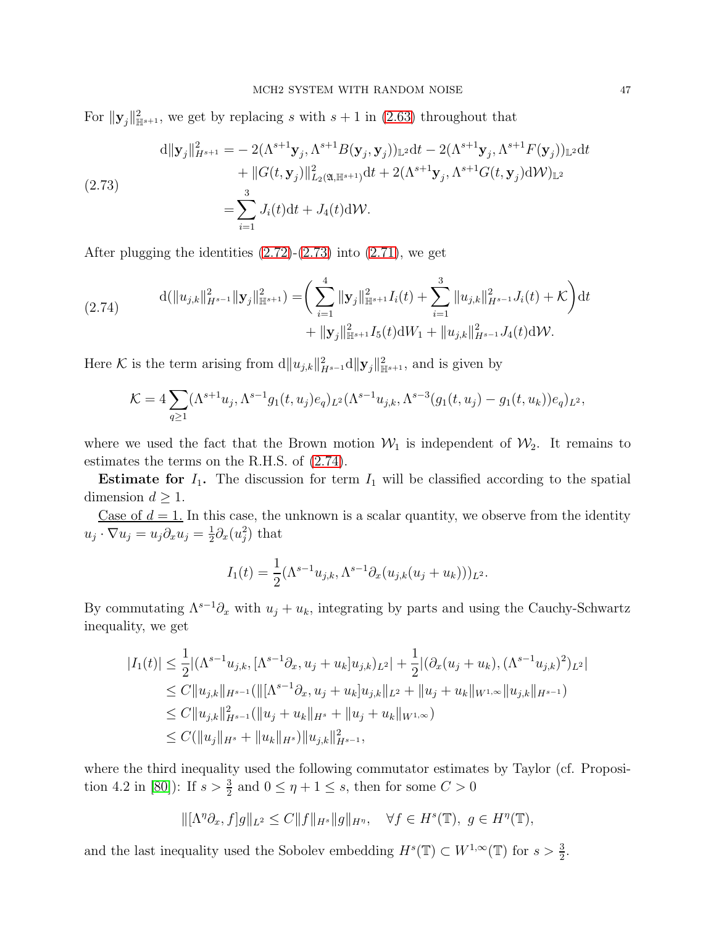For  $\|\mathbf{y}_{j}\|_{\mathbb{H}^{s+1}}^{2}$ , we get by replacing s with  $s+1$  in [\(2.63\)](#page-42-2) throughout that

<span id="page-46-0"></span>(2.73)  
\n
$$
d||\mathbf{y}_{j}||_{H^{s+1}}^{2} = -2(\Lambda^{s+1}\mathbf{y}_{j}, \Lambda^{s+1}B(\mathbf{y}_{j}, \mathbf{y}_{j}))_{\mathbb{L}^{2}}dt - 2(\Lambda^{s+1}\mathbf{y}_{j}, \Lambda^{s+1}F(\mathbf{y}_{j}))_{\mathbb{L}^{2}}dt + ||G(t, \mathbf{y}_{j})||_{L_{2}(\mathfrak{A}, \mathbb{H}^{s+1})}^{2}dt + 2(\Lambda^{s+1}\mathbf{y}_{j}, \Lambda^{s+1}G(t, \mathbf{y}_{j})dW)_{\mathbb{L}^{2}} = \sum_{i=1}^{3} J_{i}(t)dt + J_{4}(t)dW.
$$

After plugging the identities  $(2.72)-(2.73)$  $(2.72)-(2.73)$  into  $(2.71)$ , we get

<span id="page-46-1"></span>(2.74) 
$$
\mathrm{d}(\|u_{j,k}\|_{H^{s-1}}^2 \| \mathbf{y}_j\|_{\mathbb{H}^{s+1}}^2) = \bigg(\sum_{i=1}^4 \| \mathbf{y}_j\|_{\mathbb{H}^{s+1}}^2 I_i(t) + \sum_{i=1}^3 \| u_{j,k} \|_{H^{s-1}}^2 J_i(t) + \mathcal{K}\bigg) \mathrm{d}t + \| \mathbf{y}_j \|_{\mathbb{H}^{s+1}}^2 I_5(t) \mathrm{d}W_1 + \| u_{j,k} \|_{H^{s-1}}^2 J_4(t) \mathrm{d}W.
$$

Here K is the term arising from  $d||u_{j,k}||_{H^{s-1}}^2d||\mathbf{y}_j||_{\mathbb{H}^{s+1}}^2$ , and is given by

$$
\mathcal{K} = 4 \sum_{q \ge 1} (\Lambda^{s+1} u_j, \Lambda^{s-1} g_1(t, u_j) e_q)_{L^2} (\Lambda^{s-1} u_{j,k}, \Lambda^{s-3} (g_1(t, u_j) - g_1(t, u_k)) e_q)_{L^2},
$$

where we used the fact that the Brown motion  $W_1$  is independent of  $W_2$ . It remains to estimates the terms on the R.H.S. of [\(2.74\)](#page-46-1).

**Estimate for**  $I_1$ **.** The discussion for term  $I_1$  will be classified according to the spatial dimension  $d > 1$ .

Case of  $d = 1$ . In this case, the unknown is a scalar quantity, we observe from the identity  $u_j \cdot \nabla u_j = u_j \partial_x u_j = \frac{1}{2}$  $\frac{1}{2}\partial_x(u_j^2)$  that

$$
I_1(t) = \frac{1}{2} (\Lambda^{s-1} u_{j,k}, \Lambda^{s-1} \partial_x (u_{j,k}(u_j + u_k)))_{L^2}.
$$

By commutating  $\Lambda^{s-1}\partial_x$  with  $u_j + u_k$ , integrating by parts and using the Cauchy-Schwartz inequality, we get

$$
|I_1(t)| \leq \frac{1}{2} |(\Lambda^{s-1} u_{j,k}, [\Lambda^{s-1} \partial_x, u_j + u_k] u_{j,k})_{L^2}| + \frac{1}{2} |(\partial_x (u_j + u_k), (\Lambda^{s-1} u_{j,k})^2)_{L^2}|
$$
  
\n
$$
\leq C \|u_{j,k}\|_{H^{s-1}} (\|[\Lambda^{s-1} \partial_x, u_j + u_k] u_{j,k}\|_{L^2} + \|u_j + u_k\|_{W^{1,\infty}} \|u_{j,k}\|_{H^{s-1}})
$$
  
\n
$$
\leq C \|u_{j,k}\|_{H^{s-1}}^2 (\|u_j + u_k\|_{H^s} + \|u_j + u_k\|_{W^{1,\infty}})
$$
  
\n
$$
\leq C (\|u_j\|_{H^s} + \|u_k\|_{H^s}) \|u_{j,k}\|_{H^{s-1}}^2,
$$

where the third inequality used the following commutator estimates by Taylor (cf. Proposi-tion 4.2 in [\[80\]](#page-92-0)): If  $s > \frac{3}{2}$  and  $0 \le \eta + 1 \le s$ , then for some  $C > 0$ 

$$
\|[\Lambda^{\eta}\partial_x, f]g\|_{L^2} \leq C\|f\|_{H^s}\|g\|_{H^{\eta}}, \quad \forall f \in H^s(\mathbb{T}), \ g \in H^{\eta}(\mathbb{T}),
$$

and the last inequality used the Sobolev embedding  $H^s(\mathbb{T}) \subset W^{1,\infty}(\mathbb{T})$  for  $s > \frac{3}{2}$ .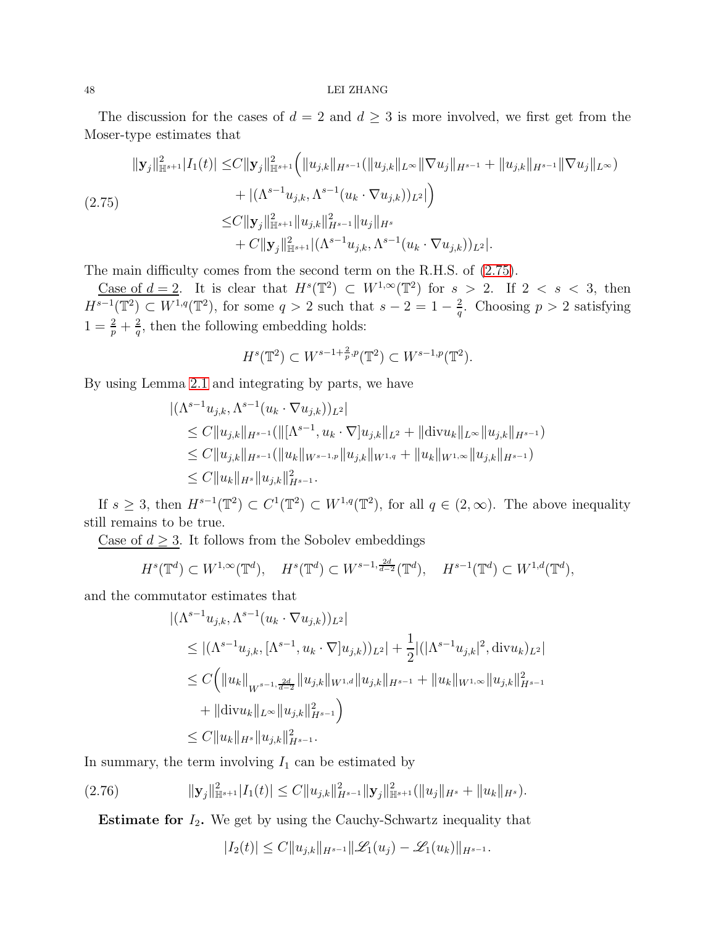#### 48 LEI ZHANG

The discussion for the cases of  $d = 2$  and  $d \geq 3$  is more involved, we first get from the Moser-type estimates that

<span id="page-47-0"></span>
$$
\| \mathbf{y}_{j} \|_{\mathbb{H}^{s+1}}^{2} |I_{1}(t)| \leq C \| \mathbf{y}_{j} \|_{\mathbb{H}^{s+1}}^{2} \left( \| u_{j,k} \|_{H^{s-1}} (\| u_{j,k} \|_{L^{\infty}} \| \nabla u_{j} \|_{H^{s-1}} + \| u_{j,k} \|_{H^{s-1}} \| \nabla u_{j} \|_{L^{\infty}}) \right)
$$
  
\n
$$
+ |(\Lambda^{s-1} u_{j,k}, \Lambda^{s-1} (u_{k} \cdot \nabla u_{j,k}))_{L^{2}}| \right)
$$
  
\n
$$
\leq C \| \mathbf{y}_{j} \|_{\mathbb{H}^{s+1}}^{2} \| u_{j,k} \|_{H^{s-1}}^{2} \| u_{j} \|_{H^{s}} + C \| \mathbf{y}_{j} \|_{\mathbb{H}^{s+1}}^{2} |(\Lambda^{s-1} u_{j,k}, \Lambda^{s-1} (u_{k} \cdot \nabla u_{j,k}))_{L^{2}}|.
$$

The main difficulty comes from the second term on the R.H.S. of [\(2.75\)](#page-47-0).

Case of  $d=2$ . It is clear that  $H^s(\mathbb{T}^2) \subset W^{1,\infty}(\mathbb{T}^2)$  for  $s > 2$ . If  $2 < s < 3$ , then  $H^{s-1}(\mathbb{T}^2) \subset W^{1,q}(\mathbb{T}^2)$ , for some  $q > 2$  such that  $s - 2 = 1 - \frac{2}{q}$  $\frac{2}{q}$ . Choosing  $p > 2$  satisfying  $1 = \frac{2}{p} + \frac{2}{q}$  $\frac{2}{q}$ , then the following embedding holds:

$$
H^s(\mathbb{T}^2) \subset W^{s-1+\frac{2}{p},p}(\mathbb{T}^2) \subset W^{s-1,p}(\mathbb{T}^2).
$$

By using Lemma [2.1](#page-17-0) and integrating by parts, we have

$$
\begin{aligned} &\left| (\Lambda^{s-1} u_{j,k}, \Lambda^{s-1} (u_k \cdot \nabla u_{j,k}))_{L^2} \right| \\ &\leq C \|u_{j,k}\|_{H^{s-1}} (\| [\Lambda^{s-1}, u_k \cdot \nabla] u_{j,k} \|_{L^2} + \|\text{div} u_k\|_{L^\infty} \|u_{j,k}\|_{H^{s-1}}) \\ &\leq C \|u_{j,k}\|_{H^{s-1}} (\|u_k\|_{W^{s-1,p}} \|u_{j,k}\|_{W^{1,q}} + \|u_k\|_{W^{1,\infty}} \|u_{j,k}\|_{H^{s-1}}) \\ &\leq C \|u_k\|_{H^s} \|u_{j,k}\|_{H^{s-1}}^2. \end{aligned}
$$

If  $s \geq 3$ , then  $H^{s-1}(\mathbb{T}^2) \subset C^1(\mathbb{T}^2) \subset W^{1,q}(\mathbb{T}^2)$ , for all  $q \in (2,\infty)$ . The above inequality still remains to be true.

Case of  $d \geq 3$ . It follows from the Sobolev embeddings

$$
H^s(\mathbb{T}^d) \subset W^{1,\infty}(\mathbb{T}^d), \quad H^s(\mathbb{T}^d) \subset W^{s-1,\frac{2d}{d-2}}(\mathbb{T}^d), \quad H^{s-1}(\mathbb{T}^d) \subset W^{1,d}(\mathbb{T}^d),
$$

and the commutator estimates that

$$
\begin{aligned} &\left| (\Lambda^{s-1} u_{j,k}, \Lambda^{s-1} (u_k \cdot \nabla u_{j,k}))_{L^2} \right| \\ &\leq |(\Lambda^{s-1} u_{j,k}, [\Lambda^{s-1}, u_k \cdot \nabla] u_{j,k}))_{L^2}| + \frac{1}{2} |(|\Lambda^{s-1} u_{j,k}|^2, \text{div} u_k)_{L^2}| \\ &\leq C \Big( \|u_k\|_{W^{s-1, \frac{2d}{d-2}}} \|u_{j,k}\|_{W^{1,d}} \|u_{j,k}\|_{H^{s-1}} + \|u_k\|_{W^{1,\infty}} \|u_{j,k}\|_{H^{s-1}}^2 \\ &\quad + \|\text{div} u_k\|_{L^\infty} \|u_{j,k}\|_{H^{s-1}}^2 \Big) \\ &\leq C \|u_k\|_{H^s} \|u_{j,k}\|_{H^{s-1}}^2. \end{aligned}
$$

In summary, the term involving  $I_1$  can be estimated by

$$
(2.76) \t\t\t||\mathbf{y}_j||^2_{\mathbb{H}^{s+1}}|I_1(t)| \leq C||u_{j,k}||^2_{H^{s-1}}||\mathbf{y}_j||^2_{\mathbb{H}^{s+1}}(||u_j||_{H^s} + ||u_k||_{H^s}).
$$

**Estimate for**  $I_2$ . We get by using the Cauchy-Schwartz inequality that

$$
|I_2(t)| \leq C \|u_{j,k}\|_{H^{s-1}} \|\mathcal{L}_1(u_j) - \mathcal{L}_1(u_k)\|_{H^{s-1}}.
$$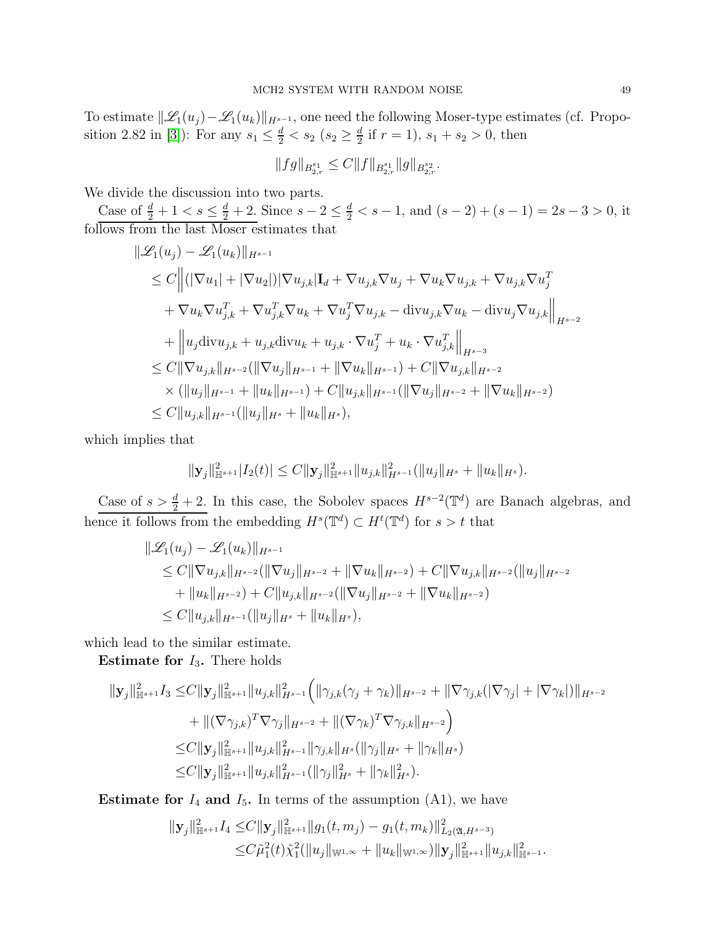To estimate  $\|\mathscr{L}_1(u_j)-\mathscr{L}_1(u_k)\|_{H^{s-1}}$ , one need the following Moser-type estimates (cf. Propo-sition 2.82 in [\[3\]](#page-88-0)): For any  $s_1 \leq \frac{d}{2} < s_2$  ( $s_2 \geq \frac{d}{2}$  $\frac{a}{2}$  if  $r = 1$ ,  $s_1 + s_2 > 0$ , then

$$
||fg||_{B^{s_1}_{2,r}} \leq C||f||_{B^{s_1}_{2,r}}||g||_{B^{s_2}_{2,r}}.
$$

We divide the discussion into two parts.

Case of  $\frac{d}{2} + 1 < s \le \frac{d}{2} + 2$ . Since  $s - 2 \le \frac{d}{2} < s - 1$ , and  $(s - 2) + (s - 1) = 2s - 3 > 0$ , it follows from the last Moser estimates that

$$
\|\mathcal{L}_{1}(u_{j}) - \mathcal{L}_{1}(u_{k})\|_{H^{s-1}}\n\leq C \|(|\nabla u_{1}| + |\nabla u_{2}|)|\nabla u_{j,k}|\mathbf{I}_{d} + \nabla u_{j,k}\nabla u_{j} + \nabla u_{k}\nabla u_{j,k} + \nabla u_{j,k}\nabla u_{j}^{T}\n+ \nabla u_{k}\nabla u_{j,k}^{T} + \nabla u_{j,k}^{T}\nabla u_{k} + \nabla u_{j}^{T}\nabla u_{j,k} - \text{div}u_{j,k}\nabla u_{k} - \text{div}u_{j}\nabla u_{j,k}\|_{H^{s-2}}\n+ \|u_{j}\text{div}u_{j,k} + u_{j,k}\text{div}u_{k} + u_{j,k} \cdot \nabla u_{j}^{T} + u_{k} \cdot \nabla u_{j,k}^{T}\|_{H^{s-3}}\n\leq C \|\nabla u_{j,k}\|_{H^{s-2}} (\|\nabla u_{j}\|_{H^{s-1}} + \|\nabla u_{k}\|_{H^{s-1}}) + C \|\nabla u_{j,k}\|_{H^{s-2}}\n\times (\|u_{j}\|_{H^{s-1}} + \|u_{k}\|_{H^{s-1}}) + C \|u_{j,k}\|_{H^{s-1}} (\|\nabla u_{j}\|_{H^{s-2}} + \|\nabla u_{k}\|_{H^{s-2}})\n\leq C \|u_{j,k}\|_{H^{s-1}} (\|u_{j}\|_{H^{s}} + \|u_{k}\|_{H^{s}}),
$$

which implies that

$$
\|\mathbf{y}_{j}\|_{\mathbb{H}^{s+1}}^{2}|I_{2}(t)| \leq C \|\mathbf{y}_{j}\|_{\mathbb{H}^{s+1}}^{2} \|u_{j,k}\|_{H^{s-1}}^{2}(\|u_{j}\|_{H^{s}} + \|u_{k}\|_{H^{s}}).
$$

Case of  $s > \frac{d}{2} + 2$ . In this case, the Sobolev spaces  $H^{s-2}(\mathbb{T}^d)$  are Banach algebras, and hence it follows from the embedding  $H^s(\mathbb{T}^d) \subset H^t(\mathbb{T}^d)$  for  $s > t$  that

$$
\|\mathcal{L}_1(u_j) - \mathcal{L}_1(u_k)\|_{H^{s-1}}\n\leq C \|\nabla u_{j,k}\|_{H^{s-2}} (\|\nabla u_j\|_{H^{s-2}} + \|\nabla u_k\|_{H^{s-2}}) + C \|\nabla u_{j,k}\|_{H^{s-2}} (\|u_j\|_{H^{s-2}})\n+ \|u_k\|_{H^{s-2}}) + C \|u_{j,k}\|_{H^{s-2}} (\|\nabla u_j\|_{H^{s-2}} + \|\nabla u_k\|_{H^{s-2}})\n\leq C \|u_{j,k}\|_{H^{s-1}} (\|u_j\|_{H^s} + \|u_k\|_{H^s}),
$$

which lead to the similar estimate.

**Estimate for**  $I_3$ **.** There holds

$$
\begin{split} \|\mathbf{y}_{j}\|_{\mathbb{H}^{s+1}}^{2}I_{3} \leq & C\|\mathbf{y}_{j}\|_{\mathbb{H}^{s+1}}^{2}\|u_{j,k}\|_{H^{s-1}}^{2}\Big(\|\gamma_{j,k}(\gamma_{j}+\gamma_{k})\|_{H^{s-2}}+\|\nabla \gamma_{j,k}(|\nabla \gamma_{j}|+|\nabla \gamma_{k}|)\|_{H^{s-2}} \\ & + \|(\nabla \gamma_{j,k})^{T}\nabla \gamma_{j}\|_{H^{s-2}}+\|(\nabla \gamma_{k})^{T}\nabla \gamma_{j,k}\|_{H^{s-2}}\Big) \\ \leq & C\|\mathbf{y}_{j}\|_{\mathbb{H}^{s+1}}^{2}\|u_{j,k}\|_{H^{s-1}}^{2}\|\gamma_{j,k}\|_{H^{s}}(\|\gamma_{j}\|_{H^{s}}+\|\gamma_{k}\|_{H^{s}}) \\ \leq & C\|\mathbf{y}_{j}\|_{\mathbb{H}^{s+1}}^{2}\|u_{j,k}\|_{H^{s-1}}^{2}(\|\gamma_{j}\|_{H^{s}}^{2}+\|\gamma_{k}\|_{H^{s}}^{2}). \end{split}
$$

**Estimate for**  $I_4$  and  $I_5$ . In terms of the assumption  $(A1)$ , we have

$$
\begin{aligned} ||\mathbf{y}_j||_{\mathbb{H}^{s+1}}^2 I_4 \leq & C ||\mathbf{y}_j||_{\mathbb{H}^{s+1}}^2 ||g_1(t, m_j) - g_1(t, m_k)||_{L_2(\mathfrak{A}, H^{s-3})}^2 \\ \leq & C \tilde{\mu}_1^2(t) \tilde{\chi}_1^2(||u_j||_{\mathbb{W}^{1,\infty}} + ||u_k||_{\mathbb{W}^{1,\infty}}) ||\mathbf{y}_j||_{\mathbb{H}^{s+1}}^2 ||u_{j,k}||_{\mathbb{H}^{s-1}}^2. \end{aligned}
$$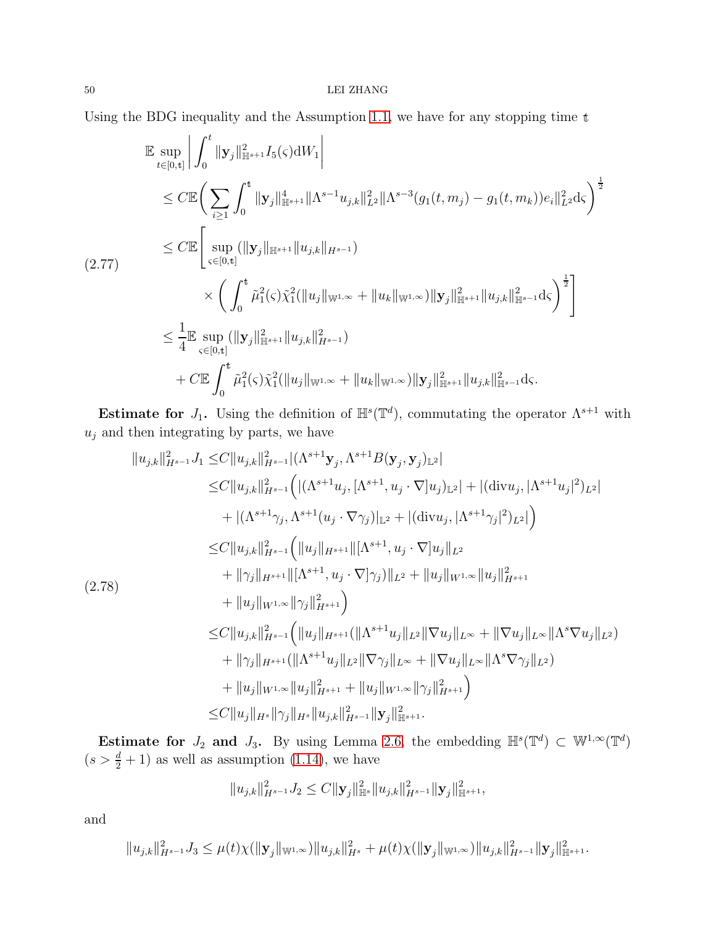# $50$   $\,$  LEI ZHANG  $\,$

Using the BDG inequality and the Assumption [1.1,](#page-8-0) we have for any stopping time <sup>t</sup>

$$
\mathbb{E} \sup_{t \in [0,t]} \left| \int_0^t \|\mathbf{y}_j\|_{\mathbb{H}^{s+1}}^2 I_5(\varsigma) dW_1 \right|
$$
\n
$$
\leq C \mathbb{E} \bigg( \sum_{i \geq 1} \int_0^t \|\mathbf{y}_j\|_{\mathbb{H}^{s+1}}^4 \|\Lambda^{s-1} u_{j,k}\|_{L^2}^2 \|\Lambda^{s-3} (g_1(t, m_j) - g_1(t, m_k)) e_i\|_{L^2}^2 d\varsigma \bigg)^{\frac{1}{2}}
$$
\n
$$
\leq C \mathbb{E} \bigg[ \sup_{\varsigma \in [0,t]} (\|\mathbf{y}_j\|_{\mathbb{H}^{s+1}} \|u_{j,k}\|_{H^{s-1}})
$$
\n
$$
\times \bigg( \int_0^t \tilde{\mu}_1^2(\varsigma) \tilde{\chi}_1^2 (\|u_j\|_{\mathbb{W}^{1,\infty}} + \|u_k\|_{\mathbb{W}^{1,\infty}}) \|\mathbf{y}_j\|_{\mathbb{H}^{s+1}}^2 \|u_{j,k}\|_{\mathbb{H}^{s-1}}^2 d\varsigma \bigg)^{\frac{1}{2}} \bigg]
$$
\n
$$
\leq \frac{1}{4} \mathbb{E} \sup_{\varsigma \in [0,t]} (\|\mathbf{y}_j\|_{\mathbb{H}^{s+1}}^2 \|u_{j,k}\|_{H^{s-1}}^2)
$$
\n
$$
+ C \mathbb{E} \int_0^t \tilde{\mu}_1^2(\varsigma) \tilde{\chi}_1^2 (\|u_j\|_{\mathbb{W}^{1,\infty}} + \|u_k\|_{\mathbb{W}^{1,\infty}}) \|\mathbf{y}_j\|_{\mathbb{H}^{s+1}}^2 \|u_{j,k}\|_{\mathbb{H}^{s-1}}^2 d\varsigma.
$$

Estimate for  $J_1$ . Using the definition of  $\mathbb{H}^s(\mathbb{T}^d)$ , commutating the operator  $\Lambda^{s+1}$  with  $u_j$  and then integrating by parts, we have

$$
||u_{j,k}||_{H^{s-1}}^{2}J_{1} \leq C||u_{j,k}||_{H^{s-1}}^{2} |(\Lambda^{s+1} \mathbf{y}_{j}, \Lambda^{s+1} B(\mathbf{y}_{j}, \mathbf{y}_{j})_{\mathbb{L}^{2}}|\n\leq C||u_{j,k}||_{H^{s-1}}^{2} \Big( |(\Lambda^{s+1} u_{j}, [\Lambda^{s+1}, u_{j} \cdot \nabla] u_{j})_{\mathbb{L}^{2}}| + |(\text{div} u_{j}, [\Lambda^{s+1} u_{j}]^{2})_{L^{2}}|\n+ |(\Lambda^{s+1} \gamma_{j}, \Lambda^{s+1} (u_{j} \cdot \nabla \gamma_{j})|_{\mathbb{L}^{2}} + |(\text{div} u_{j}, [\Lambda^{s+1} \gamma_{j}]^{2})_{L^{2}}| \Big)\n\leq C||u_{j,k}||_{H^{s-1}}^{2} \Big( ||u_{j}||_{H^{s+1}} ||[\Lambda^{s+1}, u_{j} \cdot \nabla] u_{j}||_{L^{2}}\n+ ||\gamma_{j}||_{H^{s+1}} ||[\Lambda^{s+1}, u_{j} \cdot \nabla] \gamma_{j})||_{L^{2}} + ||u_{j}||_{W^{1,\infty}} ||u_{j}||_{H^{s+1}}^{2}\n(2.78)\n+ ||u_{j}||_{W^{1,\infty}} ||\gamma_{j}||_{H^{s+1}}^{2} \Big)
$$
\n
$$
\leq C||u_{j,k}||_{H^{s-1}}^{2} \Big( ||u_{j}||_{H^{s+1}} (||\Lambda^{s+1} u_{j}||_{L^{2}} ||\nabla u_{j}||_{L^{\infty}} + ||\nabla u_{j}||_{L^{\infty}} ||\Lambda^{s} \nabla u_{j}||_{L^{2}}) \n+ ||\gamma_{j}||_{H^{s+1}} (||\Lambda^{s+1} u_{j}||_{L^{2}} ||\nabla \gamma_{j}||_{L^{\infty}} + ||\nabla u_{j}||_{L^{\infty}} ||\Lambda^{s} \nabla \gamma_{j}||_{L^{2}}) \n+ ||u_{j}||_{W^{1,\infty}} ||u_{j}||_{H^{s+1}}^{2} + ||u_{j}||_{W^{1,\infty}} ||\gamma_{j}||_{H^{s+1
$$

Estimate for  $J_2$  and  $J_3$ . By using Lemma [2.6,](#page-17-2) the embedding  $\mathbb{H}^s(\mathbb{T}^d) \subset \mathbb{W}^{1,\infty}(\mathbb{T}^d)$  $(s > \frac{d}{2} + 1)$  as well as assumption [\(1.14\)](#page-9-0), we have

$$
||u_{j,k}||_{H^{s-1}}^2 J_2 \leq C ||\mathbf{y}_j||_{\mathbb{H}^s}^2 ||u_{j,k}||_{H^{s-1}}^2 ||\mathbf{y}_j||_{\mathbb{H}^{s+1}}^2,
$$

and

$$
||u_{j,k}||_{H^{s-1}}^2 J_3 \leq \mu(t)\chi(||\mathbf{y}_j||_{\mathbb{W}^{1,\infty}})||u_{j,k}||_{H^s}^2 + \mu(t)\chi(||\mathbf{y}_j||_{\mathbb{W}^{1,\infty}})||u_{j,k}||_{H^{s-1}}^2||\mathbf{y}_j||_{\mathbb{H}^{s+1}}^2.
$$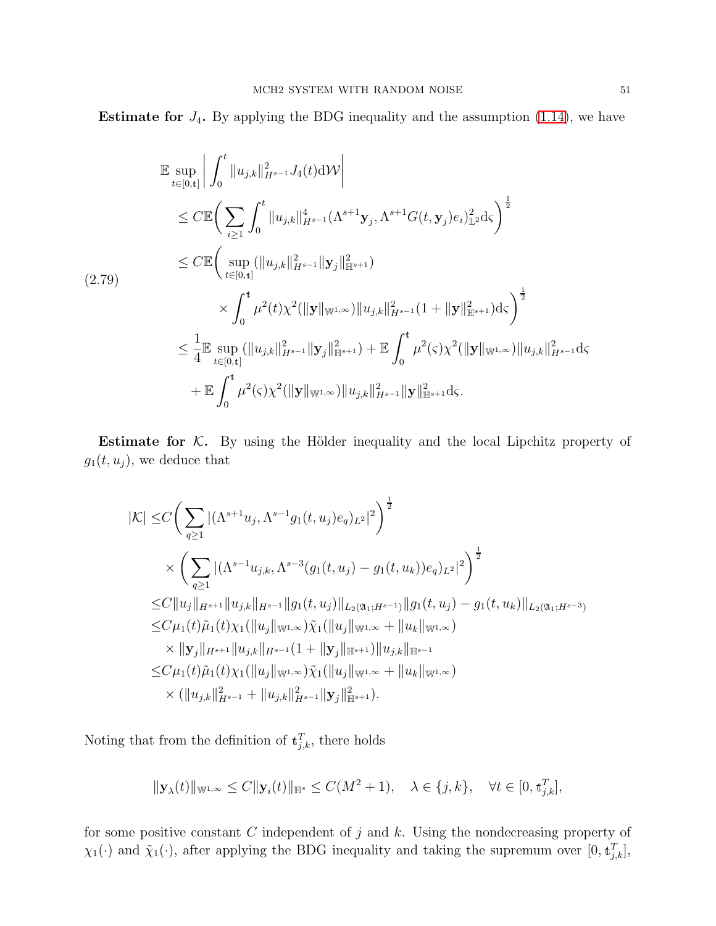**Estimate for**  $J_4$ . By applying the BDG inequality and the assumption  $(1.14)$ , we have

$$
\mathbb{E} \sup_{t \in [0, t]} \left| \int_0^t \|u_{j,k}\|_{H^{s-1}}^2 J_4(t) \, \mathrm{d}\mathcal{W} \right|
$$
\n
$$
\leq C \mathbb{E} \bigg( \sum_{i \geq 1} \int_0^t \|u_{j,k}\|_{H^{s-1}}^4 (\Lambda^{s+1} \mathbf{y}_j, \Lambda^{s+1} G(t, \mathbf{y}_j) e_i)_{\mathbb{L}^2}^2 \, \mathrm{d}\zeta \bigg)^{\frac{1}{2}}
$$
\n
$$
\leq C \mathbb{E} \bigg( \sup_{t \in [0, t]} (\|u_{j,k}\|_{H^{s-1}}^2 \| \mathbf{y}_j \|_{\mathbb{H}^{s+1}}^2)
$$
\n
$$
\times \int_0^t \mu^2(t) \chi^2(\|\mathbf{y}\|_{\mathbb{W}^{1,\infty}}) \|u_{j,k}\|_{H^{s-1}}^2 (1 + \|\mathbf{y}\|_{\mathbb{H}^{s+1}}^2) \, \mathrm{d}\zeta \bigg)^{\frac{1}{2}}
$$
\n
$$
\leq \frac{1}{4} \mathbb{E} \sup_{t \in [0, t]} (\|u_{j,k}\|_{H^{s-1}}^2 \| \mathbf{y}_j \|_{\mathbb{H}^{s+1}}^2) + \mathbb{E} \int_0^t \mu^2(\zeta) \chi^2(\|\mathbf{y}\|_{\mathbb{W}^{1,\infty}}) \|u_{j,k}\|_{H^{s-1}}^2 \, \mathrm{d}\zeta
$$
\n
$$
+ \mathbb{E} \int_0^t \mu^2(\zeta) \chi^2(\|\mathbf{y}\|_{\mathbb{W}^{1,\infty}}) \|u_{j,k}\|_{H^{s-1}}^2 \|\mathbf{y}\|_{\mathbb{H}^{s+1}}^2 \, \mathrm{d}\zeta.
$$

Estimate for  $K$ . By using the Hölder inequality and the local Lipchitz property of  $g_1(t, u_j)$ , we deduce that

$$
|\mathcal{K}| \leq C \Bigg( \sum_{q \geq 1} |(\Lambda^{s+1} u_j, \Lambda^{s-1} g_1(t, u_j) e_q)_{L^2}|^2 \Bigg)^{\frac{1}{2}}
$$
  
\n
$$
\times \Bigg( \sum_{q \geq 1} |(\Lambda^{s-1} u_{j,k}, \Lambda^{s-3} (g_1(t, u_j) - g_1(t, u_k)) e_q)_{L^2}|^2 \Bigg)^{\frac{1}{2}}
$$
  
\n
$$
\leq C \|u_j\|_{H^{s+1}} \|u_{j,k}\|_{H^{s-1}} \|g_1(t, u_j)\|_{L_2(\mathfrak{A}_1; H^{s-1})} \|g_1(t, u_j) - g_1(t, u_k)\|_{L_2(\mathfrak{A}_1; H^{s-3})}
$$
  
\n
$$
\leq C \mu_1(t) \tilde{\mu}_1(t) \chi_1(\|u_j\|_{\mathbb{W}^{1,\infty}}) \tilde{\chi}_1(\|u_j\|_{\mathbb{W}^{1,\infty}} + \|u_k\|_{\mathbb{W}^{1,\infty}})
$$
  
\n
$$
\times \|y_j\|_{H^{s+1}} \|u_{j,k}\|_{H^{s-1}} (1 + \|y_j\|_{\mathbb{H}^{s+1}}) \|u_{j,k}\|_{\mathbb{H}^{s-1}}
$$
  
\n
$$
\leq C \mu_1(t) \tilde{\mu}_1(t) \chi_1(\|u_j\|_{\mathbb{W}^{1,\infty}}) \tilde{\chi}_1(\|u_j\|_{\mathbb{W}^{1,\infty}} + \|u_k\|_{\mathbb{W}^{1,\infty}})
$$
  
\n
$$
\times (\|u_{j,k}\|_{H^{s-1}}^2 + \|u_{j,k}\|_{H^{s-1}}^2 \|y_j\|_{\mathbb{H}^{s+1}}^2).
$$

Noting that from the definition of  $\mathbf{t}_{j,k}^T$ , there holds

$$
\|\mathbf{y}_{\lambda}(t)\|_{\mathbb{W}^{1,\infty}} \leq C \|\mathbf{y}_{i}(t)\|_{\mathbb{H}^{s}} \leq C(M^2+1), \quad \lambda \in \{j,k\}, \quad \forall t \in [0, \mathbf{t}_{j,k}^T],
$$

for some positive constant  $C$  independent of  $j$  and  $k$ . Using the nondecreasing property of  $\chi_1(\cdot)$  and  $\tilde{\chi}_1(\cdot)$ , after applying the BDG inequality and taking the supremum over  $[0, t_{j,k}^T]$ ,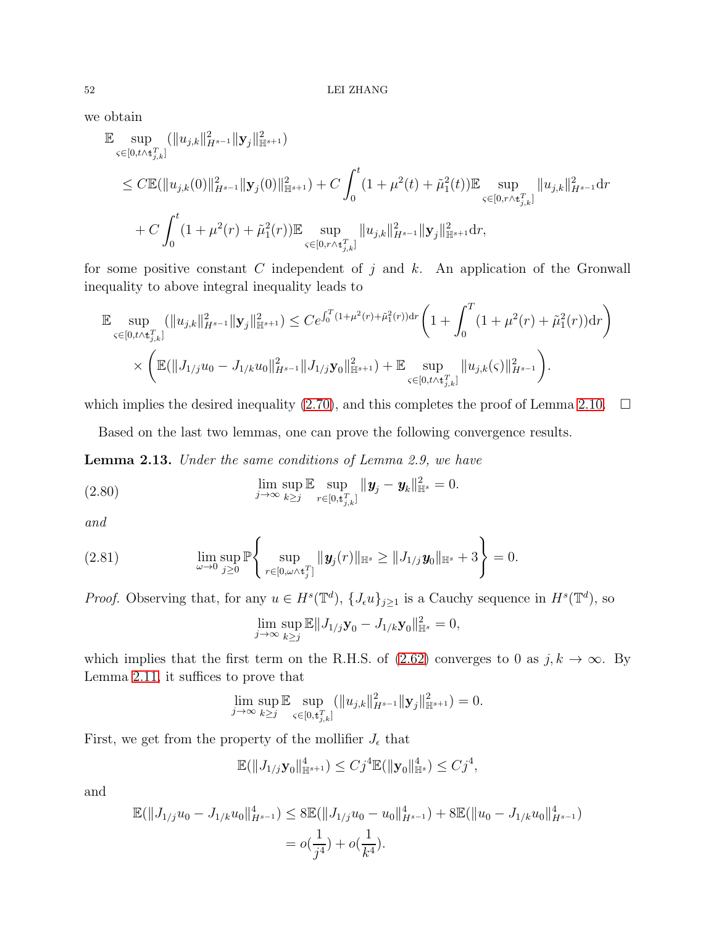### $52$   $\,$  LEI ZHANG  $\,$

we obtain

$$
\label{eq:4.10} \begin{split} &\mathbb{E}\sup_{\boldsymbol{\varsigma}\in[0,t\wedge\mathbf{t}_{j,k}^T]}\big(\|\boldsymbol{u}_{j,k}\|_{H^{s-1}}^2\|\mathbf{y}_j\|_{\mathbb{H}^{s+1}}^2\big)\\ &\leq C\mathbb{E}(\|\boldsymbol{u}_{j,k}(0)\|_{H^{s-1}}^2\|\mathbf{y}_j(0)\|_{\mathbb{H}^{s+1}}^2)+C\int_0^t(1+\mu^2(t)+\tilde{\mu}_1^2(t))\mathbb{E}\sup_{\boldsymbol{\varsigma}\in[0,r\wedge\mathbf{t}_{j,k}^T]}\|\boldsymbol{u}_{j,k}\|_{H^{s-1}}^2\mathrm{d}r\\ &+C\int_0^t(1+\mu^2(r)+\tilde{\mu}_1^2(r))\mathbb{E}\sup_{\boldsymbol{\varsigma}\in[0,r\wedge\mathbf{t}_{j,k}^T]}\|\boldsymbol{u}_{j,k}\|_{H^{s-1}}^2\|\mathbf{y}_j\|_{\mathbb{H}^{s+1}}^2\mathrm{d}r, \end{split}
$$

for some positive constant  $C$  independent of  $j$  and  $k$ . An application of the Gronwall inequality to above integral inequality leads to

$$
\mathbb{E} \sup_{\varsigma \in [0,t \wedge t_{j,k}^T]} (\|u_{j,k}\|_{H^{s-1}}^2 \|\mathbf{y}_j\|_{\mathbb{H}^{s+1}}^2) \leq Ce^{\int_0^T (1+\mu^2(r)+\tilde{\mu}_1^2(r))\mathrm{d}r} \left(1+\int_0^T (1+\mu^2(r)+\tilde{\mu}_1^2(r))\mathrm{d}r\right) \times \left(\mathbb{E}(\|J_{1/j}u_0-J_{1/k}u_0\|_{H^{s-1}}^2 \|J_{1/j}\mathbf{y}_0\|_{\mathbb{H}^{s+1}}^2) + \mathbb{E} \sup_{\varsigma \in [0,t \wedge t_{j,k}^T]} \|u_{j,k}(\varsigma)\|_{H^{s-1}}^2\right).
$$

which implies the desired inequality [\(2.70\)](#page-45-3), and this completes the proof of Lemma [2.10.](#page-18-0)  $\Box$ 

Based on the last two lemmas, one can prove the following convergence results.

<span id="page-51-2"></span>Lemma 2.13. Under the same conditions of Lemma 2.9, we have

<span id="page-51-0"></span>(2.80) 
$$
\lim_{j \to \infty} \sup_{k \geq j} \mathbb{E} \sup_{r \in [0, t_{j,k}^T]} \| \mathbf{y}_j - \mathbf{y}_k \|_{\mathbb{H}^s}^2 = 0.
$$

and

<span id="page-51-1"></span>(2.81) 
$$
\lim_{\omega \to 0} \sup_{j \geq 0} \mathbb{P} \left\{ \sup_{r \in [0, \omega \wedge t_j^T]} \| \mathbf{y}_j(r) \|_{\mathbb{H}^s} \geq \| J_{1/j} \mathbf{y}_0 \|_{\mathbb{H}^s} + 3 \right\} = 0.
$$

*Proof.* Observing that, for any  $u \in H^s(\mathbb{T}^d)$ ,  $\{J_\epsilon u\}_{j\geq 1}$  is a Cauchy sequence in  $H^s(\mathbb{T}^d)$ , so

$$
\lim_{j \to \infty} \sup_{k \ge j} \mathbb{E} ||J_{1/j} \mathbf{y}_0 - J_{1/k} \mathbf{y}_0||_{\mathbb{H}^s}^2 = 0,
$$

which implies that the first term on the R.H.S. of [\(2.62\)](#page-42-3) converges to 0 as  $j, k \to \infty$ . By Lemma [2.11,](#page-42-1) it suffices to prove that

$$
\lim_{j\to\infty}\sup_{k\geq j}\mathbb{E}\sup_{\varsigma\in[0,t_{j,k}^T]}(\|u_{j,k}\|_{H^{s-1}}^2\|\mathbf{y}_j\|_{\mathbb{H}^{s+1}}^2)=0.
$$

First, we get from the property of the mollifier  $J_{\epsilon}$  that

$$
\mathbb{E}(\|J_{1/j}\mathbf{y}_0\|_{\mathbb{H}^{s+1}}^4) \leq C j^4 \mathbb{E}(\|\mathbf{y}_0\|_{\mathbb{H}^s}^4) \leq C j^4,
$$

and

$$
\mathbb{E}(\|J_{1/j}u_0 - J_{1/k}u_0\|_{H^{s-1}}^4) \le 8\mathbb{E}(\|J_{1/j}u_0 - u_0\|_{H^{s-1}}^4) + 8\mathbb{E}(\|u_0 - J_{1/k}u_0\|_{H^{s-1}}^4)
$$
  
=  $o(\frac{1}{j^4}) + o(\frac{1}{k^4}).$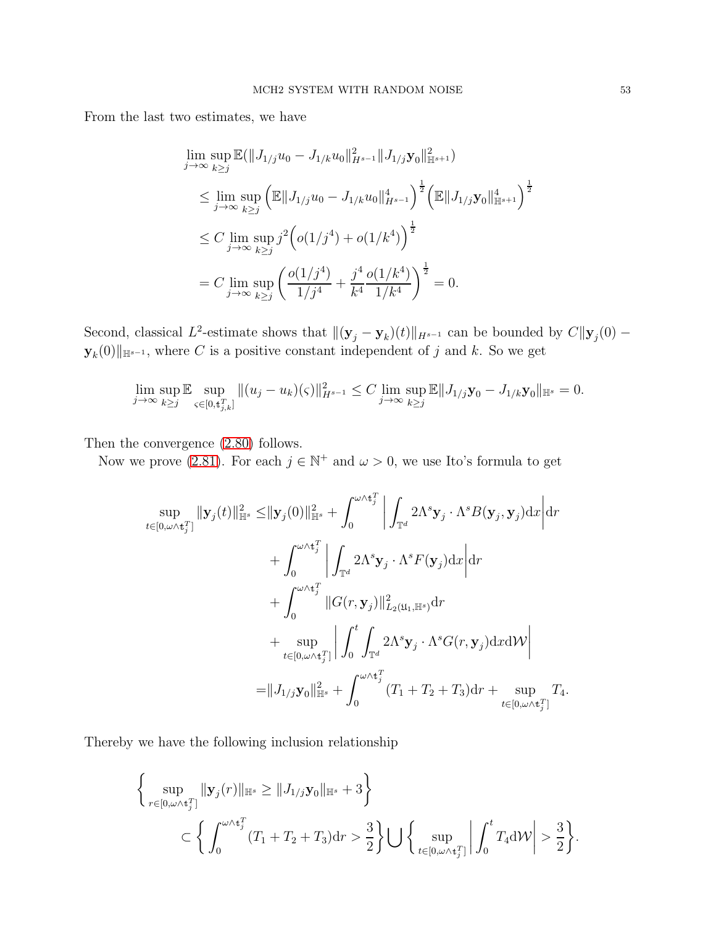From the last two estimates, we have

$$
\lim_{j \to \infty} \sup_{k \ge j} \mathbb{E}(\|J_{1/j}u_0 - J_{1/k}u_0\|_{H^{s-1}}^2 \|J_{1/j}\mathbf{y}_0\|_{\mathbb{H}^{s+1}}^2)
$$
\n
$$
\le \lim_{j \to \infty} \sup_{k \ge j} \left(\mathbb{E} \|J_{1/j}u_0 - J_{1/k}u_0\|_{H^{s-1}}^4\right)^{\frac{1}{2}} \left(\mathbb{E} \|J_{1/j}\mathbf{y}_0\|_{\mathbb{H}^{s+1}}^4\right)^{\frac{1}{2}}
$$
\n
$$
\le C \lim_{j \to \infty} \sup_{k \ge j} j^2 \left(o(1/j^4) + o(1/k^4)\right)^{\frac{1}{2}}
$$
\n
$$
= C \lim_{j \to \infty} \sup_{k \ge j} \left(\frac{o(1/j^4)}{1/j^4} + \frac{j^4}{k^4} \frac{o(1/k^4)}{1/k^4}\right)^{\frac{1}{2}} = 0.
$$

Second, classical L<sup>2</sup>-estimate shows that  $\|(\mathbf{y}_j - \mathbf{y}_k)(t)\|_{H^{s-1}}$  can be bounded by  $C\|\mathbf{y}_j(0) \mathbf{y}_{k}(0)\Vert_{\mathbb{H}^{s-1}}$ , where C is a positive constant independent of j and k. So we get

$$
\lim_{j \to \infty} \sup_{k \ge j} \mathbb{E} \sup_{\varsigma \in [0, t_{j,k}^T]} \|(u_j - u_k)(\varsigma)\|_{H^{s-1}}^2 \le C \lim_{j \to \infty} \sup_{k \ge j} \mathbb{E} \|J_{1/j} \mathbf{y}_0 - J_{1/k} \mathbf{y}_0\|_{\mathbb{H}^s} = 0.
$$

Then the convergence [\(2.80\)](#page-51-0) follows.

Now we prove [\(2.81\)](#page-51-1). For each  $j \in \mathbb{N}^+$  and  $\omega > 0$ , we use Ito's formula to get

$$
\sup_{t\in[0,\omega\wedge\mathbf{t}_j^T]}\|\mathbf{y}_j(t)\|_{\mathbb{H}^s}^2 \leq \|\mathbf{y}_j(0)\|_{\mathbb{H}^s}^2 + \int_0^{\omega\wedge\mathbf{t}_j^T}\left|\int_{\mathbb{T}^d} 2\Lambda^s \mathbf{y}_j \cdot \Lambda^s B(\mathbf{y}_j, \mathbf{y}_j) dx\right| dr + \int_0^{\omega\wedge\mathbf{t}_j^T}\left|\int_{\mathbb{T}^d} 2\Lambda^s \mathbf{y}_j \cdot \Lambda^s F(\mathbf{y}_j) dx\right| dr + \int_0^{\omega\wedge\mathbf{t}_j^T}\|G(r, \mathbf{y}_j)\|_{L_2(\mathfrak{U}_1, \mathbb{H}^s)}^2 dr + \sup_{t\in[0,\omega\wedge\mathbf{t}_j^T]}\left|\int_0^t \int_{\mathbb{T}^d} 2\Lambda^s \mathbf{y}_j \cdot \Lambda^s G(r, \mathbf{y}_j) dx d\mathcal{W}\right| = \|J_{1/j} \mathbf{y}_0\|_{\mathbb{H}^s}^2 + \int_0^{\omega\wedge\mathbf{t}_j^T} (T_1 + T_2 + T_3) dr + \sup_{t\in[0,\omega\wedge\mathbf{t}_j^T]} T_4.
$$

Thereby we have the following inclusion relationship

$$
\left\{\sup_{r\in[0,\omega\wedge\mathbf{t}_{j}^{T}]}\|\mathbf{y}_{j}(r)\|_{\mathbb{H}^{s}}\geq\|J_{1/j}\mathbf{y}_{0}\|_{\mathbb{H}^{s}}+3\right\}
$$

$$
\subset\left\{\int_{0}^{\omega\wedge\mathbf{t}_{j}^{T}}(T_{1}+T_{2}+T_{3})\mathrm{d}r>\frac{3}{2}\right\}\bigcup\left\{\sup_{t\in[0,\omega\wedge\mathbf{t}_{j}^{T}]}\left|\int_{0}^{t}T_{4}\mathrm{d}\mathcal{W}\right|>\frac{3}{2}\right\}
$$

.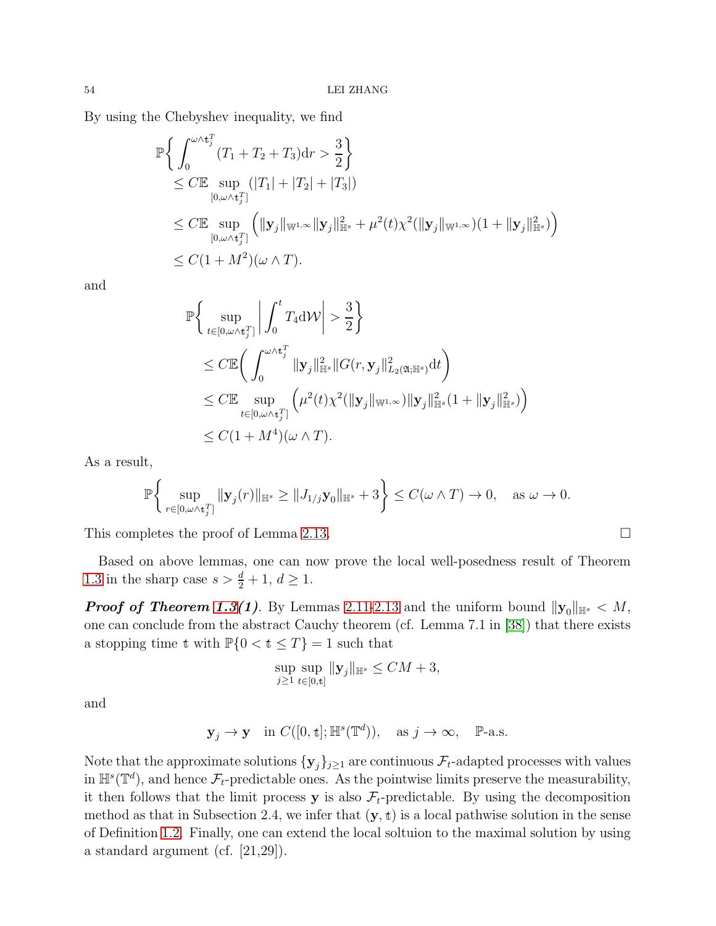By using the Chebyshev inequality, we find

$$
\mathbb{P}\left\{\int_{0}^{\omega \wedge t_{j}^{T}} (T_{1} + T_{2} + T_{3}) dr > \frac{3}{2}\right\}
$$
  
\n
$$
\leq C \mathbb{E} \sup_{[0,\omega \wedge t_{j}^{T}]} (|T_{1}| + |T_{2}| + |T_{3}|)
$$
  
\n
$$
\leq C \mathbb{E} \sup_{[0,\omega \wedge t_{j}^{T}]} (||\mathbf{y}_{j}||_{\mathbb{W}^{1,\infty}} ||\mathbf{y}_{j}||_{\mathbb{H}^{s}}^{2} + \mu^{2}(t)\chi^{2}(||\mathbf{y}_{j}||_{\mathbb{W}^{1,\infty}})(1 + ||\mathbf{y}_{j}||_{\mathbb{H}^{s}}^{2}))
$$
  
\n
$$
\leq C(1 + M^{2})(\omega \wedge T).
$$

and

$$
\mathbb{P}\bigg\{\sup_{t\in[0,\omega\wedge t_j^T]}\bigg|\int_0^t T_4 d\mathcal{W}\bigg| > \frac{3}{2}\bigg\}\leq C \mathbb{E}\bigg(\int_0^{\omega\wedge t_j^T} \|\mathbf{y}_j\|_{\mathbb{H}^s}^2 \|G(r, \mathbf{y}_j\|_{L_2(\mathfrak{A};\mathbb{H}^s)}^2 dt\bigg)\leq C \mathbb{E}\sup_{t\in[0,\omega\wedge t_j^T]}\bigg(\mu^2(t)\chi^2(\|\mathbf{y}_j\|_{\mathbb{W}^{1,\infty}})\|\mathbf{y}_j\|_{\mathbb{H}^s}^2(1+\|\mathbf{y}_j\|_{\mathbb{H}^s}^2)\bigg)\leq C(1+M^4)(\omega\wedge T).
$$

As a result,

$$
\mathbb{P}\bigg\{\sup_{r\in[0,\omega\wedge\mathbf{t}_j^T]}\|\mathbf{y}_j(r)\|_{\mathbb{H}^s}\geq\|J_{1/j}\mathbf{y}_0\|_{\mathbb{H}^s}+3\bigg\}\leq C(\omega\wedge T)\to 0,\quad \text{as }\omega\to 0.
$$

This completes the proof of Lemma [2.13.](#page-51-2)

Based on above lemmas, one can now prove the local well-posedness result of Theorem [1.3](#page-10-0) in the sharp case  $s > \frac{d}{2} + 1, d \ge 1$ .

**Proof of Theorem [1.3\(](#page-10-0)1)**. By Lemmas [2.11](#page-42-1)[-2.13](#page-51-2) and the uniform bound  $||\mathbf{y}_0||_{\mathbb{H}^s} < M$ , one can conclude from the abstract Cauchy theorem (cf. Lemma 7.1 in [\[38\]](#page-90-1)) that there exists a stopping time t with  $\mathbb{P}\{0 \lt t \leq T\} = 1$  such that

$$
\sup_{j\geq 1}\sup_{t\in[0,t]}\|\mathbf{y}_j\|_{\mathbb{H}^s}\leq CM+3,
$$

and

$$
\mathbf{y}_j \to \mathbf{y} \quad \text{in } C([0,\mathbf{t}];\mathbb{H}^s(\mathbb{T}^d)), \quad \text{as } j \to \infty, \quad \mathbb{P}\text{-a.s.}
$$

Note that the approximate solutions  $\{y_j\}_{j\geq 1}$  are continuous  $\mathcal{F}_t$ -adapted processes with values in  $\mathbb{H}^s(\mathbb{T}^d)$ , and hence  $\mathcal{F}_t$ -predictable ones. As the pointwise limits preserve the measurability, it then follows that the limit process **y** is also  $\mathcal{F}_t$ -predictable. By using the decomposition method as that in Subsection 2.4, we infer that  $(y, t)$  is a local pathwise solution in the sense of Definition [1.2.](#page-9-2) Finally, one can extend the local soltuion to the maximal solution by using a standard argument (cf. [21,29]).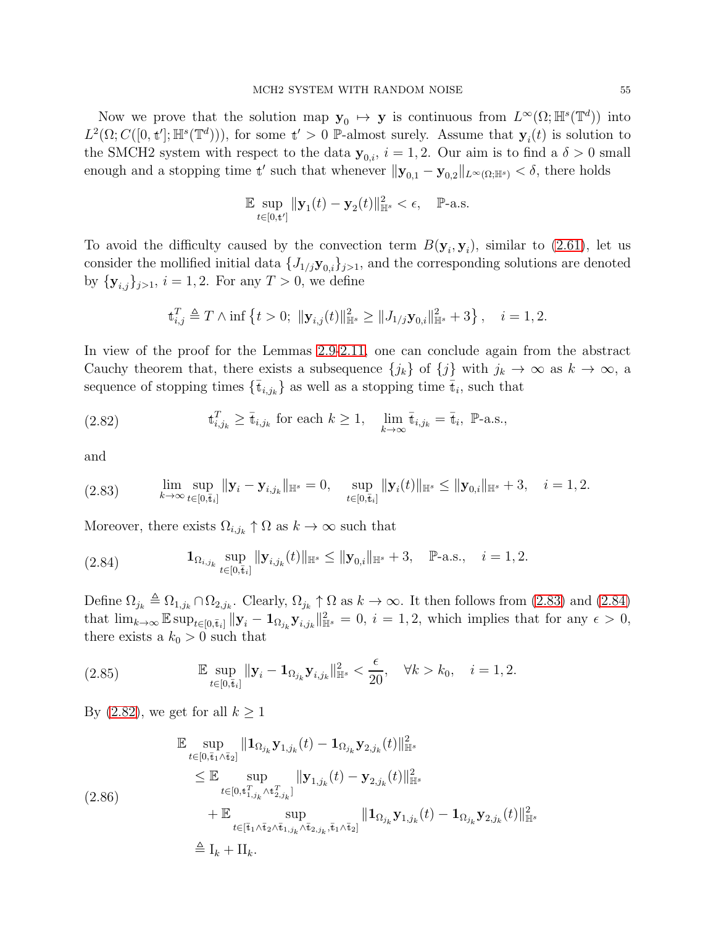Now we prove that the solution map  $y_0 \mapsto y$  is continuous from  $L^{\infty}(\Omega;\mathbb{H}^s(\mathbb{T}^d))$  into  $L^2(\Omega; C([0, t]; \mathbb{H}^s(\mathbb{T}^d))),$  for some  $t' > 0$  P-almost surely. Assume that  $y_i(t)$  is solution to the SMCH2 system with respect to the data  $y_{0,i}$ ,  $i = 1, 2$ . Our aim is to find a  $\delta > 0$  small enough and a stopping time t' such that whenever  $||y_{0,1} - y_{0,2}||_{L^{\infty}(\Omega;\mathbb{H}^{s})} < \delta$ , there holds

$$
\mathbb{E}\sup_{t\in[0,\mathbf{t}']} \|\mathbf{y}_1(t)-\mathbf{y}_2(t)\|_{\mathbb{H}^s}^2<\epsilon,\quad \mathbb{P}\text{-a.s.}
$$

To avoid the difficulty caused by the convection term  $B(\mathbf{y}_i, \mathbf{y}_i)$ , similar to [\(2.61\)](#page-41-0), let us consider the mollified initial data  $\{J_{1/j}\mathbf{y}_{0,i}\}_{j>1}$ , and the corresponding solutions are denoted by  $\{y_{i,j}\}_{j>1}$ ,  $i = 1, 2$ . For any  $T > 0$ , we define

$$
\mathbf{t}_{i,j}^T \triangleq T \wedge \inf \left\{ t > 0; \; \|\mathbf{y}_{i,j}(t)\|_{\mathbb{H}^s}^2 \ge \|J_{1/j}\mathbf{y}_{0,i}\|_{\mathbb{H}^s}^2 + 3 \right\}, \quad i = 1, 2.
$$

In view of the proof for the Lemmas [2.9-](#page-17-3)[2.11,](#page-18-1) one can conclude again from the abstract Cauchy theorem that, there exists a subsequence  ${j_k}$  of  ${j}$  with  $j_k \to \infty$  as  $k \to \infty$ , a sequence of stopping times  $\{\bar{\mathbf{t}}_{i,j_k}\}$  as well as a stopping time  $\bar{\mathbf{t}}_i$ , such that

<span id="page-54-2"></span>(2.82) 
$$
\mathbf{t}_{i,j_k}^T \geq \bar{\mathbf{t}}_{i,j_k} \text{ for each } k \geq 1, \quad \lim_{k \to \infty} \bar{\mathbf{t}}_{i,j_k} = \bar{\mathbf{t}}_i, \ \mathbb{P}\text{-a.s.},
$$

and

<span id="page-54-0"></span>
$$
(2.83) \qquad \lim_{k \to \infty} \sup_{t \in [0,\bar{t}_i]} \|\mathbf{y}_i - \mathbf{y}_{i,j_k}\|_{\mathbb{H}^s} = 0, \quad \sup_{t \in [0,\bar{t}_i]} \|\mathbf{y}_i(t)\|_{\mathbb{H}^s} \le \|\mathbf{y}_{0,i}\|_{\mathbb{H}^s} + 3, \quad i = 1, 2.
$$

Moreover, there exists  $\Omega_{i,j_k} \uparrow \Omega$  as  $k \to \infty$  such that

<span id="page-54-1"></span>(2.84) 
$$
\mathbf{1}_{\Omega_{i,j_k}} \sup_{t \in [0,\bar{t}_i]} \|\mathbf{y}_{i,j_k}(t)\|_{\mathbb{H}^s} \le \|\mathbf{y}_{0,i}\|_{\mathbb{H}^s} + 3, \quad \mathbb{P}\text{-a.s.,} \quad i = 1, 2.
$$

Define  $\Omega_{j_k} \triangleq \Omega_{1,j_k} \cap \Omega_{2,j_k}$ . Clearly,  $\Omega_{j_k} \uparrow \Omega$  as  $k \to \infty$ . It then follows from [\(2.83\)](#page-54-0) and [\(2.84\)](#page-54-1) that  $\lim_{k\to\infty} \mathbb{E} \sup_{t\in[0,\bar{t}_i]} ||\mathbf{y}_i - \mathbf{1}_{\Omega_{j_k}} \mathbf{y}_{i,j_k}||_{\mathbb{H}^s}^2 = 0, i = 1, 2$ , which implies that for any  $\epsilon > 0$ , there exists a  $k_0 > 0$  such that

(2.85) 
$$
\mathbb{E} \sup_{t \in [0,\bar{t}_i]} ||\mathbf{y}_i - \mathbf{1}_{\Omega_{j_k}} \mathbf{y}_{i,j_k}||_{\mathbb{H}^s}^2 < \frac{\epsilon}{20}, \quad \forall k > k_0, \quad i = 1, 2.
$$

By [\(2.82\)](#page-54-2), we get for all  $k \geq 1$ 

$$
\mathbb{E} \sup_{t \in [0, \bar{t}_1 \wedge \bar{t}_2]} ||\mathbf{1}_{\Omega_{j_k}} \mathbf{y}_{1,j_k}(t) - \mathbf{1}_{\Omega_{j_k}} \mathbf{y}_{2,j_k}(t)||_{\mathbb{H}^s}^2
$$
\n
$$
\leq \mathbb{E} \sup_{t \in [0, t_{1,j_k}^T \wedge t_{2,j_k}^T]} ||\mathbf{y}_{1,j_k}(t) - \mathbf{y}_{2,j_k}(t)||_{\mathbb{H}^s}^2
$$
\n
$$
+ \mathbb{E} \sup_{t \in [\bar{t}_1 \wedge \bar{t}_2 \wedge \bar{t}_{1,j_k} \wedge \bar{t}_{2,j_k}, \bar{t}_1 \wedge \bar{t}_2]} ||\mathbf{1}_{\Omega_{j_k}} \mathbf{y}_{1,j_k}(t) - \mathbf{1}_{\Omega_{j_k}} \mathbf{y}_{2,j_k}(t)||_{\mathbb{H}^s}^2
$$
\n
$$
\triangleq I_k + II_k.
$$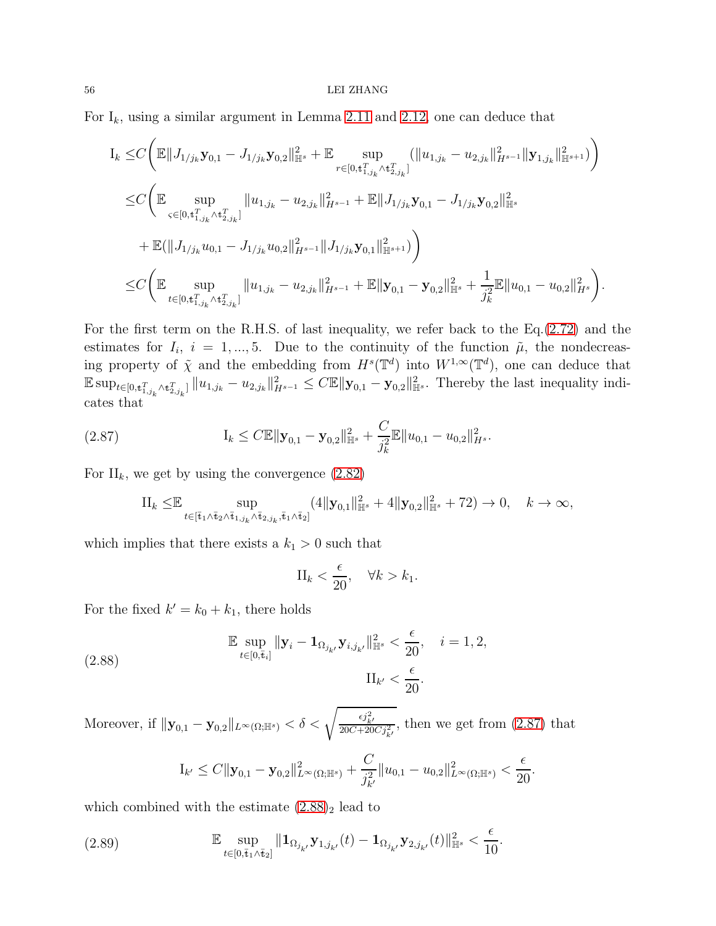#### 56 LEI ZHANG

For  $I_k$ , using a similar argument in Lemma [2.11](#page-42-1) and [2.12,](#page-45-0) one can deduce that

$$
I_{k} \leq C \Big( \mathbb{E} \|J_{1/j_{k}} \mathbf{y}_{0,1} - J_{1/j_{k}} \mathbf{y}_{0,2}\|_{\mathbb{H}^{s}}^{2} + \mathbb{E} \sup_{r \in [0,t_{1,j_{k}}^{T} \wedge t_{2,j_{k}}^{T}]}\left( \|u_{1,j_{k}} - u_{2,j_{k}}\|_{H^{s-1}}^{2} \|\mathbf{y}_{1,j_{k}}\|_{\mathbb{H}^{s+1}}^{2}\right) \Big)
$$
  
\n
$$
\leq C \Big( \mathbb{E} \sup_{\varsigma \in [0,t_{1,j_{k}}^{T} \wedge t_{2,j_{k}}^{T}]}\|u_{1,j_{k}} - u_{2,j_{k}}\|_{H^{s-1}}^{2} + \mathbb{E} \|J_{1/j_{k}} \mathbf{y}_{0,1} - J_{1/j_{k}} \mathbf{y}_{0,2}\|_{\mathbb{H}^{s}}^{2} + \mathbb{E}(\|J_{1/j_{k}} u_{0,1} - J_{1/j_{k}} u_{0,2}\|_{H^{s-1}}^{2} \|J_{1/j_{k}} \mathbf{y}_{0,1}\|_{\mathbb{H}^{s+1}}^{2}) \Big)
$$
  
\n
$$
\leq C \Big( \mathbb{E} \sup_{t \in [0,t_{1,j_{k}}^{T} \wedge t_{2,j_{k}}^{T}]}\|u_{1,j_{k}} - u_{2,j_{k}}\|_{H^{s-1}}^{2} + \mathbb{E} \| \mathbf{y}_{0,1} - \mathbf{y}_{0,2} \|_{\mathbb{H}^{s}}^{2} + \frac{1}{j_{k}^{2}} \mathbb{E} \|u_{0,1} - u_{0,2} \|_{H^{s}}^{2} \Big).
$$

For the first term on the R.H.S. of last inequality, we refer back to the Eq.[\(2.72\)](#page-45-1) and the estimates for  $I_i$ ,  $i = 1, ..., 5$ . Due to the continuity of the function  $\tilde{\mu}$ , the nondecreasing property of  $\tilde{\chi}$  and the embedding from  $H^s(\mathbb{T}^d)$  into  $W^{1,\infty}(\mathbb{T}^d)$ , one can deduce that  $\mathbb{E} \sup_{t \in [0,t_{1,j_k}^T \wedge t_{2,j_k}^T]} \|u_{1,j_k} - u_{2,j_k}\|_{H^{s-1}}^2 \leq C \mathbb{E} \|\mathbf{y}_{0,1} - \mathbf{y}_{0,2}\|_{\mathbb{H}^s}^2$ . Thereby the last inequality indicates that

<span id="page-55-0"></span>(2.87) 
$$
\mathbf{I}_{k} \leq C \mathbb{E} \|\mathbf{y}_{0,1} - \mathbf{y}_{0,2}\|_{\mathbb{H}^{s}}^{2} + \frac{C}{j_{k}^{2}} \mathbb{E} \|u_{0,1} - u_{0,2}\|_{H^{s}}^{2}.
$$

For  $II_k$ , we get by using the convergence  $(2.82)$ 

$$
\text{II}_k \leq \mathbb{E} \sup_{t \in [\bar{\mathbf{t}}_1 \wedge \bar{\mathbf{t}}_2 \wedge \bar{\mathbf{t}}_{1,j_k} \wedge \bar{\mathbf{t}}_{2,j_k}, \bar{\mathbf{t}}_1 \wedge \bar{\mathbf{t}}_2]} (4 \|\mathbf{y}_{0,1}\|_{\mathbb{H}^s}^2 + 4 \|\mathbf{y}_{0,2}\|_{\mathbb{H}^s}^2 + 72) \to 0, \quad k \to \infty,
$$

which implies that there exists a  $k_1 > 0$  such that

$$
\Pi_k < \frac{\epsilon}{20}, \quad \forall k > k_1.
$$

For the fixed  $k' = k_0 + k_1$ , there holds

<span id="page-55-1"></span>(2.88) 
$$
\mathbb{E} \sup_{t \in [0,\bar{t}_i]} \|\mathbf{y}_i - \mathbf{1}_{\Omega_{j_{k'}}} \mathbf{y}_{i,j_{k'}}\|_{\mathbb{H}^s}^2 < \frac{\epsilon}{20}, \quad i = 1, 2,
$$

$$
\text{II}_{k'} < \frac{\epsilon}{20}.
$$

Moreover, if  $\|\mathbf{y}_{0,1} - \mathbf{y}_{0,2}\|_{L^{\infty}(\Omega;\mathbb{H}^s)} < \delta < \sqrt{\frac{\epsilon j_{k'}^2}{20C + 20C j_{k'}^2}}$ , then we get from [\(2.87\)](#page-55-0) that

$$
I_{k'} \leq C \|\mathbf{y}_{0,1} - \mathbf{y}_{0,2}\|_{L^{\infty}(\Omega;\mathbb{H}^s)}^2 + \frac{C}{j_{k'}^2} \|u_{0,1} - u_{0,2}\|_{L^{\infty}(\Omega;\mathbb{H}^s)}^2 < \frac{\epsilon}{20}.
$$

which combined with the estimate  $(2.88)_2$  lead to

<span id="page-55-2"></span>(2.89) 
$$
\mathbb{E} \sup_{t \in [0,\bar{t}_1 \wedge \bar{t}_2]} \| \mathbf{1}_{\Omega_{j_{k'}}} \mathbf{y}_{1,j_{k'}}(t) - \mathbf{1}_{\Omega_{j_{k'}}} \mathbf{y}_{2,j_{k'}}(t) \|_{\mathbb{H}^s}^2 < \frac{\epsilon}{10}.
$$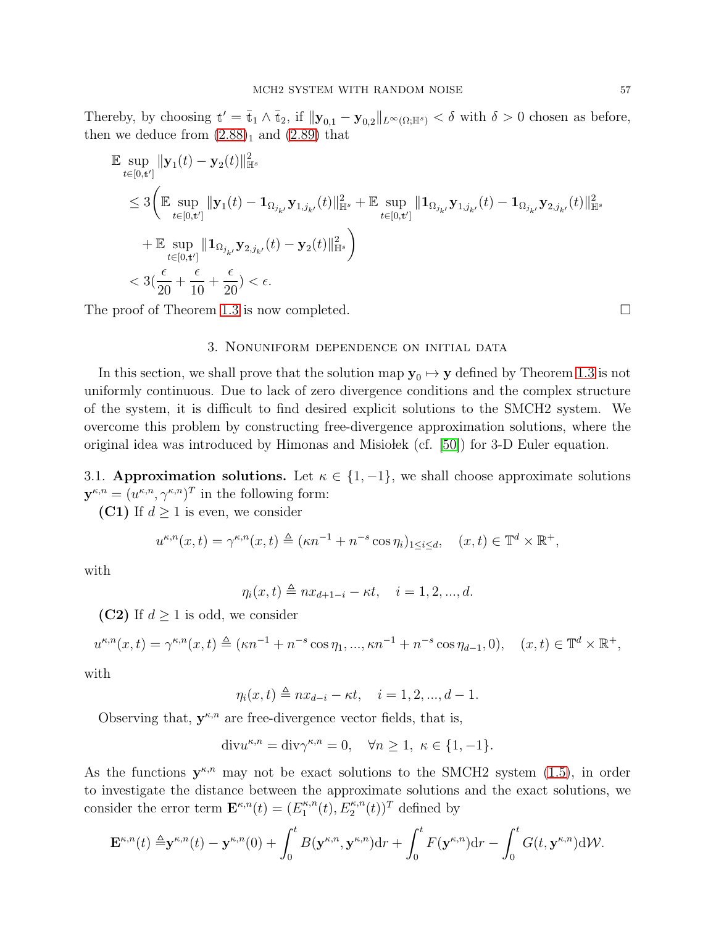Thereby, by choosing  $t' = \bar{t}_1 \wedge \bar{t}_2$ , if  $||\mathbf{y}_{0,1} - \mathbf{y}_{0,2}||_{L^{\infty}(\Omega;\mathbb{H}^s)} < \delta$  with  $\delta > 0$  chosen as before, then we deduce from  $(2.88)_1$  and  $(2.89)$  that

$$
\label{eq:4.10} \begin{split} &\mathbb{E}\sup_{t\in[0,t']} \|\mathbf{y}_1(t)-\mathbf{y}_2(t)\|_{\mathbb{H}^s}^2\\ &\leq 3\bigg(\mathbb{E}\sup_{t\in[0,t']} \|\mathbf{y}_1(t)-\mathbf{1}_{\Omega_{j_{k'}}}\mathbf{y}_{1,j_{k'}}(t)\|_{\mathbb{H}^s}^2+\mathbb{E}\sup_{t\in[0,t']} \|\mathbf{1}_{\Omega_{j_{k'}}}\mathbf{y}_{1,j_{k'}}(t)-\mathbf{1}_{\Omega_{j_{k'}}}\mathbf{y}_{2,j_{k'}}(t)\|_{\mathbb{H}^s}^2\\ &+\mathbb{E}\sup_{t\in[0,t']} \|\mathbf{1}_{\Omega_{j_{k'}}}\mathbf{y}_{2,j_{k'}}(t)-\mathbf{y}_2(t)\|_{\mathbb{H}^s}^2\bigg)\\ &< 3(\frac{\epsilon}{20}+\frac{\epsilon}{10}+\frac{\epsilon}{20})<\epsilon. \end{split}
$$

The proof of Theorem [1.3](#page-10-0) is now completed.

# 3. Nonuniform dependence on initial data

In this section, we shall prove that the solution map  $y_0 \mapsto y$  defined by Theorem [1.3](#page-10-0) is not uniformly continuous. Due to lack of zero divergence conditions and the complex structure of the system, it is difficult to find desired explicit solutions to the SMCH2 system. We overcome this problem by constructing free-divergence approximation solutions, where the original idea was introduced by Himonas and Misiobek (cf.  $[50]$ ) for 3-D Euler equation.

3.1. Approximation solutions. Let  $\kappa \in \{1, -1\}$ , we shall choose approximate solutions  $\mathbf{y}^{\kappa,n} = (u^{\kappa,n}, \gamma^{\kappa,n})^T$  in the following form:

(C1) If  $d \geq 1$  is even, we consider

$$
u^{\kappa,n}(x,t) = \gamma^{\kappa,n}(x,t) \triangleq (\kappa n^{-1} + n^{-s} \cos \eta_i)_{1 \le i \le d}, \quad (x,t) \in \mathbb{T}^d \times \mathbb{R}^+,
$$

with

$$
\eta_i(x,t) \triangleq nx_{d+1-i} - \kappa t, \quad i = 1, 2, ..., d.
$$

(C2) If  $d \geq 1$  is odd, we consider

$$
u^{\kappa,n}(x,t) = \gamma^{\kappa,n}(x,t) \triangleq (\kappa n^{-1} + n^{-s}\cos\eta_1, ..., \kappa n^{-1} + n^{-s}\cos\eta_{d-1}, 0), \quad (x,t) \in \mathbb{T}^d \times \mathbb{R}^+,
$$

with

$$
\eta_i(x, t) \triangleq nx_{d-i} - \kappa t, \quad i = 1, 2, ..., d - 1.
$$

Observing that,  $y^{\kappa,n}$  are free-divergence vector fields, that is,

$$
\text{div}u^{\kappa,n} = \text{div}\gamma^{\kappa,n} = 0, \quad \forall n \ge 1, \ \kappa \in \{1, -1\}.
$$

As the functions  $y^{\kappa,n}$  may not be exact solutions to the SMCH2 system [\(1.5\)](#page-4-0), in order to investigate the distance between the approximate solutions and the exact solutions, we consider the error term  $\mathbf{E}^{\kappa,n}(t) = (E_1^{\kappa,n})$  $L_1^{\kappa,n}(t), E_2^{\kappa,n}(t))^T$  defined by

$$
\mathbf{E}^{\kappa,n}(t) \triangleq \mathbf{y}^{\kappa,n}(t) - \mathbf{y}^{\kappa,n}(0) + \int_0^t B(\mathbf{y}^{\kappa,n}, \mathbf{y}^{\kappa,n}) d\mathbf{r} + \int_0^t F(\mathbf{y}^{\kappa,n}) d\mathbf{r} - \int_0^t G(t, \mathbf{y}^{\kappa,n}) d\mathcal{W}.
$$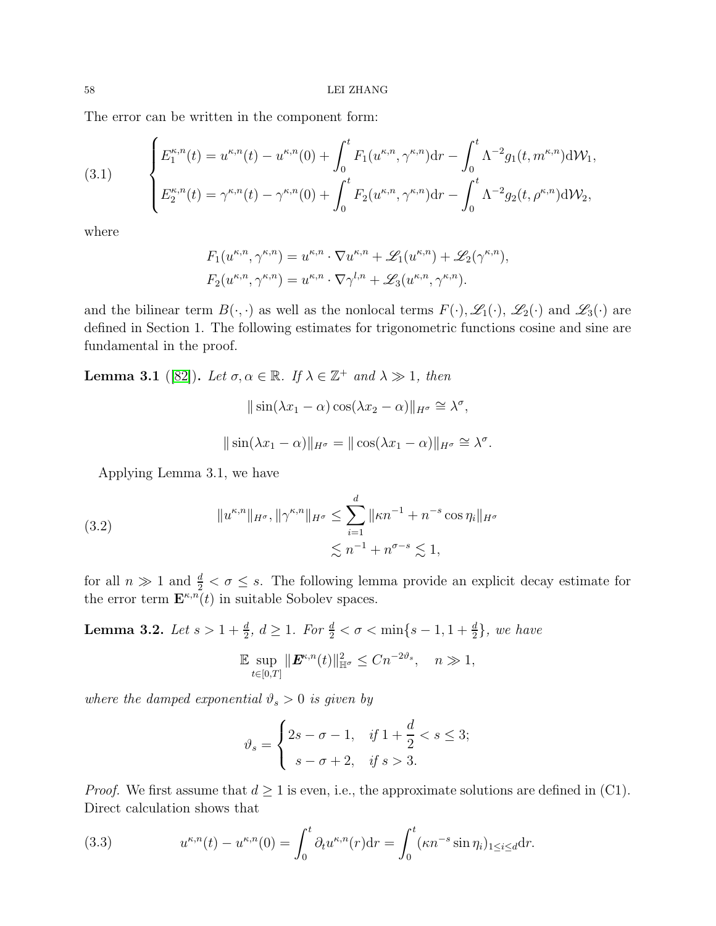The error can be written in the component form:

<span id="page-57-3"></span>(3.1) 
$$
\begin{cases} E_1^{\kappa,n}(t) = u^{\kappa,n}(t) - u^{\kappa,n}(0) + \int_0^t F_1(u^{\kappa,n}, \gamma^{\kappa,n}) dr - \int_0^t \Lambda^{-2} g_1(t, m^{\kappa,n}) d\mathcal{W}_1, \\ E_2^{\kappa,n}(t) = \gamma^{\kappa,n}(t) - \gamma^{\kappa,n}(0) + \int_0^t F_2(u^{\kappa,n}, \gamma^{\kappa,n}) dr - \int_0^t \Lambda^{-2} g_2(t, \rho^{\kappa,n}) d\mathcal{W}_2, \end{cases}
$$

where

$$
F_1(u^{\kappa,n}, \gamma^{\kappa,n}) = u^{\kappa,n} \cdot \nabla u^{\kappa,n} + \mathscr{L}_1(u^{\kappa,n}) + \mathscr{L}_2(\gamma^{\kappa,n}),
$$
  

$$
F_2(u^{\kappa,n}, \gamma^{\kappa,n}) = u^{\kappa,n} \cdot \nabla \gamma^{l,n} + \mathscr{L}_3(u^{\kappa,n}, \gamma^{\kappa,n}).
$$

and the bilinear term  $B(\cdot, \cdot)$  as well as the nonlocal terms  $F(\cdot), \mathscr{L}_1(\cdot), \mathscr{L}_2(\cdot)$  and  $\mathscr{L}_3(\cdot)$  are defined in Section 1. The following estimates for trigonometric functions cosine and sine are fundamental in the proof.

<span id="page-57-1"></span>**Lemma 3.1** ([\[82\]](#page-92-1)). Let  $\sigma, \alpha \in \mathbb{R}$ . If  $\lambda \in \mathbb{Z}^+$  and  $\lambda \gg 1$ , then

$$
\|\sin(\lambda x_1 - \alpha) \cos(\lambda x_2 - \alpha)\|_{H^{\sigma}} \cong \lambda^{\sigma},
$$
  

$$
\|\sin(\lambda x_1 - \alpha)\|_{H^{\sigma}} = \|\cos(\lambda x_1 - \alpha)\|_{H^{\sigma}} \cong \lambda^{\sigma}
$$

.

Applying Lemma 3.1, we have

<span id="page-57-4"></span>(3.2) 
$$
||u^{\kappa,n}||_{H^{\sigma}}, ||\gamma^{\kappa,n}||_{H^{\sigma}} \le \sum_{i=1}^{d} ||\kappa n^{-1} + n^{-s} \cos \eta_i||_{H^{\sigma}}
$$

$$
\lesssim n^{-1} + n^{\sigma-s} \lesssim 1,
$$

for all  $n \gg 1$  and  $\frac{d}{2} < \sigma \leq s$ . The following lemma provide an explicit decay estimate for the error term  $\mathbf{E}^{\kappa,n}(t)$  in suitable Sobolev spaces.

<span id="page-57-2"></span>**Lemma 3.2.** Let  $s > 1 + \frac{d}{2}$ ,  $d \ge 1$ . For  $\frac{d}{2} < \sigma < \min\{s - 1, 1 + \frac{d}{2}\}$ , we have

$$
\mathbb{E} \sup_{t \in [0,T]} \|\mathbf{E}^{\kappa,n}(t)\|_{\mathbb{H}^{\sigma}}^2 \le Cn^{-2\vartheta_s}, \quad n \gg 1,
$$

where the damped exponential  $\vartheta_s > 0$  is given by

$$
\vartheta_s = \begin{cases} 2s - \sigma - 1, & \text{if } 1 + \frac{d}{2} < s \le 3; \\ s - \sigma + 2, & \text{if } s > 3. \end{cases}
$$

*Proof.* We first assume that  $d \geq 1$  is even, i.e., the approximate solutions are defined in (C1). Direct calculation shows that

<span id="page-57-0"></span>(3.3) 
$$
u^{\kappa,n}(t) - u^{\kappa,n}(0) = \int_0^t \partial_t u^{\kappa,n}(r) dr = \int_0^t (\kappa n^{-s} \sin \eta_i)_{1 \le i \le d} dr.
$$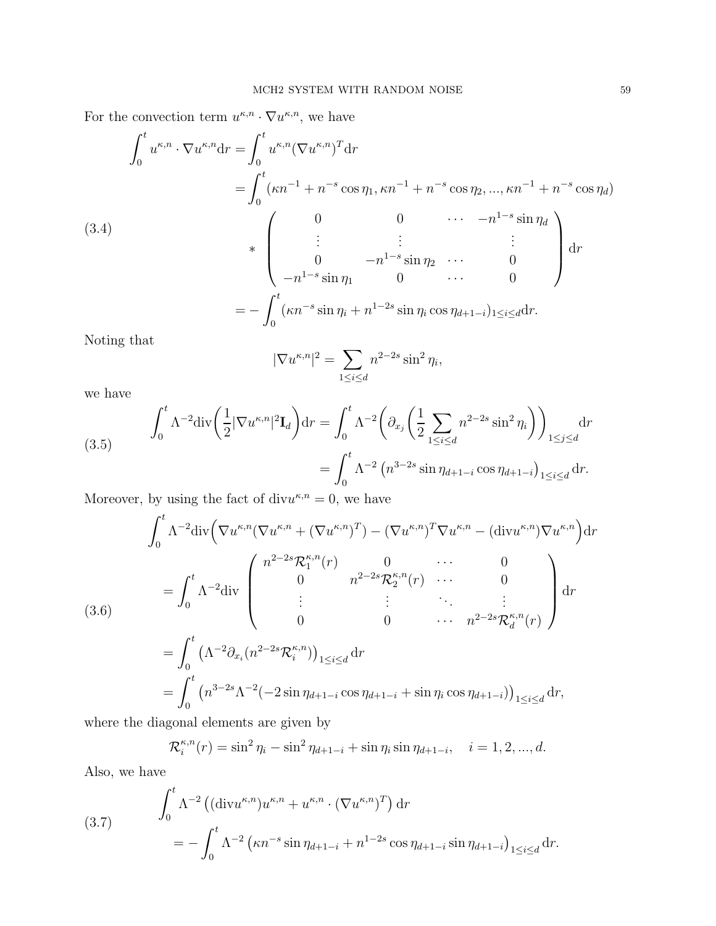For the convection term  $u^{\kappa,n} \cdot \nabla u^{\kappa,n}$ , we have

$$
\int_{0}^{t} u^{\kappa,n} \cdot \nabla u^{\kappa,n} \mathrm{d}r = \int_{0}^{t} u^{\kappa,n} (\nabla u^{\kappa,n})^{T} \mathrm{d}r
$$
\n
$$
= \int_{0}^{t} (\kappa n^{-1} + n^{-s} \cos \eta_{1}, \kappa n^{-1} + n^{-s} \cos \eta_{2}, ..., \kappa n^{-1} + n^{-s} \cos \eta_{d})
$$
\n(3.4)\n
$$
* \begin{pmatrix}\n0 & 0 & \cdots & -n^{1-s} \sin \eta_{d} \\
\vdots & \vdots & \ddots & \vdots \\
0 & -n^{1-s} \sin \eta_{1} & 0 & \cdots & 0\n\end{pmatrix} \mathrm{d}r
$$
\n
$$
= - \int_{0}^{t} (\kappa n^{-s} \sin \eta_{i} + n^{1-2s} \sin \eta_{i} \cos \eta_{d+1-i})_{1 \leq i \leq d} \mathrm{d}r.
$$
\nNoting that

Noting that

$$
|\nabla u^{\kappa,n}|^2 = \sum_{1 \le i \le d} n^{2-2s} \sin^2 \eta_i,
$$

we have

(3.5) 
$$
\int_0^t \Lambda^{-2} \text{div} \left( \frac{1}{2} |\nabla u^{\kappa, n}|^2 \mathbf{I}_d \right) dr = \int_0^t \Lambda^{-2} \left( \partial_{x_j} \left( \frac{1}{2} \sum_{1 \le i \le d} n^{2-2s} \sin^2 \eta_i \right) \right)_{1 \le j \le d} dr = \int_0^t \Lambda^{-2} \left( n^{3-2s} \sin \eta_{d+1-i} \cos \eta_{d+1-i} \right)_{1 \le i \le d} dr.
$$

Moreover, by using the fact of div $u^{\kappa,n} = 0$ , we have

$$
\int_{0}^{t} \Lambda^{-2} \text{div} \Big( \nabla u^{\kappa,n} (\nabla u^{\kappa,n} + (\nabla u^{\kappa,n})^{T}) - (\nabla u^{\kappa,n})^{T} \nabla u^{\kappa,n} - (\text{div} u^{\kappa,n}) \nabla u^{\kappa,n} \Big) \text{d}r
$$
\n
$$
= \int_{0}^{t} \Lambda^{-2} \text{div} \begin{pmatrix} n^{2-2s} \mathcal{R}_{1}^{\kappa,n}(r) & 0 & \cdots & 0 \\ 0 & n^{2-2s} \mathcal{R}_{2}^{\kappa,n}(r) & \cdots & 0 \\ \vdots & \vdots & \ddots & \vdots \\ 0 & 0 & \cdots & n^{2-2s} \mathcal{R}_{d}^{\kappa,n}(r) \end{pmatrix} \text{d}r
$$
\n
$$
= \int_{0}^{t} \left( \Lambda^{-2} \partial_{x_{i}} (n^{2-2s} \mathcal{R}_{i}^{\kappa,n}) \right)_{1 \leq i \leq d} \text{d}r
$$
\n
$$
= \int_{0}^{t} \left( n^{3-2s} \Lambda^{-2} (-2\sin \eta_{d+1-i} \cos \eta_{d+1-i} + \sin \eta_{i} \cos \eta_{d+1-i}) \right)_{1 \leq i \leq d} \text{d}r,
$$

where the diagonal elements are given by

$$
\mathcal{R}_i^{\kappa,n}(r) = \sin^2 \eta_i - \sin^2 \eta_{d+1-i} + \sin \eta_i \sin \eta_{d+1-i}, \quad i = 1, 2, ..., d.
$$

Also, we have

(3.7) 
$$
\int_0^t \Lambda^{-2} \left( (\text{div} u^{\kappa,n}) u^{\kappa,n} + u^{\kappa,n} \cdot (\nabla u^{\kappa,n})^T \right) dr
$$

$$
= - \int_0^t \Lambda^{-2} \left( \kappa n^{-s} \sin \eta_{d+1-i} + n^{1-2s} \cos \eta_{d+1-i} \sin \eta_{d+1-i} \right)_{1 \le i \le d} dr.
$$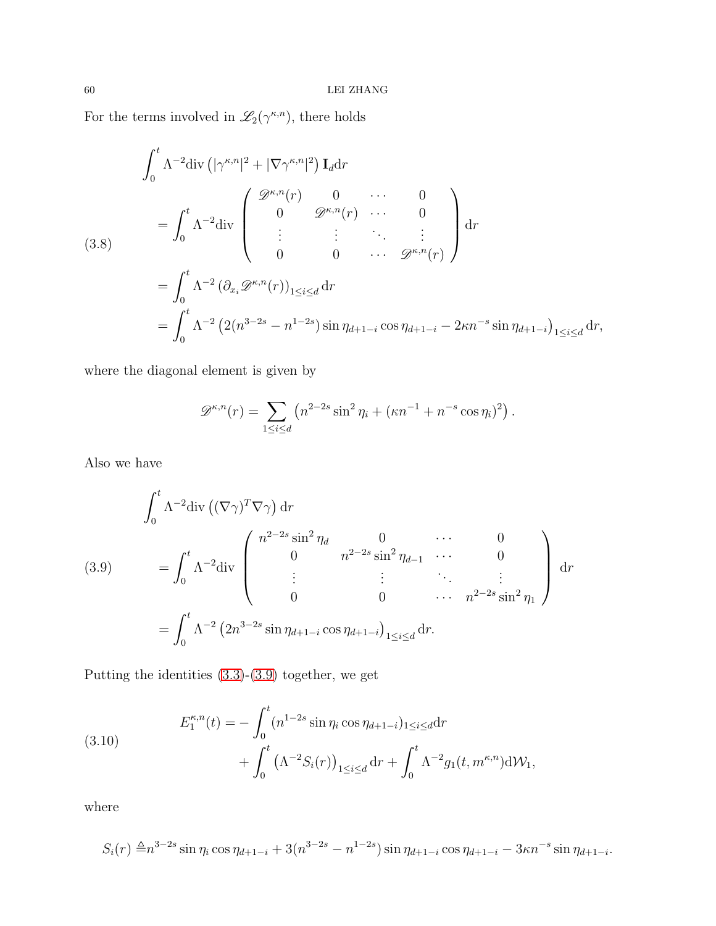For the terms involved in  $\mathscr{L}_2(\gamma^{\kappa,n})$ , there holds

$$
\int_0^t \Lambda^{-2} \text{div} \left( |\gamma^{\kappa, n}|^2 + |\nabla \gamma^{\kappa, n}|^2 \right) \mathbf{I}_d \text{d}r
$$
\n
$$
= \int_0^t \Lambda^{-2} \text{div} \begin{pmatrix} \mathcal{D}^{\kappa, n}(r) & 0 & \cdots & 0 \\ 0 & \mathcal{D}^{\kappa, n}(r) & \cdots & 0 \\ \vdots & \vdots & \ddots & \vdots \\ 0 & 0 & \cdots & \mathcal{D}^{\kappa, n}(r) \end{pmatrix} \text{d}r
$$
\n
$$
= \int_0^t \Lambda^{-2} \left( \partial_{x_i} \mathcal{D}^{\kappa, n}(r) \right)_{1 \le i \le d} \text{d}r
$$
\n
$$
= \int_0^t \Lambda^{-2} \left( 2(n^{3-2s} - n^{1-2s}) \sin \eta_{d+1-i} \cos \eta_{d+1-i} - 2\kappa n^{-s} \sin \eta_{d+1-i} \right)_{1 \le i \le d} \text{d}r,
$$

where the diagonal element is given by

$$
\mathscr{D}^{\kappa,n}(r) = \sum_{1 \leq i \leq d} \left( n^{2-2s} \sin^2 \eta_i + (\kappa n^{-1} + n^{-s} \cos \eta_i)^2 \right).
$$

Also we have

<span id="page-59-0"></span>
$$
\int_{0}^{t} \Lambda^{-2} \text{div} \left( (\nabla \gamma)^{T} \nabla \gamma \right) \text{d}r
$$
\n
$$
(3.9) \qquad = \int_{0}^{t} \Lambda^{-2} \text{div} \begin{pmatrix} n^{2-2s} \sin^{2} \eta_{d} & 0 & \cdots & 0\\ 0 & n^{2-2s} \sin^{2} \eta_{d-1} & \cdots & 0\\ \vdots & \vdots & \ddots & \vdots\\ 0 & 0 & \cdots & n^{2-2s} \sin^{2} \eta_{1} \end{pmatrix} \text{d}r
$$
\n
$$
= \int_{0}^{t} \Lambda^{-2} \left( 2n^{3-2s} \sin \eta_{d+1-i} \cos \eta_{d+1-i} \right)_{1 \leq i \leq d} \text{d}r.
$$

Putting the identities [\(3.3\)](#page-57-0)-[\(3.9\)](#page-59-0) together, we get

<span id="page-59-1"></span>(3.10) 
$$
E_1^{\kappa,n}(t) = -\int_0^t (n^{1-2s} \sin \eta_i \cos \eta_{d+1-i})_{1 \le i \le d} dr + \int_0^t (\Lambda^{-2} S_i(r))_{1 \le i \le d} dr + \int_0^t \Lambda^{-2} g_1(t, m^{\kappa,n}) d\mathcal{W}_1,
$$

where

$$
S_i(r) \triangleq n^{3-2s} \sin \eta_i \cos \eta_{d+1-i} + 3(n^{3-2s} - n^{1-2s}) \sin \eta_{d+1-i} \cos \eta_{d+1-i} - 3\kappa n^{-s} \sin \eta_{d+1-i}.
$$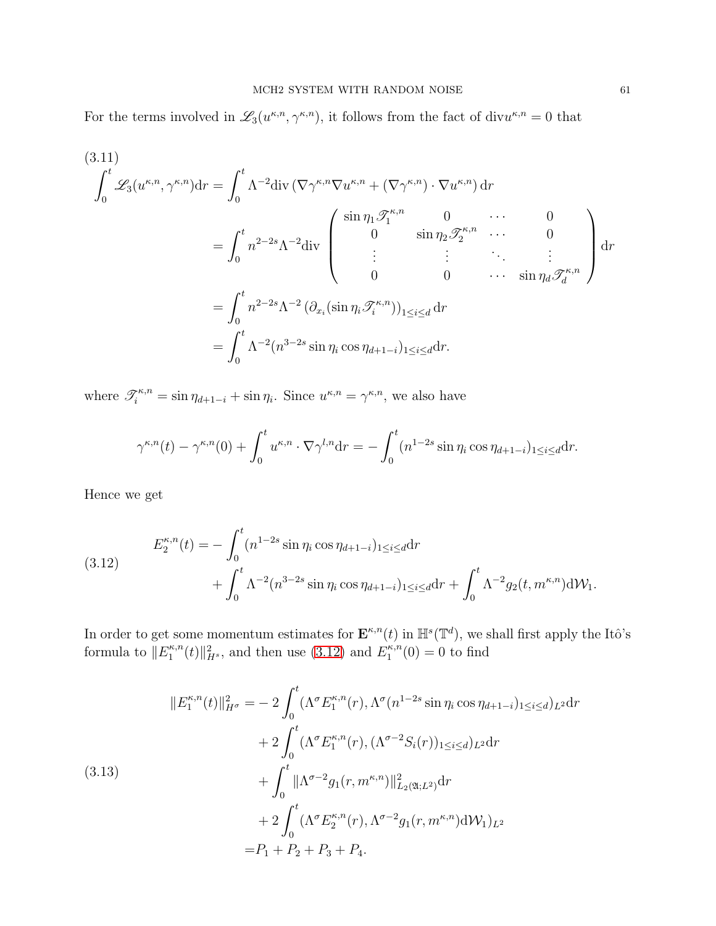For the terms involved in  $\mathscr{L}_3(u^{\kappa,n}, \gamma^{\kappa,n})$ , it follows from the fact of div $u^{\kappa,n} = 0$  that

$$
(3.11)
$$
\n
$$
\int_0^t \mathcal{L}_3(u^{\kappa,n}, \gamma^{\kappa,n}) dr = \int_0^t \Lambda^{-2} \text{div} (\nabla \gamma^{\kappa,n} \nabla u^{\kappa,n} + (\nabla \gamma^{\kappa,n}) \cdot \nabla u^{\kappa,n}) dr
$$
\n
$$
= \int_0^t n^{2-2s} \Lambda^{-2} \text{div} \begin{pmatrix} \sin \eta_1 \mathcal{F}_1^{\kappa,n} & 0 & \cdots & 0 \\ 0 & \sin \eta_2 \mathcal{F}_2^{\kappa,n} & \cdots & 0 \\ \vdots & \vdots & \ddots & \vdots \\ 0 & 0 & \cdots & \sin \eta_d \mathcal{F}_d^{\kappa,n} \end{pmatrix} dr
$$
\n
$$
= \int_0^t n^{2-2s} \Lambda^{-2} (\partial_{x_i} (\sin \eta_i \mathcal{F}_i^{\kappa,n}))_{1 \le i \le d} dr
$$
\n
$$
= \int_0^t \Lambda^{-2} (n^{3-2s} \sin \eta_i \cos \eta_{d+1-i})_{1 \le i \le d} dr.
$$

where  $\mathscr{T}_{i}^{\kappa,n} = \sin \eta_{d+1-i} + \sin \eta_i$ . Since  $u^{\kappa,n} = \gamma^{\kappa,n}$ , we also have

$$
\gamma^{\kappa,n}(t) - \gamma^{\kappa,n}(0) + \int_0^t u^{\kappa,n} \cdot \nabla \gamma^{l,n} dr = -\int_0^t (n^{1-2s} \sin \eta_i \cos \eta_{d+1-i})_{1 \le i \le d} dr.
$$

Hence we get

<span id="page-60-0"></span>(3.12) 
$$
E_2^{\kappa,n}(t) = -\int_0^t (n^{1-2s} \sin \eta_i \cos \eta_{d+1-i})_{1 \le i \le d} dr + \int_0^t \Lambda^{-2} (n^{3-2s} \sin \eta_i \cos \eta_{d+1-i})_{1 \le i \le d} dr + \int_0^t \Lambda^{-2} g_2(t, m^{\kappa,n}) d\mathcal{W}_1.
$$

In order to get some momentum estimates for  $\mathbf{E}^{\kappa,n}(t)$  in  $\mathbb{H}^s(\mathbb{T}^d)$ , we shall first apply the Itô's formula to  $||E_1^{\kappa,n}$  $\mathbb{E}_1^{\kappa,n}(t)\|_{H^s}^2$ , and then use  $(3.12)$  and  $E_1^{\kappa,n}$  $j_1^{\kappa,n}(0) = 0$  to find

<span id="page-60-1"></span>
$$
\|E_1^{\kappa,n}(t)\|_{H^{\sigma}}^2 = -2 \int_0^t (\Lambda^{\sigma} E_1^{\kappa,n}(r), \Lambda^{\sigma} (n^{1-2s} \sin \eta_i \cos \eta_{d+1-i})_{1 \le i \le d})_{L^2} dr + 2 \int_0^t (\Lambda^{\sigma} E_1^{\kappa,n}(r), (\Lambda^{\sigma-2} S_i(r))_{1 \le i \le d})_{L^2} dr + \int_0^t \|\Lambda^{\sigma-2} g_1(r, m^{\kappa,n})\|_{L_2(\mathfrak{A}; L^2)}^2 dr + 2 \int_0^t (\Lambda^{\sigma} E_2^{\kappa,n}(r), \Lambda^{\sigma-2} g_1(r, m^{\kappa,n}) d\mathcal{W}_1)_{L^2} = P_1 + P_2 + P_3 + P_4.
$$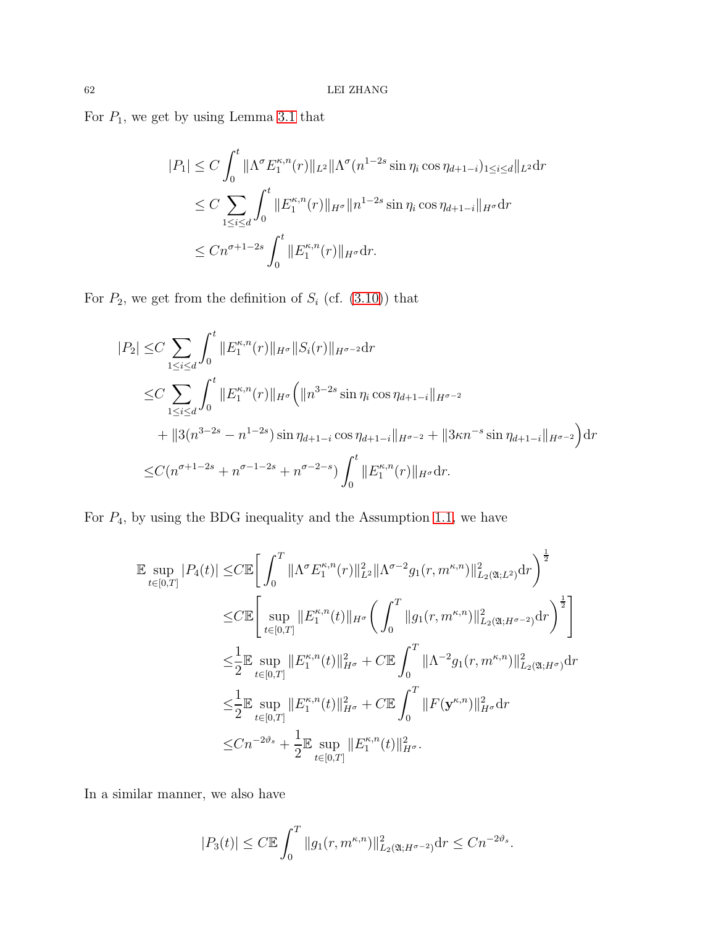For  $P_1$ , we get by using Lemma [3.1](#page-57-1) that

$$
|P_1| \le C \int_0^t \|\Lambda^{\sigma} E_1^{\kappa, n}(r)\|_{L^2} \|\Lambda^{\sigma}(n^{1-2s}\sin\eta_i \cos\eta_{d+1-i})_{1 \le i \le d} \|_{L^2} dr
$$
  
\n
$$
\le C \sum_{1 \le i \le d} \int_0^t \|E_1^{\kappa, n}(r)\|_{H^{\sigma}} \|n^{1-2s}\sin\eta_i \cos\eta_{d+1-i}\|_{H^{\sigma}} dr
$$
  
\n
$$
\le C n^{\sigma+1-2s} \int_0^t \|E_1^{\kappa, n}(r)\|_{H^{\sigma}} dr.
$$

For  $P_2$ , we get from the definition of  $S_i$  (cf. [\(3.10\)](#page-59-1)) that

$$
|P_2| \leq C \sum_{1 \leq i \leq d} \int_0^t ||E_1^{\kappa,n}(r)||_{H^{\sigma}} ||S_i(r)||_{H^{\sigma-2}} dr
$$
  
\n
$$
\leq C \sum_{1 \leq i \leq d} \int_0^t ||E_1^{\kappa,n}(r)||_{H^{\sigma}} \left( ||n^{3-2s} \sin \eta_i \cos \eta_{d+1-i}||_{H^{\sigma-2}} + ||3(n^{3-2s} - n^{1-2s}) \sin \eta_{d+1-i} \cos \eta_{d+1-i}||_{H^{\sigma-2}} + ||3\kappa n^{-s} \sin \eta_{d+1-i}||_{H^{\sigma-2}} \right) dr
$$
  
\n
$$
\leq C(n^{\sigma+1-2s} + n^{\sigma-1-2s} + n^{\sigma-2-s}) \int_0^t ||E_1^{\kappa,n}(r)||_{H^{\sigma}} dr.
$$

For  $P_4$ , by using the BDG inequality and the Assumption [1.1,](#page-8-0) we have

$$
\mathbb{E} \sup_{t \in [0,T]} |P_4(t)| \leq C \mathbb{E} \bigg[ \int_0^T \|\Lambda^{\sigma} E_1^{\kappa,n}(r)\|_{L^2}^2 \|\Lambda^{\sigma-2} g_1(r, m^{\kappa,n})\|_{L_2(\mathfrak{A};L^2)}^2 dr \bigg)^{\frac{1}{2}} \n\leq C \mathbb{E} \bigg[ \sup_{t \in [0,T]} \|E_1^{\kappa,n}(t)\|_{H^{\sigma}} \bigg( \int_0^T \|g_1(r, m^{\kappa,n})\|_{L_2(\mathfrak{A};H^{\sigma-2})}^2 dr \bigg)^{\frac{1}{2}} \bigg] \n\leq \frac{1}{2} \mathbb{E} \sup_{t \in [0,T]} \|E_1^{\kappa,n}(t)\|_{H^{\sigma}}^2 + C \mathbb{E} \int_0^T \|\Lambda^{-2} g_1(r, m^{\kappa,n})\|_{L_2(\mathfrak{A};H^{\sigma})}^2 dr \n\leq \frac{1}{2} \mathbb{E} \sup_{t \in [0,T]} \|E_1^{\kappa,n}(t)\|_{H^{\sigma}}^2 + C \mathbb{E} \int_0^T \|F(\mathbf{y}^{\kappa,n})\|_{H^{\sigma}}^2 dr \n\leq Cn^{-2\vartheta_s} + \frac{1}{2} \mathbb{E} \sup_{t \in [0,T]} \|E_1^{\kappa,n}(t)\|_{H^{\sigma}}^2.
$$

In a similar manner, we also have

$$
|P_3(t)| \le C \mathbb{E} \int_0^T \|g_1(r, m^{\kappa, n})\|_{L_2(\mathfrak{A}; H^{\sigma-2})}^2 dr \le C n^{-2\vartheta_s}.
$$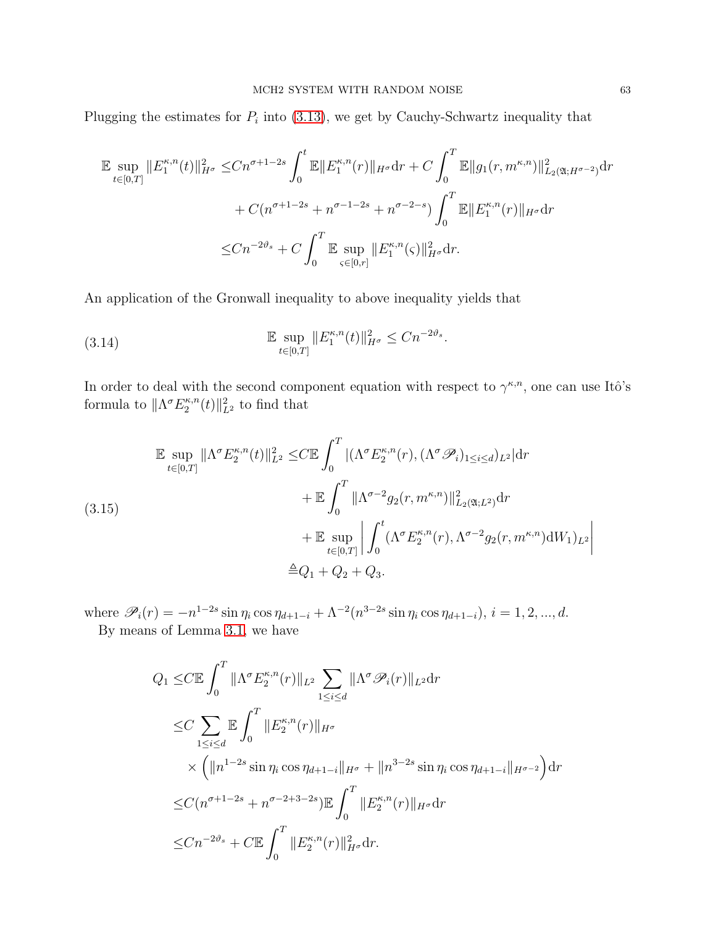Plugging the estimates for  $P_i$  into [\(3.13\)](#page-60-1), we get by Cauchy-Schwartz inequality that

$$
\mathbb{E} \sup_{t \in [0,T]} \|E_1^{\kappa,n}(t)\|_{H^{\sigma}}^2 \leq Cn^{\sigma+1-2s} \int_0^t \mathbb{E} \|E_1^{\kappa,n}(r)\|_{H^{\sigma}} dr + C \int_0^T \mathbb{E} \|g_1(r, m^{\kappa,n})\|_{L_2(\mathfrak{A}; H^{\sigma-2})}^2 dr
$$
  
+  $C(n^{\sigma+1-2s} + n^{\sigma-1-2s} + n^{\sigma-2-s}) \int_0^T \mathbb{E} \|E_1^{\kappa,n}(r)\|_{H^{\sigma}} dr$   
 $\leq Cn^{-2\vartheta_s} + C \int_0^T \mathbb{E} \sup_{\varsigma \in [0,r]} \|E_1^{\kappa,n}(\varsigma)\|_{H^{\sigma}}^2 dr.$ 

An application of the Gronwall inequality to above inequality yields that

<span id="page-62-1"></span>(3.14) 
$$
\mathbb{E} \sup_{t \in [0,T]} \|E_1^{\kappa,n}(t)\|_{H^{\sigma}}^2 \leq Cn^{-2\vartheta_s}.
$$

In order to deal with the second component equation with respect to  $\gamma^{\kappa,n}$ , one can use Itô's formula to  $\|\Lambda^{\sigma}E_2^{\kappa,n}$  $||_{L^2}^{\kappa,n}(t)||_{L^2}^2$  to find that

<span id="page-62-0"></span>
$$
\mathbb{E} \sup_{t \in [0,T]} \|\Lambda^{\sigma} E_2^{\kappa,n}(t)\|_{L^2}^2 \leq C \mathbb{E} \int_0^T |(\Lambda^{\sigma} E_2^{\kappa,n}(r), (\Lambda^{\sigma} \mathscr{P}_i)_{1 \leq i \leq d})_{L^2} | dr \n+ \mathbb{E} \int_0^T \|\Lambda^{\sigma-2} g_2(r, m^{\kappa,n})\|_{L_2(\mathfrak{A}; L^2)}^2 dr \n+ \mathbb{E} \sup_{t \in [0,T]} \left| \int_0^t (\Lambda^{\sigma} E_2^{\kappa,n}(r), \Lambda^{\sigma-2} g_2(r, m^{\kappa,n}) dW_1)_{L^2} \right| \n+ Q_1 + Q_2 + Q_3.
$$

where  $\mathscr{P}_i(r) = -n^{1-2s} \sin \eta_i \cos \eta_{d+1-i} + \Lambda^{-2} (n^{3-2s} \sin \eta_i \cos \eta_{d+1-i}), i = 1, 2, ..., d.$ By means of Lemma [3.1,](#page-57-1) we have

$$
Q_1 \leq C \mathbb{E} \int_0^T \|\Lambda^{\sigma} E_2^{\kappa,n}(r)\|_{L^2} \sum_{1 \leq i \leq d} \|\Lambda^{\sigma} \mathcal{P}_i(r)\|_{L^2} dr
$$
  
\n
$$
\leq C \sum_{1 \leq i \leq d} \mathbb{E} \int_0^T \|E_2^{\kappa,n}(r)\|_{H^{\sigma}}
$$
  
\n
$$
\times \left( \|n^{1-2s} \sin \eta_i \cos \eta_{d+1-i} \|_{H^{\sigma}} + \|n^{3-2s} \sin \eta_i \cos \eta_{d+1-i} \|_{H^{\sigma-2}} \right) dr
$$
  
\n
$$
\leq C(n^{\sigma+1-2s} + n^{\sigma-2+3-2s}) \mathbb{E} \int_0^T \|E_2^{\kappa,n}(r)\|_{H^{\sigma}} dr
$$
  
\n
$$
\leq C n^{-2\vartheta_s} + C \mathbb{E} \int_0^T \|E_2^{\kappa,n}(r)\|_{H^{\sigma}}^2 dr.
$$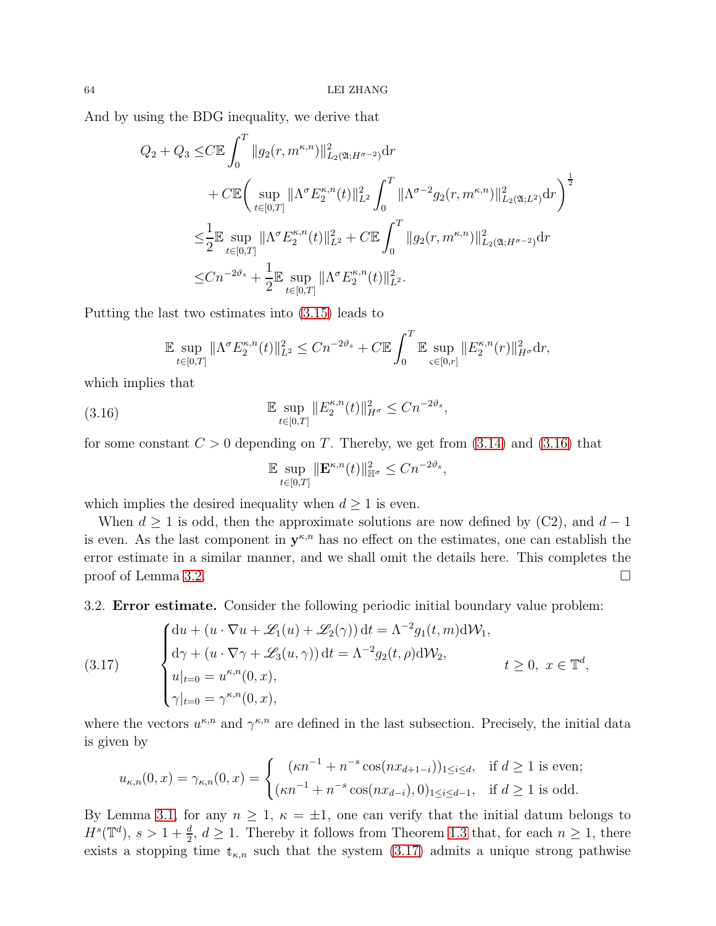And by using the BDG inequality, we derive that

$$
Q_2 + Q_3 \leq C \mathbb{E} \int_0^T \|g_2(r, m^{\kappa, n})\|_{L_2(\mathfrak{A}; H^{\sigma-2})}^2 dr
$$
  
+ 
$$
C \mathbb{E} \Big( \sup_{t \in [0,T]} \|\Lambda^{\sigma} E_2^{\kappa, n}(t)\|_{L^2}^2 \int_0^T \|\Lambda^{\sigma-2} g_2(r, m^{\kappa, n})\|_{L_2(\mathfrak{A}; L^2)}^2 dr \Big)^{\frac{1}{2}}
$$
  

$$
\leq \frac{1}{2} \mathbb{E} \sup_{t \in [0,T]} \|\Lambda^{\sigma} E_2^{\kappa, n}(t)\|_{L^2}^2 + C \mathbb{E} \int_0^T \|g_2(r, m^{\kappa, n})\|_{L_2(\mathfrak{A}; H^{\sigma-2})}^2 dr
$$
  

$$
\leq C n^{-2\vartheta_s} + \frac{1}{2} \mathbb{E} \sup_{t \in [0,T]} \|\Lambda^{\sigma} E_2^{\kappa, n}(t)\|_{L^2}^2.
$$

Putting the last two estimates into [\(3.15\)](#page-62-0) leads to

$$
\mathbb{E} \sup_{t \in [0,T]} \|\Lambda^{\sigma} E_2^{\kappa,n}(t)\|_{L^2}^2 \leq Cn^{-2\vartheta_s} + C \mathbb{E} \int_0^T \mathbb{E} \sup_{s \in [0,r]} \|E_2^{\kappa,n}(r)\|_{H^{\sigma}}^2 dr,
$$

which implies that

<span id="page-63-0"></span>(3.16) 
$$
\mathbb{E} \sup_{t \in [0,T]} \|E_2^{\kappa,n}(t)\|_{H^{\sigma}}^2 \leq Cn^{-2\vartheta_s},
$$

for some constant  $C > 0$  depending on T. Thereby, we get from [\(3.14\)](#page-62-1) and [\(3.16\)](#page-63-0) that

$$
\mathbb{E} \sup_{t \in [0,T]} \|\mathbf{E}^{\kappa,n}(t)\|_{\mathbb{H}^{\sigma}}^2 \le Cn^{-2\vartheta_s},
$$

which implies the desired inequality when  $d \geq 1$  is even.

When  $d \geq 1$  is odd, then the approximate solutions are now defined by (C2), and  $d-1$ is even. As the last component in  $y^{\kappa,n}$  has no effect on the estimates, one can establish the error estimate in a similar manner, and we shall omit the details here. This completes the proof of Lemma [3.2.](#page-57-2)

3.2. Error estimate. Consider the following periodic initial boundary value problem:

<span id="page-63-1"></span>(3.17) 
$$
\begin{cases} du + (u \cdot \nabla u + \mathcal{L}_1(u) + \mathcal{L}_2(\gamma)) dt = \Lambda^{-2} g_1(t, m) d\mathcal{W}_1, \\ d\gamma + (u \cdot \nabla \gamma + \mathcal{L}_3(u, \gamma)) dt = \Lambda^{-2} g_2(t, \rho) d\mathcal{W}_2, \\ u|_{t=0} = u^{\kappa, n}(0, x), \\ \gamma|_{t=0} = \gamma^{\kappa, n}(0, x), \end{cases} t \ge 0, \ x \in \mathbb{T}^d
$$

where the vectors  $u^{\kappa,n}$  and  $\gamma^{\kappa,n}$  are defined in the last subsection. Precisely, the initial data is given by

,

$$
u_{\kappa,n}(0,x) = \gamma_{\kappa,n}(0,x) = \begin{cases} (\kappa n^{-1} + n^{-s} \cos(nx_{d+1-i}))_{1 \le i \le d}, & \text{if } d \ge 1 \text{ is even}; \\ (\kappa n^{-1} + n^{-s} \cos(nx_{d-i}), 0)_{1 \le i \le d-1}, & \text{if } d \ge 1 \text{ is odd}. \end{cases}
$$

By Lemma [3.1,](#page-57-1) for any  $n \geq 1$ ,  $\kappa = \pm 1$ , one can verify that the initial datum belongs to  $H^s(\mathbb{T}^d)$ ,  $s > 1 + \frac{d}{2}$ ,  $d \ge 1$ . Thereby it follows from Theorem [1.3](#page-10-0) that, for each  $n \ge 1$ , there exists a stopping time  $t_{\kappa,n}$  such that the system [\(3.17\)](#page-63-1) admits a unique strong pathwise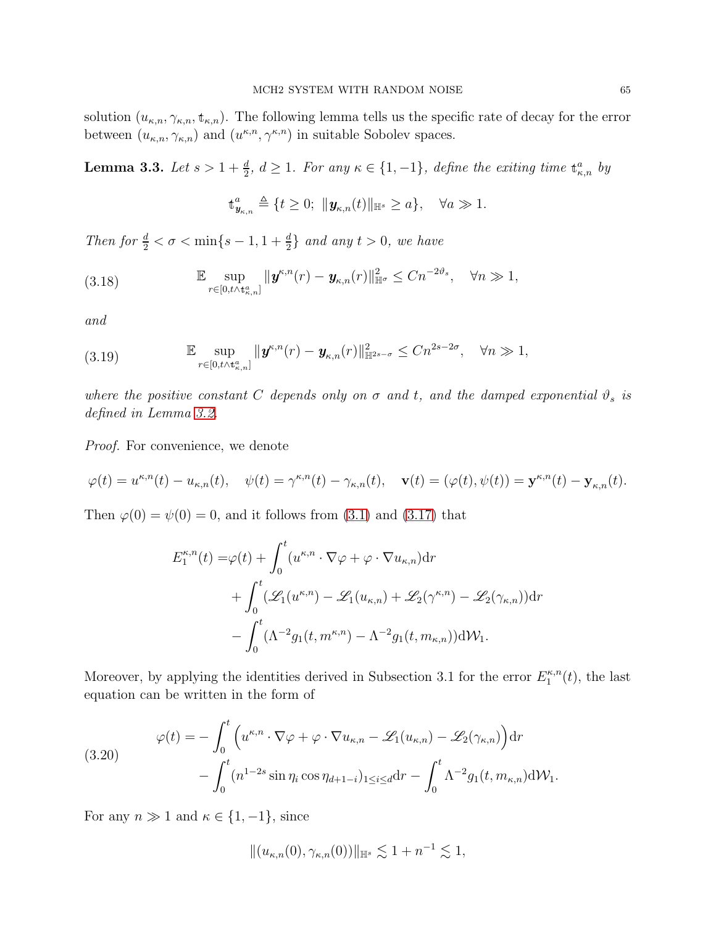solution  $(u_{\kappa,n}, \gamma_{\kappa,n}, \mathbf{t}_{\kappa,n})$ . The following lemma tells us the specific rate of decay for the error between  $(u_{\kappa,n}, \gamma_{\kappa,n})$  and  $(u^{\kappa,n}, \gamma^{\kappa,n})$  in suitable Sobolev spaces.

**Lemma 3.3.** Let  $s > 1 + \frac{d}{2}$ ,  $d \ge 1$ . For any  $\kappa \in \{1, -1\}$ , define the exiting time  $\mathbf{t}_{\kappa,n}^a$  by

$$
\mathbf{t}^a_{\mathbf{y}_{\kappa,n}} \triangleq \{t \geq 0; \ \|\mathbf{y}_{\kappa,n}(t)\|_{\mathbb{H}^s} \geq a\}, \quad \forall a \gg 1.
$$

Then for  $\frac{d}{2} < \sigma < \min\{s-1, 1+\frac{d}{2}\}\$  and any  $t > 0$ , we have

(3.18) 
$$
\mathbb{E}\sup_{r\in[0,t\wedge\mathbf{t}_{\kappa,n}^a]} \|\mathbf{y}^{\kappa,n}(r)-\mathbf{y}_{\kappa,n}(r)\|_{\mathbb{H}^\sigma}^2 \leq Cn^{-2\vartheta_s}, \quad \forall n\gg 1,
$$

and

(3.19) 
$$
\mathbb{E}\sup_{r\in[0,t\wedge\mathbf{t}_{\kappa,n}^a]} \|\mathbf{y}^{\kappa,n}(r)-\mathbf{y}_{\kappa,n}(r)\|_{\mathbb{H}^{2s-\sigma}}^2 \leq Cn^{2s-2\sigma}, \quad \forall n \gg 1,
$$

where the positive constant C depends only on  $\sigma$  and t, and the damped exponential  $\vartheta_s$  is defined in Lemma [3.2.](#page-57-2)

Proof. For convenience, we denote

$$
\varphi(t) = u^{\kappa,n}(t) - u_{\kappa,n}(t), \quad \psi(t) = \gamma^{\kappa,n}(t) - \gamma_{\kappa,n}(t), \quad \mathbf{v}(t) = (\varphi(t), \psi(t)) = \mathbf{y}^{\kappa,n}(t) - \mathbf{y}_{\kappa,n}(t).
$$

Then  $\varphi(0) = \psi(0) = 0$ , and it follows from [\(3.1\)](#page-57-3) and [\(3.17\)](#page-63-1) that

$$
E_1^{\kappa,n}(t) = \varphi(t) + \int_0^t (u^{\kappa,n} \cdot \nabla \varphi + \varphi \cdot \nabla u_{\kappa,n}) dr + \int_0^t (\mathscr{L}_1(u^{\kappa,n}) - \mathscr{L}_1(u_{\kappa,n}) + \mathscr{L}_2(\gamma^{\kappa,n}) - \mathscr{L}_2(\gamma_{\kappa,n})) dr - \int_0^t (\Lambda^{-2} g_1(t, m^{\kappa,n}) - \Lambda^{-2} g_1(t, m_{\kappa,n})) dW_1.
$$

Moreover, by applying the identities derived in Subsection 3.1 for the error  $E_1^{\kappa,n}$  $n^{k,n}(t)$ , the last equation can be written in the form of

<span id="page-64-0"></span>(3.20) 
$$
\varphi(t) = -\int_0^t \left( u^{\kappa,n} \cdot \nabla \varphi + \varphi \cdot \nabla u_{\kappa,n} - \mathcal{L}_1(u_{\kappa,n}) - \mathcal{L}_2(\gamma_{\kappa,n}) \right) dr - \int_0^t (n^{1-2s} \sin \eta_i \cos \eta_{d+1-i})_{1 \leq i \leq d} dr - \int_0^t \Lambda^{-2} g_1(t, m_{\kappa,n}) d\mathcal{W}_1.
$$

For any  $n \gg 1$  and  $\kappa \in \{1, -1\}$ , since

$$
||(u_{\kappa,n}(0),\gamma_{\kappa,n}(0))||_{\mathbb{H}^{s}} \lesssim 1+n^{-1} \lesssim 1,
$$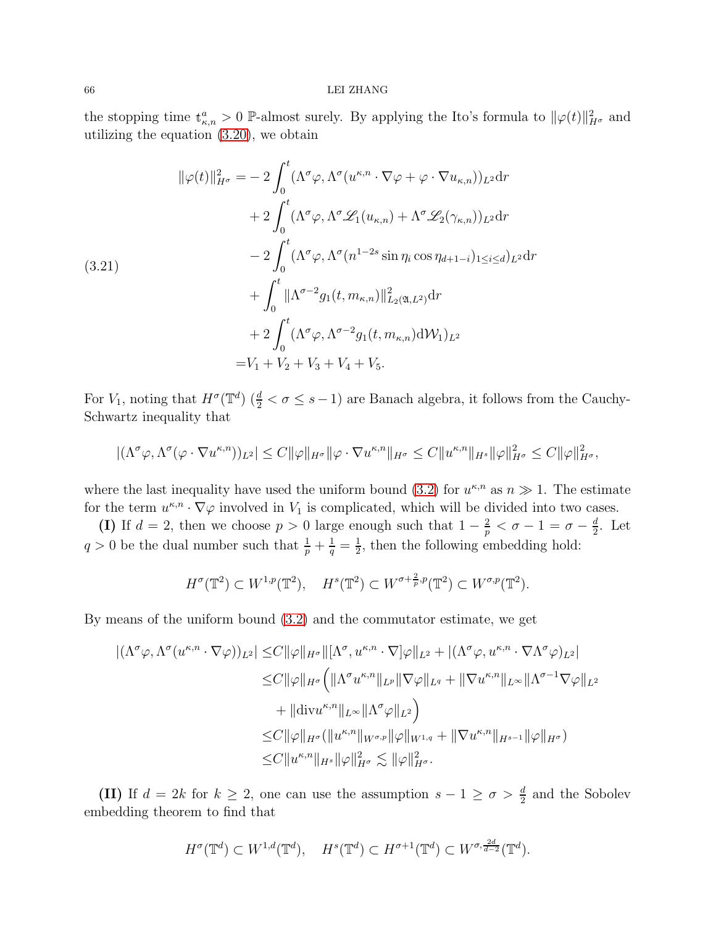### 66 LEI ZHANG

the stopping time  $\mathbf{t}_{\kappa,n}^a > 0$  P-almost surely. By applying the Ito's formula to  $\|\varphi(t)\|_{H^{\sigma}}^2$  and utilizing the equation [\(3.20\)](#page-64-0), we obtain

<span id="page-65-0"></span>
$$
\|\varphi(t)\|_{H^{\sigma}}^{2} = -2 \int_{0}^{t} (\Lambda^{\sigma} \varphi, \Lambda^{\sigma} (u^{\kappa,n} \cdot \nabla \varphi + \varphi \cdot \nabla u_{\kappa,n}))_{L^{2}} dr + 2 \int_{0}^{t} (\Lambda^{\sigma} \varphi, \Lambda^{\sigma} \mathscr{L}_{1}(u_{\kappa,n}) + \Lambda^{\sigma} \mathscr{L}_{2}(\gamma_{\kappa,n}))_{L^{2}} dr - 2 \int_{0}^{t} (\Lambda^{\sigma} \varphi, \Lambda^{\sigma} (n^{1-2s} \sin \eta_{i} \cos \eta_{d+1-i})_{1 \leq i \leq d} )_{L^{2}} dr + \int_{0}^{t} ||\Lambda^{\sigma-2} g_{1}(t, m_{\kappa,n})||_{L_{2}(\mathfrak{A}, L^{2})}^{2} dr + 2 \int_{0}^{t} (\Lambda^{\sigma} \varphi, \Lambda^{\sigma-2} g_{1}(t, m_{\kappa,n}) dW_{1})_{L^{2}} = V_{1} + V_{2} + V_{3} + V_{4} + V_{5}.
$$

For  $V_1$ , noting that  $H^{\sigma}(\mathbb{T}^d)$  ( $\frac{d}{2} < \sigma \leq s-1$ ) are Banach algebra, it follows from the Cauchy-Schwartz inequality that

$$
|(\Lambda^{\sigma}\varphi,\Lambda^{\sigma}(\varphi\cdot\nabla u^{\kappa,n}))_{L^{2}}|\leq C\|\varphi\|_{H^{\sigma}}\|\varphi\cdot\nabla u^{\kappa,n}\|_{H^{\sigma}}\leq C\|u^{\kappa,n}\|_{H^{s}}\|\varphi\|_{H^{\sigma}}^{2}\leq C\|\varphi\|_{H^{\sigma}}^{2},
$$

where the last inequality have used the uniform bound [\(3.2\)](#page-57-4) for  $u^{\kappa,n}$  as  $n \gg 1$ . The estimate for the term  $u^{\kappa,n} \cdot \nabla \varphi$  involved in  $V_1$  is complicated, which will be divided into two cases.

(I) If  $d = 2$ , then we choose  $p > 0$  large enough such that  $1 - \frac{2}{p}$  $\frac{2}{p} < \sigma - 1 = \sigma - \frac{d}{2}$  $\frac{d}{2}$ . Let  $q > 0$  be the dual number such that  $\frac{1}{p} + \frac{1}{q} = \frac{1}{2}$  $\frac{1}{2}$ , then the following embedding hold:

$$
H^{\sigma}(\mathbb{T}^2) \subset W^{1,p}(\mathbb{T}^2), \quad H^s(\mathbb{T}^2) \subset W^{\sigma + \frac{2}{p},p}(\mathbb{T}^2) \subset W^{\sigma,p}(\mathbb{T}^2).
$$

By means of the uniform bound [\(3.2\)](#page-57-4) and the commutator estimate, we get

$$
\begin{split} |(\Lambda^{\sigma}\varphi,\Lambda^{\sigma}(u^{\kappa,n}\cdot\nabla\varphi))_{L^{2}}| \leq & C\|\varphi\|_{H^{\sigma}}\|[\Lambda^{\sigma},u^{\kappa,n}\cdot\nabla]\varphi\|_{L^{2}}+|(\Lambda^{\sigma}\varphi,u^{\kappa,n}\cdot\nabla\Lambda^{\sigma}\varphi)_{L^{2}}| \\ \leq & C\|\varphi\|_{H^{\sigma}}\Big(\|\Lambda^{\sigma}u^{\kappa,n}\|_{L^{p}}\|\nabla\varphi\|_{L^{q}}+\|\nabla u^{\kappa,n}\|_{L^{\infty}}\|\Lambda^{\sigma-1}\nabla\varphi\|_{L^{2}} \\ & +\|\text{div}u^{\kappa,n}\|_{L^{\infty}}\|\Lambda^{\sigma}\varphi\|_{L^{2}}\Big) \\ \leq & C\|\varphi\|_{H^{\sigma}}(\|u^{\kappa,n}\|_{W^{\sigma,p}}\|\varphi\|_{W^{1,q}}+\|\nabla u^{\kappa,n}\|_{H^{s-1}}\|\varphi\|_{H^{\sigma}}) \\ \leq & C\|u^{\kappa,n}\|_{H^{s}}\|\varphi\|_{H^{\sigma}}^{2} \lesssim \|\varphi\|_{H^{\sigma}}^{2} .\end{split}
$$

(II) If  $d = 2k$  for  $k \geq 2$ , one can use the assumption  $s - 1 \geq \sigma > \frac{d}{2}$  and the Sobolev embedding theorem to find that

$$
H^{\sigma}(\mathbb{T}^d) \subset W^{1,d}(\mathbb{T}^d), \quad H^s(\mathbb{T}^d) \subset H^{\sigma+1}(\mathbb{T}^d) \subset W^{\sigma,\frac{2d}{d-2}}(\mathbb{T}^d).
$$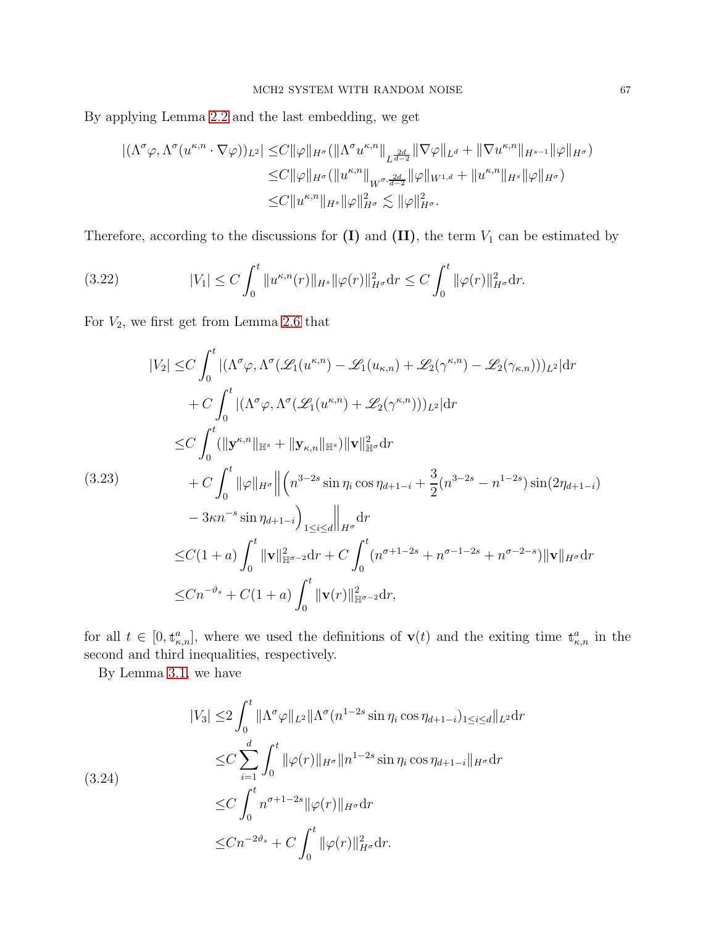By applying Lemma [2.2](#page-17-4) and the last embedding, we get

$$
\begin{split} |(\Lambda^{\sigma}\varphi,\Lambda^{\sigma}(u^{\kappa,n}\cdot\nabla\varphi))_{L^{2}}| \leq & C\|\varphi\|_{H^{\sigma}}(\|\Lambda^{\sigma}u^{\kappa,n}\|_{L^{\frac{2d}{d-2}}}\|\nabla\varphi\|_{L^{d}}+\|\nabla u^{\kappa,n}\|_{H^{s-1}}\|\varphi\|_{H^{\sigma}}) \\ \leq & C\|\varphi\|_{H^{\sigma}}(\|u^{\kappa,n}\|_{W^{\sigma,\frac{2d}{d-2}}}\|\varphi\|_{W^{1,d}}+\|u^{\kappa,n}\|_{H^{s}}\|\varphi\|_{H^{\sigma}}) \\ \leq & C\|u^{\kappa,n}\|_{H^{s}}\|\varphi\|_{H^{\sigma}}^{2} \lesssim \|\varphi\|_{H^{\sigma}}^{2}.\end{split}
$$

Therefore, according to the discussions for  $(I)$  and  $(II)$ , the term  $V_1$  can be estimated by

<span id="page-66-0"></span>(3.22) 
$$
|V_1| \le C \int_0^t \|u^{\kappa,n}(r)\|_{H^s} \|\varphi(r)\|_{H^{\sigma}}^2 dr \le C \int_0^t \|\varphi(r)\|_{H^{\sigma}}^2 dr.
$$

For  $V_2$ , we first get from Lemma [2.6](#page-29-0) that

$$
|V_{2}| \leq C \int_{0}^{t} |(\Lambda^{\sigma}\varphi, \Lambda^{\sigma}(\mathscr{L}_{1}(u^{\kappa,n}) - \mathscr{L}_{1}(u_{\kappa,n}) + \mathscr{L}_{2}(\gamma^{\kappa,n}) - \mathscr{L}_{2}(\gamma_{\kappa,n})))_{L^{2}}|dr
$$
  
+ 
$$
C \int_{0}^{t} |(\Lambda^{\sigma}\varphi, \Lambda^{\sigma}(\mathscr{L}_{1}(u^{\kappa,n}) + \mathscr{L}_{2}(\gamma^{\kappa,n})))_{L^{2}}|dr
$$
  

$$
\leq C \int_{0}^{t} (||\mathbf{y}^{\kappa,n}||_{\mathbb{H}^{s}} + ||\mathbf{y}_{\kappa,n}||_{\mathbb{H}^{s}})||\mathbf{v}||_{\mathbb{H}^{\sigma}}^{2}dr
$$
  
(3.23)
$$
+ C \int_{0}^{t} ||\varphi||_{H^{\sigma}} ||(n^{3-2s} \sin \eta_{i} \cos \eta_{d+1-i} + \frac{3}{2}(n^{3-2s} - n^{1-2s}) \sin(2\eta_{d+1-i})
$$

$$
- 3\kappa n^{-s} \sin \eta_{d+1-i} \Big)_{1 \leq i \leq d} ||_{H^{\sigma}} dr
$$
  

$$
\leq C(1+a) \int_{0}^{t} ||\mathbf{v}||_{\mathbb{H}^{\sigma-2}}^{2} dr + C \int_{0}^{t} (n^{\sigma+1-2s} + n^{\sigma-1-2s} + n^{\sigma-2-s}) ||\mathbf{v}||_{H^{\sigma}} dr
$$

$$
\leq C n^{-\vartheta_{s}} + C(1+a) \int_{0}^{t} ||\mathbf{v}(r)||_{\mathbb{H}^{\sigma-2}}^{2} dr,
$$

for all  $t \in [0, t_{\kappa,n}^a]$ , where we used the definitions of  $\mathbf{v}(t)$  and the exiting time  $t_{\kappa,n}^a$  in the second and third inequalities, respectively.

By Lemma [3.1,](#page-57-3) we have

$$
|V_3| \leq 2 \int_0^t \|\Lambda^{\sigma} \varphi\|_{L^2} \|\Lambda^{\sigma} (n^{1-2s} \sin \eta_i \cos \eta_{d+1-i})_{1 \leq i \leq d} \|_{L^2} dr
$$
  
\n
$$
\leq C \sum_{i=1}^d \int_0^t \|\varphi(r)\|_{H^{\sigma}} \|n^{1-2s} \sin \eta_i \cos \eta_{d+1-i} \|_{H^{\sigma}} dr
$$
  
\n
$$
\leq C \int_0^t n^{\sigma+1-2s} \|\varphi(r)\|_{H^{\sigma}} dr
$$
  
\n
$$
\leq C n^{-2\vartheta_s} + C \int_0^t \|\varphi(r)\|_{H^{\sigma}}^2 dr.
$$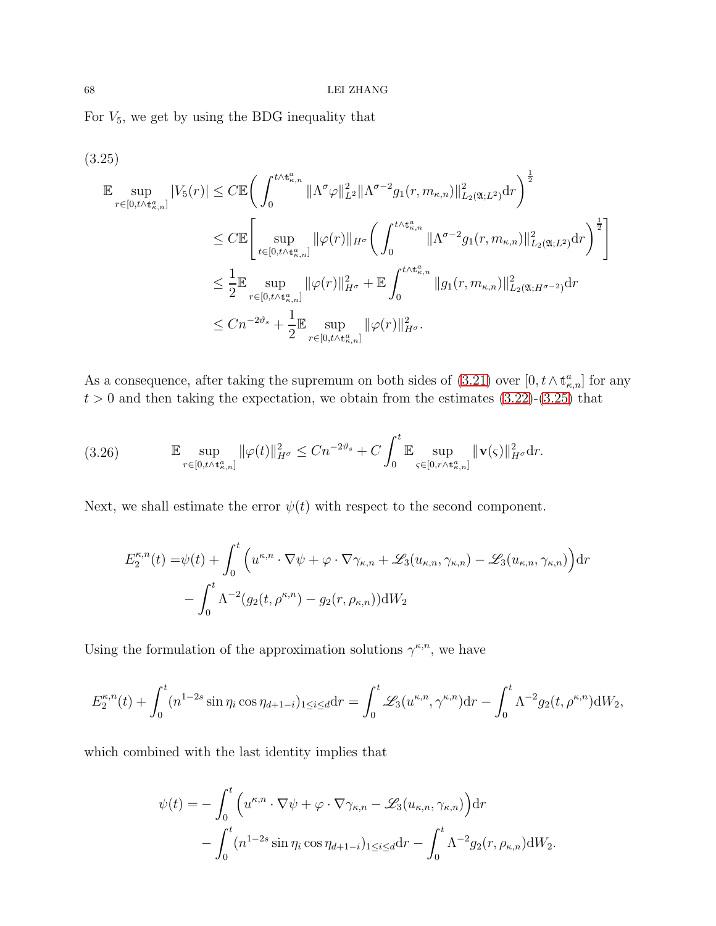For  $V_5$ , we get by using the BDG inequality that

<span id="page-67-0"></span>
$$
(3.25)
$$
  
\n
$$
\mathbb{E} \sup_{r \in [0, t \wedge t_{\kappa,n}^a]} |V_5(r)| \leq C \mathbb{E} \Bigg( \int_0^{t \wedge t_{\kappa,n}^a} ||\Lambda^{\sigma} \varphi||_{L^2}^2 ||\Lambda^{\sigma-2} g_1(r, m_{\kappa,n})||_{L_2(\mathfrak{A}; L^2)}^2 dr \Bigg)^{\frac{1}{2}}
$$
  
\n
$$
\leq C \mathbb{E} \Bigg[ \sup_{t \in [0, t \wedge t_{\kappa,n}^a]} ||\varphi(r)||_{H^{\sigma}} \Bigg( \int_0^{t \wedge t_{\kappa,n}^a} ||\Lambda^{\sigma-2} g_1(r, m_{\kappa,n})||_{L_2(\mathfrak{A}; L^2)}^2 dr \Bigg)^{\frac{1}{2}} \Bigg]
$$
  
\n
$$
\leq \frac{1}{2} \mathbb{E} \sup_{r \in [0, t \wedge t_{\kappa,n}^a]} ||\varphi(r)||_{H^{\sigma}}^2 + \mathbb{E} \int_0^{t \wedge t_{\kappa,n}^a} ||g_1(r, m_{\kappa,n})||_{L_2(\mathfrak{A}; H^{\sigma-2})}^2 dr
$$
  
\n
$$
\leq Cn^{-2\vartheta_s} + \frac{1}{2} \mathbb{E} \sup_{r \in [0, t \wedge t_{\kappa,n}^a]} ||\varphi(r)||_{H^{\sigma}}^2.
$$

As a consequence, after taking the supremum on both sides of  $(3.21)$  over  $[0, t \wedge \mathbf{t}_{\kappa,n}^a]$  for any  $t > 0$  and then taking the expectation, we obtain from the estimates  $(3.22)-(3.25)$  $(3.22)-(3.25)$  that

<span id="page-67-1"></span>(3.26) 
$$
\mathbb{E} \sup_{r \in [0, t \wedge t_{\kappa,n}^a]} \|\varphi(t)\|_{H^{\sigma}}^2 \leq Cn^{-2\vartheta_s} + C \int_0^t \mathbb{E} \sup_{\varsigma \in [0, r \wedge t_{\kappa,n}^a]} \|\mathbf{v}(\varsigma)\|_{H^{\sigma}}^2 \mathrm{d}r.
$$

Next, we shall estimate the error  $\psi(t)$  with respect to the second component.

$$
E_2^{\kappa,n}(t) = \psi(t) + \int_0^t \left( u^{\kappa,n} \cdot \nabla \psi + \varphi \cdot \nabla \gamma_{\kappa,n} + \mathcal{L}_3(u_{\kappa,n}, \gamma_{\kappa,n}) - \mathcal{L}_3(u_{\kappa,n}, \gamma_{\kappa,n}) \right) dr - \int_0^t \Lambda^{-2} (g_2(t, \rho^{\kappa,n}) - g_2(r, \rho_{\kappa,n})) dW_2
$$

Using the formulation of the approximation solutions  $\gamma^{\kappa,n}$ , we have

$$
E_2^{\kappa,n}(t) + \int_0^t (n^{1-2s} \sin \eta_i \cos \eta_{d+1-i})_{1 \le i \le d} dr = \int_0^t \mathcal{L}_3(u^{\kappa,n}, \gamma^{\kappa,n}) dr - \int_0^t \Lambda^{-2} g_2(t, \rho^{\kappa,n}) dW_2,
$$

which combined with the last identity implies that

$$
\psi(t) = -\int_0^t \left( u^{\kappa,n} \cdot \nabla \psi + \varphi \cdot \nabla \gamma_{\kappa,n} - \mathcal{L}_3(u_{\kappa,n}, \gamma_{\kappa,n}) \right) dr \n- \int_0^t (n^{1-2s} \sin \eta_i \cos \eta_{d+1-i})_{1 \le i \le d} dr - \int_0^t \Lambda^{-2} g_2(r, \rho_{\kappa,n}) dW_2.
$$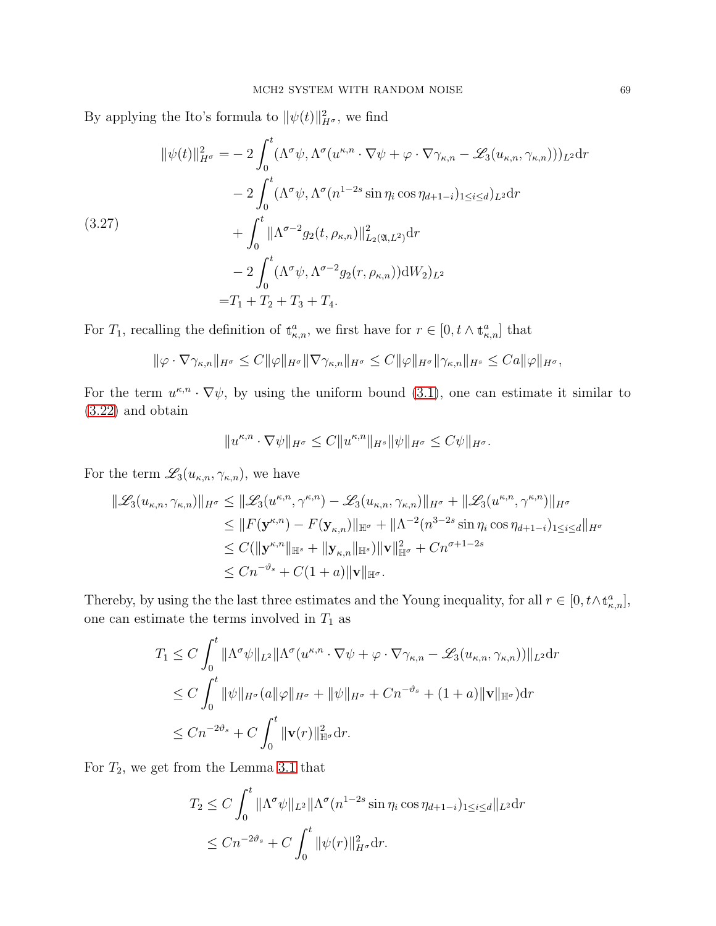By applying the Ito's formula to  $\|\psi(t)\|_{H^{\sigma}}^2$ , we find

<span id="page-68-0"></span>
$$
\|\psi(t)\|_{H^{\sigma}}^{2} = -2 \int_{0}^{t} (\Lambda^{\sigma}\psi, \Lambda^{\sigma}(u^{\kappa,n} \cdot \nabla \psi + \varphi \cdot \nabla \gamma_{\kappa,n} - \mathscr{L}_{3}(u_{\kappa,n}, \gamma_{\kappa,n})))_{L^{2}} dr -2 \int_{0}^{t} (\Lambda^{\sigma}\psi, \Lambda^{\sigma}(n^{1-2s}\sin\eta_{i}\cos\eta_{d+1-i})_{1\leq i\leq d})_{L^{2}} dr + \int_{0}^{t} \|\Lambda^{\sigma-2}g_{2}(t, \rho_{\kappa,n})\|_{L_{2}(\mathfrak{A}, L^{2})}^{2} dr -2 \int_{0}^{t} (\Lambda^{\sigma}\psi, \Lambda^{\sigma-2}g_{2}(r, \rho_{\kappa,n}))dW_{2} d\mathcal{U}^{2} = T_{1} + T_{2} + T_{3} + T_{4}.
$$

For  $T_1$ , recalling the definition of  $\mathbf{t}_{\kappa,n}^a$ , we first have for  $r \in [0, t \wedge \mathbf{t}_{\kappa,n}^a]$  that

$$
\|\varphi \cdot \nabla \gamma_{\kappa,n}\|_{H^{\sigma}} \leq C \|\varphi\|_{H^{\sigma}} \|\nabla \gamma_{\kappa,n}\|_{H^{\sigma}} \leq C \|\varphi\|_{H^{\sigma}} \|\gamma_{\kappa,n}\|_{H^s} \leq C a \|\varphi\|_{H^{\sigma}},
$$

For the term  $u^{\kappa,n} \cdot \nabla \psi$ , by using the uniform bound [\(3.1\)](#page-57-3), one can estimate it similar to [\(3.22\)](#page-66-0) and obtain

$$
||u^{\kappa,n}\cdot\nabla\psi||_{H^{\sigma}}\leq C||u^{\kappa,n}||_{H^{s}}||\psi||_{H^{\sigma}}\leq C\psi||_{H^{\sigma}}.
$$

For the term  $\mathscr{L}_3(u_{\kappa,n}, \gamma_{\kappa,n})$ , we have

$$
\begin{split} \|\mathcal{L}_{3}(u_{\kappa,n},\gamma_{\kappa,n})\|_{H^{\sigma}} &\leq \|\mathcal{L}_{3}(u^{\kappa,n},\gamma^{\kappa,n}) - \mathcal{L}_{3}(u_{\kappa,n},\gamma_{\kappa,n})\|_{H^{\sigma}} + \|\mathcal{L}_{3}(u^{\kappa,n},\gamma^{\kappa,n})\|_{H^{\sigma}} \\ &\leq \|F(\mathbf{y}^{\kappa,n}) - F(\mathbf{y}_{\kappa,n})\|_{\mathbb{H}^{\sigma}} + \|\Lambda^{-2}(n^{3-2s}\sin\eta_{i}\cos\eta_{d+1-i})_{1\leq i\leq d}\|_{H^{\sigma}} \\ &\leq C(\|\mathbf{y}^{\kappa,n}\|_{\mathbb{H}^{s}} + \|\mathbf{y}_{\kappa,n}\|_{\mathbb{H}^{s}})\|\mathbf{v}\|_{\mathbb{H}^{\sigma}}^{2} + Cn^{\sigma+1-2s} \\ &\leq Cn^{-\vartheta_{s}} + C(1+a)\|\mathbf{v}\|_{\mathbb{H}^{\sigma}}. \end{split}
$$

Thereby, by using the the last three estimates and the Young inequality, for all  $r \in [0, t \wedge t_{\kappa,n}^a]$ , one can estimate the terms involved in  $T_1$  as

$$
T_1 \leq C \int_0^t \|\Lambda^{\sigma}\psi\|_{L^2} \|\Lambda^{\sigma}(u^{\kappa,n} \cdot \nabla \psi + \varphi \cdot \nabla \gamma_{\kappa,n} - \mathscr{L}_3(u_{\kappa,n}, \gamma_{\kappa,n}))\|_{L^2} dr
$$
  
\n
$$
\leq C \int_0^t \|\psi\|_{H^{\sigma}} (a\|\varphi\|_{H^{\sigma}} + \|\psi\|_{H^{\sigma}} + Cn^{-\vartheta_s} + (1+a)\|\mathbf{v}\|_{\mathbb{H}^{\sigma}}) dr
$$
  
\n
$$
\leq Cn^{-2\vartheta_s} + C \int_0^t \|\mathbf{v}(r)\|_{\mathbb{H}^{\sigma}}^2 dr.
$$

For  $T_2$ , we get from the Lemma [3.1](#page-57-1) that

$$
T_2 \le C \int_0^t \|\Lambda^{\sigma}\psi\|_{L^2} \|\Lambda^{\sigma}(n^{1-2s}\sin\eta_i\cos\eta_{d+1-i})_{1\le i\le d}\|_{L^2} dr
$$
  

$$
\le Cn^{-2\vartheta_s} + C \int_0^t \|\psi(r)\|_{H^{\sigma}}^2 dr.
$$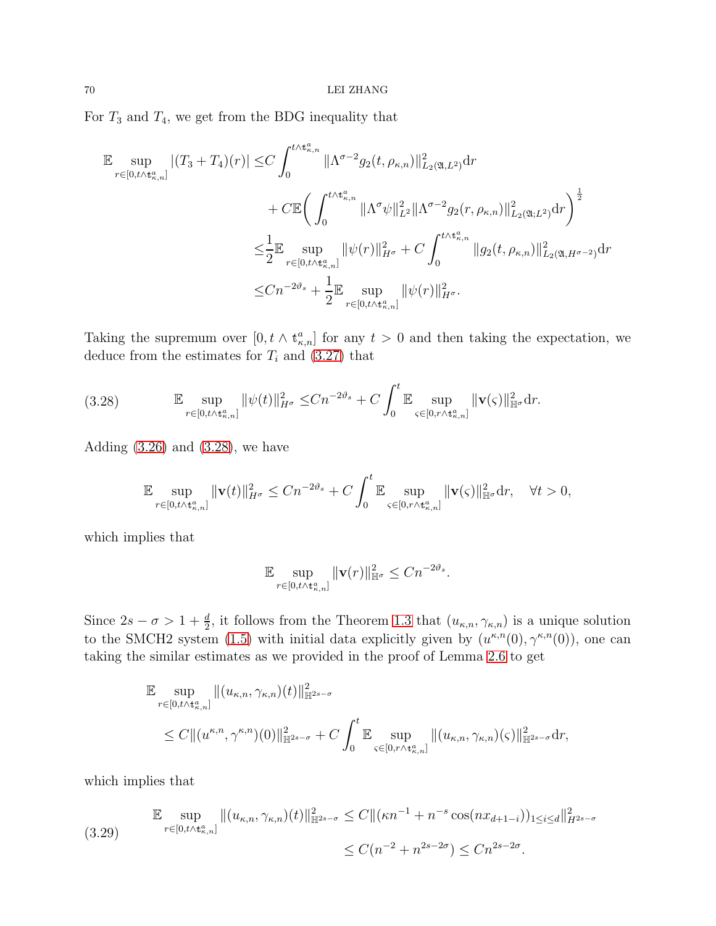For  $T_3$  and  $T_4$ , we get from the BDG inequality that

$$
\mathbb{E} \sup_{r \in [0, t \wedge t_{\kappa,n}^a]} |(T_3 + T_4)(r)| \leq C \int_0^{t \wedge t_{\kappa,n}^a} \|\Lambda^{\sigma-2} g_2(t, \rho_{\kappa,n})\|_{L_2(\mathfrak{A}, L^2)}^2 dr \n+ C \mathbb{E} \bigg( \int_0^{t \wedge t_{\kappa,n}^a} \|\Lambda^{\sigma} \psi\|_{L^2}^2 \|\Lambda^{\sigma-2} g_2(r, \rho_{\kappa,n})\|_{L_2(\mathfrak{A};L^2)}^2 dr \bigg)^{\frac{1}{2}} \n\leq \frac{1}{2} \mathbb{E} \sup_{r \in [0, t \wedge t_{\kappa,n}^a]} \|\psi(r)\|_{H^{\sigma}}^2 + C \int_0^{t \wedge t_{\kappa,n}^a} \|g_2(t, \rho_{\kappa,n})\|_{L_2(\mathfrak{A}, H^{\sigma-2})}^2 dr \n\leq C n^{-2\vartheta_s} + \frac{1}{2} \mathbb{E} \sup_{r \in [0, t \wedge t_{\kappa,n}^a]} \|\psi(r)\|_{H^{\sigma}}^2.
$$

Taking the supremum over  $[0, t \wedge t_{\kappa,n}^a]$  for any  $t > 0$  and then taking the expectation, we deduce from the estimates for  $T_i$  and [\(3.27\)](#page-68-0) that

<span id="page-69-0"></span>
$$
(3.28) \t\t\t\t\mathbb{E} \sup_{r \in [0, t \wedge t_{\kappa,n}^a]} \|\psi(t)\|_{H^{\sigma}}^2 \leq Cn^{-2\vartheta_s} + C \int_0^t \mathbb{E} \sup_{\varsigma \in [0, r \wedge t_{\kappa,n}^a]} \|\mathbf{v}(\varsigma)\|_{\mathbb{H}^{\sigma}}^2 dr.
$$

Adding  $(3.26)$  and  $(3.28)$ , we have

$$
\mathbb{E}\sup_{r\in[0,t\wedge\mathbf{t}_{\kappa,n}^a]} \|\mathbf{v}(t)\|_{H^{\sigma}}^2 \leq Cn^{-2\vartheta_s} + C\int_0^t \mathbb{E}\sup_{\varsigma\in[0,r\wedge\mathbf{t}_{\kappa,n}^a]} \|\mathbf{v}(\varsigma)\|_{\mathbb{H}^{\sigma}}^2 dr, \quad \forall t > 0,
$$

which implies that

$$
\mathbb{E} \sup_{r \in [0, t \wedge t_{\kappa,n}^a]} \| \mathbf{v}(r) \|_{\mathbb{H}^\sigma}^2 \leq C n^{-2\vartheta_s}.
$$

Since  $2s - \sigma > 1 + \frac{d}{2}$ , it follows from the Theorem [1.3](#page-10-0) that  $(u_{\kappa,n}, \gamma_{\kappa,n})$  is a unique solution to the SMCH2 system [\(1.5\)](#page-4-0) with initial data explicitly given by  $(u^{\kappa,n}(0), \gamma^{\kappa,n}(0))$ , one can taking the similar estimates as we provided in the proof of Lemma [2.6](#page-29-0) to get

$$
\mathbb{E} \sup_{r \in [0, t \wedge t_{\kappa,n}^a]} ||(u_{\kappa,n}, \gamma_{\kappa,n})(t)||^2_{\mathbb{H}^{2s-\sigma}} \n\leq C ||(u^{\kappa,n}, \gamma^{\kappa,n})(0)||^2_{\mathbb{H}^{2s-\sigma}} + C \int_0^t \mathbb{E} \sup_{\varsigma \in [0, r \wedge t_{\kappa,n}^a]} ||(u_{\kappa,n}, \gamma_{\kappa,n})(\varsigma)||^2_{\mathbb{H}^{2s-\sigma}} dr,
$$

which implies that

<span id="page-69-1"></span>
$$
\mathbb{E} \sup_{r \in [0, t \wedge t_{\kappa,n}^a]} \|(u_{\kappa,n}, \gamma_{\kappa,n})(t)\|_{\mathbb{H}^{2s-\sigma}}^2 \le C \|( \kappa n^{-1} + n^{-s} \cos(nx_{d+1-i}))_{1 \le i \le d} \|_{H^{2s-\sigma}}^2
$$
  

$$
\le C(n^{-2} + n^{2s-2\sigma}) \le Cn^{2s-2\sigma}.
$$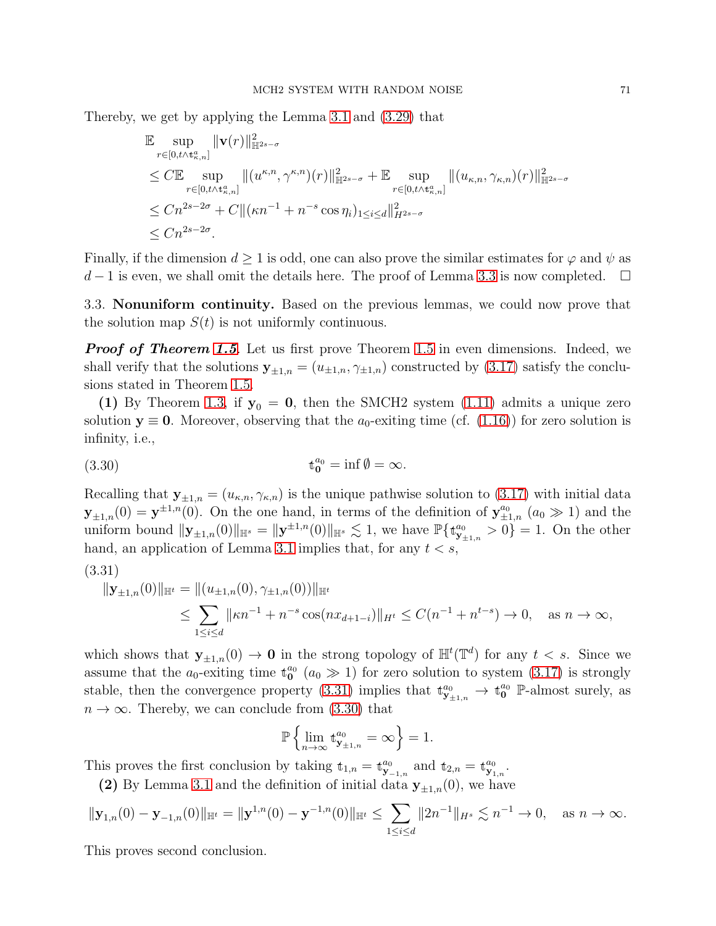Thereby, we get by applying the Lemma [3.1](#page-57-1) and [\(3.29\)](#page-69-1) that

$$
\mathbb{E} \sup_{r \in [0, t \wedge t_{\kappa,n}^a]} \|\mathbf{v}(r)\|_{\mathbb{H}^{2s-\sigma}}^2 \n\leq C \mathbb{E} \sup_{r \in [0, t \wedge t_{\kappa,n}^a]} \|(u^{\kappa,n}, \gamma^{\kappa,n})(r)\|_{\mathbb{H}^{2s-\sigma}}^2 + \mathbb{E} \sup_{r \in [0, t \wedge t_{\kappa,n}^a]} \|(u_{\kappa,n}, \gamma_{\kappa,n})(r)\|_{\mathbb{H}^{2s-\sigma}}^2 \n\leq Cn^{2s-2\sigma} + C \|( \kappa n^{-1} + n^{-s} \cos \eta_i)_{1 \leq i \leq d} \|^2_{H^{2s-\sigma}} \n\leq Cn^{2s-2\sigma}.
$$

Finally, if the dimension  $d \geq 1$  is odd, one can also prove the similar estimates for  $\varphi$  and  $\psi$  as  $d-1$  is even, we shall omit the details here. The proof of Lemma [3.3](#page-57-0) is now completed.  $\Box$ 

3.3. Nonuniform continuity. Based on the previous lemmas, we could now prove that the solution map  $S(t)$  is not uniformly continuous.

**Proof of Theorem [1.5](#page-11-0).** Let us first prove Theorem 1.5 in even dimensions. Indeed, we shall verify that the solutions  $y_{\pm 1,n} = (u_{\pm 1,n}, \gamma_{\pm 1,n})$  constructed by [\(3.17\)](#page-63-1) satisfy the conclusions stated in Theorem [1.5.](#page-11-0)

(1) By Theorem [1.3,](#page-10-0) if  $y_0 = 0$ , then the SMCH2 system [\(1.11\)](#page-7-0) admits a unique zero solution  $y \equiv 0$ . Moreover, observing that the  $a_0$ -exiting time (cf. [\(1.16\)](#page-11-1)) for zero solution is infinity, i.e.,

<span id="page-70-1"></span>(3.30) 
$$
\mathbf{t}_{0}^{a_{0}} = \inf \emptyset = \infty.
$$

Recalling that  $\mathbf{y}_{\pm 1,n} = (u_{\kappa,n}, \gamma_{\kappa,n})$  is the unique pathwise solution to [\(3.17\)](#page-63-1) with initial data  $\mathbf{y}_{\pm 1,n}(0) = \mathbf{y}^{\pm 1,n}(0)$ . On the one hand, in terms of the definition of  $\mathbf{y}_{\pm 1,n}^{a_0}$   $(a_0 \gg 1)$  and the uniform bound  $\|\mathbf{y}_{\pm 1,n}(0)\|_{\mathbb{H}^{s}} = \|\mathbf{y}^{\pm 1,n}(0)\|_{\mathbb{H}^{s}} \lesssim 1$ , we have  $\mathbb{P}\{\mathbf{t}_{\mathbf{y}_{\pm 1,n}}^{a_0} > 0\} = 1$ . On the other hand, an application of Lemma [3.1](#page-57-1) implies that, for any  $t < s$ ,

$$
(3.31)
$$

<span id="page-70-0"></span>
$$
\|\mathbf{y}_{\pm 1,n}(0)\|_{\mathbb{H}^t} = \|(u_{\pm 1,n}(0), \gamma_{\pm 1,n}(0))\|_{\mathbb{H}^t}
$$
  
\n
$$
\leq \sum_{1 \leq i \leq d} \|\kappa n^{-1} + n^{-s} \cos(nx_{d+1-i})\|_{H^t} \leq C(n^{-1} + n^{t-s}) \to 0, \quad \text{as } n \to \infty,
$$

which shows that  $y_{\pm 1,n}(0) \to 0$  in the strong topology of  $\mathbb{H}^t(\mathbb{T}^d)$  for any  $t < s$ . Since we assume that the  $a_0$ -exiting time  $\mathfrak{t}_0^{a_0}$   $(a_0 \gg 1)$  for zero solution to system [\(3.17\)](#page-63-1) is strongly stable, then the convergence property [\(3.31\)](#page-70-0) implies that  $\mathbf{t}_{\mathbf{y}_{\pm 1,n}}^{a_0} \to \mathbf{t}_{0}^{a_0}$  P-almost surely, as  $n \to \infty$ . Thereby, we can conclude from [\(3.30\)](#page-70-1) that

$$
\mathbb{P}\left\{ \lim_{n\to\infty} \mathbf{t}^{a_0}_{\mathbf{y}_{\pm 1,n}} = \infty \right\} = 1.
$$

This proves the first conclusion by taking  $t_{1,n} = t_{\mathbf{y}_{-1,n}}^{a_0}$  and  $t_{2,n} = t_{\mathbf{y}_{1,n}}^{a_0}$ .

(2) By Lemma [3.1](#page-57-1) and the definition of initial data  $y_{\pm 1,n}(0)$ , we have

$$
\|\mathbf{y}_{1,n}(0)-\mathbf{y}_{-1,n}(0)\|_{\mathbb{H}^t}=\|\mathbf{y}^{1,n}(0)-\mathbf{y}^{-1,n}(0)\|_{\mathbb{H}^t}\leq \sum_{1\leq i\leq d}\|2n^{-1}\|_{H^s}\lesssim n^{-1}\to 0,\quad \text{as }n\to\infty.
$$

This proves second conclusion.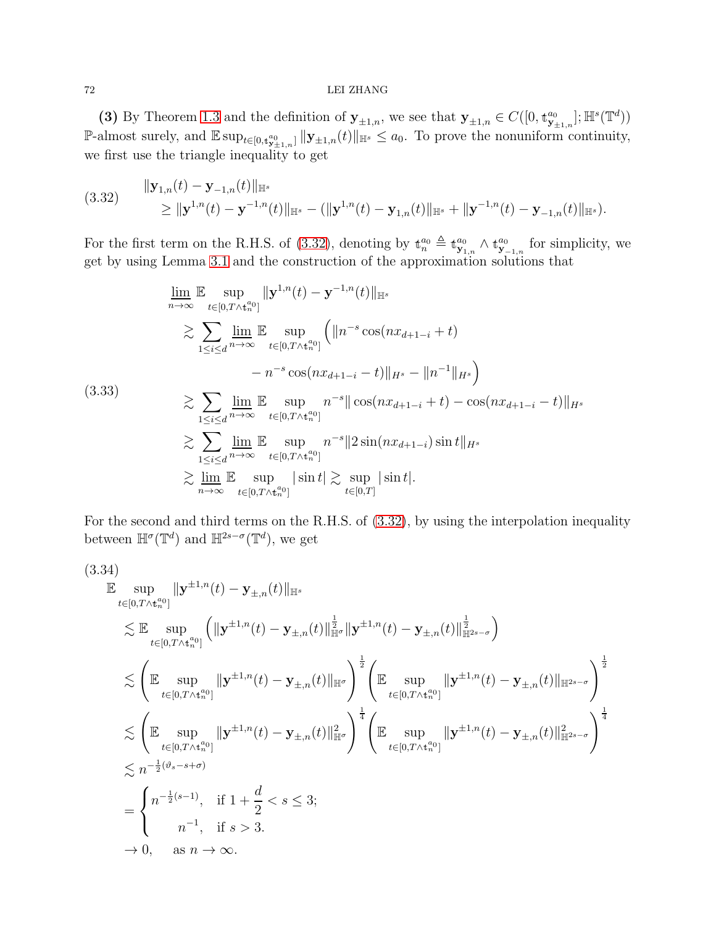# 72 LEI ZHANG

(3) By Theorem [1.3](#page-10-0) and the definition of  $\mathbf{y}_{\pm 1,n}$ , we see that  $\mathbf{y}_{\pm 1,n} \in C([0, t^{a_0}_{\mathbf{y}_{\pm 1,n}}]; \mathbb{H}^s(\mathbb{T}^d))$ P-almost surely, and  $\mathbb{E} \sup_{t \in [0,t_{\mathbf{y}_{\pm 1,n}}^a]} \| \mathbf{y}_{\pm 1,n}(t) \|_{\mathbb{H}^s} \le a_0$ . To prove the nonuniform continuity, we first use the triangle inequality to get

<span id="page-71-0"></span>
$$
(3.32) \t\t\t||\mathbf{y}_{1,n}(t) - \mathbf{y}_{-1,n}(t)||_{\mathbb{H}^{s}} \t\t\t\t\geq ||\mathbf{y}^{1,n}(t) - \mathbf{y}^{-1,n}(t)||_{\mathbb{H}^{s}} - (||\mathbf{y}^{1,n}(t) - \mathbf{y}_{1,n}(t)||_{\mathbb{H}^{s}} + ||\mathbf{y}^{-1,n}(t) - \mathbf{y}_{-1,n}(t)||_{\mathbb{H}^{s}}).
$$

For the first term on the R.H.S. of [\(3.32\)](#page-71-0), denoting by  $\mathbf{t}_{n}^{a_0} \triangleq \mathbf{t}_{\mathbf{y}_{1,n}}^{a_0} \wedge \mathbf{t}_{\mathbf{y}_{-1,n}}^{a_0}$  for simplicity, we get by using Lemma [3.1](#page-57-1) and the construction of the approximation solutions that

$$
\lim_{n \to \infty} \mathbb{E} \sup_{t \in [0, T \wedge t_n^{a_0}]} \| \mathbf{y}^{1,n}(t) - \mathbf{y}^{-1,n}(t) \|_{\mathbb{H}^s}
$$
\n
$$
\geq \sum_{1 \leq i \leq d} \lim_{n \to \infty} \mathbb{E} \sup_{t \in [0, T \wedge t_n^{a_0}]} \left( \| n^{-s} \cos(nx_{d+1-i} + t) - n^{-s} \cos(nx_{d+1-i} - t) \|_{H^s} - \| n^{-1} \|_{H^s} \right)
$$
\n(3.33)\n
$$
\geq \sum_{1 \leq i \leq d} \lim_{n \to \infty} \mathbb{E} \sup_{t \in [0, T \wedge t_n^{a_0}]} n^{-s} \|\cos(nx_{d+1-i} + t) - \cos(nx_{d+1-i} - t) \|_{H^s}
$$
\n
$$
\geq \sum_{1 \leq i \leq d} \lim_{n \to \infty} \mathbb{E} \sup_{t \in [0, T \wedge t_n^{a_0}]} n^{-s} \| 2 \sin(nx_{d+1-i}) \sin t \|_{H^s}
$$
\n
$$
\geq \lim_{n \to \infty} \mathbb{E} \sup_{t \in [0, T \wedge t_n^{a_0}]} |\sin t| \geq \sup_{t \in [0, T]} |\sin t|.
$$

For the second and third terms on the R.H.S. of [\(3.32\)](#page-71-0), by using the interpolation inequality between  $\mathbb{H}^{\sigma}(\mathbb{T}^d)$  and  $\mathbb{H}^{2s-\sigma}(\mathbb{T}^d)$ , we get

$$
(3.34)
$$
  
\n
$$
\mathbb{E} \sup_{t \in [0,T \wedge t_n^{a_0}]} ||\mathbf{y}^{\pm 1,n}(t) - \mathbf{y}_{\pm,n}(t)||_{\mathbb{H}^s} \leq \mathbb{E} \sup_{t \in [0,T \wedge t_n^{a_0}]} (||\mathbf{y}^{\pm 1,n}(t) - \mathbf{y}_{\pm,n}(t)||_{\mathbb{H}^{\sigma}}^{\frac{1}{2}} ||\mathbf{y}^{\pm 1,n}(t) - \mathbf{y}_{\pm,n}(t)||_{\mathbb{H}^{\sigma}}^{\frac{1}{2}} \times )
$$
  
\n
$$
\leq \left( \mathbb{E} \sup_{t \in [0,T \wedge t_n^{a_0}]} ||\mathbf{y}^{\pm 1,n}(t) - \mathbf{y}_{\pm,n}(t)||_{\mathbb{H}^{\sigma}} \right)^{\frac{1}{2}} \left( \mathbb{E} \sup_{t \in [0,T \wedge t_n^{a_0}]} ||\mathbf{y}^{\pm 1,n}(t) - \mathbf{y}_{\pm,n}(t)||_{\mathbb{H}^{2s-\sigma}} \right)^{\frac{1}{2}}
$$
  
\n
$$
\leq \left( \mathbb{E} \sup_{t \in [0,T \wedge t_n^{a_0}]} ||\mathbf{y}^{\pm 1,n}(t) - \mathbf{y}_{\pm,n}(t)||_{\mathbb{H}^{\sigma}}^{\frac{1}{2}} \right)^{\frac{1}{4}} \left( \mathbb{E} \sup_{t \in [0,T \wedge t_n^{a_0}]} ||\mathbf{y}^{\pm 1,n}(t) - \mathbf{y}_{\pm,n}(t)||_{\mathbb{H}^{2s-\sigma}}^{\frac{1}{2}} \right)^{\frac{1}{4}}
$$
  
\n
$$
\leq n^{-\frac{1}{2}(\vartheta_s - s + \sigma)}
$$
  
\n
$$
= \begin{cases} n^{-\frac{1}{2}(s-1)}, & \text{if } 1 + \frac{d}{2} < s \leq 3; \\ n^{-1}, & \text{if } s > 3. \end{cases}
$$
  
\n
$$
\to 0, \quad \text{as } n \to \infty.
$$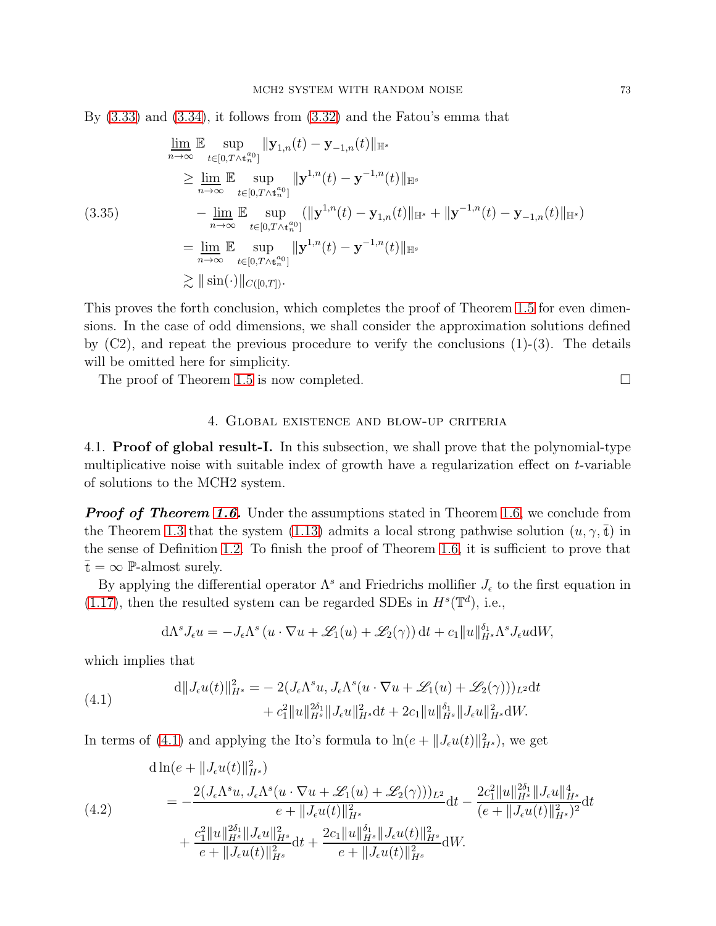By [\(3.33\)](#page-71-0) and [\(3.34\)](#page-71-1), it follows from [\(3.32\)](#page-71-2) and the Fatou's emma that

$$
\lim_{n \to \infty} \mathbb{E} \sup_{t \in [0, T \wedge t_n^{a_0}]} \|\mathbf{y}_{1,n}(t) - \mathbf{y}_{-1,n}(t)\|_{\mathbb{H}^s} \n\geq \lim_{n \to \infty} \mathbb{E} \sup_{t \in [0, T \wedge t_n^{a_0}]} \|\mathbf{y}^{1,n}(t) - \mathbf{y}^{-1,n}(t)\|_{\mathbb{H}^s} \n- \lim_{n \to \infty} \mathbb{E} \sup_{t \in [0, T \wedge t_n^{a_0}]} (\|\mathbf{y}^{1,n}(t) - \mathbf{y}_{1,n}(t)\|_{\mathbb{H}^s} + \|\mathbf{y}^{-1,n}(t) - \mathbf{y}_{-1,n}(t)\|_{\mathbb{H}^s}) \n= \lim_{n \to \infty} \mathbb{E} \sup_{t \in [0, T \wedge t_n^{a_0}]} \|\mathbf{y}^{1,n}(t) - \mathbf{y}^{-1,n}(t)\|_{\mathbb{H}^s} \n\geq \|\sin(\cdot)\|_{C([0, T])}.
$$

This proves the forth conclusion, which completes the proof of Theorem [1.5](#page-11-0) for even dimensions. In the case of odd dimensions, we shall consider the approximation solutions defined by  $(C2)$ , and repeat the previous procedure to verify the conclusions  $(1)-(3)$ . The details will be omitted here for simplicity.

The proof of Theorem [1.5](#page-11-0) is now completed.

# 4. Global existence and blow-up criteria

4.1. Proof of global result-I. In this subsection, we shall prove that the polynomial-type multiplicative noise with suitable index of growth have a regularization effect on  $t$ -variable of solutions to the MCH2 system.

**Proof of Theorem [1.6.](#page-12-0)** Under the assumptions stated in Theorem [1.6,](#page-12-0) we conclude from the Theorem [1.3](#page-10-0) that the system [\(1.13\)](#page-8-0) admits a local strong pathwise solution  $(u, \gamma, \bar{t})$  in the sense of Definition [1.2.](#page-9-0) To finish the proof of Theorem [1.6,](#page-12-0) it is sufficient to prove that  $\bar{t} = \infty$  P-almost surely.

By applying the differential operator  $\Lambda^s$  and Friedrichs mollifier  $J_{\epsilon}$  to the first equation in [\(1.17\)](#page-13-0), then the resulted system can be regarded SDEs in  $H^s(\mathbb{T}^d)$ , i.e.,

$$
d\Lambda^s J_{\epsilon} u = -J_{\epsilon} \Lambda^s (u \cdot \nabla u + \mathscr{L}_1(u) + \mathscr{L}_2(\gamma)) dt + c_1 \|u\|_{H^s}^{\delta_1} \Lambda^s J_{\epsilon} u dW,
$$

which implies that

<span id="page-72-0"></span>(4.1) 
$$
d||J_{\epsilon}u(t)||_{H^{s}}^{2} = -2(J_{\epsilon}\Lambda^{s}u, J_{\epsilon}\Lambda^{s}(u \cdot \nabla u + \mathscr{L}_{1}(u) + \mathscr{L}_{2}(\gamma)))_{L^{2}}dt + c_{1}^{2}||u||_{H^{s}}^{2\delta_{1}}||J_{\epsilon}u||_{H^{s}}^{2}dt + 2c_{1}||u||_{H^{s}}^{\delta_{1}}||J_{\epsilon}u||_{H^{s}}^{2}dW.
$$

In terms of [\(4.1\)](#page-72-0) and applying the Ito's formula to  $\ln(e + ||J_{\epsilon}u(t)||_{H^s}^2)$ , we get

<span id="page-72-1"></span>(4.2)  
\n
$$
\begin{split}\n&\text{d}\ln(e + \|J_{\epsilon}u(t)\|_{H^s}^2) \\
&= -\frac{2(J_{\epsilon}\Lambda^s u, J_{\epsilon}\Lambda^s (u \cdot \nabla u + \mathscr{L}_1(u) + \mathscr{L}_2(\gamma)))_{L^2}}{e + \|J_{\epsilon}u(t)\|_{H^s}^2} \text{d}t - \frac{2c_1^2 \|u\|_{H^s}^{2\delta_1} \|J_{\epsilon}u\|_{H^s}^4}{(e + \|J_{\epsilon}u(t)\|_{H^s}^2)^2} \text{d}t \\
&+ \frac{c_1^2 \|u\|_{H^s}^{2\delta_1} \|J_{\epsilon}u\|_{H^s}^2}{e + \|J_{\epsilon}u(t)\|_{H^s}^2} \text{d}t + \frac{2c_1 \|u\|_{H^s}^{\delta_1} \|J_{\epsilon}u(t)\|_{H^s}^2}{e + \|J_{\epsilon}u(t)\|_{H^s}^2} \text{d}W.\n\end{split}
$$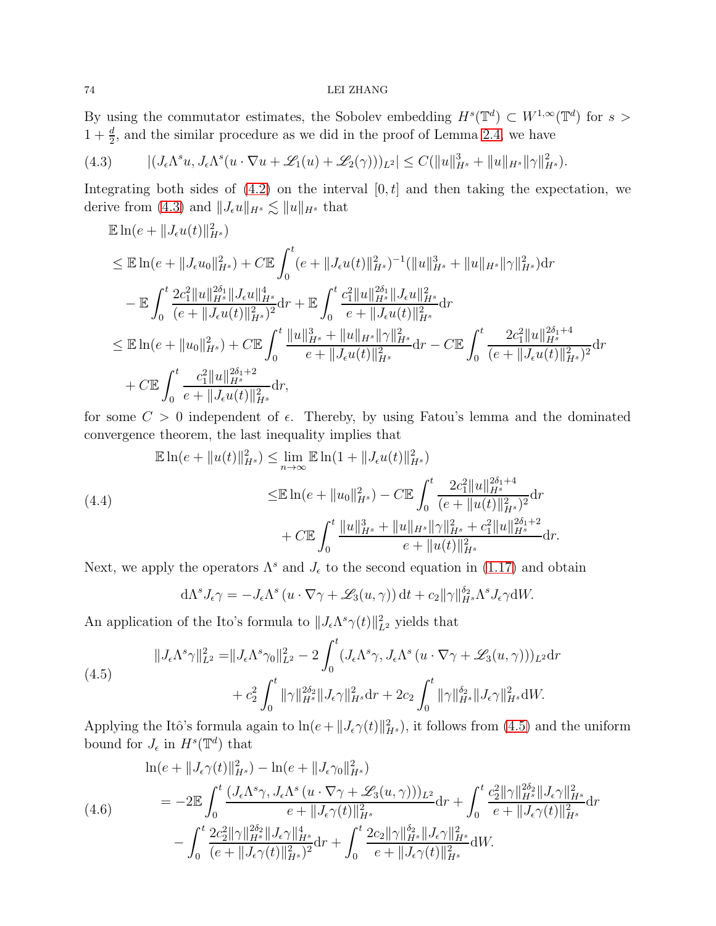By using the commutator estimates, the Sobolev embedding  $H^s(\mathbb{T}^d) \subset W^{1,\infty}(\mathbb{T}^d)$  for  $s >$  $1 + \frac{d}{2}$ , and the similar procedure as we did in the proof of Lemma [2.4,](#page-21-0) we have

<span id="page-73-0"></span>
$$
(4.3) \qquad |(J_{\epsilon}\Lambda^s u, J_{\epsilon}\Lambda^s (u \cdot \nabla u + \mathscr{L}_1(u) + \mathscr{L}_2(\gamma)))_{L^2}| \leq C(||u||_{H^s}^3 + ||u||_{H^s} ||\gamma||_{H^s}^2).
$$

Integrating both sides of  $(4.2)$  on the interval  $[0, t]$  and then taking the expectation, we derive from [\(4.3\)](#page-73-0) and  $||J_{\epsilon}u||_{H^{s}} \lesssim ||u||_{H^{s}}$  that

$$
\mathbb{E}\ln(e+\|J_{\epsilon}u(t)\|_{H^{s}}^{2})
$$
\n
$$
\leq \mathbb{E}\ln(e+\|J_{\epsilon}u_{0}\|_{H^{s}}^{2})+C\mathbb{E}\int_{0}^{t}(e+\|J_{\epsilon}u(t)\|_{H^{s}}^{2})^{-1}(\|u\|_{H^{s}}^{3}+\|u\|_{H^{s}}\|\gamma\|_{H^{s}}^{2})\mathrm{d}r
$$
\n
$$
-\mathbb{E}\int_{0}^{t}\frac{2c_{1}^{2}\|u\|_{H^{s}}^{2\delta_{1}}\|J_{\epsilon}u\|_{H^{s}}^{4}}{(e+\|J_{\epsilon}u(t)\|_{H^{s}}^{2})^{2}}\mathrm{d}r+\mathbb{E}\int_{0}^{t}\frac{c_{1}^{2}\|u\|_{H^{s}}^{2\delta_{1}}\|J_{\epsilon}u\|_{H^{s}}^{2}}{e+\|J_{\epsilon}u(t)\|_{H^{s}}^{2}}\mathrm{d}r
$$
\n
$$
\leq \mathbb{E}\ln(e+\|u_{0}\|_{H^{s}}^{2})+C\mathbb{E}\int_{0}^{t}\frac{\|u\|_{H^{s}}^{3}+\|u\|_{H^{s}}\|\gamma\|_{H^{s}}^{2}}{e+\|J_{\epsilon}u(t)\|_{H^{s}}^{2}}\mathrm{d}r-C\mathbb{E}\int_{0}^{t}\frac{2c_{1}^{2}\|u\|_{H^{s}}^{2\delta_{1}+4}}{(e+\|J_{\epsilon}u(t)\|_{H^{s}}^{2})^{2}}\mathrm{d}r
$$
\n
$$
+C\mathbb{E}\int_{0}^{t}\frac{c_{1}^{2}\|u\|_{H^{s}}^{2\delta_{1}+2}}{e+\|J_{\epsilon}u(t)\|_{H^{s}}^{2}}\mathrm{d}r,
$$

for some  $C > 0$  independent of  $\epsilon$ . Thereby, by using Fatou's lemma and the dominated convergence theorem, the last inequality implies that

<span id="page-73-3"></span>
$$
\mathbb{E}\ln(e+\|u(t)\|_{H^s}^2) \leq \lim_{n\to\infty} \mathbb{E}\ln(1+\|J_\epsilon u(t)\|_{H^s}^2)
$$
\n
$$
\leq \mathbb{E}\ln(e+\|u_0\|_{H^s}^2) - C\mathbb{E}\int_0^t \frac{2c_1^2\|u\|_{H^s}^{2\delta_1+4}}{(e+\|u(t)\|_{H^s}^2)^2}\mathrm{d}r
$$
\n
$$
+ C\mathbb{E}\int_0^t \frac{\|u\|_{H^s}^3 + \|u\|_{H^s}\|\gamma\|_{H^s}^2 + c_1^2\|u\|_{H^s}^{2\delta_1+2}}{e+\|u(t)\|_{H^s}^2}\mathrm{d}r.
$$

Next, we apply the operators  $\Lambda^s$  and  $J_{\epsilon}$  to the second equation in [\(1.17\)](#page-13-0) and obtain

$$
d\Lambda^s J_\epsilon \gamma = -J_\epsilon \Lambda^s \left( u \cdot \nabla \gamma + \mathcal{L}_3(u, \gamma) \right) dt + c_2 \| \gamma \|_{H^s}^{\delta_2} \Lambda^s J_\epsilon \gamma dW.
$$

An application of the Ito's formula to  $||J_{\epsilon}\Lambda^{s}\gamma(t)||_{L^{2}}^{2}$  yields that

<span id="page-73-1"></span>
$$
||J_{\epsilon}\Lambda^{s}\gamma||_{L^{2}}^{2} = ||J_{\epsilon}\Lambda^{s}\gamma_{0}||_{L^{2}}^{2} - 2\int_{0}^{t}(J_{\epsilon}\Lambda^{s}\gamma, J_{\epsilon}\Lambda^{s}(u \cdot \nabla\gamma + \mathscr{L}_{3}(u, \gamma)))_{L^{2}}\mathrm{d}r + c_{2}^{2}\int_{0}^{t}||\gamma||_{H^{s}}^{2\delta_{2}}||J_{\epsilon}\gamma||_{H^{s}}^{2}\mathrm{d}r + 2c_{2}\int_{0}^{t}||\gamma||_{H^{s}}^{\delta_{2}}||J_{\epsilon}\gamma||_{H^{s}}^{2}\mathrm{d}W.
$$

Applying the Itô's formula again to  $\ln(e + ||J_{\epsilon}\gamma(t)||_{H^{s}}^{2})$ , it follows from [\(4.5\)](#page-73-1) and the uniform bound for  $J_{\epsilon}$  in  $H^s(\mathbb{T}^d)$  that

<span id="page-73-2"></span>
$$
\ln(e + \|J_{\epsilon}\gamma(t)\|_{H^s}^2) - \ln(e + \|J_{\epsilon}\gamma_0\|_{H^s}^2)
$$
\n
$$
= -2\mathbb{E} \int_0^t \frac{(J_{\epsilon}\Lambda^s \gamma, J_{\epsilon}\Lambda^s (u \cdot \nabla \gamma + \mathscr{L}_3(u, \gamma)))_{L^2}}{e + \|J_{\epsilon}\gamma(t)\|_{H^s}^2} dr + \int_0^t \frac{c_2^2 \|\gamma\|_{H^s}^{2\delta} \|J_{\epsilon}\gamma\|_{H^s}^2}{e + \|J_{\epsilon}\gamma(t)\|_{H^s}^2} dr
$$
\n
$$
- \int_0^t \frac{2c_2^2 \|\gamma\|_{H^s}^{2\delta} \|J_{\epsilon}\gamma\|_{H^s}^4}{(e + \|J_{\epsilon}\gamma(t)\|_{H^s}^2)^2} dr + \int_0^t \frac{2c_2 \|\gamma\|_{H^s}^{2\delta} \|J_{\epsilon}\gamma\|_{H^s}^2}{e + \|J_{\epsilon}\gamma(t)\|_{H^s}^2} dW.
$$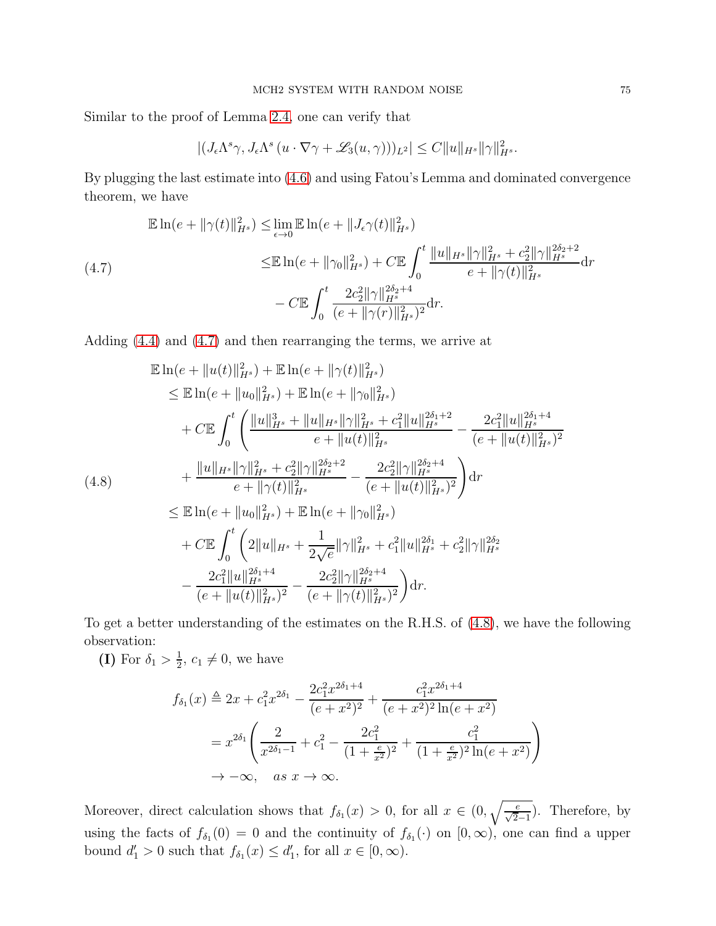Similar to the proof of Lemma [2.4,](#page-21-0) one can verify that

$$
|(J_{\epsilon}\Lambda^{s}\gamma, J_{\epsilon}\Lambda^{s}(u\cdot\nabla\gamma+\mathscr{L}_{3}(u,\gamma)))_{L^{2}}| \leq C||u||_{H^{s}}||\gamma||_{H^{s}}^{2}.
$$

By plugging the last estimate into [\(4.6\)](#page-73-2) and using Fatou's Lemma and dominated convergence theorem, we have

<span id="page-74-0"></span>
$$
\mathbb{E}\ln(e+\|\gamma(t)\|_{H^s}^2) \leq \lim_{\epsilon \to 0} \mathbb{E}\ln(e+\|J_{\epsilon}\gamma(t)\|_{H^s}^2)
$$
\n
$$
\leq \mathbb{E}\ln(e+\|\gamma_0\|_{H^s}^2) + C \mathbb{E}\int_0^t \frac{\|u\|_{H^s}\|\gamma\|_{H^s}^2 + c_2^2\|\gamma\|_{H^s}^{2\delta_2+2}}{e+\|\gamma(t)\|_{H^s}^2}\mathrm{d}r
$$
\n
$$
-C \mathbb{E}\int_0^t \frac{2c_2^2\|\gamma\|_{H^s}^{2\delta_2+4}}{(e+\|\gamma(r)\|_{H^s}^2)^2}\mathrm{d}r.
$$

Adding [\(4.4\)](#page-73-3) and [\(4.7\)](#page-74-0) and then rearranging the terms, we arrive at

<span id="page-74-1"></span>
$$
\mathbb{E}\ln(e+\|u(t)\|_{H^s}^2) + \mathbb{E}\ln(e+\|\gamma(t)\|_{H^s}^2) \n\leq \mathbb{E}\ln(e+\|u_0\|_{H^s}^2) + \mathbb{E}\ln(e+\|\gamma_0\|_{H^s}^2) \n+ C\mathbb{E}\int_0^t \left(\frac{\|u\|_{H^s}^3 + \|u\|_{H^s}\|\gamma\|_{H^s}^2 + c_1^2\|u\|_{H^s}^{2\delta_1+2}}{e+\|u(t)\|_{H^s}^2} - \frac{2c_1^2\|u\|_{H^s}^{2\delta_1+4}}{(e+\|u(t)\|_{H^s}^2)^2} \right) \n+ \frac{\|u\|_{H^s}\|\gamma\|_{H^s}^2 + c_2^2\|\gamma\|_{H^s}^{2\delta_2+2}}{e+\|\gamma(t)\|_{H^s}^2} - \frac{2c_2^2\|\gamma\|_{H^s}^{2\delta_2+4}}{(e+\|u(t)\|_{H^s}^2)^2} \right) dr \n\leq \mathbb{E}\ln(e+\|u_0\|_{H^s}^2) + \mathbb{E}\ln(e+\|\gamma_0\|_{H^s}^2) \n+ C\mathbb{E}\int_0^t \left(2\|u\|_{H^s} + \frac{1}{2\sqrt{e}}\|\gamma\|_{H^s}^2 + c_1^2\|u\|_{H^s}^{2\delta_1} + c_2^2\|\gamma\|_{H^s}^{2\delta_2} \right) \n- \frac{2c_1^2\|u\|_{H^s}^{2\delta_1+4}}{(e+\|u(t)\|_{H^s}^2)^2} - \frac{2c_2^2\|\gamma\|_{H^s}^{2\delta_2+4}}{(e+\|\gamma(t)\|_{H^s}^2)^2} \right) dr.
$$

To get a better understanding of the estimates on the R.H.S. of [\(4.8\)](#page-74-1), we have the following observation:

(I) For  $\delta_1 > \frac{1}{2}$  $\frac{1}{2}$ ,  $c_1 \neq 0$ , we have

$$
f_{\delta_1}(x) \triangleq 2x + c_1^2 x^{2\delta_1} - \frac{2c_1^2 x^{2\delta_1 + 4}}{(e + x^2)^2} + \frac{c_1^2 x^{2\delta_1 + 4}}{(e + x^2)^2 \ln(e + x^2)}
$$
  
=  $x^{2\delta_1} \left( \frac{2}{x^{2\delta_1 - 1}} + c_1^2 - \frac{2c_1^2}{(1 + \frac{e}{x^2})^2} + \frac{c_1^2}{(1 + \frac{e}{x^2})^2 \ln(e + x^2)} \right)$   
 $\rightarrow -\infty$ , as  $x \rightarrow \infty$ .

Moreover, direct calculation shows that  $f_{\delta_1}(x) > 0$ , for all  $x \in (0, \sqrt{\frac{e}{\sqrt{2}-1}})$ . Therefore, by using the facts of  $f_{\delta_1}(0) = 0$  and the continuity of  $f_{\delta_1}(\cdot)$  on  $[0, \infty)$ , one can find a upper bound  $d'_1 > 0$  such that  $f_{\delta_1}(x) \leq d'_1$ , for all  $x \in [0, \infty)$ .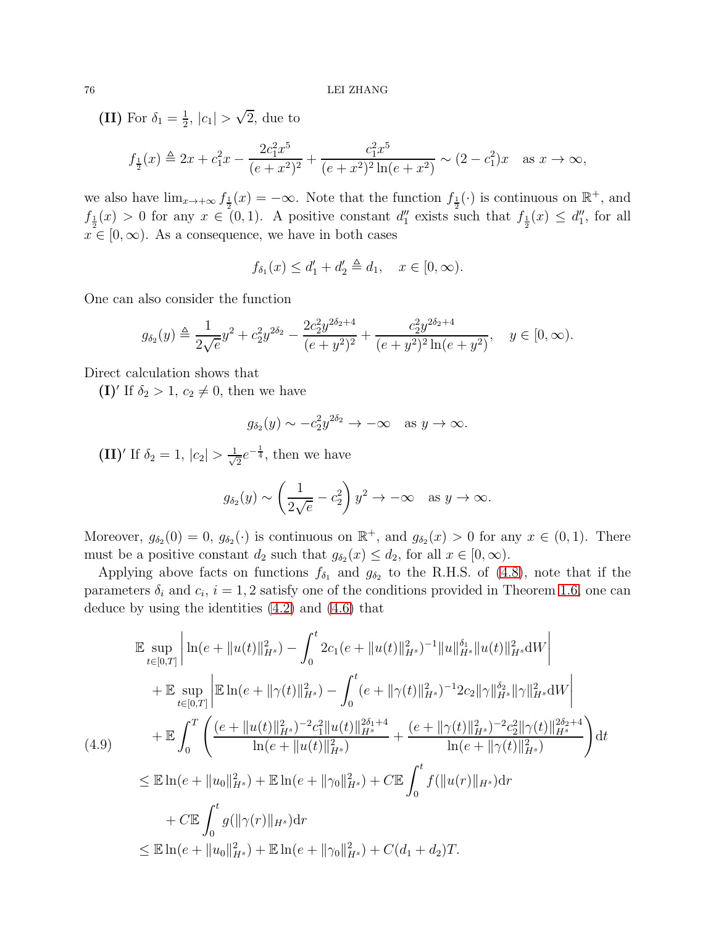(II) For  $\delta_1 = \frac{1}{2}$  $\frac{1}{2}$ ,  $|c_1| > \sqrt{2}$ , due to

$$
f_{\frac{1}{2}}(x) \triangleq 2x + c_1^2 x - \frac{2c_1^2 x^5}{(e+x^2)^2} + \frac{c_1^2 x^5}{(e+x^2)^2 \ln(e+x^2)} \sim (2-c_1^2)x
$$
 as  $x \to \infty$ ,

we also have  $\lim_{x\to+\infty} f_{\frac{1}{2}}(x) = -\infty$ . Note that the function  $f_{\frac{1}{2}}(\cdot)$  is continuous on  $\mathbb{R}^+$ , and  $f_{\frac{1}{2}}(x) > 0$  for any  $x \in (0,1)$ . A positive constant  $d''_1$  exists such that  $f_{\frac{1}{2}}(x) \leq d''_1$ , for all  $x \in [0, \infty)$ . As a consequence, we have in both cases

$$
f_{\delta_1}(x) \le d'_1 + d'_2 \triangleq d_1, \quad x \in [0, \infty).
$$

One can also consider the function

$$
g_{\delta_2}(y) \triangleq \frac{1}{2\sqrt{e}}y^2 + c_2^2 y^{2\delta_2} - \frac{2c_2^2 y^{2\delta_2 + 4}}{(e + y^2)^2} + \frac{c_2^2 y^{2\delta_2 + 4}}{(e + y^2)^2 \ln(e + y^2)}, \quad y \in [0, \infty).
$$

Direct calculation shows that

(I)' If  $\delta_2 > 1, c_2 \neq 0$ , then we have

$$
g_{\delta_2}(y) \sim -c_2^2 y^{2\delta_2} \to -\infty \text{ as } y \to \infty.
$$

 $(II)'$  If  $\delta_2 = 1, |c_2| > \frac{1}{\sqrt{2}}$  $\frac{1}{2}e^{-\frac{1}{4}},$  then we have

$$
g_{\delta_2}(y) \sim \left(\frac{1}{2\sqrt{e}} - c_2^2\right) y^2 \to -\infty \text{ as } y \to \infty.
$$

Moreover,  $g_{\delta_2}(0) = 0$ ,  $g_{\delta_2}(\cdot)$  is continuous on  $\mathbb{R}^+$ , and  $g_{\delta_2}(x) > 0$  for any  $x \in (0,1)$ . There must be a positive constant  $d_2$  such that  $g_{\delta_2}(x) \leq d_2$ , for all  $x \in [0, \infty)$ .

Applying above facts on functions  $f_{\delta_1}$  and  $g_{\delta_2}$  to the R.H.S. of [\(4.8\)](#page-74-1), note that if the parameters  $\delta_i$  and  $c_i$ ,  $i = 1, 2$  satisfy one of the conditions provided in Theorem [1.6,](#page-12-0) one can deduce by using the identities [\(4.2\)](#page-72-1) and [\(4.6\)](#page-73-2) that

<span id="page-75-0"></span>
$$
\mathbb{E} \sup_{t \in [0,T]} \left| \ln(e + \|u(t)\|_{H^s}^2) - \int_0^t 2c_1(e + \|u(t)\|_{H^s}^2)^{-1} \|u\|_{H^s}^{\delta_1} \|u(t)\|_{H^s}^2 \mathrm{d}W \right| \n+ \mathbb{E} \sup_{t \in [0,T]} \left| \mathbb{E} \ln(e + \|\gamma(t)\|_{H^s}^2) - \int_0^t (e + \|\gamma(t)\|_{H^s}^2)^{-1} 2c_2 \|\gamma\|_{H^s}^{\delta_2} \|\gamma\|_{H^s}^2 \mathrm{d}W \right| \n+ \mathbb{E} \int_0^T \left( \frac{(e + \|u(t)\|_{H^s}^2)^{-2} c_1^2 \|u(t)\|_{H^s}^{2\delta_1 + 4}}{\ln(e + \|u(t)\|_{H^s}^2)} + \frac{(e + \|\gamma(t)\|_{H^s}^2)^{-2} c_2^2 \|\gamma(t)\|_{H^s}^{2\delta_2 + 4}}{\ln(e + \|\gamma(t)\|_{H^s}^2)} \right) \mathrm{d}t \n\leq \mathbb{E} \ln(e + \|u_0\|_{H^s}^2) + \mathbb{E} \ln(e + \|\gamma_0\|_{H^s}^2) + C \mathbb{E} \int_0^t f(\|u(r)\|_{H^s}) \mathrm{d}r \n+ C \mathbb{E} \int_0^t g(\|\gamma(r)\|_{H^s}) \mathrm{d}r \n\leq \mathbb{E} \ln(e + \|u_0\|_{H^s}^2) + \mathbb{E} \ln(e + \|\gamma_0\|_{H^s}^2) + C(d_1 + d_2)T.
$$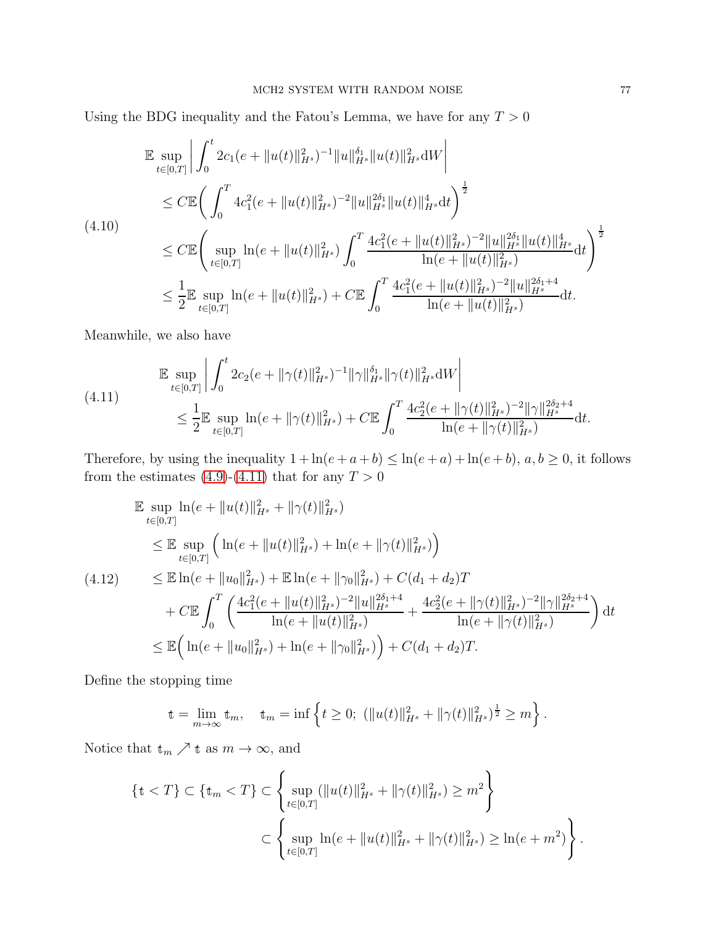Using the BDG inequality and the Fatou's Lemma, we have for any  $T > 0$ 

$$
\mathbb{E} \sup_{t \in [0,T]} \left| \int_0^t 2c_1(e + \|u(t)\|_{H^s}^2)^{-1} \|u\|_{H^s}^{\delta_1} \|u(t)\|_{H^s}^2 \mathrm{d}W \right|
$$
\n
$$
\leq C \mathbb{E} \bigg( \int_0^T 4c_1^2(e + \|u(t)\|_{H^s}^2)^{-2} \|u\|_{H^s}^{2\delta_1} \|u(t)\|_{H^s}^4 \mathrm{d}t \bigg)^{\frac{1}{2}}
$$
\n
$$
(4.10)
$$
\n
$$
\leq C \mathbb{E} \bigg( \sup_{t \in [0,T]} \ln(e + \|u(t)\|_{H^s}^2) \int_0^T \frac{4c_1^2(e + \|u(t)\|_{H^s}^2)^{-2} \|u\|_{H^s}^{2\delta_1} \|u(t)\|_{H^s}^4}{\ln(e + \|u(t)\|_{H^s}^2)} \mathrm{d}t \bigg)^{\frac{1}{2}}
$$
\n
$$
\leq \frac{1}{2} \mathbb{E} \sup_{t \in [0,T]} \ln(e + \|u(t)\|_{H^s}^2) + C \mathbb{E} \int_0^T \frac{4c_1^2(e + \|u(t)\|_{H^s}^2)^{-2} \|u\|_{H^s}^{2\delta_1 + 4}}{\ln(e + \|u(t)\|_{H^s}^2)} \mathrm{d}t.
$$

Meanwhile, we also have

<span id="page-76-0"></span>
$$
\begin{split} \mathbb{E} \sup_{t \in [0,T]} \left| \int_0^t 2c_2(e + \|\gamma(t)\|_{H^s}^2)^{-1} \|\gamma\|_{H^s}^{\delta_1} \|\gamma(t)\|_{H^s}^2 \mathrm{d}W \right| \\ &\leq \frac{1}{2} \mathbb{E} \sup_{t \in [0,T]} \ln(e + \|\gamma(t)\|_{H^s}^2) + C \mathbb{E} \int_0^T \frac{4c_2^2(e + \|\gamma(t)\|_{H^s}^2)^{-2} \|\gamma\|_{H^s}^{2\delta_2 + 4}}{\ln(e + \|\gamma(t)\|_{H^s}^2)} \mathrm{d}t. \end{split}
$$

Therefore, by using the inequality  $1 + \ln(e + a + b) \leq \ln(e + a) + \ln(e + b)$ ,  $a, b \geq 0$ , it follows from the estimates [\(4.9\)](#page-75-0)-[\(4.11\)](#page-76-0) that for any  $T > 0$ 

<span id="page-76-1"></span>
$$
\mathbb{E} \sup_{t \in [0,T]} \ln(e + \|u(t)\|_{H^s}^2 + \|\gamma(t)\|_{H^s}^2)
$$
\n
$$
\leq \mathbb{E} \sup_{t \in [0,T]} \left( \ln(e + \|u(t)\|_{H^s}^2) + \ln(e + \|\gamma(t)\|_{H^s}^2) \right)
$$
\n
$$
(4.12) \leq \mathbb{E} \ln(e + \|u_0\|_{H^s}^2) + \mathbb{E} \ln(e + \|\gamma_0\|_{H^s}^2) + C(d_1 + d_2)T
$$
\n
$$
+ C \mathbb{E} \int_0^T \left( \frac{4c_1^2(e + \|u(t)\|_{H^s}^2)^{-2} \|u\|_{H^s}^{2\delta_1 + 4}}{\ln(e + \|u(t)\|_{H^s}^2)} + \frac{4c_2^2(e + \|\gamma(t)\|_{H^s}^2)^{-2} \|\gamma\|_{H^s}^{2\delta_2 + 4}}{\ln(e + \|\gamma(t)\|_{H^s}^2)} \right) dt
$$
\n
$$
\leq \mathbb{E} \left( \ln(e + \|u_0\|_{H^s}^2) + \ln(e + \|\gamma_0\|_{H^s}^2) \right) + C(d_1 + d_2)T.
$$

Define the stopping time

$$
\mathbf{t} = \lim_{m \to \infty} \mathbf{t}_m, \quad \mathbf{t}_m = \inf \left\{ t \ge 0; \ (\|u(t)\|_{H^s}^2 + \|\gamma(t)\|_{H^s}^2)^{\frac{1}{2}} \ge m \right\}.
$$

Notice that  $t_m \nearrow t$  as  $m \to \infty$ , and

$$
\begin{aligned} \{\mathbf{t} < T\} &\subset \left\{\mathbf{t}_m < T\right\} \subset \left\{\sup_{t \in [0,T]} (\|u(t)\|_{H^s}^2 + \|\gamma(t)\|_{H^s}^2) \ge m^2\right\} \\ &\subset \left\{\sup_{t \in [0,T]} \ln(e + \|u(t)\|_{H^s}^2 + \|\gamma(t)\|_{H^s}^2) \ge \ln(e + m^2)\right\}. \end{aligned}
$$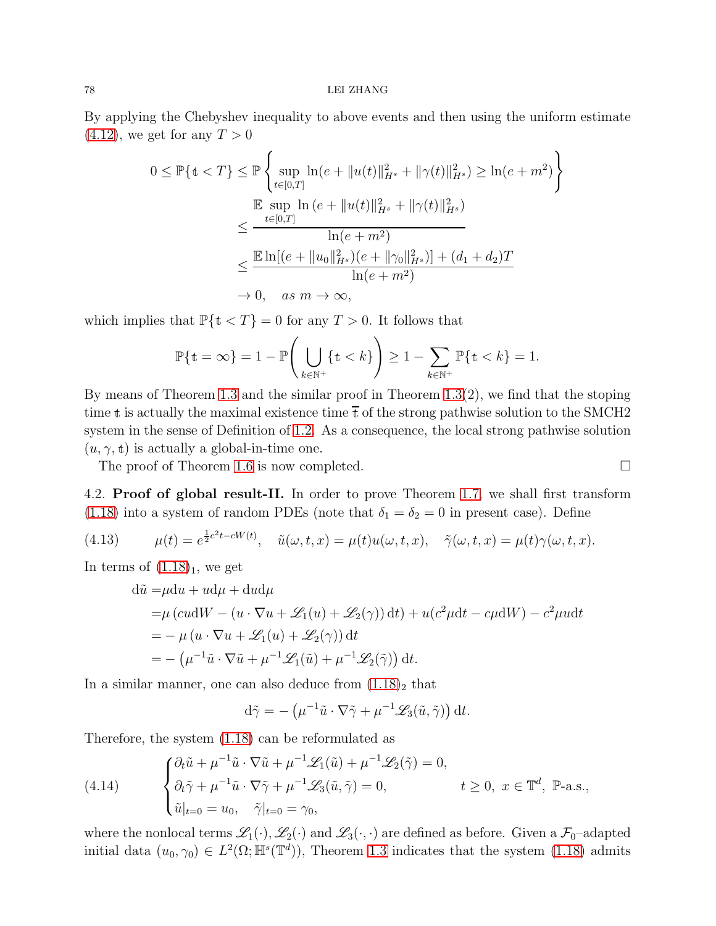By applying the Chebyshev inequality to above events and then using the uniform estimate  $(4.12)$ , we get for any  $T > 0$ 

$$
0 \leq \mathbb{P}\{\mathbf{t} < T\} \leq \mathbb{P}\left\{\sup_{t \in [0,T]} \ln(e + \|u(t)\|_{H^s}^2 + \|\gamma(t)\|_{H^s}^2) \geq \ln(e + m^2)\right\}
$$
\n
$$
\leq \frac{\mathbb{E}\sup_{t \in [0,T]} \ln(e + \|u(t)\|_{H^s}^2 + \|\gamma(t)\|_{H^s}^2)}{\ln(e + m^2)}
$$
\n
$$
\leq \frac{\mathbb{E}\ln[(e + \|u_0\|_{H^s}^2)(e + \|\gamma_0\|_{H^s}^2)] + (d_1 + d_2)T}{\ln(e + m^2)}
$$
\n
$$
\to 0, \quad \text{as } m \to \infty,
$$

which implies that  $\mathbb{P}\{\mathbf{t} < T\} = 0$  for any  $T > 0$ . It follows that

$$
\mathbb{P}\{\mathbf{t}=\infty\}=1-\mathbb{P}\Bigg(\bigcup_{k\in\mathbb{N}^+} \{\mathbf{t}
$$

By means of Theorem [1.3](#page-10-0) and the similar proof in Theorem [1.3\(](#page-10-0)2), we find that the stoping time t is actually the maximal existence time  $\overline{t}$  of the strong pathwise solution to the SMCH2 system in the sense of Definition of [1.2.](#page-9-0) As a consequence, the local strong pathwise solution  $(u, \gamma, t)$  is actually a global-in-time one.

The proof of Theorem [1.6](#page-12-0) is now completed.

4.2. Proof of global result-II. In order to prove Theorem [1.7,](#page-13-1) we shall first transform [\(1.18\)](#page-13-2) into a system of random PDEs (note that  $\delta_1 = \delta_2 = 0$  in present case). Define

<span id="page-77-0"></span>(4.13) 
$$
\mu(t) = e^{\frac{1}{2}c^2t - cW(t)}, \quad \tilde{u}(\omega, t, x) = \mu(t)u(\omega, t, x), \quad \tilde{\gamma}(\omega, t, x) = \mu(t)\gamma(\omega, t, x).
$$

In terms of  $(1.18)<sub>1</sub>$ , we get

$$
d\tilde{u} = \mu du + u d\mu + du d\mu
$$
  
=  $\mu$  (cudW – (u · ∇u + L<sub>1</sub>(u) + L<sub>2</sub>(γ)) dt) + u(c<sup>2</sup> \mu dt – c\mu dW) – c<sup>2</sup> \mu u dt  
= –  $\mu$  (u · ∇u + L<sub>1</sub>(u) + L<sub>2</sub>(γ)) dt  
= – ( $\mu$ <sup>-1</sup> \tilde{u} · ∇ \tilde{u} +  $\mu$ <sup>-1</sup>L<sub>1</sub>(\tilde{u}) +  $\mu$ <sup>-1</sup>L<sub>2</sub>(\tilde{γ}) dt.

In a similar manner, one can also deduce from  $(1.18)<sub>2</sub>$  that

$$
d\tilde{\gamma} = -(\mu^{-1}\tilde{u}\cdot\nabla\tilde{\gamma} + \mu^{-1}\mathscr{L}_3(\tilde{u}, \tilde{\gamma})) dt.
$$

Therefore, the system [\(1.18\)](#page-13-2) can be reformulated as

<span id="page-77-1"></span>(4.14) 
$$
\begin{cases} \partial_t \tilde{u} + \mu^{-1} \tilde{u} \cdot \nabla \tilde{u} + \mu^{-1} \mathcal{L}_1(\tilde{u}) + \mu^{-1} \mathcal{L}_2(\tilde{\gamma}) = 0, \\ \partial_t \tilde{\gamma} + \mu^{-1} \tilde{u} \cdot \nabla \tilde{\gamma} + \mu^{-1} \mathcal{L}_3(\tilde{u}, \tilde{\gamma}) = 0, \end{cases} \quad t \ge 0, \ x \in \mathbb{T}^d, \ \mathbb{P}\text{-a.s.,}
$$

$$
\tilde{u}|_{t=0} = u_0, \quad \tilde{\gamma}|_{t=0} = \gamma_0,
$$

where the nonlocal terms  $\mathscr{L}_1(\cdot), \mathscr{L}_2(\cdot)$  and  $\mathscr{L}_3(\cdot, \cdot)$  are defined as before. Given a  $\mathcal{F}_0$ -adapted initial data  $(u_0, \gamma_0) \in L^2(\Omega; \mathbb{H}^s(\mathbb{T}^d))$ , Theorem [1.3](#page-10-0) indicates that the system [\(1.18\)](#page-13-2) admits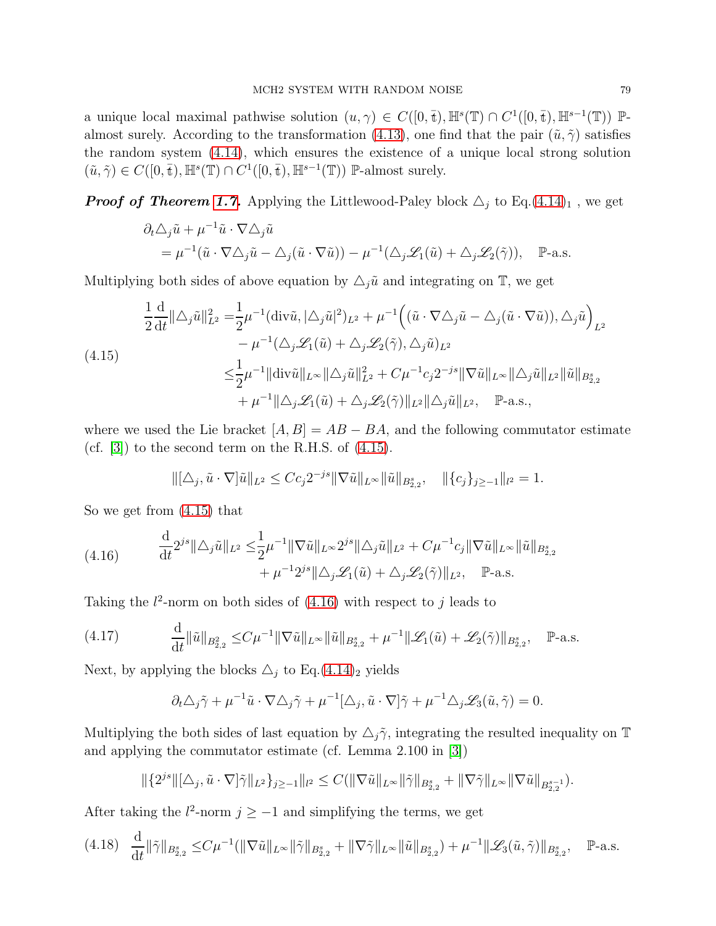a unique local maximal pathwise solution  $(u, \gamma) \in C([0, \bar{t}), \mathbb{H}^s(\mathbb{T}) \cap C^1([0, \bar{t}), \mathbb{H}^{s-1}(\mathbb{T}))$  P-almost surely. According to the transformation [\(4.13\)](#page-77-0), one find that the pair  $(\tilde{u}, \tilde{\gamma})$  satisfies the random system [\(4.14\)](#page-77-1), which ensures the existence of a unique local strong solution  $(\tilde{u}, \tilde{\gamma}) \in C([0, \bar{t}), \mathbb{H}^s(\mathbb{T}) \cap C^1([0, \bar{t}), \mathbb{H}^{s-1}(\mathbb{T}))$  P-almost surely.

**Proof of Theorem [1.7.](#page-13-1)** Applying the Littlewood-Paley block  $\Delta_j$  to Eq.[\(4.14\)](#page-77-1)<sub>1</sub>, we get

$$
\partial_t \Delta_j \tilde{u} + \mu^{-1} \tilde{u} \cdot \nabla \Delta_j \tilde{u}
$$
  
=  $\mu^{-1} (\tilde{u} \cdot \nabla \Delta_j \tilde{u} - \Delta_j (\tilde{u} \cdot \nabla \tilde{u})) - \mu^{-1} (\Delta_j \mathcal{L}_1(\tilde{u}) + \Delta_j \mathcal{L}_2(\tilde{\gamma})), \quad \mathbb{P}\text{-a.s.}$ 

Multiplying both sides of above equation by  $\Delta_j \tilde{u}$  and integrating on  $\mathbb{T}$ , we get

<span id="page-78-0"></span>
$$
\frac{1}{2}\frac{\mathrm{d}}{\mathrm{d}t}\|\Delta_j \tilde{u}\|_{L^2}^2 = \frac{1}{2}\mu^{-1}(\mathrm{div}\tilde{u}, |\Delta_j \tilde{u}|^2)_{L^2} + \mu^{-1}\Big((\tilde{u} \cdot \nabla \Delta_j \tilde{u} - \Delta_j(\tilde{u} \cdot \nabla \tilde{u})), \Delta_j \tilde{u}\Big)_{L^2} \n- \mu^{-1}(\Delta_j \mathcal{L}_1(\tilde{u}) + \Delta_j \mathcal{L}_2(\tilde{\gamma}), \Delta_j \tilde{u})_{L^2} \n\leq \frac{1}{2}\mu^{-1}\|\mathrm{div}\tilde{u}\|_{L^\infty}\|\Delta_j \tilde{u}\|_{L^2} + C\mu^{-1}c_j 2^{-js}\|\nabla \tilde{u}\|_{L^\infty}\|\Delta_j \tilde{u}\|_{L^2}\|\tilde{u}\|_{B^s_{2,2}} \n+ \mu^{-1}\|\Delta_j \mathcal{L}_1(\tilde{u}) + \Delta_j \mathcal{L}_2(\tilde{\gamma})\|_{L^2}\|\Delta_j \tilde{u}\|_{L^2}, \quad \mathbb{P}\text{-a.s.},
$$

where we used the Lie bracket  $[A, B] = AB - BA$ , and the following commutator estimate (cf.  $[3]$ ) to the second term on the R.H.S. of  $(4.15)$ .

$$
\|[\Delta_j, \tilde{u} \cdot \nabla]\tilde{u}\|_{L^2} \leq C c_j 2^{-js} \|\nabla \tilde{u}\|_{L^\infty} \|\tilde{u}\|_{B^s_{2,2}}, \quad \|\{c_j\}_{j \geq -1}\|_{l^2} = 1.
$$

So we get from [\(4.15\)](#page-78-0) that

<span id="page-78-1"></span>(4.16) 
$$
\frac{\mathrm{d}}{\mathrm{d}t} 2^{js} \|\triangle_j \tilde{u}\|_{L^2} \leq \frac{1}{2} \mu^{-1} \|\nabla \tilde{u}\|_{L^\infty} 2^{js} \|\triangle_j \tilde{u}\|_{L^2} + C \mu^{-1} c_j \|\nabla \tilde{u}\|_{L^\infty} \|\tilde{u}\|_{B^s_{2,2}} + \mu^{-1} 2^{js} \|\triangle_j \mathcal{L}_1(\tilde{u}) + \triangle_j \mathcal{L}_2(\tilde{\gamma})\|_{L^2}, \quad \mathbb{P}\text{-a.s.}
$$

Taking the  $l^2$ -norm on both sides of  $(4.16)$  with respect to j leads to

<span id="page-78-2"></span>
$$
(4.17) \qquad \frac{\mathrm{d}}{\mathrm{d}t} \|\tilde{u}\|_{B_{2,2}^2} \leq C\mu^{-1} \|\nabla \tilde{u}\|_{L^\infty} \|\tilde{u}\|_{B_{2,2}^s} + \mu^{-1} \|\mathcal{L}_1(\tilde{u}) + \mathcal{L}_2(\tilde{\gamma})\|_{B_{2,2}^s}, \quad \mathbb{P}\text{-a.s.}
$$

Next, by applying the blocks  $\triangle_j$  to Eq.[\(4.14\)](#page-77-1)<sub>2</sub> yields

$$
\partial_t \Delta_j \tilde{\gamma} + \mu^{-1} \tilde{u} \cdot \nabla \Delta_j \tilde{\gamma} + \mu^{-1} [\Delta_j, \tilde{u} \cdot \nabla] \tilde{\gamma} + \mu^{-1} \Delta_j \mathcal{L}_3(\tilde{u}, \tilde{\gamma}) = 0.
$$

Multiplying the both sides of last equation by  $\Delta_j \tilde{\gamma}$ , integrating the resulted inequality on T and applying the commutator estimate (cf. Lemma 2.100 in [\[3\]](#page-88-0))

$$
\|\{2^{js}\|[\triangle_j, \tilde{u}\cdot\nabla]\tilde{\gamma}\|_{L^2}\}_{j\geq -1}\|_{l^2}\leq C(\|\nabla\tilde{u}\|_{L^\infty}\|\tilde{\gamma}\|_{B^s_{2,2}}+\|\nabla\tilde{\gamma}\|_{L^\infty}\|\nabla\tilde{u}\|_{B^{s-1}_{2,2}}).
$$

After taking the  $l^2$ -norm  $j \ge -1$  and simplifying the terms, we get

$$
(4.18) \quad \frac{\mathrm{d}}{\mathrm{d}t} \|\tilde{\gamma}\|_{B_{2,2}^s} \leq C\mu^{-1}(\|\nabla \tilde{u}\|_{L^\infty}\|\tilde{\gamma}\|_{B_{2,2}^s} + \|\nabla \tilde{\gamma}\|_{L^\infty}\|\tilde{u}\|_{B_{2,2}^s}) + \mu^{-1} \|\mathscr{L}_3(\tilde{u}, \tilde{\gamma})\|_{B_{2,2}^s}, \quad \mathbb{P}\text{-a.s.}
$$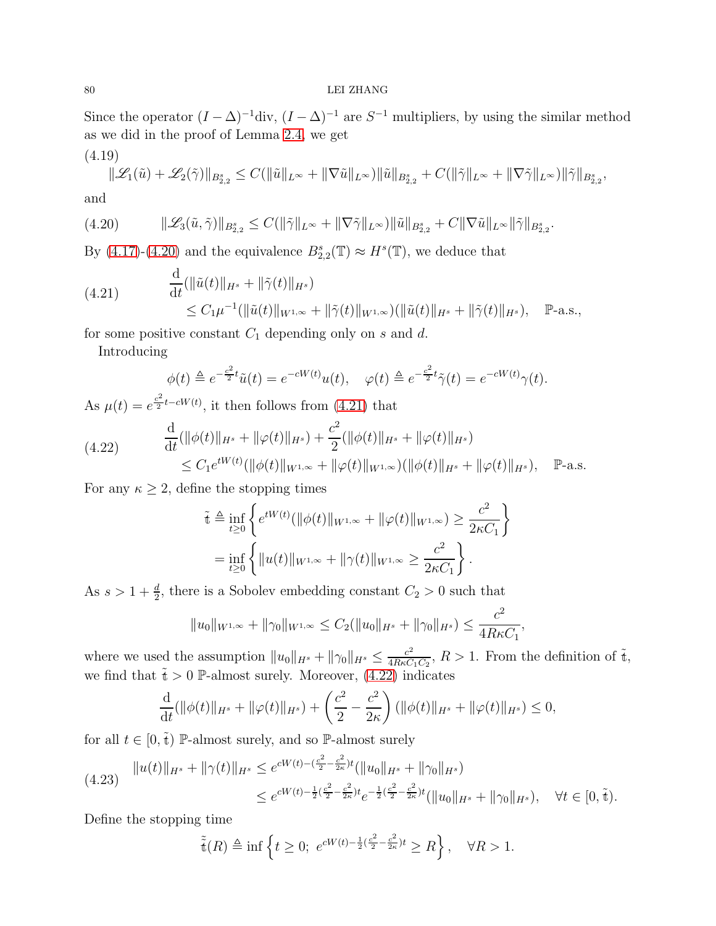Since the operator  $(I - \Delta)^{-1}$ div,  $(I - \Delta)^{-1}$  are  $S^{-1}$  multipliers, by using the similar method as we did in the proof of Lemma [2.4,](#page-21-0) we get

$$
(4.19) \|\mathcal{L}_1(\tilde{u}) + \mathcal{L}_2(\tilde{\gamma})\|_{B^s_{2,2}} \le C(\|\tilde{u}\|_{L^\infty} + \|\nabla \tilde{u}\|_{L^\infty}) \|\tilde{u}\|_{B^s_{2,2}} + C(\|\tilde{\gamma}\|_{L^\infty} + \|\nabla \tilde{\gamma}\|_{L^\infty}) \|\tilde{\gamma}\|_{B^s_{2,2}},
$$

and

<span id="page-79-0"></span>
$$
(4.20) \t\t\t\t\|\mathscr{L}_3(\tilde{u}, \tilde{\gamma})\|_{B^s_{2,2}} \leq C(\|\tilde{\gamma}\|_{L^\infty} + \|\nabla \tilde{\gamma}\|_{L^\infty}) \|\tilde{u}\|_{B^s_{2,2}} + C\|\nabla \tilde{u}\|_{L^\infty} \|\tilde{\gamma}\|_{B^s_{2,2}}.
$$

By [\(4.17\)](#page-78-2)-[\(4.20\)](#page-79-0) and the equivalence  $B_{2,2}^s(\mathbb{T}) \approx H^s(\mathbb{T})$ , we deduce that

<span id="page-79-1"></span>(4.21) 
$$
\frac{d}{dt}(\|\tilde{u}(t)\|_{H^s} + \|\tilde{\gamma}(t)\|_{H^s})
$$
  
 
$$
\leq C_1 \mu^{-1}(\|\tilde{u}(t)\|_{W^{1,\infty}} + \|\tilde{\gamma}(t)\|_{W^{1,\infty}})(\|\tilde{u}(t)\|_{H^s} + \|\tilde{\gamma}(t)\|_{H^s}), \quad \mathbb{P}\text{-a.s.},
$$

for some positive constant  $C_1$  depending only on s and d.

Introducing

$$
\phi(t) \triangleq e^{-\frac{c^2}{2}t}\tilde{u}(t) = e^{-cW(t)}u(t), \quad \varphi(t) \triangleq e^{-\frac{c^2}{2}t}\tilde{\gamma}(t) = e^{-cW(t)}\gamma(t).
$$

As  $\mu(t) = e^{\frac{c^2}{2}}$  $\frac{e^{-t} - cW(t)}{2}$ , it then follows from [\(4.21\)](#page-79-1) that

<span id="page-79-2"></span>
$$
(4.22) \quad \frac{\mathrm{d}}{\mathrm{d}t}(\|\phi(t)\|_{H^s} + \|\varphi(t)\|_{H^s}) + \frac{c^2}{2}(\|\phi(t)\|_{H^s} + \|\varphi(t)\|_{H^s})
$$
\n
$$
\leq C_1 e^{tW(t)}(\|\phi(t)\|_{W^{1,\infty}} + \|\varphi(t)\|_{W^{1,\infty}})(\|\phi(t)\|_{H^s} + \|\varphi(t)\|_{H^s}), \quad \mathbb{P}\text{-a.s.}
$$

For any  $\kappa \geq 2$ , define the stopping times

$$
\tilde{\mathbf{t}} \triangleq \inf_{t \geq 0} \left\{ e^{tW(t)} (\|\phi(t)\|_{W^{1,\infty}} + \|\phi(t)\|_{W^{1,\infty}}) \geq \frac{c^2}{2\kappa C_1} \right\}
$$
\n
$$
= \inf_{t \geq 0} \left\{ \|u(t)\|_{W^{1,\infty}} + \|\gamma(t)\|_{W^{1,\infty}} \geq \frac{c^2}{2\kappa C_1} \right\}.
$$

As  $s > 1 + \frac{d}{2}$ , there is a Sobolev embedding constant  $C_2 > 0$  such that

$$
||u_0||_{W^{1,\infty}} + ||\gamma_0||_{W^{1,\infty}} \leq C_2(||u_0||_{H^s} + ||\gamma_0||_{H^s}) \leq \frac{c^2}{4R\kappa C_1},
$$

where we used the assumption  $||u_0||_{H^s} + ||\gamma_0||_{H^s} \le \frac{c^2}{4R\kappa C}$  $\frac{c^2}{4R\kappa C_1C_2}$ ,  $R > 1$ . From the definition of  $\tilde{t}$ , we find that  $\tilde{t} > 0$  P-almost surely. Moreover, [\(4.22\)](#page-79-2) indicates

$$
\frac{\mathrm{d}}{\mathrm{d}t}(\|\phi(t)\|_{H^s} + \|\varphi(t)\|_{H^s}) + \left(\frac{c^2}{2} - \frac{c^2}{2\kappa}\right)(\|\phi(t)\|_{H^s} + \|\varphi(t)\|_{H^s}) \le 0,
$$

for all  $t \in [0, \tilde{t})$  P-almost surely, and so P-almost surely

<span id="page-79-3"></span>
$$
(4.23) \quad \|u(t)\|_{H^s} + \|\gamma(t)\|_{H^s} \le e^{cW(t) - (\frac{c^2}{2} - \frac{c^2}{2\kappa})t} (\|u_0\|_{H^s} + \|\gamma_0\|_{H^s})
$$
  

$$
\le e^{cW(t) - \frac{1}{2}(\frac{c^2}{2} - \frac{c^2}{2\kappa})t} e^{-\frac{1}{2}(\frac{c^2}{2} - \frac{c^2}{2\kappa})t} (\|u_0\|_{H^s} + \|\gamma_0\|_{H^s}), \quad \forall t \in [0, \tilde{t}).
$$

Define the stopping time

$$
\tilde{\tilde{\mathfrak{t}}}(R) \triangleq \inf \left\{ t \ge 0; \ e^{cW(t) - \frac{1}{2}(\frac{c^2}{2} - \frac{c^2}{2\kappa})t} \ge R \right\}, \quad \forall R > 1.
$$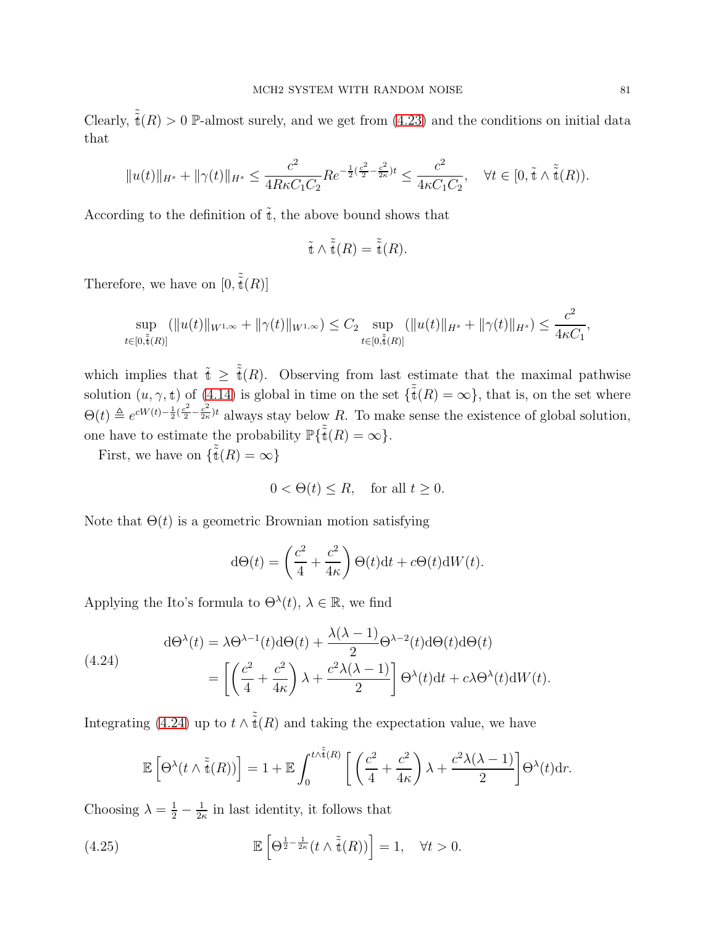Clearly,  $\tilde{\tilde{\mathfrak{t}}}(R) > 0$  P-almost surely, and we get from [\(4.23\)](#page-79-3) and the conditions on initial data that

$$
||u(t)||_{H^{s}} + ||\gamma(t)||_{H^{s}} \le \frac{c^2}{4R\kappa C_1 C_2} Re^{-\frac{1}{2}(\frac{c^2}{2} - \frac{c^2}{2\kappa})t} \le \frac{c^2}{4\kappa C_1 C_2}, \quad \forall t \in [0, \tilde{t} \wedge \tilde{\tilde{t}}(R)).
$$

According to the definition of  $\tilde{t}$ , the above bound shows that

$$
\tilde{\tilde{\mathbf{t}}} \wedge \tilde{\tilde{\mathbf{t}}}(R) = \tilde{\tilde{\mathbf{t}}}(R).
$$

Therefore, we have on  $[0, \tilde{\tilde{t}}(R)]$ 

$$
\sup_{t\in[0,\tilde{\tilde{t}}(R)]} (\|u(t)\|_{W^{1,\infty}} + \|\gamma(t)\|_{W^{1,\infty}}) \leq C_2 \sup_{t\in[0,\tilde{\tilde{t}}(R)]} (\|u(t)\|_{H^s} + \|\gamma(t)\|_{H^s}) \leq \frac{c^2}{4\kappa C_1},
$$

which implies that  $\tilde{t} \geq \tilde{t}(R)$ . Observing from last estimate that the maximal pathwise solution  $(u, \gamma, t)$  of  $(4.14)$  is global in time on the set  $\{\tilde{\tilde{t}}(R) = \infty\}$ , that is, on the set where  $\Theta(t) \triangleq e^{cW(t)-\frac{1}{2}(\frac{c^2}{2}-\frac{c^2}{2\kappa})}$  $\frac{c}{2\kappa}$ <sup>t</sup> always stay below R. To make sense the existence of global solution, one have to estimate the probability  $\mathbb{P}\{\tilde{\tilde{\mathfrak{t}}}(R) = \infty\}.$ 

First, we have on  $\{\tilde{\tilde{\mathfrak{t}}}(R) = \infty\}$ 

$$
0 < \Theta(t) \le R, \quad \text{for all } t \ge 0.
$$

Note that  $\Theta(t)$  is a geometric Brownian motion satisfying

$$
d\Theta(t) = \left(\frac{c^2}{4} + \frac{c^2}{4\kappa}\right)\Theta(t)dt + c\Theta(t)dW(t).
$$

Applying the Ito's formula to  $\Theta^{\lambda}(t)$ ,  $\lambda \in \mathbb{R}$ , we find

<span id="page-80-0"></span>(4.24)  

$$
d\Theta^{\lambda}(t) = \lambda \Theta^{\lambda - 1}(t) d\Theta(t) + \frac{\lambda(\lambda - 1)}{2} \Theta^{\lambda - 2}(t) d\Theta(t) d\Theta(t)
$$

$$
= \left[ \left( \frac{c^2}{4} + \frac{c^2}{4\kappa} \right) \lambda + \frac{c^2 \lambda(\lambda - 1)}{2} \right] \Theta^{\lambda}(t) dt + c\lambda \Theta^{\lambda}(t) dW(t).
$$

Integrating [\(4.24\)](#page-80-0) up to  $t \wedge \tilde{\tilde{\mathfrak{t}}}(R)$  and taking the expectation value, we have

$$
\mathbb{E}\left[\Theta^{\lambda}(t\wedge\tilde{\tilde{\mathfrak{t}}}(R))\right] = 1 + \mathbb{E}\int_0^{t\wedge\tilde{\tilde{\mathfrak{t}}}(R)} \left[\left(\frac{c^2}{4} + \frac{c^2}{4\kappa}\right)\lambda + \frac{c^2\lambda(\lambda-1)}{2}\right]\Theta^{\lambda}(t)\mathrm{d}t.
$$

Choosing  $\lambda = \frac{1}{2} - \frac{1}{2k}$  $\frac{1}{2\kappa}$  in last identity, it follows that

<span id="page-80-1"></span>(4.25) 
$$
\mathbb{E}\left[\Theta^{\frac{1}{2}-\frac{1}{2\kappa}}(t\wedge\tilde{\tilde{\mathfrak{t}}}(R))\right]=1, \quad \forall t>0.
$$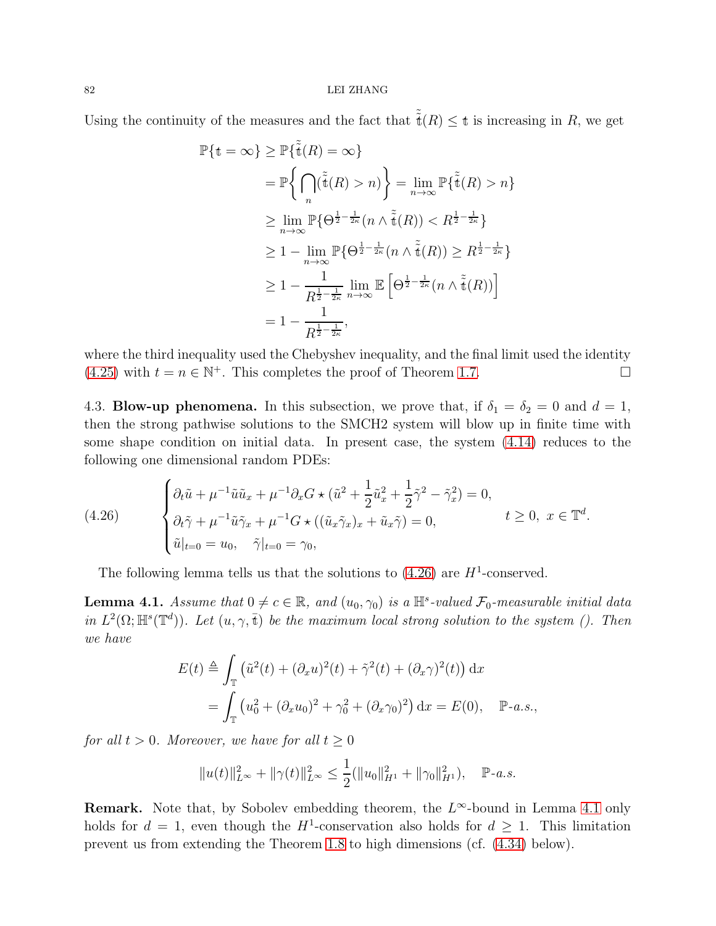Using the continuity of the measures and the fact that  $\tilde{\tilde{t}}(R) \leq t$  is increasing in R, we get

$$
\mathbb{P}\{\mathbf{t} = \infty\} \ge \mathbb{P}\{\tilde{\tilde{\mathbf{t}}}(R) = \infty\}
$$
  
\n
$$
= \mathbb{P}\left\{\bigcap_{n}(\tilde{\tilde{\mathbf{t}}}(R) > n)\right\} = \lim_{n \to \infty} \mathbb{P}\{\tilde{\tilde{\mathbf{t}}}(R) > n\}
$$
  
\n
$$
\ge \lim_{n \to \infty} \mathbb{P}\{\Theta^{\frac{1}{2} - \frac{1}{2\kappa}}(n \wedge \tilde{\tilde{\mathbf{t}}}(R)) < R^{\frac{1}{2} - \frac{1}{2\kappa}}\}
$$
  
\n
$$
\ge 1 - \lim_{n \to \infty} \mathbb{P}\{\Theta^{\frac{1}{2} - \frac{1}{2\kappa}}(n \wedge \tilde{\tilde{\mathbf{t}}}(R)) \ge R^{\frac{1}{2} - \frac{1}{2\kappa}}\}
$$
  
\n
$$
\ge 1 - \frac{1}{R^{\frac{1}{2} - \frac{1}{2\kappa}}}\lim_{n \to \infty} \mathbb{E}\left[\Theta^{\frac{1}{2} - \frac{1}{2\kappa}}(n \wedge \tilde{\tilde{\mathbf{t}}}(R))\right]
$$
  
\n
$$
= 1 - \frac{1}{R^{\frac{1}{2} - \frac{1}{2\kappa}}},
$$

where the third inequality used the Chebyshev inequality, and the final limit used the identity [\(4.25\)](#page-80-1) with  $t = n \in \mathbb{N}^+$ . This completes the proof of Theorem [1.7.](#page-13-1)

4.3. **Blow-up phenomena.** In this subsection, we prove that, if  $\delta_1 = \delta_2 = 0$  and  $d = 1$ , then the strong pathwise solutions to the SMCH2 system will blow up in finite time with some shape condition on initial data. In present case, the system [\(4.14\)](#page-77-1) reduces to the following one dimensional random PDEs:

<span id="page-81-0"></span>(4.26) 
$$
\begin{cases} \partial_t \tilde{u} + \mu^{-1} \tilde{u} \tilde{u}_x + \mu^{-1} \partial_x G \star (\tilde{u}^2 + \frac{1}{2} \tilde{u}_x^2 + \frac{1}{2} \tilde{\gamma}^2 - \tilde{\gamma}_x^2) = 0, \\ \partial_t \tilde{\gamma} + \mu^{-1} \tilde{u} \tilde{\gamma}_x + \mu^{-1} G \star ((\tilde{u}_x \tilde{\gamma}_x)_x + \tilde{u}_x \tilde{\gamma}) = 0, \end{cases} \quad t \ge 0, \ x \in \mathbb{T}^d.
$$
  
 $\tilde{u}|_{t=0} = u_0, \quad \tilde{\gamma}|_{t=0} = \gamma_0,$ 

The following lemma tells us that the solutions to  $(4.26)$  are  $H^1$ -conserved.

<span id="page-81-1"></span>**Lemma 4.1.** Assume that  $0 \neq c \in \mathbb{R}$ , and  $(u_0, \gamma_0)$  is a  $\mathbb{H}^s$ -valued  $\mathcal{F}_0$ -measurable initial data in  $L^2(\Omega;\mathbb{H}^s(\mathbb{T}^d))$ . Let  $(u,\gamma,\bar{t})$  be the maximum local strong solution to the system (). Then we have

$$
E(t) \triangleq \int_{\mathbb{T}} (\tilde{u}^2(t) + (\partial_x u)^2(t) + \tilde{\gamma}^2(t) + (\partial_x \gamma)^2(t)) dx
$$
  
= 
$$
\int_{\mathbb{T}} (u_0^2 + (\partial_x u_0)^2 + \gamma_0^2 + (\partial_x \gamma_0)^2) dx = E(0), \quad \mathbb{P}\text{-}a.s.,
$$

for all  $t > 0$ . Moreover, we have for all  $t \geq 0$ 

$$
||u(t)||_{L^{\infty}}^{2} + ||\gamma(t)||_{L^{\infty}}^{2} \le \frac{1}{2} (||u_{0}||_{H^{1}}^{2} + ||\gamma_{0}||_{H^{1}}^{2}), \quad \mathbb{P}\text{-}a.s.
$$

**Remark.** Note that, by Sobolev embedding theorem, the  $L^{\infty}$ -bound in Lemma [4.1](#page-72-0) only holds for  $d = 1$ , even though the  $H^1$ -conservation also holds for  $d \geq 1$ . This limitation prevent us from extending the Theorem [1.8](#page-14-0) to high dimensions (cf. [\(4.34\)](#page-85-0) below).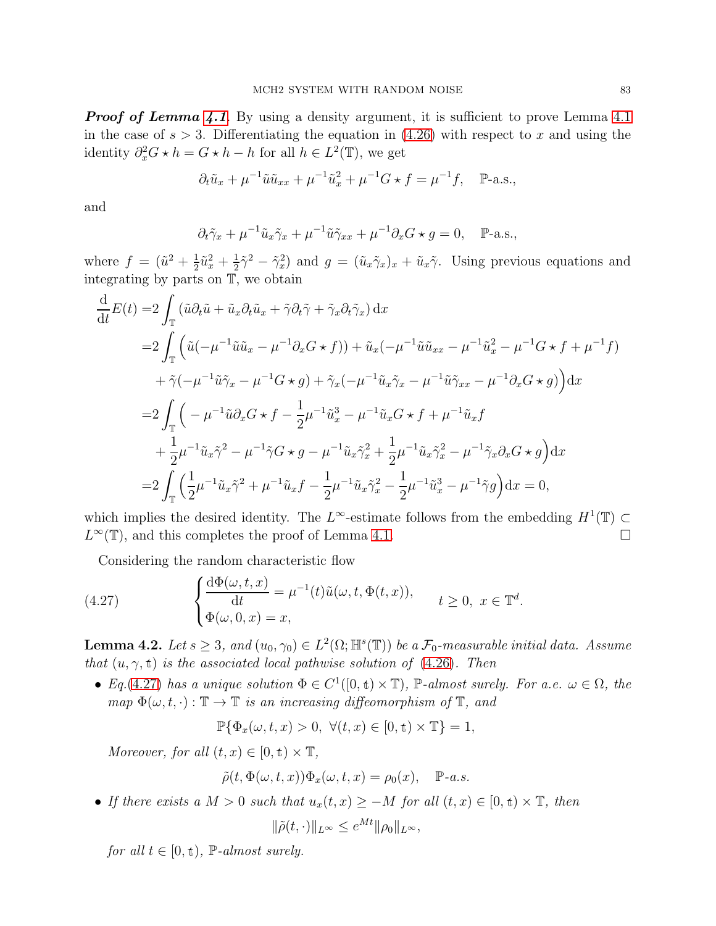**Proof of Lemma [4.1](#page-72-0)**. By using a density argument, it is sufficient to prove Lemma 4.1 in the case of  $s > 3$ . Differentiating the equation in  $(4.26)$  with respect to x and using the identity  $\partial_x^2 G \star h = G \star h - h$  for all  $h \in L^2(\mathbb{T})$ , we get

$$
\partial_t \tilde{u}_x + \mu^{-1} \tilde{u} \tilde{u}_{xx} + \mu^{-1} \tilde{u}_x^2 + \mu^{-1} G \star f = \mu^{-1} f, \quad \mathbb{P}\text{-a.s.},
$$

and

$$
\partial_t \tilde{\gamma}_x + \mu^{-1} \tilde{u}_x \tilde{\gamma}_x + \mu^{-1} \tilde{u} \tilde{\gamma}_{xx} + \mu^{-1} \partial_x G \star g = 0, \quad \mathbb{P}\text{-a.s.},
$$

where  $f = (\tilde{u}^2 + \frac{1}{2})$  $\frac{1}{2}\tilde{u}_x^2 + \frac{1}{2}$  $\frac{1}{2}\tilde{\gamma}^2 - \tilde{\gamma}_x^2$  and  $g = (\tilde{u}_x \tilde{\gamma}_x)_x + \tilde{u}_x \tilde{\gamma}$ . Using previous equations and integrating by parts on T, we obtain

$$
\frac{d}{dt}E(t) = 2\int_{\mathbb{T}} \left( \tilde{u}\partial_{t}\tilde{u} + \tilde{u}_{x}\partial_{t}\tilde{u}_{x} + \tilde{\gamma}\partial_{t}\tilde{\gamma} + \tilde{\gamma}_{x}\partial_{t}\tilde{\gamma}_{x} \right) dx \n= 2\int_{\mathbb{T}} \left( \tilde{u}(-\mu^{-1}\tilde{u}\tilde{u}_{x} - \mu^{-1}\partial_{x}G \star f) + \tilde{u}_{x}(-\mu^{-1}\tilde{u}\tilde{u}_{xx} - \mu^{-1}\tilde{u}_{x}^{2} - \mu^{-1}G \star f + \mu^{-1}f) \right) \n+ \tilde{\gamma}(-\mu^{-1}\tilde{u}\tilde{\gamma}_{x} - \mu^{-1}G \star g) + \tilde{\gamma}_{x}(-\mu^{-1}\tilde{u}_{x}\tilde{\gamma}_{x} - \mu^{-1}\tilde{u}\tilde{\gamma}_{xx} - \mu^{-1}\partial_{x}G \star g) \right) dx \n= 2\int_{\mathbb{T}} \left( -\mu^{-1}\tilde{u}\partial_{x}G \star f - \frac{1}{2}\mu^{-1}\tilde{u}_{x}^{3} - \mu^{-1}\tilde{u}_{x}G \star f + \mu^{-1}\tilde{u}_{x}f \right. \n+ \frac{1}{2}\mu^{-1}\tilde{u}_{x}\tilde{\gamma}^{2} - \mu^{-1}\tilde{\gamma}G \star g - \mu^{-1}\tilde{u}_{x}\tilde{\gamma}_{x}^{2} + \frac{1}{2}\mu^{-1}\tilde{u}_{x}\tilde{\gamma}_{x}^{2} - \mu^{-1}\tilde{\gamma}_{x}\partial_{x}G \star g \right) dx \n= 2\int_{\mathbb{T}} \left( \frac{1}{2}\mu^{-1}\tilde{u}_{x}\tilde{\gamma}^{2} + \mu^{-1}\tilde{u}_{x}f - \frac{1}{2}\mu^{-1}\tilde{u}_{x}\tilde{\gamma}_{x}^{2} - \frac{1}{2}\mu^{-1}\tilde{u}_{x}^{3} - \mu^{-1}\tilde{\gamma}g \right) dx = 0,
$$

which implies the desired identity. The L<sup>∞</sup>-estimate follows from the embedding  $H^1(\mathbb{T}) \subset$  $L^{\infty}(\mathbb{T})$ , and this completes the proof of Lemma [4.1.](#page-81-1)

<span id="page-82-0"></span>Considering the random characteristic flow

(4.27) 
$$
\begin{cases} \frac{d\Phi(\omega, t, x)}{dt} = \mu^{-1}(t)\tilde{u}(\omega, t, \Phi(t, x)), \\ \Phi(\omega, 0, x) = x, \end{cases} \quad t \ge 0, \ x \in \mathbb{T}^d.
$$

<span id="page-82-1"></span>**Lemma 4.2.** Let  $s \geq 3$ , and  $(u_0, \gamma_0) \in L^2(\Omega; \mathbb{H}^s(\mathbb{T}))$  be a  $\mathcal{F}_0$ -measurable initial data. Assume that  $(u, \gamma, t)$  is the associated local pathwise solution of [\(4.26\)](#page-81-0). Then

• Eq.[\(4.27\)](#page-82-0) has a unique solution  $\Phi \in C^1([0, t) \times \mathbb{T})$ ,  $\mathbb{P}\text{-almost surely.}$  For a.e.  $\omega \in \Omega$ , the map  $\Phi(\omega, t, \cdot) : \mathbb{T} \to \mathbb{T}$  is an increasing diffeomorphism of  $\mathbb{T}$ , and

$$
\mathbb{P}\{\Phi_x(\omega,t,x)>0,\ \forall (t,x)\in[0,\textbf{t})\times\mathbb{T}\}=1,
$$

Moreover, for all  $(t, x) \in [0, t) \times \mathbb{T}$ ,

$$
\tilde{\rho}(t,\Phi(\omega,t,x))\Phi_x(\omega,t,x)=\rho_0(x),\quad \mathbb{P}\text{-}a.s.
$$

• If there exists a  $M > 0$  such that  $u_x(t, x) \ge -M$  for all  $(t, x) \in [0, t) \times \mathbb{T}$ , then

$$
\|\tilde{\rho}(t,\cdot)\|_{L^{\infty}} \leq e^{Mt} \|\rho_0\|_{L^{\infty}},
$$

for all  $t \in [0, \mathbf{t})$ ,  $\mathbb{P}\text{-almost surely.}$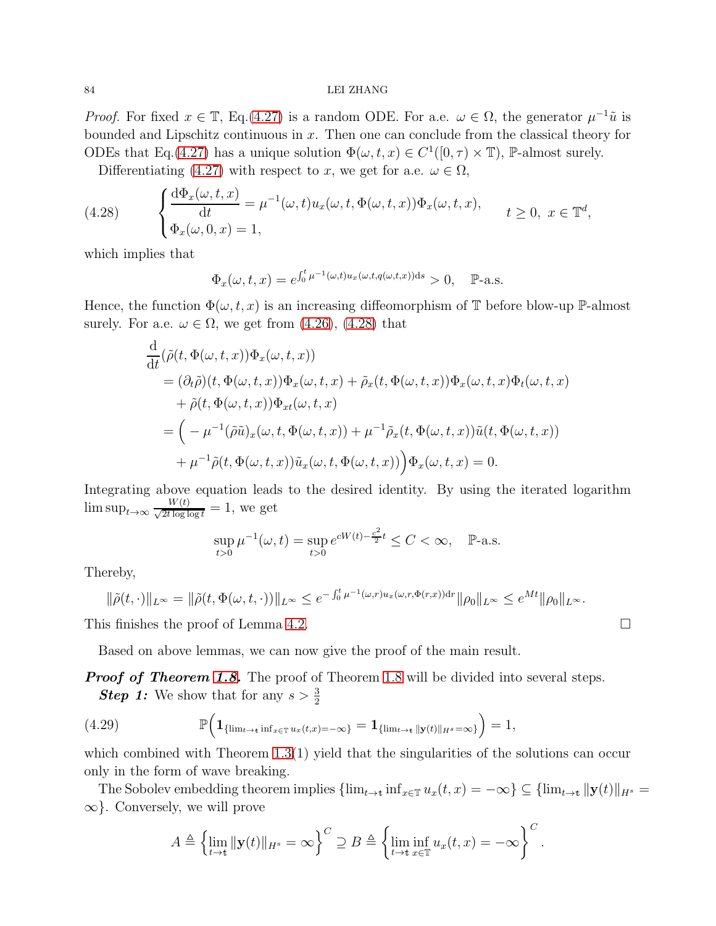*Proof.* For fixed  $x \in \mathbb{T}$ , Eq.[\(4.27\)](#page-82-0) is a random ODE. For a.e.  $\omega \in \Omega$ , the generator  $\mu^{-1}\tilde{u}$  is bounded and Lipschitz continuous in  $x$ . Then one can conclude from the classical theory for ODEs that Eq.[\(4.27\)](#page-82-0) has a unique solution  $\Phi(\omega, t, x) \in C^1([0, \tau) \times \mathbb{T})$ , P-almost surely.

<span id="page-83-0"></span>Differentiating [\(4.27\)](#page-82-0) with respect to x, we get for a.e.  $\omega \in \Omega$ ,

(4.28) 
$$
\begin{cases} \frac{d\Phi_x(\omega, t, x)}{dt} = \mu^{-1}(\omega, t) u_x(\omega, t, \Phi(\omega, t, x)) \Phi_x(\omega, t, x), \\ \Phi_x(\omega, 0, x) = 1, \end{cases} \quad t \ge 0, \ x \in \mathbb{T}^d,
$$

which implies that

$$
\Phi_x(\omega, t, x) = e^{\int_0^t \mu^{-1}(\omega, t) u_x(\omega, t, q(\omega, t, x)) ds} > 0, \quad \mathbb{P}\text{-a.s.}
$$

Hence, the function  $\Phi(\omega, t, x)$  is an increasing diffeomorphism of T before blow-up P-almost surely. For a.e.  $\omega \in \Omega$ , we get from [\(4.26\)](#page-81-0), [\(4.28\)](#page-83-0) that

$$
\frac{d}{dt}(\tilde{\rho}(t,\Phi(\omega,t,x))\Phi_x(\omega,t,x))\n= (\partial_t \tilde{\rho})(t,\Phi(\omega,t,x))\Phi_x(\omega,t,x) + \tilde{\rho}_x(t,\Phi(\omega,t,x))\Phi_x(\omega,t,x)\Phi_t(\omega,t,x)\n+ \tilde{\rho}(t,\Phi(\omega,t,x))\Phi_{xt}(\omega,t,x)\n= \left(-\mu^{-1}(\tilde{\rho}\tilde{u})_x(\omega,t,\Phi(\omega,t,x)) + \mu^{-1}\tilde{\rho}_x(t,\Phi(\omega,t,x))\tilde{u}(t,\Phi(\omega,t,x))\right)\n+ \mu^{-1}\tilde{\rho}(t,\Phi(\omega,t,x))\tilde{u}_x(\omega,t,\Phi(\omega,t,x))\Big)\Phi_x(\omega,t,x) = 0.
$$

Integrating above equation leads to the desired identity. By using the iterated logarithm  $\limsup_{t\to\infty} \frac{W(t)}{\sqrt{2t\log\log t}} = 1$ , we get

$$
\sup_{t>0}\mu^{-1}(\omega,t)=\sup_{t>0}e^{cW(t)-\frac{c^2}{2}t}\leq C<\infty,\quad\mathbb{P}\text{-a.s.}
$$

Thereby,

$$
\|\tilde{\rho}(t,\cdot)\|_{L^{\infty}}=\|\tilde{\rho}(t,\Phi(\omega,t,\cdot))\|_{L^{\infty}}\leq e^{-\int_0^t \mu^{-1}(\omega,r)u_x(\omega,r,\Phi(r,x))dr}\|\rho_0\|_{L^{\infty}}\leq e^{Mt}\|\rho_0\|_{L^{\infty}}.
$$

This finishes the proof of Lemma [4.2.](#page-82-1)

Based on above lemmas, we can now give the proof of the main result.

**Proof of Theorem [1.8.](#page-14-0)** The proof of Theorem [1.8](#page-14-0) will be divided into several steps. **Step 1:** We show that for any  $s > \frac{3}{2}$ 

<span id="page-83-1"></span>(4.29) 
$$
\mathbb{P}\Big(\mathbf{1}_{\{\lim_{t\to t}\inf_{x\in\mathbb{T}}u_x(t,x)=-\infty\}}=\mathbf{1}_{\{\lim_{t\to t}\|y(t)\|_{H^s}=\infty\}}\Big)=1,
$$

which combined with Theorem  $1.3(1)$  yield that the singularities of the solutions can occur only in the form of wave breaking.

The Sobolev embedding theorem implies  $\{\lim_{t\to t} \inf_{x\in\mathbb{T}} u_x(t,x) = -\infty\} \subseteq \{\lim_{t\to t} ||y(t)||_{H^s} =$  $\infty$ . Conversely, we will prove

$$
A \triangleq \left\{ \lim_{t \to t} ||\mathbf{y}(t)||_{H^s} = \infty \right\}^C \supseteq B \triangleq \left\{ \lim_{t \to t} \inf_{x \in \mathbb{T}} u_x(t,x) = -\infty \right\}^C.
$$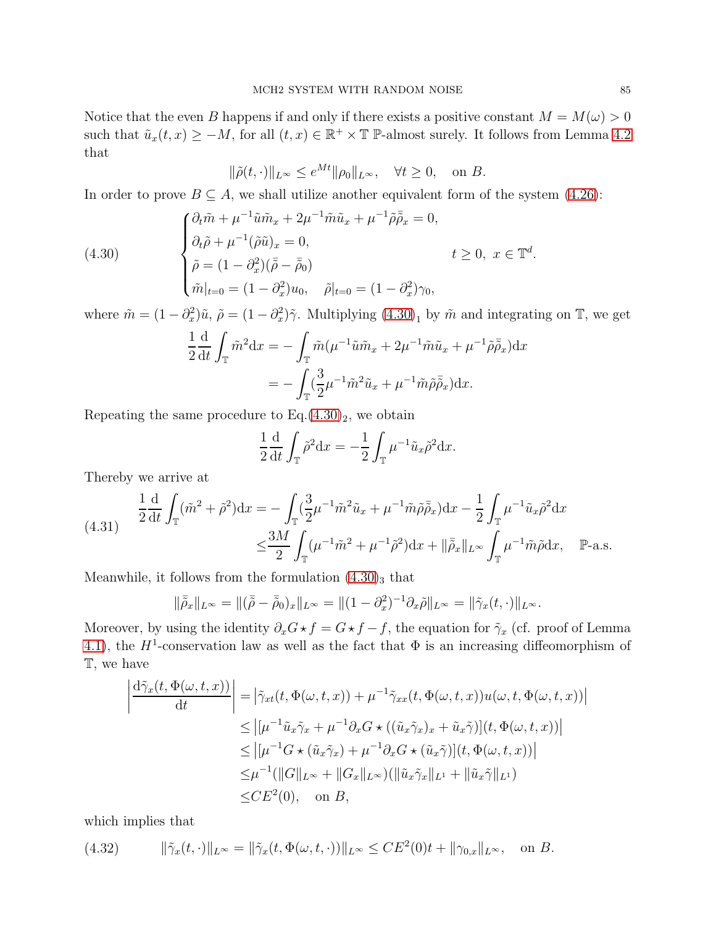Notice that the even B happens if and only if there exists a positive constant  $M = M(\omega) > 0$ such that  $\tilde{u}_x(t,x) \geq -M$ , for all  $(t,x) \in \mathbb{R}^+ \times \mathbb{T}$  P-almost surely. It follows from Lemma [4.2](#page-82-1) that

$$
\|\tilde{\rho}(t,\cdot)\|_{L^{\infty}} \le e^{Mt} \|\rho_0\|_{L^{\infty}}, \quad \forall t \ge 0, \quad \text{on } B.
$$

In order to prove  $B \subseteq A$ , we shall utilize another equivalent form of the system [\(4.26\)](#page-81-0):

(4.30)  
\n
$$
\begin{cases}\n\partial_t \tilde{m} + \mu^{-1} \tilde{u} \tilde{m}_x + 2\mu^{-1} \tilde{m} \tilde{u}_x + \mu^{-1} \tilde{\rho} \bar{\tilde{\rho}}_x = 0, \\
\partial_t \tilde{\rho} + \mu^{-1} (\tilde{\rho} \tilde{u})_x = 0, \\
\tilde{\rho} = (1 - \partial_x^2)(\bar{\tilde{\rho}} - \bar{\tilde{\rho}}_0) \\
\tilde{m}|_{t=0} = (1 - \partial_x^2) u_0, \quad \tilde{\rho}|_{t=0} = (1 - \partial_x^2) \gamma_0,\n\end{cases} \quad t \ge 0, \ x \in \mathbb{T}^d.
$$

where  $\tilde{m} = (1 - \partial_x^2)\tilde{u}, \tilde{\rho} = (1 - \partial_x^2)\tilde{\gamma}$ . Multiplying  $(4.30)_1$  by  $\tilde{m}$  and integrating on  $\mathbb{T}$ , we get

<span id="page-84-0"></span>
$$
\frac{1}{2} \frac{d}{dt} \int_{\mathbb{T}} \tilde{m}^2 dx = -\int_{\mathbb{T}} \tilde{m} (\mu^{-1} \tilde{u} \tilde{m}_x + 2\mu^{-1} \tilde{m} \tilde{u}_x + \mu^{-1} \tilde{\rho} \bar{\tilde{\rho}}_x) dx
$$

$$
= -\int_{\mathbb{T}} (\frac{3}{2} \mu^{-1} \tilde{m}^2 \tilde{u}_x + \mu^{-1} \tilde{m} \tilde{\rho} \bar{\tilde{\rho}}_x) dx.
$$

Repeating the same procedure to  $Eq.(4.30)<sub>2</sub>$  $Eq.(4.30)<sub>2</sub>$  $Eq.(4.30)<sub>2</sub>$ , we obtain

$$
\frac{1}{2} \frac{d}{dt} \int_{\mathbb{T}} \tilde{\rho}^2 dx = -\frac{1}{2} \int_{\mathbb{T}} \mu^{-1} \tilde{u}_x \tilde{\rho}^2 dx.
$$

Thereby we arrive at

<span id="page-84-1"></span>
$$
(4.31) \quad \frac{1}{2}\frac{d}{dt}\int_{\mathbb{T}} (\tilde{m}^2 + \tilde{\rho}^2)dx = -\int_{\mathbb{T}} (\frac{3}{2}\mu^{-1}\tilde{m}^2\tilde{u}_x + \mu^{-1}\tilde{m}\tilde{\rho}\bar{\tilde{\rho}}_x)dx - \frac{1}{2}\int_{\mathbb{T}} \mu^{-1}\tilde{u}_x\tilde{\rho}^2 dx
$$
\n
$$
\leq \frac{3M}{2}\int_{\mathbb{T}} (\mu^{-1}\tilde{m}^2 + \mu^{-1}\tilde{\rho}^2)dx + \|\bar{\tilde{\rho}}_x\|_{L^\infty}\int_{\mathbb{T}} \mu^{-1}\tilde{m}\tilde{\rho}dx, \quad \mathbb{P}\text{-a.s.}
$$

Meanwhile, it follows from the formulation  $(4.30)_{3}$  that

$$
\|\bar{\tilde{\rho}}_x\|_{L^\infty} = \|(\bar{\tilde{\rho}} - \bar{\tilde{\rho}}_0)_x\|_{L^\infty} = \| (1 - \partial_x^2)^{-1} \partial_x \tilde{\rho} \|_{L^\infty} = \| \tilde{\gamma}_x(t, \cdot) \|_{L^\infty}.
$$

Moreover, by using the identity  $\partial_x G \star f = G \star f - f$ , the equation for  $\tilde{\gamma}_x$  (cf. proof of Lemma [4.1\)](#page-81-1), the  $H^1$ -conservation law as well as the fact that  $\Phi$  is an increasing diffeomorphism of T, we have

$$
\left| \frac{d\tilde{\gamma}_x(t, \Phi(\omega, t, x))}{dt} \right| = \left| \tilde{\gamma}_{xt}(t, \Phi(\omega, t, x)) + \mu^{-1} \tilde{\gamma}_{xx}(t, \Phi(\omega, t, x)) u(\omega, t, \Phi(\omega, t, x)) \right|
$$
  
\n
$$
\leq \left| [\mu^{-1} \tilde{u}_x \tilde{\gamma}_x + \mu^{-1} \partial_x G \star ((\tilde{u}_x \tilde{\gamma}_x)_x + \tilde{u}_x \tilde{\gamma})](t, \Phi(\omega, t, x)) \right|
$$
  
\n
$$
\leq \left| [\mu^{-1} G \star (\tilde{u}_x \tilde{\gamma}_x) + \mu^{-1} \partial_x G \star (\tilde{u}_x \tilde{\gamma})](t, \Phi(\omega, t, x)) \right|
$$
  
\n
$$
\leq \mu^{-1} (\|G\|_{L^\infty} + \|G_x\|_{L^\infty}) (\|\tilde{u}_x \tilde{\gamma}_x\|_{L^1} + \|\tilde{u}_x \tilde{\gamma}\|_{L^1})
$$
  
\n
$$
\leq CE^2(0), \text{ on } B,
$$

which implies that

<span id="page-84-2"></span>(4.32) 
$$
\|\tilde{\gamma}_x(t,\cdot)\|_{L^\infty} = \|\tilde{\gamma}_x(t,\Phi(\omega,t,\cdot))\|_{L^\infty} \le CE^2(0)t + \|\gamma_{0,x}\|_{L^\infty}, \text{ on } B.
$$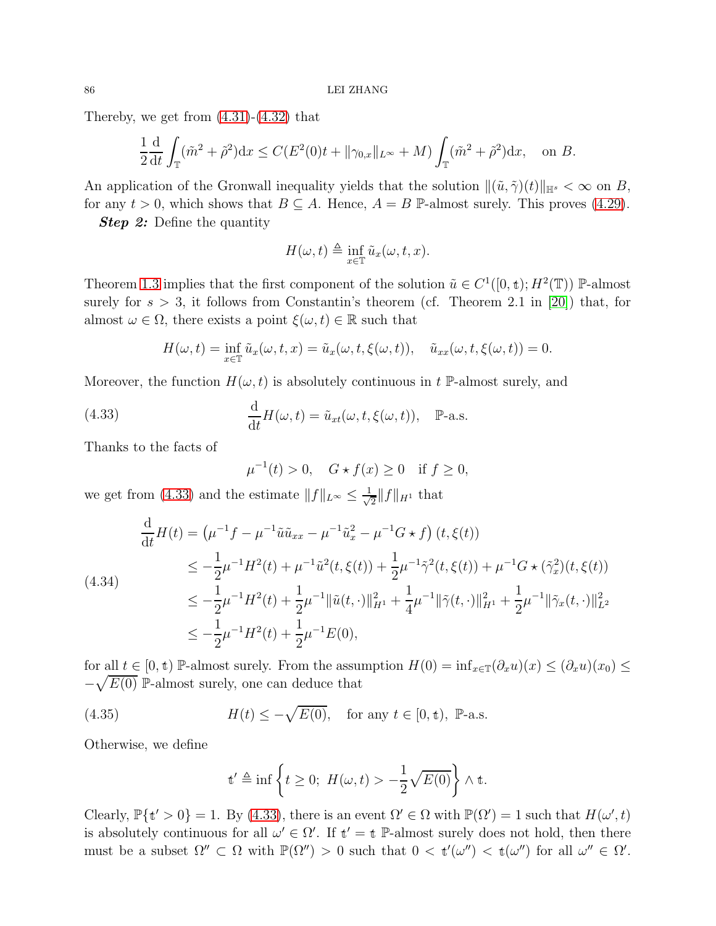Thereby, we get from  $(4.31)-(4.32)$  $(4.31)-(4.32)$  that

$$
\frac{1}{2}\frac{\mathrm{d}}{\mathrm{d}t}\int_{\mathbb{T}} (\tilde{m}^2 + \tilde{\rho}^2) \mathrm{d}x \le C(E^2(0)t + \|\gamma_{0,x}\|_{L^\infty} + M) \int_{\mathbb{T}} (\tilde{m}^2 + \tilde{\rho}^2) \mathrm{d}x, \text{ on } B.
$$

An application of the Gronwall inequality yields that the solution  $\|(\tilde{u}, \tilde{\gamma})(t)\|_{\mathbb{H}^s} < \infty$  on B, for any  $t > 0$ , which shows that  $B \subseteq A$ . Hence,  $A = B$  P-almost surely. This proves [\(4.29\)](#page-83-1).

**Step 2:** Define the quantity

$$
H(\omega, t) \triangleq \inf_{x \in \mathbb{T}} \tilde{u}_x(\omega, t, x).
$$

Theorem [1.3](#page-10-0) implies that the first component of the solution  $\tilde{u} \in C^1([0, t); H^2(\mathbb{T}))$  P-almost surely for  $s > 3$ , it follows from Constantin's theorem (cf. Theorem 2.1 in [\[20\]](#page-89-0)) that, for almost  $\omega \in \Omega$ , there exists a point  $\xi(\omega, t) \in \mathbb{R}$  such that

$$
H(\omega, t) = \inf_{x \in \mathbb{T}} \tilde{u}_x(\omega, t, x) = \tilde{u}_x(\omega, t, \xi(\omega, t)), \quad \tilde{u}_{xx}(\omega, t, \xi(\omega, t)) = 0.
$$

Moreover, the function  $H(\omega, t)$  is absolutely continuous in t P-almost surely, and

<span id="page-85-1"></span>(4.33) 
$$
\frac{d}{dt}H(\omega, t) = \tilde{u}_{xt}(\omega, t, \xi(\omega, t)), \quad \mathbb{P}\text{-a.s.}
$$

Thanks to the facts of

 $\mu^{-1}(t) > 0, \quad G \star f(x) \ge 0 \quad \text{if } f \ge 0,$ 

we get from [\(4.33\)](#page-85-1) and the estimate  $||f||_{L^{\infty}} \leq \frac{1}{\sqrt{2}}$  $\frac{1}{2}$ ||f||<sub>H<sup>1</sup></sub> that

<span id="page-85-0"></span>
$$
\frac{\mathrm{d}}{\mathrm{d}t}H(t) = \left(\mu^{-1}f - \mu^{-1}\tilde{u}\tilde{u}_{xx} - \mu^{-1}\tilde{u}_x^2 - \mu^{-1}G \star f\right)(t,\xi(t))
$$
\n
$$
\leq -\frac{1}{2}\mu^{-1}H^2(t) + \mu^{-1}\tilde{u}^2(t,\xi(t)) + \frac{1}{2}\mu^{-1}\tilde{\gamma}^2(t,\xi(t)) + \mu^{-1}G \star (\tilde{\gamma}_x^2)(t,\xi(t))
$$
\n
$$
\leq -\frac{1}{2}\mu^{-1}H^2(t) + \frac{1}{2}\mu^{-1}\|\tilde{u}(t,\cdot)\|_{H^1}^2 + \frac{1}{4}\mu^{-1}\|\tilde{\gamma}(t,\cdot)\|_{H^1}^2 + \frac{1}{2}\mu^{-1}\|\tilde{\gamma}_x(t,\cdot)\|_{L^2}^2
$$
\n
$$
\leq -\frac{1}{2}\mu^{-1}H^2(t) + \frac{1}{2}\mu^{-1}E(0),
$$

for all  $t \in [0, t)$  P-almost surely. From the assumption  $H(0) = \inf_{x \in \mathbb{T}} (\partial_x u)(x) \leq (\partial_x u)(x_0) \leq$  $-\sqrt{E(0)}$  P-almost surely, one can deduce that

<span id="page-85-2"></span>(4.35) 
$$
H(t) \le -\sqrt{E(0)}
$$
, for any  $t \in [0, t)$ , P-a.s.

Otherwise, we define

$$
\mathbf{t}' \triangleq \inf \left\{ t \ge 0; \ H(\omega, t) > -\frac{1}{2} \sqrt{E(0)} \right\} \wedge \mathbf{t}.
$$

Clearly,  $\mathbb{P}\{\mathbf{t}' > 0\} = 1$ . By [\(4.33\)](#page-85-1), there is an event  $\Omega' \in \Omega$  with  $\mathbb{P}(\Omega') = 1$  such that  $H(\omega', t)$ is absolutely continuous for all  $\omega' \in \Omega'$ . If  $t' = t$  P-almost surely does not hold, then there must be a subset  $\Omega'' \subset \Omega$  with  $\mathbb{P}(\Omega'') > 0$  such that  $0 < t'(\omega'') < t(\omega'')$  for all  $\omega'' \in \Omega'$ .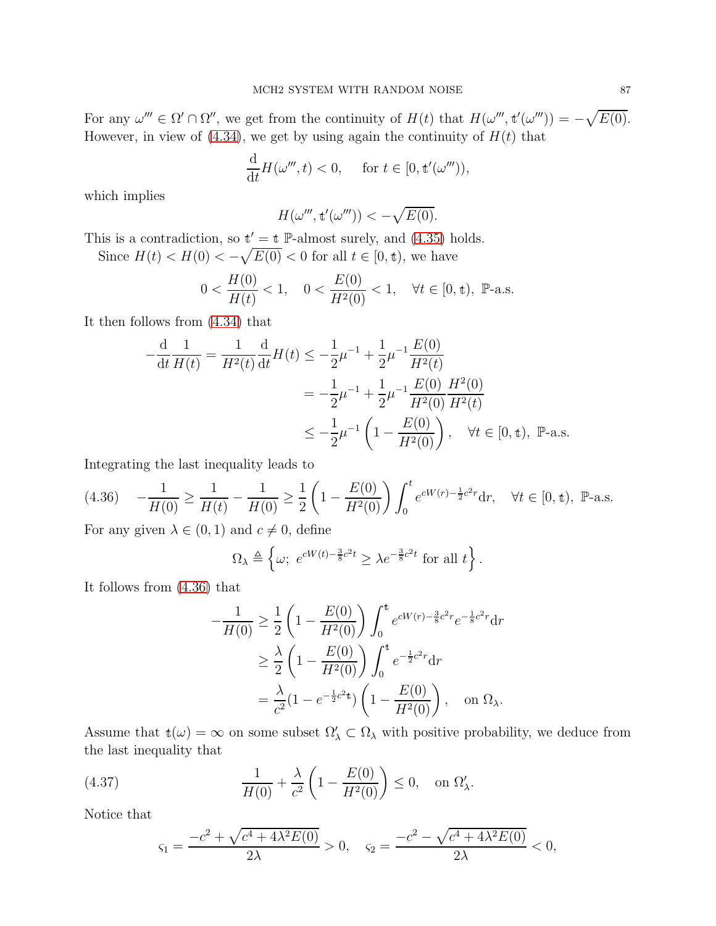For any  $\omega''' \in \Omega' \cap \Omega''$ , we get from the continuity of  $H(t)$  that  $H(\omega''', t'(\omega''')) = -\sqrt{E(0)}$ . However, in view of  $(4.34)$ , we get by using again the continuity of  $H(t)$  that

$$
\frac{\mathrm{d}}{\mathrm{d}t}H(\omega''',t) < 0, \quad \text{ for } t \in [0, \mathbf{t}'(\omega''')),
$$

which implies

$$
H(\omega''', \mathbf{t}'(\omega''')) < -\sqrt{E(0)}.
$$

This is a contradiction, so  $t' = t$  P-almost surely, and [\(4.35\)](#page-85-2) holds.

Since  $H(t) < H(0) < -\sqrt{E(0)} < 0$  for all  $t \in [0, \mathbf{t})$ , we have

$$
0 < \frac{H(0)}{H(t)} < 1, \quad 0 < \frac{E(0)}{H^2(0)} < 1, \quad \forall t \in [0, \mathbf{t}), \ \mathbb{P}\text{-a.s.}
$$

It then follows from [\(4.34\)](#page-85-0) that

$$
-\frac{d}{dt}\frac{1}{H(t)} = \frac{1}{H^2(t)}\frac{d}{dt}H(t) \le -\frac{1}{2}\mu^{-1} + \frac{1}{2}\mu^{-1}\frac{E(0)}{H^2(t)}
$$
  

$$
= -\frac{1}{2}\mu^{-1} + \frac{1}{2}\mu^{-1}\frac{E(0)}{H^2(0)}\frac{H^2(0)}{H^2(t)}
$$
  

$$
\le -\frac{1}{2}\mu^{-1}\left(1 - \frac{E(0)}{H^2(0)}\right), \quad \forall t \in [0, t), \quad \mathbb{P}\text{-a.s.}
$$

Integrating the last inequality leads to

<span id="page-86-0"></span>
$$
(4.36) \quad -\frac{1}{H(0)} \ge \frac{1}{H(t)} - \frac{1}{H(0)} \ge \frac{1}{2} \left( 1 - \frac{E(0)}{H^2(0)} \right) \int_0^t e^{cW(r) - \frac{1}{2}c^2 r} dr, \quad \forall t \in [0, \text{t}), \text{ P-a.s.}
$$

For any given  $\lambda \in (0,1)$  and  $c \neq 0$ , define

$$
\Omega_{\lambda} \triangleq \left\{ \omega; \ e^{cW(t) - \frac{3}{8}c^2t} \geq \lambda e^{-\frac{3}{8}c^2t} \text{ for all } t \right\}.
$$

It follows from [\(4.36\)](#page-86-0) that

$$
-\frac{1}{H(0)} \ge \frac{1}{2} \left( 1 - \frac{E(0)}{H^2(0)} \right) \int_0^t e^{cW(r) - \frac{3}{8}c^2r} e^{-\frac{1}{8}c^2r} dr
$$
  
 
$$
\ge \frac{\lambda}{2} \left( 1 - \frac{E(0)}{H^2(0)} \right) \int_0^t e^{-\frac{1}{2}c^2r} dr
$$
  
 
$$
= \frac{\lambda}{c^2} (1 - e^{-\frac{1}{2}c^2t}) \left( 1 - \frac{E(0)}{H^2(0)} \right), \text{ on } \Omega_{\lambda}.
$$

Assume that  $t(\omega) = \infty$  on some subset  $\Omega'_{\lambda} \subset \Omega_{\lambda}$  with positive probability, we deduce from the last inequality that

<span id="page-86-1"></span>(4.37) 
$$
\frac{1}{H(0)} + \frac{\lambda}{c^2} \left( 1 - \frac{E(0)}{H^2(0)} \right) \le 0, \text{ on } \Omega'_{\lambda}.
$$

Notice that

$$
\varsigma_1 = \frac{-c^2 + \sqrt{c^4 + 4\lambda^2 E(0)}}{2\lambda} > 0, \quad \varsigma_2 = \frac{-c^2 - \sqrt{c^4 + 4\lambda^2 E(0)}}{2\lambda} < 0,
$$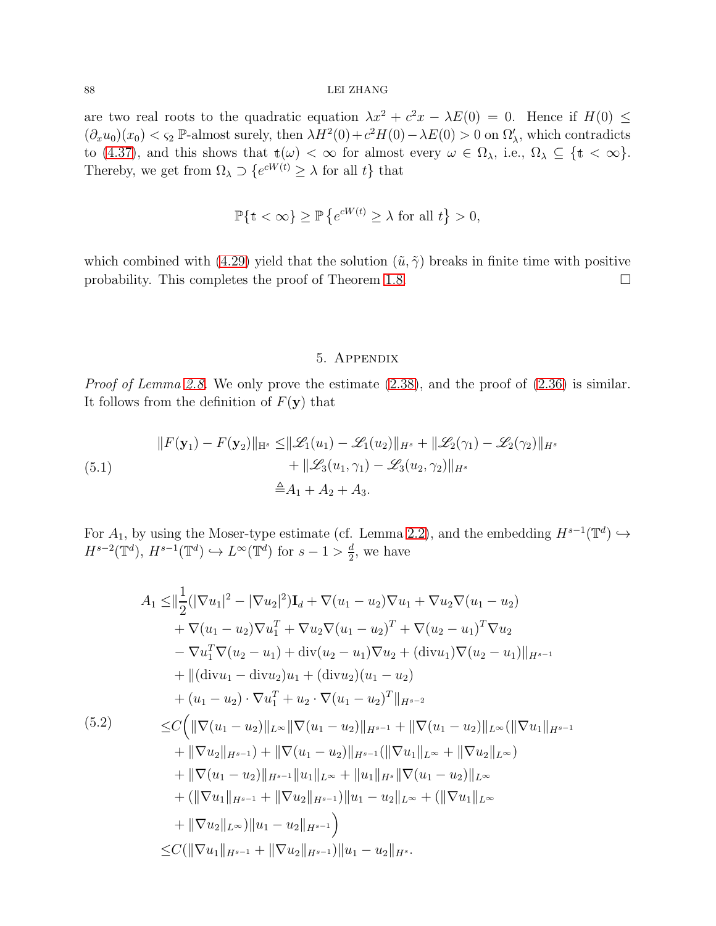are two real roots to the quadratic equation  $\lambda x^2 + c^2 x - \lambda E(0) = 0$ . Hence if  $H(0) \le$  $(\partial_x u_0)(x_0) < \varsigma_2$  P-almost surely, then  $\lambda H^2(0) + c^2 H(0) - \lambda E(0) > 0$  on  $\Omega'_\lambda$ , which contradicts to [\(4.37\)](#page-86-1), and this shows that  $t(\omega) < \infty$  for almost every  $\omega \in \Omega_{\lambda}$ , i.e.,  $\Omega_{\lambda} \subseteq \{t < \infty\}.$ Thereby, we get from  $\Omega_{\lambda} \supset \{e^{cW(t)} \geq \lambda \text{ for all } t\}$  that

$$
\mathbb{P}\{\mathbf{t} < \infty\} \ge \mathbb{P}\left\{e^{cW(t)} \ge \lambda \text{ for all } t\right\} > 0,
$$

which combined with [\(4.29\)](#page-83-1) yield that the solution  $(\tilde{u}, \tilde{\gamma})$  breaks in finite time with positive probability. This completes the proof of Theorem [1.8.](#page-14-0)  $\Box$ 

#### 5. Appendix

Proof of Lemma [2.8.](#page-35-0) We only prove the estimate  $(2.38)$ , and the proof of  $(2.36)$  is similar. It follows from the definition of  $F(\mathbf{y})$  that

<span id="page-87-1"></span>
$$
||F(\mathbf{y}_1) - F(\mathbf{y}_2)||_{\mathbb{H}^s} \le ||\mathcal{L}_1(u_1) - \mathcal{L}_1(u_2)||_{H^s} + ||\mathcal{L}_2(\gamma_1) - \mathcal{L}_2(\gamma_2)||_{H^s} + ||\mathcal{L}_3(u_1, \gamma_1) - \mathcal{L}_3(u_2, \gamma_2)||_{H^s} \triangleq A_1 + A_2 + A_3.
$$

For  $A_1$ , by using the Moser-type estimate (cf. Lemma [2.2\)](#page-17-0), and the embedding  $H^{s-1}(\mathbb{T}^d) \hookrightarrow$  $H^{s-2}(\mathbb{T}^d), H^{s-1}(\mathbb{T}^d) \hookrightarrow L^{\infty}(\mathbb{T}^d)$  for  $s-1 > \frac{d}{2}$  $\frac{d}{2}$ , we have

<span id="page-87-0"></span>
$$
A_1 \leq ||\frac{1}{2}(|\nabla u_1|^2 - |\nabla u_2|^2)\mathbf{I}_d + \nabla(u_1 - u_2)\nabla u_1 + \nabla u_2\nabla(u_1 - u_2) + \nabla(u_1 - u_2)\nabla u_1^T + \nabla u_2\nabla(u_1 - u_2)^T + \nabla(u_2 - u_1)^T\nabla u_2 - \nabla u_1^T\nabla(u_2 - u_1) + \text{div}(u_2 - u_1)\nabla u_2 + (\text{div}u_1)\nabla(u_2 - u_1)||_{H^{s-1}} + ||(\text{div}u_1 - \text{div}u_2)u_1 + (\text{div}u_2)(u_1 - u_2) + (u_1 - u_2) \cdot \nabla u_1^T + u_2 \cdot \nabla(u_1 - u_2)^T||_{H^{s-2}} = C\Big(\|\nabla(u_1 - u_2)\|_{L^\infty}\|\nabla(u_1 - u_2)\|_{H^{s-1}} + \|\nabla(u_1 - u_2)\|_{L^\infty} (\|\nabla u_1\|_{H^{s-1}} + \|\nabla u_2\|_{H^{s-1}}) + \|\nabla(u_1 - u_2)\|_{H^{s-1}} (\|\nabla u_1\|_{L^\infty} + \|\nabla u_2\|_{L^\infty}) + \|\nabla(u_1 - u_2)\|_{H^{s-1}}\|u_1\|_{L^\infty} + \|u_1\|_{H^s}\|\nabla(u_1 - u_2)\|_{L^\infty} + (\|\nabla u_1\|_{H^{s-1}} + \|\nabla u_2\|_{H^{s-1}}))\|u_1 - u_2\|_{L^\infty} + (\|\nabla u_1\|_{L^\infty} + \|\nabla u_2\|_{L^\infty})\|u_1 - u_2\|_{H^{s-1}})\Big)
$$
  

$$
\leq C(\|\nabla u_1\|_{H^{s-1}} + \|\nabla u_2\|_{H^{s-1}})\|u_1 - u_2\|_{H^s}.
$$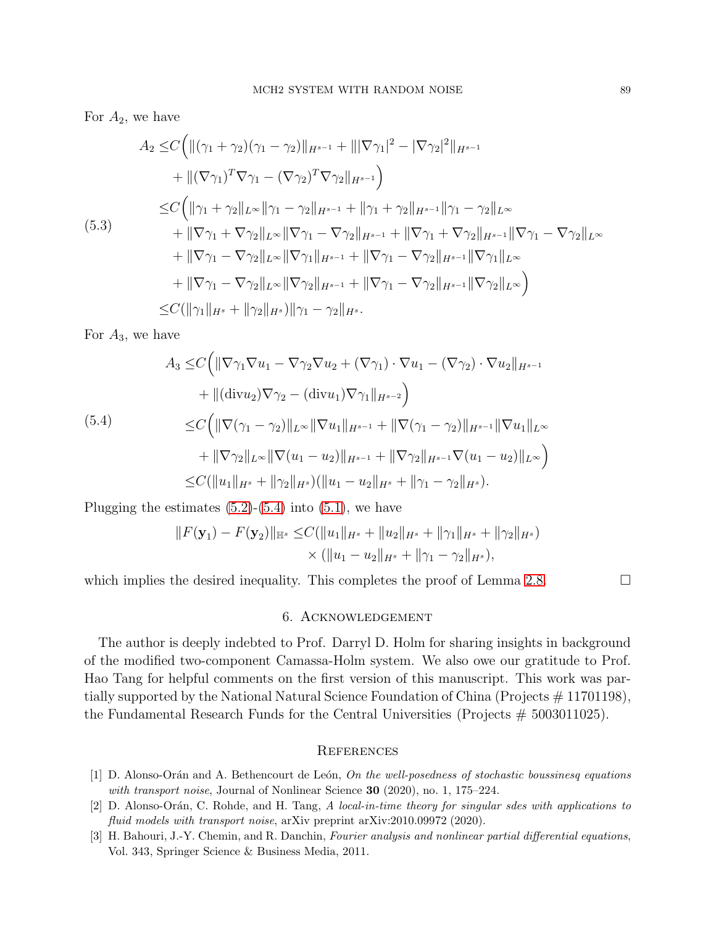For  $A_2$ , we have

$$
A_2 \leq C \Big( \| (\gamma_1 + \gamma_2)(\gamma_1 - \gamma_2) \|_{H^{s-1}} + \| |\nabla \gamma_1|^2 - |\nabla \gamma_2|^2 \|_{H^{s-1}} + \| (\nabla \gamma_1)^T \nabla \gamma_1 - (\nabla \gamma_2)^T \nabla \gamma_2 \|_{H^{s-1}} \Big)
$$
  
\n
$$
\leq C \Big( \| \gamma_1 + \gamma_2 \|_{L^\infty} \| \gamma_1 - \gamma_2 \|_{H^{s-1}} + \| \gamma_1 + \gamma_2 \|_{H^{s-1}} \| \gamma_1 - \gamma_2 \|_{L^\infty} + \| \nabla \gamma_1 + \nabla \gamma_2 \|_{L^\infty} \| \nabla \gamma_1 - \nabla \gamma_2 \|_{H^{s-1}} + \| \nabla \gamma_1 + \nabla \gamma_2 \|_{H^{s-1}} \| \nabla \gamma_1 - \nabla \gamma_2 \|_{L^\infty} + \| \nabla \gamma_1 - \nabla \gamma_2 \|_{L^\infty} \| \nabla \gamma_1 \|_{H^{s-1}} + \| \nabla \gamma_1 - \nabla \gamma_2 \|_{H^{s-1}} \| \nabla \gamma_1 \|_{L^\infty} + \| \nabla \gamma_1 - \nabla \gamma_2 \|_{L^\infty} \| \nabla \gamma_2 \|_{H^{s-1}} + \| \nabla \gamma_1 - \nabla \gamma_2 \|_{H^{s-1}} \| \nabla \gamma_2 \|_{L^\infty} \Big)
$$
  
\n
$$
\leq C (\|\gamma_1\|_{H^s} + \|\gamma_2\|_{H^s}) \|\gamma_1 - \gamma_2\|_{H^s}.
$$

For  $A_3$ , we have

<span id="page-88-1"></span>
$$
A_{3} \leq C \Big( \|\nabla \gamma_{1} \nabla u_{1} - \nabla \gamma_{2} \nabla u_{2} + (\nabla \gamma_{1}) \cdot \nabla u_{1} - (\nabla \gamma_{2}) \cdot \nabla u_{2} \|_{H^{s-1}} + \| (\text{div} u_{2}) \nabla \gamma_{2} - (\text{div} u_{1}) \nabla \gamma_{1} \|_{H^{s-2}} \Big) \leq C \Big( \|\nabla (\gamma_{1} - \gamma_{2})\|_{L^{\infty}} \|\nabla u_{1} \|_{H^{s-1}} + \|\nabla (\gamma_{1} - \gamma_{2})\|_{H^{s-1}} \|\nabla u_{1} \|_{L^{\infty}} + \|\nabla \gamma_{2} \|_{L^{\infty}} \|\nabla (u_{1} - u_{2}) \|_{H^{s-1}} + \|\nabla \gamma_{2} \|_{H^{s-1}} \nabla (u_{1} - u_{2}) \|_{L^{\infty}} \Big) \leq C (\|u_{1} \|_{H^{s}} + \|\gamma_{2} \|_{H^{s}}) (\|u_{1} - u_{2} \|_{H^{s}} + \|\gamma_{1} - \gamma_{2} \|_{H^{s}}).
$$

Plugging the estimates  $(5.2)$ - $(5.4)$  into  $(5.1)$ , we have

$$
||F(\mathbf{y}_1) - F(\mathbf{y}_2)||_{\mathbb{H}^s} \leq C(||u_1||_{H^s} + ||u_2||_{H^s} + ||\gamma_1||_{H^s} + ||\gamma_2||_{H^s})
$$
  
 
$$
\times (||u_1 - u_2||_{H^s} + ||\gamma_1 - \gamma_2||_{H^s}),
$$

which implies the desired inequality. This completes the proof of Lemma [2.8.](#page-35-0)  $\Box$ 

# 6. Acknowledgement

The author is deeply indebted to Prof. Darryl D. Holm for sharing insights in background of the modified two-component Camassa-Holm system. We also owe our gratitude to Prof. Hao Tang for helpful comments on the first version of this manuscript. This work was partially supported by the National Natural Science Foundation of China (Projects # 11701198), the Fundamental Research Funds for the Central Universities (Projects  $# 5003011025$ ).

## **REFERENCES**

- [1] D. Alonso-Orán and A. Bethencourt de León, On the well-posedness of stochastic boussinesq equations with transport noise, Journal of Nonlinear Science 30 (2020), no. 1, 175–224.
- [2] D. Alonso-Orán, C. Rohde, and H. Tang, A local-in-time theory for singular sdes with applications to fluid models with transport noise, arXiv preprint arXiv:2010.09972 (2020).
- <span id="page-88-0"></span>[3] H. Bahouri, J.-Y. Chemin, and R. Danchin, Fourier analysis and nonlinear partial differential equations, Vol. 343, Springer Science & Business Media, 2011.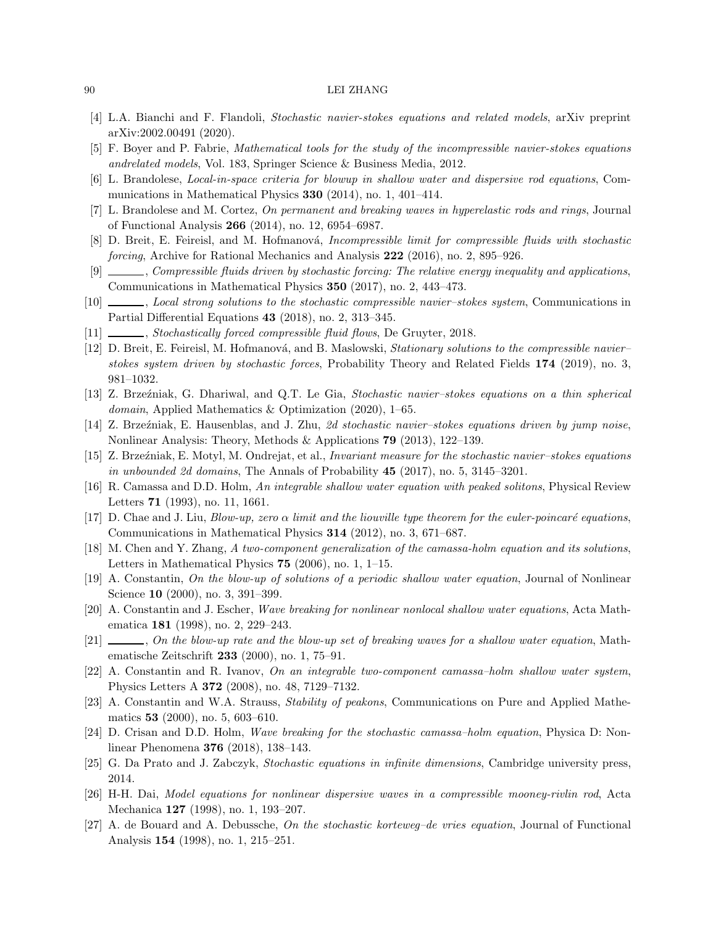- [4] L.A. Bianchi and F. Flandoli, Stochastic navier-stokes equations and related models, arXiv preprint arXiv:2002.00491 (2020).
- [5] F. Boyer and P. Fabrie, Mathematical tools for the study of the incompressible navier-stokes equations andrelated models, Vol. 183, Springer Science & Business Media, 2012.
- [6] L. Brandolese, Local-in-space criteria for blowup in shallow water and dispersive rod equations, Communications in Mathematical Physics 330 (2014), no. 1, 401–414.
- [7] L. Brandolese and M. Cortez, On permanent and breaking waves in hyperelastic rods and rings, Journal of Functional Analysis 266 (2014), no. 12, 6954–6987.
- [8] D. Breit, E. Feireisl, and M. Hofmanová, *Incompressible limit for compressible fluids with stochastic* forcing, Archive for Rational Mechanics and Analysis 222 (2016), no. 2, 895–926.
- [9] , Compressible fluids driven by stochastic forcing: The relative energy inequality and applications, Communications in Mathematical Physics 350 (2017), no. 2, 443–473.
- [10] , Local strong solutions to the stochastic compressible navier–stokes system, Communications in Partial Differential Equations 43 (2018), no. 2, 313–345.
- [11] Stochastically forced compressible fluid flows, De Gruyter, 2018.
- [12] D. Breit, E. Feireisl, M. Hofmanová, and B. Maslowski, Stationary solutions to the compressible navier– stokes system driven by stochastic forces, Probability Theory and Related Fields 174 (2019), no. 3, 981–1032.
- [13] Z. Brze´zniak, G. Dhariwal, and Q.T. Le Gia, Stochastic navier–stokes equations on a thin spherical domain, Applied Mathematics & Optimization (2020), 1–65.
- [14] Z. Brzeźniak, E. Hausenblas, and J. Zhu, 2d stochastic navier-stokes equations driven by jump noise, Nonlinear Analysis: Theory, Methods & Applications 79 (2013), 122–139.
- [15] Z. Brzeźniak, E. Motyl, M. Ondrejat, et al., *Invariant measure for the stochastic navier–stokes equations* in unbounded 2d domains, The Annals of Probability  $45$  (2017), no. 5, 3145–3201.
- [16] R. Camassa and D.D. Holm, An integrable shallow water equation with peaked solitons, Physical Review Letters 71 (1993), no. 11, 1661.
- [17] D. Chae and J. Liu, Blow-up, zero  $\alpha$  limit and the liouville type theorem for the euler-poincaré equations, Communications in Mathematical Physics 314 (2012), no. 3, 671–687.
- [18] M. Chen and Y. Zhang, A two-component generalization of the camassa-holm equation and its solutions, Letters in Mathematical Physics 75 (2006), no. 1, 1–15.
- [19] A. Constantin, On the blow-up of solutions of a periodic shallow water equation, Journal of Nonlinear Science **10** (2000), no. 3, 391-399.
- <span id="page-89-0"></span>[20] A. Constantin and J. Escher, Wave breaking for nonlinear nonlocal shallow water equations, Acta Mathematica 181 (1998), no. 2, 229–243.
- [21] , On the blow-up rate and the blow-up set of breaking waves for a shallow water equation, Mathematische Zeitschrift 233 (2000), no. 1, 75–91.
- [22] A. Constantin and R. Ivanov, On an integrable two-component camassa–holm shallow water system, Physics Letters A 372 (2008), no. 48, 7129–7132.
- [23] A. Constantin and W.A. Strauss, Stability of peakons, Communications on Pure and Applied Mathematics 53 (2000), no. 5, 603–610.
- [24] D. Crisan and D.D. Holm, Wave breaking for the stochastic camassa–holm equation, Physica D: Nonlinear Phenomena 376 (2018), 138–143.
- [25] G. Da Prato and J. Zabczyk, Stochastic equations in infinite dimensions, Cambridge university press, 2014.
- [26] H-H. Dai, Model equations for nonlinear dispersive waves in a compressible mooney-rivlin rod, Acta Mechanica 127 (1998), no. 1, 193–207.
- [27] A. de Bouard and A. Debussche, On the stochastic korteweg–de vries equation, Journal of Functional Analysis 154 (1998), no. 1, 215–251.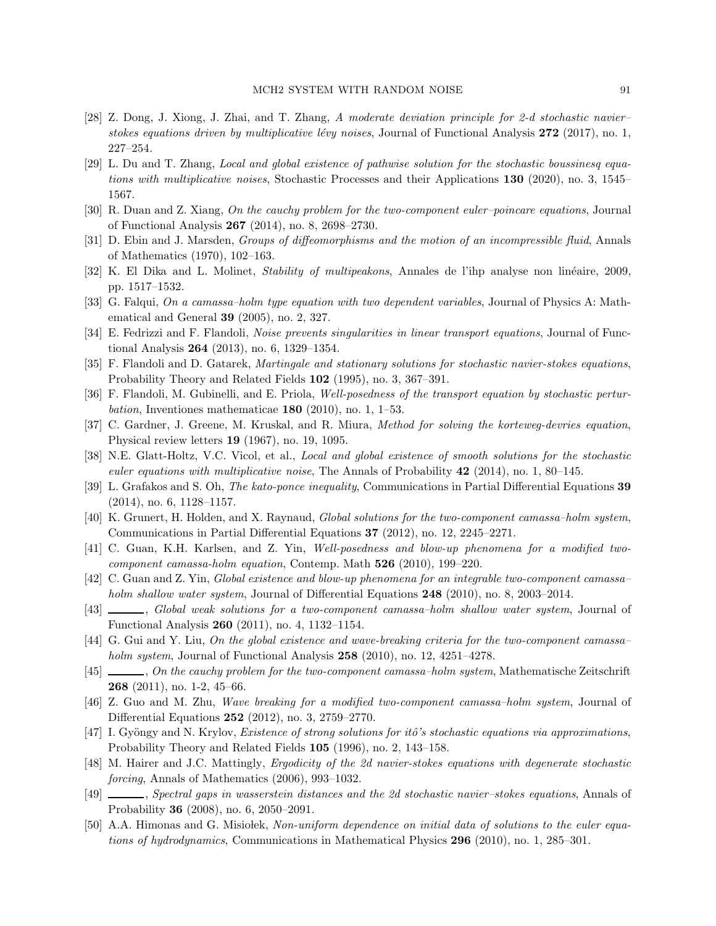- [28] Z. Dong, J. Xiong, J. Zhai, and T. Zhang, A moderate deviation principle for 2-d stochastic navier– stokes equations driven by multiplicative lévy noises, Journal of Functional Analysis  $272$  (2017), no. 1, 227–254.
- [29] L. Du and T. Zhang, Local and global existence of pathwise solution for the stochastic boussinesq equations with multiplicative noises, Stochastic Processes and their Applications 130 (2020), no. 3, 1545– 1567.
- [30] R. Duan and Z. Xiang, On the cauchy problem for the two-component euler–poincare equations, Journal of Functional Analysis 267 (2014), no. 8, 2698–2730.
- [31] D. Ebin and J. Marsden, Groups of diffeomorphisms and the motion of an incompressible fluid, Annals of Mathematics (1970), 102–163.
- [32] K. El Dika and L. Molinet, *Stability of multipeakons*, Annales de l'ihp analyse non linéaire, 2009, pp. 1517–1532.
- [33] G. Falqui, On a camassa-holm type equation with two dependent variables, Journal of Physics A: Mathematical and General 39 (2005), no. 2, 327.
- [34] E. Fedrizzi and F. Flandoli, Noise prevents singularities in linear transport equations, Journal of Functional Analysis 264 (2013), no. 6, 1329–1354.
- [35] F. Flandoli and D. Gatarek, Martingale and stationary solutions for stochastic navier-stokes equations, Probability Theory and Related Fields 102 (1995), no. 3, 367–391.
- [36] F. Flandoli, M. Gubinelli, and E. Priola, Well-posedness of the transport equation by stochastic perturbation, Inventiones mathematicae  $180$  (2010), no. 1, 1–53.
- [37] C. Gardner, J. Greene, M. Kruskal, and R. Miura, Method for solving the korteweg-devries equation, Physical review letters 19 (1967), no. 19, 1095.
- [38] N.E. Glatt-Holtz, V.C. Vicol, et al., Local and global existence of smooth solutions for the stochastic euler equations with multiplicative noise, The Annals of Probability  $42$  (2014), no. 1, 80–145.
- [39] L. Grafakos and S. Oh, The kato-ponce inequality, Communications in Partial Differential Equations 39 (2014), no. 6, 1128–1157.
- [40] K. Grunert, H. Holden, and X. Raynaud, Global solutions for the two-component camassa–holm system, Communications in Partial Differential Equations 37 (2012), no. 12, 2245–2271.
- [41] C. Guan, K.H. Karlsen, and Z. Yin, Well-posedness and blow-up phenomena for a modified twocomponent camassa-holm equation, Contemp. Math 526 (2010), 199–220.
- [42] C. Guan and Z. Yin, Global existence and blow-up phenomena for an integrable two-component camassa– holm shallow water system, Journal of Differential Equations 248 (2010), no. 8, 2003–2014.
- [43]  $\_\_\_\_\$ , Global weak solutions for a two-component camassa-holm shallow water system, Journal of Functional Analysis 260 (2011), no. 4, 1132–1154.
- [44] G. Gui and Y. Liu, On the global existence and wave-breaking criteria for the two-component camassa– holm system, Journal of Functional Analysis 258 (2010), no. 12, 4251-4278.
- [45] , On the cauchy problem for the two-component camassa–holm system, Mathematische Zeitschrift 268 (2011), no. 1-2, 45–66.
- [46] Z. Guo and M. Zhu, Wave breaking for a modified two-component camassa–holm system, Journal of Differential Equations 252 (2012), no. 3, 2759–2770.
- [47] I. Gyöngy and N. Krylov, Existence of strong solutions for itô's stochastic equations via approximations, Probability Theory and Related Fields 105 (1996), no. 2, 143–158.
- [48] M. Hairer and J.C. Mattingly, Ergodicity of the 2d navier-stokes equations with degenerate stochastic forcing, Annals of Mathematics (2006), 993–1032.
- [49] , Spectral gaps in wasserstein distances and the 2d stochastic navier–stokes equations, Annals of Probability 36 (2008), no. 6, 2050–2091.
- [50] A.A. Himonas and G. Misiolek, Non-uniform dependence on initial data of solutions to the euler equations of hydrodynamics, Communications in Mathematical Physics 296 (2010), no. 1, 285–301.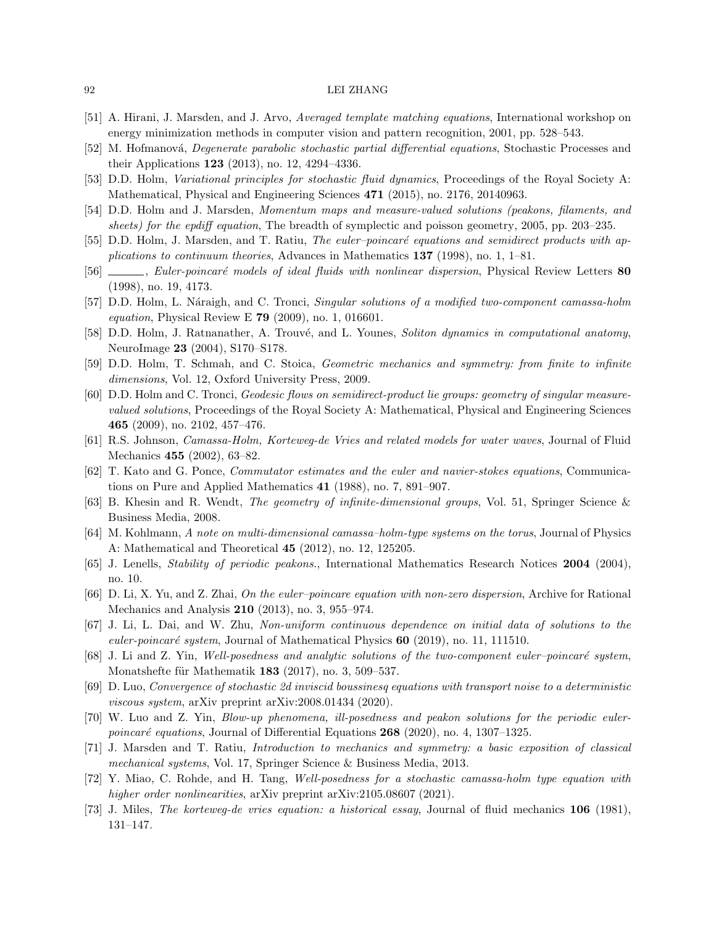- [51] A. Hirani, J. Marsden, and J. Arvo, Averaged template matching equations, International workshop on energy minimization methods in computer vision and pattern recognition, 2001, pp. 528–543.
- [52] M. Hofmanová, *Degenerate parabolic stochastic partial differential equations*, Stochastic Processes and their Applications 123 (2013), no. 12, 4294–4336.
- [53] D.D. Holm, Variational principles for stochastic fluid dynamics, Proceedings of the Royal Society A: Mathematical, Physical and Engineering Sciences 471 (2015), no. 2176, 20140963.
- [54] D.D. Holm and J. Marsden, Momentum maps and measure-valued solutions (peakons, filaments, and sheets) for the epdiff equation, The breadth of symplectic and poisson geometry, 2005, pp. 203–235.
- [55] D.D. Holm, J. Marsden, and T. Ratiu, *The euler–poincaré equations and semidirect products with ap*plications to continuum theories, Advances in Mathematics 137 (1998), no. 1, 1–81.
- [56] , Euler-poincaré models of ideal fluids with nonlinear dispersion, Physical Review Letters 80 (1998), no. 19, 4173.
- [57] D.D. Holm, L. Náraigh, and C. Tronci, Singular solutions of a modified two-component camassa-holm *equation*, Physical Review E **79** (2009), no. 1, 016601.
- [58] D.D. Holm, J. Ratnanather, A. Trouvé, and L. Younes, Soliton dynamics in computational anatomy, NeuroImage 23 (2004), S170–S178.
- [59] D.D. Holm, T. Schmah, and C. Stoica, Geometric mechanics and symmetry: from finite to infinite dimensions, Vol. 12, Oxford University Press, 2009.
- [60] D.D. Holm and C. Tronci, Geodesic flows on semidirect-product lie groups: geometry of singular measurevalued solutions, Proceedings of the Royal Society A: Mathematical, Physical and Engineering Sciences 465 (2009), no. 2102, 457–476.
- [61] R.S. Johnson, Camassa-Holm, Korteweg-de Vries and related models for water waves, Journal of Fluid Mechanics 455 (2002), 63–82.
- [62] T. Kato and G. Ponce, Commutator estimates and the euler and navier-stokes equations, Communications on Pure and Applied Mathematics 41 (1988), no. 7, 891–907.
- [63] B. Khesin and R. Wendt, The geometry of infinite-dimensional groups, Vol. 51, Springer Science & Business Media, 2008.
- [64] M. Kohlmann, A note on multi-dimensional camassa–holm-type systems on the torus, Journal of Physics A: Mathematical and Theoretical 45 (2012), no. 12, 125205.
- [65] J. Lenells, Stability of periodic peakons., International Mathematics Research Notices 2004 (2004), no. 10.
- [66] D. Li, X. Yu, and Z. Zhai, On the euler–poincare equation with non-zero dispersion, Archive for Rational Mechanics and Analysis 210 (2013), no. 3, 955–974.
- [67] J. Li, L. Dai, and W. Zhu, Non-uniform continuous dependence on initial data of solutions to the euler-poincaré system, Journal of Mathematical Physics  $60$  (2019), no. 11, 111510.
- [68] J. Li and Z. Yin, Well-posedness and analytic solutions of the two-component euler–poincaré system, Monatshefte für Mathematik 183  $(2017)$ , no. 3, 509–537.
- [69] D. Luo, Convergence of stochastic 2d inviscid boussinesq equations with transport noise to a deterministic viscous system, arXiv preprint arXiv:2008.01434 (2020).
- [70] W. Luo and Z. Yin, Blow-up phenomena, ill-posedness and peakon solutions for the periodic eulerpoincaré equations, Journal of Differential Equations  $268$  (2020), no. 4, 1307–1325.
- [71] J. Marsden and T. Ratiu, Introduction to mechanics and symmetry: a basic exposition of classical mechanical systems, Vol. 17, Springer Science & Business Media, 2013.
- [72] Y. Miao, C. Rohde, and H. Tang, Well-posedness for a stochastic camassa-holm type equation with higher order nonlinearities, arXiv preprint arXiv:2105.08607 (2021).
- [73] J. Miles, The korteweg-de vries equation: a historical essay, Journal of fluid mechanics 106 (1981), 131–147.